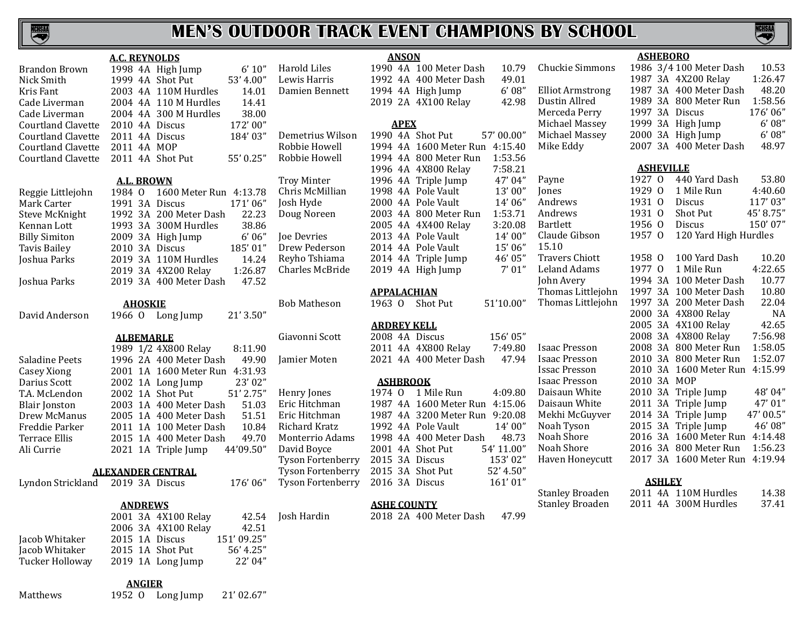

**NCHSM** 

|                           | <b>A.C. REYNOLDS</b>             |                          | <b>ANSON</b>                     |                         | <b>ASHEBORO</b>                    |
|---------------------------|----------------------------------|--------------------------|----------------------------------|-------------------------|------------------------------------|
| <b>Brandon Brown</b>      | 1998 4A High Jump<br>6' 10''     | Harold Liles             | 1990 4A 100 Meter Dash<br>10.79  | Chuckie Simmons         | 1986 3/4 100 Meter Dash<br>10.53   |
| Nick Smith                | 1999 4A Shot Put<br>53' 4.00"    | Lewis Harris             | 49.01<br>1992 4A 400 Meter Dash  |                         | 1987 3A 4X200 Relay<br>1:26.47     |
| Kris Fant                 | 14.01<br>2003 4A 110M Hurdles    | Damien Bennett           | 6'08''<br>1994 4A High Jump      | <b>Elliot Armstrong</b> | 48.20<br>1987 3A 400 Meter Dash    |
| Cade Liverman             | 14.41<br>2004 4A 110 M Hurdles   |                          | 42.98<br>2019 2A 4X100 Relay     | Dustin Allred           | 1:58.56<br>1989 3A 800 Meter Run   |
| Cade Liverman             | 38.00<br>2004 4A 300 M Hurdles   |                          |                                  | Merceda Perry           | 1997 3A Discus<br>176'06"          |
| <b>Courtland Clavette</b> | 172'00"<br>2010 4A Discus        |                          | <b>APEX</b>                      | Michael Massey          | 6'08''<br>1999 3A High Jump        |
| Courtland Clavette        | 2011 4A Discus<br>184'03"        | Demetrius Wilson         | 1990 4A Shot Put<br>57'00.00"    | Michael Massey          | 6'08''<br>2000 3A High Jump        |
| <b>Courtland Clavette</b> | 2011 4A MOP                      | Robbie Howell            | 1994 4A 1600 Meter Run 4:15.40   | Mike Eddy               | 48.97<br>2007 3A 400 Meter Dash    |
| <b>Courtland Clavette</b> | 55' 0.25"<br>2011 4A Shot Put    | Robbie Howell            | 1:53.56<br>1994 4A 800 Meter Run |                         |                                    |
|                           |                                  |                          | 7:58.21<br>1996 4A 4X800 Relay   |                         | <b>ASHEVILLE</b>                   |
|                           | <b>A.L. BROWN</b>                | <b>Troy Minter</b>       | 47'04"<br>1996 4A Triple Jump    | Payne                   | 1927 0<br>440 Yard Dash<br>53.80   |
|                           | 1984 0 1600 Meter Run 4:13.78    | Chris McMillian          | 13'00"<br>1998 4A Pole Vault     | Jones                   | 1929 0<br>1 Mile Run<br>4:40.60    |
| Reggie Littlejohn         | 171'06"                          | Josh Hyde                | 14'06"<br>2000 4A Pole Vault     | Andrews                 | 1931 0<br>117'03"<br><b>Discus</b> |
| Mark Carter               | 1991 3A Discus                   |                          | 1:53.71                          | Andrews                 | 1931 0<br>Shot Put<br>45' 8.75"    |
| Steve McKnight            | 1992 3A 200 Meter Dash<br>22.23  | Doug Noreen              | 2003 4A 800 Meter Run            | Bartlett                | 1956 0<br>150'07"<br><b>Discus</b> |
| Kennan Lott               | 38.86<br>1993 3A 300M Hurdles    |                          | 3:20.08<br>2005 4A 4X400 Relay   | Claude Gibson           | 1957 0<br>120 Yard High Hurdles    |
| <b>Billy Simiton</b>      | 6'06''<br>2009 3A High Jump      | Joe Devries              | 14'00"<br>2013 4A Pole Vault     |                         |                                    |
| Tavis Bailey              | 185'01"<br>2010 3A Discus        | Drew Pederson            | 15'06"<br>2014 4A Pole Vault     | 15.10                   |                                    |
| Joshua Parks              | 14.24<br>2019 3A 110M Hurdles    | Reyho Tshiama            | 46' 05"<br>2014 4A Triple Jump   | <b>Travers Chiott</b>   | 100 Yard Dash<br>10.20<br>1958 0   |
|                           | 1:26.87<br>2019 3A 4X200 Relay   | Charles McBride          | 7' 01''<br>2019 4A High Jump     | Leland Adams            | 1977 0 1 Mile Run<br>4:22.65       |
| Joshua Parks              | 2019 3A 400 Meter Dash<br>47.52  |                          |                                  | John Avery              | 1994 3A 100 Meter Dash<br>10.77    |
|                           |                                  |                          | <b>APPALACHIAN</b>               | Thomas Littlejohn       | 1997 3A 100 Meter Dash<br>10.80    |
|                           | <b>AHOSKIE</b>                   | <b>Bob Matheson</b>      | 1963 0 Shot Put<br>51'10.00"     | Thomas Littlejohn       | 22.04<br>1997 3A 200 Meter Dash    |
| David Anderson            | 21' 3.50"<br>1966 O Long Jump    |                          |                                  |                         | NA<br>2000 3A 4X800 Relay          |
|                           |                                  |                          | <b>ARDREY KELL</b>               |                         | 42.65<br>2005 3A 4X100 Relay       |
|                           | <b>ALBEMARLE</b>                 | Giavonni Scott           | 156'05"<br>2008 4A Discus        |                         | 7:56.98<br>2008 3A 4X800 Relay     |
|                           | 1989 1/2 4X800 Relay<br>8:11.90  |                          | 7:49.80<br>2011 4A 4X800 Relay   | <b>Isaac Presson</b>    | 1:58.05<br>2008 3A 800 Meter Run   |
| Saladine Peets            | 49.90<br>1996 2A 400 Meter Dash  | Jamier Moten             | 47.94<br>2021 4A 400 Meter Dash  | <b>Isaac Presson</b>    | 1:52.07<br>2010 3A 800 Meter Run   |
| Casey Xiong               | 2001 1A 1600 Meter Run 4:31.93   |                          |                                  | <b>Issac Presson</b>    | 2010 3A 1600 Meter Run 4:15.99     |
| Darius Scott              | 23'02"<br>2002 1A Long Jump      |                          | <b>ASHBROOK</b>                  | <b>Isaac Presson</b>    | 2010 3A MOP                        |
| T.A. McLendon             | 51' 2.75"<br>2002 1A Shot Put    | Henry Jones              | 1974 0 1 Mile Run<br>4:09.80     | Daisaun White           | 48'04"<br>2010 3A Triple Jump      |
| <b>Blair Jonston</b>      | 51.03<br>2003 1A 400 Meter Dash  | Eric Hitchman            | 1987 4A 1600 Meter Run 4:15.06   | Daisaun White           | 47'01"<br>2011 3A Triple Jump      |
| Drew McManus              | 2005 1A 400 Meter Dash<br>51.51  | Eric Hitchman            | 1987 4A 3200 Meter Run 9:20.08   | Mekhi McGuyver          | 47' 00.5"<br>2014 3A Triple Jump   |
| Freddie Parker            | 10.84<br>2011 1A 100 Meter Dash  | Richard Kratz            | 14' 00"<br>1992 4A Pole Vault    | Noah Tyson              | 46' 08"<br>2015 3A Triple Jump     |
| Terrace Ellis             | 49.70<br>2015 1A 400 Meter Dash  | Monterrio Adams          | 48.73<br>1998 4A 400 Meter Dash  | Noah Shore              | 2016 3A 1600 Meter Run 4:14.48     |
| Ali Currie                | 2021 1A Triple Jump<br>44'09.50" | David Boyce              | 54' 11.00"<br>2001 4A Shot Put   | Noah Shore              | 2016 3A 800 Meter Run<br>1:56.23   |
|                           |                                  | Tyson Fortenberry        | 153'02"<br>2015 3A Discus        | Haven Honeycutt         | 2017 3A 1600 Meter Run 4:19.94     |
|                           | <b>ALEXANDER CENTRAL</b>         | Tyson Fortenberry        | 2015 3A Shot Put<br>52' 4.50"    |                         |                                    |
| Lyndon Strickland         | 2019 3A Discus<br>176'06"        | <b>Tyson Fortenberry</b> | 161'01"<br>2016 3A Discus        |                         | <b>ASHLEY</b>                      |
|                           |                                  |                          |                                  | <b>Stanley Broaden</b>  | 2011 4A 110M Hurdles<br>14.38      |
|                           | <b>ANDREWS</b>                   |                          | <b>ASHE COUNTY</b>               | <b>Stanley Broaden</b>  | 2011 4A 300M Hurdles<br>37.41      |
|                           | 2001 3A 4X100 Relay              | 42.54 Josh Hardin        | 2018 2A 400 Meter Dash<br>47.99  |                         |                                    |
|                           | 2006 3A 4X100 Relay<br>42.51     |                          |                                  |                         |                                    |
| Jacob Whitaker            | 2015 1A Discus<br>151'09.25"     |                          |                                  |                         |                                    |
| Jacob Whitaker            | 2015 1A Shot Put<br>56' 4.25"    |                          |                                  |                         |                                    |
| <b>Tucker Holloway</b>    | 22' 04"<br>2019 1A Long Jump     |                          |                                  |                         |                                    |
|                           |                                  |                          |                                  |                         |                                    |
|                           |                                  |                          |                                  |                         |                                    |

**ANGIER** Matthews 1952 O Long Jump 21' 02.67"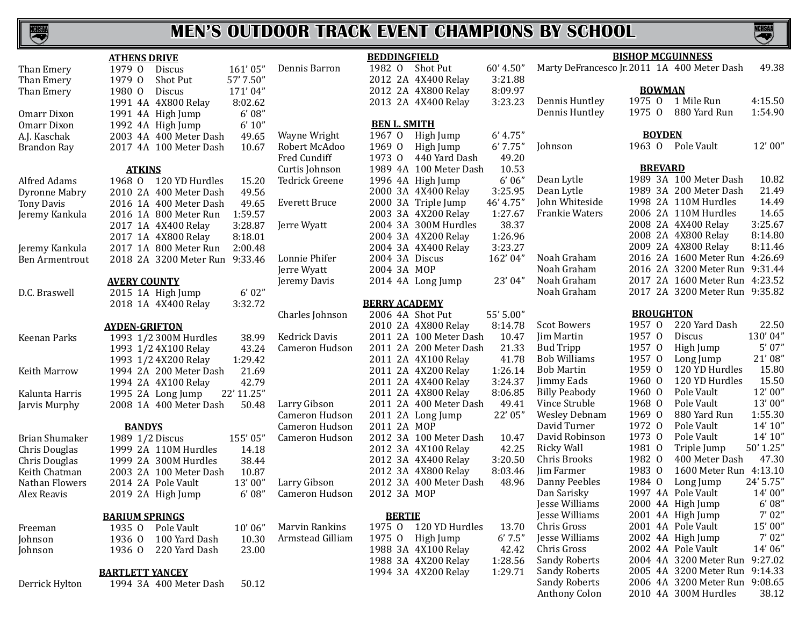

| <b>ATHENS DRIVE</b>   |                        |               |                                            |           |  |  |  |  |  |
|-----------------------|------------------------|---------------|--------------------------------------------|-----------|--|--|--|--|--|
| Than Emery            |                        |               | 1979 O Discus                              | 161'05"   |  |  |  |  |  |
| Than Emery            | 1979 0                 |               | Shot Put                                   | 57' 7.50" |  |  |  |  |  |
| Than Emery            | 1980 0                 |               | Discus                                     | 171'04"   |  |  |  |  |  |
|                       |                        |               | 1991 4A 4X800 Relay                        | 8:02.62   |  |  |  |  |  |
| Omarr Dixon           |                        |               | 1991 4A High Jump                          | 6'08''    |  |  |  |  |  |
| Omarr Dixon           |                        |               | 1992 4A High Jump                          | 6' 10''   |  |  |  |  |  |
| A.J. Kaschak          | 2003 4A                |               | 400 Meter Dash 49.65                       |           |  |  |  |  |  |
| <b>Brandon Ray</b>    | 2017 4A                |               | 100 Meter Dash                             | 10.67     |  |  |  |  |  |
|                       |                        | <b>ATKINS</b> |                                            |           |  |  |  |  |  |
| Alfred Adams          |                        |               | 1968 0 120 YD Hurdles                      | 15.20     |  |  |  |  |  |
| Dyronne Mabry         |                        |               | 2010 2A 400 Meter Dash                     | 49.56     |  |  |  |  |  |
| <b>Tony Davis</b>     |                        |               | 2016 1A 400 Meter Dash                     | 49.65     |  |  |  |  |  |
| Jeremy Kankula        |                        |               | 2016 1A 800 Meter Run                      | 1:59.57   |  |  |  |  |  |
|                       |                        |               |                                            | 3:28.87   |  |  |  |  |  |
|                       |                        |               | 2017 1A 4X400 Relay<br>2017 1A 4X800 Relay | 8:18.01   |  |  |  |  |  |
| Jeremy Kankula        |                        |               | 2017 1A 800 Meter Run                      | 2:00.48   |  |  |  |  |  |
| <b>Ben Armentrout</b> |                        |               | 2018 2A 3200 Meter Run 9:33.46             |           |  |  |  |  |  |
|                       | <b>AVERY COUNTY</b>    |               |                                            |           |  |  |  |  |  |
| D.C. Braswell         |                        |               | 2015 1A High Jump                          | 6'02''    |  |  |  |  |  |
|                       |                        |               | 2018 1A 4X400 Relay                        | 3:32.72   |  |  |  |  |  |
|                       | <b>AYDEN-GRIFTON</b>   |               |                                            |           |  |  |  |  |  |
| Keenan Parks          |                        |               | 1993 1/2 300M Hurdles                      | 38.99     |  |  |  |  |  |
|                       |                        |               | 1993 1/2 4X100 Relay                       | 43.24     |  |  |  |  |  |
|                       |                        |               | 1993 1/2 4X200 Relay                       | 1:29.42   |  |  |  |  |  |
| Keith Marrow          |                        |               | 1994 2A 200 Meter Dash 21.69               |           |  |  |  |  |  |
|                       |                        |               | 1994 2A 4X100 Relay                        | 42.79     |  |  |  |  |  |
| Kalunta Harris        |                        |               | 1995 2A Long Jump 22' 11.25"               |           |  |  |  |  |  |
| Jarvis Murphy         |                        |               | 2008 1A 400 Meter Dash 50.48               |           |  |  |  |  |  |
|                       |                        | <b>BANDYS</b> |                                            |           |  |  |  |  |  |
| Brian Shumaker        |                        |               |                                            | 155'05"   |  |  |  |  |  |
| Chris Douglas         |                        |               | 1989 1/2 Discus<br>1999 2A 110M Hurdles    | 14.18     |  |  |  |  |  |
| Chris Douglas         |                        |               | 1999 2A 300M Hurdles                       | 38.44     |  |  |  |  |  |
| Keith Chatman         |                        |               | 2003 2A 100 Meter Dash                     | 10.87     |  |  |  |  |  |
| Nathan Flowers        |                        |               | 2014 2A Pole Vault                         | 13'00"    |  |  |  |  |  |
| Alex Reavis           |                        |               | 2019 2A High Jump                          | 6'08''    |  |  |  |  |  |
|                       | <b>BARIUM SPRINGS</b>  |               |                                            |           |  |  |  |  |  |
| Freeman               |                        |               | 1935 O Pole Vault                          | 10'06"    |  |  |  |  |  |
| Johnson               |                        |               | 1936 0 100 Yard Dash                       | 10.30     |  |  |  |  |  |
| Johnson               | 1936 0                 |               | 220 Yard Dash                              | 23.00     |  |  |  |  |  |
|                       | <b>BARTLETT YANCEY</b> |               |                                            |           |  |  |  |  |  |

Derrick Hylton 1994 3A 400 Meter Dash 50.12

**BEDDINGFIELD**<br>1982 O Shot Put Dennis Barron 1982 O Shot Put 60' 4.50" Jerre Wyatt **Cameron Hudson** Cameron Hudso Cameron Hudson

|                  | 2012                 | 2A            | 4X400 Relay     | 3:21.88   |
|------------------|----------------------|---------------|-----------------|-----------|
|                  | 2012 2A              |               | 4X800 Relay     | 8:09.97   |
|                  | 2013 2A              |               | 4X400 Relay     | 3:23.23   |
|                  |                      |               |                 |           |
|                  | <b>BEN L. SMITH</b>  |               |                 |           |
| Wayne Wright     | 1967                 | $\Omega$      | High Jump       | 6' 4.75'' |
| Robert McAdoo    | 1969                 | 0             | High Jump       | 6'7.75''  |
| Fred Cundiff     | 1973                 | 0             | 440 Yard Dash   | 49.20     |
| Curtis Johnson   | 1989                 | 4A            | 100 Meter Dash  | 10.53     |
| Tedrick Greene   | 1996                 | 4A            | High Jump       | 6'06''    |
|                  | 2000                 | 3A            | 4X400 Relay     | 3:25.95   |
| Everett Bruce    | 2000                 | 3A            | Triple Jump     | 46' 4.75" |
|                  | 2003                 | 3A            | 4X200 Relay     | 1:27.67   |
| Jerre Wyatt      | 2004                 | 3A            | 300M Hurdles    | 38.37     |
|                  | 2004                 | 3A            | 4X200 Relay     | 1:26.96   |
|                  | 2004                 | 3A            | 4X400 Relay     | 3:23.27   |
| Lonnie Phifer    | 2004                 | 3A            | <b>Discus</b>   | 162'04"   |
| Jerre Wyatt      | 2004                 | 3A            | <b>MOP</b>      |           |
| Jeremy Davis     | 2014 4A              |               | Long Jump       | 23' 04"   |
|                  | <b>BERRY ACADEMY</b> |               |                 |           |
| Charles Johnson  | 2006 4A              |               | <b>Shot Put</b> | 55' 5.00" |
|                  | 2010                 | 2A            | 4X800 Relay     | 8:14.78   |
| Kedrick Davis    | 2011                 | 2A            | 100 Meter Dash  | 10.47     |
| Cameron Hudson   | 2011                 | 2A            | 200 Meter Dash  | 21.33     |
|                  | 2011                 | 2A            | 4X100 Relay     | 41.78     |
|                  | 2011                 | 2A            | 4X200 Relay     | 1:26.14   |
|                  | 2011                 | 2A            | 4X400 Relay     | 3:24.37   |
|                  | 2011                 | 2A            | 4X800 Relay     | 8:06.85   |
| Larry Gibson     | 2011                 | 2A            | 400 Meter Dash  | 49.41     |
| Cameron Hudson   | 2011                 | 2A            | Long Jump       | 22' 05"   |
| Cameron Hudson   | 2011                 | 2A            | <b>MOP</b>      |           |
| Cameron Hudson   | 2012                 | 3A            | 100 Meter Dash  | 10.47     |
|                  | 2012                 | 3A            | 4X100 Relay     | 42.25     |
|                  | 2012                 | 3A            | 4X400 Relay     | 3:20.50   |
|                  | 2012                 | 3A            | 4X800 Relay     | 8:03.46   |
| Larry Gibson     | 2012                 | 3A            | 400 Meter Dash  | 48.96     |
| Cameron Hudson   | 2012                 | 3A            | MOP             |           |
|                  |                      | <b>BERTIE</b> |                 |           |
| Marvin Rankins   | 1975                 | $\Omega$      | 120 YD Hurdles  | 13.70     |
| Armstead Gilliam | 1975                 | 0             | High Jump       | 6'7.5''   |
|                  | 1988                 | 3A            | 4X100 Relay     | 42.42     |
|                  | 1988                 | 3A            | 4X200 Relay     | 1:28.56   |
|                  | 1994                 | 3A            | 4X200 Relay     | 1:29.71   |

| Marty DeFrancesco Jr. 2011 1A 400 Meter Dash |         |                |                      | 49.38     |
|----------------------------------------------|---------|----------------|----------------------|-----------|
|                                              |         | <b>BOWMAN</b>  |                      |           |
| Dennis Huntley                               | 1975    | 0              | 1 Mile Run           | 4:15.50   |
| Dennis Huntley                               | 1975 0  |                | 880 Yard Run         | 1:54.90   |
|                                              |         |                |                      |           |
|                                              |         | <b>BOYDEN</b>  |                      |           |
| Johnson                                      |         |                | 1963 O Pole Vault    | 12'00"    |
|                                              |         | <b>BREVARD</b> |                      |           |
| Dean Lytle                                   | 1989 3A |                | 100 Meter Dash       | 10.82     |
| Dean Lytle                                   | 1989 3A |                | 200 Meter Dash       | 21.49     |
| John Whiteside                               | 1998 2A |                | 110M Hurdles         | 14.49     |
| Frankie Waters                               | 2006 2A |                | 110M Hurdles         | 14.65     |
|                                              | 2008 2A |                | 4X400 Relay          | 3:25.67   |
|                                              | 2008 2A |                | 4X800 Relay          | 8:14.80   |
|                                              | 2009 2A |                | 4X800 Relay          | 8:11.46   |
| Noah Graham                                  | 2016 2A |                | 1600 Meter Run       | 4:26.69   |
| Noah Graham                                  | 2016 2A |                | 3200 Meter Run       | 9:31.44   |
| Noah Graham                                  | 2017 2A |                | 1600 Meter Run       | 4:23.52   |
| Noah Graham                                  | 2017 2A |                | 3200 Meter Run       | 9:35.82   |
|                                              |         |                |                      |           |
|                                              |         |                | <b>BROUGHTON</b>     |           |
| <b>Scot Bowers</b>                           | 1957    | $\overline{0}$ | 220 Yard Dash        | 22.50     |
| Jim Martin                                   | 1957    | $\mathbf 0$    | Discus               | 130'04"   |
| <b>Bud Tripp</b>                             | 1957    | $\overline{0}$ | High Jump            | 5'07''    |
| <b>Bob Williams</b>                          | 1957    | 0              | Long Jump            | 21'08"    |
| <b>Bob Martin</b>                            | 1959    | $\overline{0}$ | 120 YD Hurdles       | 15.80     |
| Jimmy Eads                                   | 1960    | $\Omega$       | 120 YD Hurdles       | 15.50     |
| <b>Billy Peabody</b>                         | 1960    | $\overline{0}$ | Pole Vault           | 12'00"    |
| Vince Struble                                | 1968    | $\Omega$       | Pole Vault           | 13'00"    |
| <b>Wesley Debnam</b>                         | 1969    | $\Omega$       | 880 Yard Run         | 1:55.30   |
| David Turner                                 | 1972    | $\overline{0}$ | Pole Vault           | 14' 10"   |
| David Robinson                               | 1973    | $\overline{0}$ | Pole Vault           | 14' 10"   |
| <b>Ricky Wall</b>                            | 1981    | $\overline{0}$ | Triple Jump          | 50' 1.25" |
| Chris Brooks                                 | 1982    | $\overline{0}$ | 400 Meter Dash       | 47.30     |
| Jim Farmer                                   | 1983    | $\Omega$       | 1600 Meter Run       | 4:13.10   |
| Danny Peebles                                | 1984    | $\Omega$       | Long Jump            | 24' 5.75" |
| Dan Sarisky                                  | 1997    | 4A             | Pole Vault           | 14'00"    |
| Jesse Williams                               | 2000    | 4A             | High Jump            | 6'08''    |
| Jesse Williams                               | 2001    | 4A             | High Jump            | 7'02''    |
| Chris Gross                                  | 2001 4A |                | Pole Vault           | 15'00"    |
| Jesse Williams                               | 2002    |                | 4A High Jump         | 7'02''    |
| Chris Gross                                  | 2002 4A |                | Pole Vault           | 14'06"    |
| <b>Sandy Roberts</b>                         | 2004 4A |                | 3200 Meter Run       | 9:27.02   |
| <b>Sandy Roberts</b>                         | 2005 4A |                | 3200 Meter Run       | 9:14.33   |
| <b>Sandy Roberts</b>                         | 2006 4A |                | 3200 Meter Run       | 9:08.65   |
| Anthony Colon                                |         |                | 2010 4A 300M Hurdles | 38.12     |
|                                              |         |                |                      |           |

**BISHOP MCGUINNESS**

NGHSA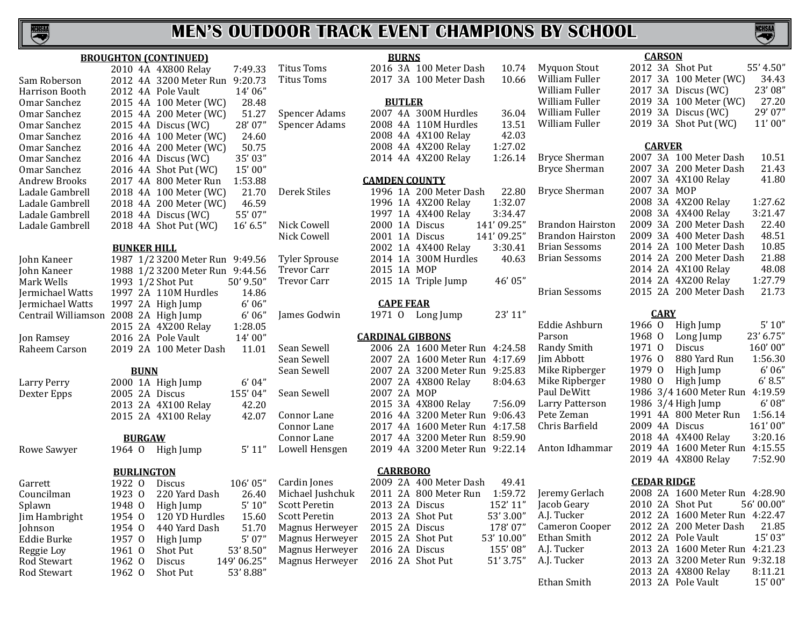

|                                       |                   |               | <b>BROUGHTON (CONTINUED)</b>    |             |                      | <b>BURNS</b>  |                                |            |
|---------------------------------------|-------------------|---------------|---------------------------------|-------------|----------------------|---------------|--------------------------------|------------|
|                                       |                   |               | 2010 4A 4X800 Relay             | 7:49.33     | <b>Titus Toms</b>    |               | 2016 3A 100 Meter Dash         | 10.74      |
| Sam Roberson                          |                   |               | 2012 4A 3200 Meter Run          | 9:20.73     | <b>Titus Toms</b>    |               | 2017 3A 100 Meter Dash         | 10.66      |
| Harrison Booth                        |                   |               | 2012 4A Pole Vault              | 14'06"      |                      |               |                                |            |
| Omar Sanchez                          |                   |               | 2015 4A 100 Meter (WC)          | 28.48       |                      | <b>BUTLER</b> |                                |            |
| Omar Sanchez                          |                   |               | 2015 4A 200 Meter (WC)          | 51.27       | <b>Spencer Adams</b> |               | 2007 4A 300M Hurdles           | 36.04      |
| Omar Sanchez                          |                   |               | 2015 4A Discus (WC)             | 28'07"      | <b>Spencer Adams</b> |               | 2008 4A 110M Hurdles           | 13.51      |
| Omar Sanchez                          |                   |               | 2016 4A 100 Meter (WC)          | 24.60       |                      |               | 2008 4A 4X100 Relay            | 42.03      |
| Omar Sanchez                          |                   |               | 2016 4A 200 Meter (WC)          | 50.75       |                      |               | 2008 4A 4X200 Relay            | 1:27.02    |
| Omar Sanchez                          |                   |               | 2016 4A Discus (WC)             | 35'03"      |                      |               | 2014 4A 4X200 Relay            | 1:26.14    |
| Omar Sanchez                          |                   |               | 2016 4A Shot Put (WC)           | 15'00"      |                      |               |                                |            |
| <b>Andrew Brooks</b>                  |                   |               | 2017 4A 800 Meter Run           | 1:53.88     |                      |               | <b>CAMDEN COUNTY</b>           |            |
| Ladale Gambrell                       |                   |               | 2018 4A 100 Meter (WC)          | 21.70       | Derek Stiles         |               | 1996 1A 200 Meter Dash         | 22.80      |
| Ladale Gambrell                       |                   |               | 2018 4A 200 Meter (WC)          | 46.59       |                      |               | 1996 1A 4X200 Relay            | 1:32.07    |
| Ladale Gambrell                       |                   |               | 2018 4A Discus (WC)             | 55' 07"     |                      |               | 1997 1A 4X400 Relay            | 3:34.47    |
| Ladale Gambrell                       |                   |               | 2018 4A Shot Put (WC)           | 16' 6.5"    | Nick Cowell          |               | 2000 1A Discus                 | 141'09.25" |
|                                       |                   |               |                                 |             | Nick Cowell          |               | 2001 1A Discus                 | 141'09.25" |
|                                       |                   |               | <b>BUNKER HILL</b>              |             |                      |               | 2002 1A 4X400 Relay            | 3:30.41    |
| John Kaneer                           |                   |               | 1987 1/2 3200 Meter Run 9:49.56 |             | <b>Tyler Sprouse</b> |               | 2014 1A 300M Hurdles           | 40.63      |
| John Kaneer                           |                   |               | 1988 1/2 3200 Meter Run 9:44.56 |             | <b>Trevor Carr</b>   |               | 2015 1A MOP                    |            |
| Mark Wells                            |                   |               | 1993 1/2 Shot Put               | 50' 9.50"   | <b>Trevor Carr</b>   |               | 2015 1A Triple Jump            | 46' 05"    |
| Jermichael Watts                      |                   |               | 1997 2A 110M Hurdles            | 14.86       |                      |               |                                |            |
| Jermichael Watts                      |                   |               | 1997 2A High Jump               | 6'06''      |                      |               | <b>CAPE FEAR</b>               |            |
| Centrail Williamson 2008 2A High Jump |                   |               |                                 | 6'06''      | James Godwin         |               | 1971 0 Long Jump               | 23' 11"    |
|                                       |                   |               | 2015 2A 4X200 Relay             | 1:28.05     |                      |               |                                |            |
| Jon Ramsey                            |                   |               | 2016 2A Pole Vault              | 14'00''     |                      |               | <b>CARDINAL GIBBONS</b>        |            |
| Raheem Carson                         |                   |               | 2019 2A 100 Meter Dash          | 11.01       | Sean Sewell          |               | 2006 2A 1600 Meter Run 4:24.58 |            |
|                                       |                   |               |                                 |             | Sean Sewell          |               | 2007 2A 1600 Meter Run 4:17.69 |            |
|                                       |                   | <b>BUNN</b>   |                                 |             | Sean Sewell          |               | 2007 2A 3200 Meter Run 9:25.83 |            |
| Larry Perry                           |                   |               | 2000 1A High Jump               | 6' 04''     |                      |               | 2007 2A 4X800 Relay            | 8:04.63    |
| Dexter Epps                           |                   |               | 2005 2A Discus                  | 155'04"     | Sean Sewell          |               | 2007 2A MOP                    |            |
|                                       |                   |               | 2013 2A 4X100 Relay             | 42.20       |                      |               | 2015 3A 4X800 Relay            | 7:56.09    |
|                                       |                   |               | 2015 2A 4X100 Relay             | 42.07       | Connor Lane          |               | 2016 4A 3200 Meter Run 9:06.43 |            |
|                                       |                   |               |                                 |             | Connor Lane          |               | 2017 4A 1600 Meter Run 4:17.58 |            |
|                                       |                   | <b>BURGAW</b> |                                 |             | Connor Lane          |               | 2017 4A 3200 Meter Run 8:59.90 |            |
| Rowe Sawyer                           | 1964 0            |               | High Jump                       | 5' 11''     | Lowell Hensgen       |               | 2019 4A 3200 Meter Run 9:22.14 |            |
|                                       | <b>BURLINGTON</b> |               |                                 |             |                      |               | <b>CARRBORO</b>                |            |
| Garrett                               | 1922 0            |               | <b>Discus</b>                   | 106'05"     | Cardin Jones         |               | 2009 2A 400 Meter Dash         | 49.41      |
| Councilman                            | 1923 0            |               | 220 Yard Dash                   | 26.40       | Michael Jushchuk     |               | 2011 2A 800 Meter Run          | 1:59.72    |
| Splawn                                | 1948 0            |               | High Jump                       | $5'$ $10''$ | <b>Scott Peretin</b> |               | 2013 2A Discus                 | 152' 11"   |
| Jim Hambright                         | 1954 0            |               | 120 YD Hurdles                  | 15.60       | Scott Peretin        |               | 2013 2A Shot Put               | 53' 3.00"  |
| Johnson                               | 1954 0            |               | 440 Yard Dash                   | 51.70       | Magnus Herweyer      |               | 2015 2A Discus                 | 178'07"    |
| Eddie Burke                           | 1957 0            |               | High Jump                       | $5'$ 07"    | Magnus Herweyer      |               | 2015 2A Shot Put               | 53' 10.00" |
| Reggie Loy                            | 1961 0            |               | Shot Put                        | 53' 8.50"   | Magnus Herweyer      |               | 2016 2A Discus                 | 155'08"    |
| Rod Stewart                           | 1962 0            |               | <b>Discus</b>                   | 149' 06.25" | Magnus Herweyer      |               | 2016 2A Shot Put               | 51' 3.75"  |
| <b>Rod Stewart</b>                    | 1962 0            |               | <b>Shot Put</b>                 | 53' 8.88"   |                      |               |                                |            |
|                                       |                   |               |                                 |             |                      |               |                                |            |

|         |                                      |                    |               |                                            | ш                |
|---------|--------------------------------------|--------------------|---------------|--------------------------------------------|------------------|
|         |                                      |                    | <b>CARSON</b> |                                            |                  |
| 10.74   | <b>Myquon Stout</b>                  |                    |               | 2012 3A Shot Put                           | 55' 4.50"        |
| 10.66   | William Fuller                       |                    |               | 2017 3A 100 Meter (WC)                     | 34.43            |
|         | William Fuller                       |                    |               | 2017 3A Discus (WC)                        | 23'08"           |
|         | William Fuller                       |                    |               | 2019 3A 100 Meter (WC)                     | 27.20            |
| 36.04   | William Fuller                       |                    |               | 2019 3A Discus (WC)                        | 29' 07"          |
| 13.51   | William Fuller                       |                    |               | 2019 3A Shot Put (WC)                      | 11'00''          |
| 42.03   |                                      |                    |               |                                            |                  |
| :27.02  |                                      |                    | <b>CARVER</b> |                                            |                  |
| 26.14   | <b>Bryce Sherman</b>                 |                    |               | 2007 3A 100 Meter Dash                     | 10.51            |
|         | <b>Bryce Sherman</b>                 |                    |               | 2007 3A 200 Meter Dash                     | 21.43            |
|         |                                      |                    |               | 2007 3A 4X100 Relay                        | 41.80            |
| 22.80   | <b>Bryce Sherman</b>                 | 2007 3A MOP        |               |                                            |                  |
| :32.07  |                                      |                    |               | 2008 3A 4X200 Relay                        | 1:27.62          |
| :34.47  |                                      |                    |               | 2008 3A 4X400 Relay                        | 3:21.47          |
| )9.25"  | <b>Brandon Hairston</b>              |                    |               | 2009 3A 200 Meter Dash                     | 22.40            |
| )9.25"  | <b>Brandon Hairston</b>              |                    |               | 2009 3A 400 Meter Dash                     | 48.51            |
| :30.41  | <b>Brian Sessoms</b>                 |                    |               | 2014 2A 100 Meter Dash                     | 10.85            |
| 40.63   | <b>Brian Sessoms</b>                 |                    |               | 2014 2A 200 Meter Dash                     | 21.88            |
|         |                                      |                    |               | 2014 2A 4X100 Relay                        | 48.08            |
| 6'05''  |                                      |                    |               | 2014 2A 4X200 Relay                        | 1:27.79          |
|         | <b>Brian Sessoms</b>                 |                    |               | 2015 2A 200 Meter Dash                     | 21.73            |
|         |                                      |                    |               |                                            |                  |
| 3' 11'' |                                      |                    | <b>CARY</b>   |                                            |                  |
|         | Eddie Ashburn                        | 1966 0             |               | High Jump                                  | 5' 10''          |
|         | Parson                               | 1968 0             |               | Long Jump                                  | 23' 6.75"        |
| :24.58  | Randy Smith                          | 1971 0             |               | Discus                                     | 160'00"          |
| 17.69   | Jim Abbott                           | 1976 0             |               | 880 Yard Run                               | 1:56.30          |
| :25.83  | Mike Ripberger                       | 1979 0             |               | High Jump                                  | $6'$ 06"         |
| :04.63  | Mike Ripberger                       | 1980 0             |               | High Jump                                  | 6' 8.5''         |
|         | Paul DeWitt                          |                    |               | 1986 3/4 1600 Meter Run                    | 4:19.59          |
| :56.09  | Larry Patterson                      |                    |               | 1986 3/4 High Jump                         | 6' 08''          |
| :06.43  | Pete Zeman                           |                    |               | 1991 4A 800 Meter Run                      | 1:56.14          |
| :17.58  | Chris Barfield                       |                    |               | 2009 4A Discus                             | 161'00"          |
| :59.90  |                                      |                    |               | 2018 4A 4X400 Relay                        | 3:20.16          |
| 22.14   | Anton Idhammar                       |                    |               | 2019 4A 1600 Meter Run                     | 4:15.55          |
|         |                                      |                    |               | 2019 4A 4X800 Relay                        | 7:52.90          |
| 49.41   |                                      | <b>CEDAR RIDGE</b> |               |                                            |                  |
| :59.72  | Jeremy Gerlach                       |                    |               | 2008 2A 1600 Meter Run 4:28.90             |                  |
| 2' 11"  |                                      |                    |               |                                            |                  |
|         | Jacob Geary                          |                    |               | 2010 2A Shot Put<br>2012 2A 1600 Meter Run | 56' 00.00"       |
| '3.00'' | A.J. Tucker<br><b>Cameron Cooper</b> |                    |               | 2012 2A 200 Meter Dash                     | 4:22.47<br>21.85 |
| 8'07"   |                                      |                    |               | 2012 2A Pole Vault                         |                  |
| 10.00"  | Ethan Smith                          | 2013 2A            |               | 1600 Meter Run                             | 15' 03"          |
| 5'08''  | A.J. Tucker                          | 2013 2A            |               |                                            | 4:21.23          |
| '3.75'' | A.J. Tucker                          |                    |               | 3200 Meter Run                             | 9:32.18          |
|         |                                      |                    |               | 2013 2A 4X800 Relay                        | 8:11.21          |
|         | Ethan Smith                          |                    |               | 2013 2A Pole Vault                         | 15'00"           |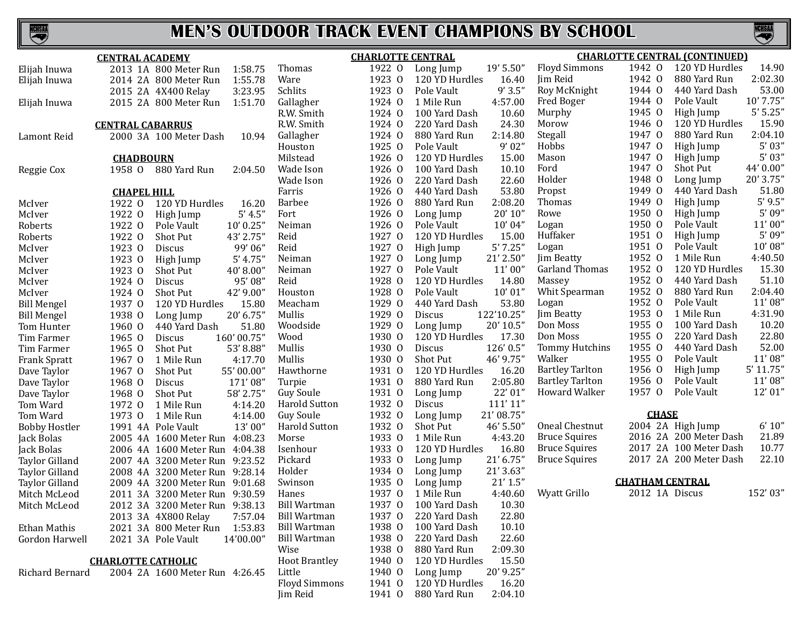

|                       | <b>CENTRAL ACADEMY</b>             |                      | <b>CHARLOTTE CENTRAL</b> |                               |                        | <b>CHARLOTTE CENTRAL (CONTINUED)</b> |  |  |
|-----------------------|------------------------------------|----------------------|--------------------------|-------------------------------|------------------------|--------------------------------------|--|--|
| Elijah Inuwa          | 2013 1A 800 Meter Run<br>1:58.75   | Thomas               | 1922 0                   | 19' 5.50"<br>Long Jump        | <b>Floyd Simmons</b>   | 120 YD Hurdles<br>1942 0<br>14.90    |  |  |
| Elijah Inuwa          | 1:55.78<br>2014 2A 800 Meter Run   | Ware                 | 1923 0                   | 120 YD Hurdles<br>16.40       | Jim Reid               | 2:02.30<br>1942 0<br>880 Yard Run    |  |  |
|                       | 3:23.95<br>2015 2A 4X400 Relay     | Schlits              | 1923 0                   | 9'3.5''<br>Pole Vault         | Roy McKnight           | 53.00<br>1944 0<br>440 Yard Dash     |  |  |
| Elijah Inuwa          | 2015 2A 800 Meter Run<br>1:51.70   | Gallagher            | 1924 0                   | 1 Mile Run<br>4:57.00         | Fred Boger             | 10' 7.75"<br>1944 0<br>Pole Vault    |  |  |
|                       |                                    | R.W. Smith           | 1924 0                   | 100 Yard Dash<br>10.60        | Murphy                 | 5'5.25''<br>1945 0<br>High Jump      |  |  |
|                       | <b>CENTRAL CABARRUS</b>            | R.W. Smith           | 1924 0                   | 24.30<br>220 Yard Dash        | Morow                  | 120 YD Hurdles<br>15.90<br>1946 0    |  |  |
| Lamont Reid           | 10.94<br>2000 3A 100 Meter Dash    | Gallagher            | 1924 0                   | 2:14.80<br>880 Yard Run       | Stegall                | 1947 0<br>2:04.10<br>880 Yard Run    |  |  |
|                       |                                    | Houston              | 1925 0                   | 9'02"<br>Pole Vault           | Hobbs                  | 5'03''<br>1947 0<br>High Jump        |  |  |
|                       | <b>CHADBOURN</b>                   | Milstead             | 1926 0                   | 15.00<br>120 YD Hurdles       | Mason                  | 5'03''<br>1947 0<br>High Jump        |  |  |
| Reggie Cox            | 1958 0<br>880 Yard Run<br>2:04.50  | Wade Ison            | 1926 0                   | 10.10<br>100 Yard Dash        | Ford                   | 1947 0<br>44' 0.00"<br>Shot Put      |  |  |
|                       |                                    | Wade Ison            | 1926 0                   | 22.60<br>220 Yard Dash        | Holder                 | 20' 3.75"<br>1948 0<br>Long Jump     |  |  |
|                       | <b>CHAPEL HILL</b>                 | Farris               | 1926 0                   | 53.80<br>440 Yard Dash        | Propst                 | 51.80<br>1949 0<br>440 Yard Dash     |  |  |
| McIver                | 120 YD Hurdles<br>1922 0<br>16.20  | <b>Barbee</b>        | 1926 0                   | 2:08.20<br>880 Yard Run       | <b>Thomas</b>          | 5'9.5''<br>1949 0<br>High Jump       |  |  |
| McIver                | 5' 4.5''<br>1922 0<br>High Jump    | Fort                 | 1926 0                   | 20'10''<br>Long Jump          | Rowe                   | 5'09''<br>1950 0<br>High Jump        |  |  |
| Roberts               | 1922 0<br>10' 0.25''<br>Pole Vault | Neiman               | 1926 0                   | 10'04"<br>Pole Vault          | Logan                  | 11'00''<br>1950 0<br>Pole Vault      |  |  |
| Roberts               | 1922 0<br>43' 2.75"<br>Shot Put    | Reid                 | 1927 0                   | 120 YD Hurdles<br>15.00       | Huffaker               | 5'09''<br>1951 0<br>High Jump        |  |  |
| McIver                | 1923 0<br>99'06"<br>Discus         | Reid                 | 1927 0                   | 5'7.25''<br>High Jump         | Logan                  | 1951 0<br>10'08''<br>Pole Vault      |  |  |
| McIver                | 1923 0<br>5' 4.75''<br>High Jump   | Neiman               | 1927 0                   | 21' 2.50"<br>Long Jump        | Jim Beatty             | 1952 0<br>4:40.50<br>1 Mile Run      |  |  |
| McIver                | 1923 0<br>40'8.00"<br>Shot Put     | Neiman               | 1927 0                   | Pole Vault<br>11'00''         | Garland Thomas         | 1952 0<br>15.30<br>120 YD Hurdles    |  |  |
| McIver                | 1924 0<br>95'08'<br>Discus         | Reid                 | 1928 0                   | 14.80<br>120 YD Hurdles       | Massey                 | 1952 0<br>440 Yard Dash<br>51.10     |  |  |
| McIver                | 42' 9.00"<br>1924 0<br>Shot Put    | Houston              | 1928 0                   | 10'01''<br>Pole Vault         | Whit Spearman          | 1952 0<br>2:04.40<br>880 Yard Run    |  |  |
| <b>Bill Mengel</b>    | 1937 0<br>120 YD Hurdles<br>15.80  | Meacham              | 1929 0                   | 53.80<br>440 Yard Dash        | Logan                  | 11'08"<br>1952 0<br>Pole Vault       |  |  |
| <b>Bill Mengel</b>    | 1938 0<br>20' 6.75"<br>Long Jump   | Mullis               | 1929 0                   | 122'10.25"<br>Discus          | Jim Beatty             | 1953 0<br>4:31.90<br>1 Mile Run      |  |  |
| Tom Hunter            | 1960 0<br>51.80<br>440 Yard Dash   | Woodside             | 1929 0                   | 20' 10.5"<br>Long Jump        | Don Moss               | 10.20<br>1955 0<br>100 Yard Dash     |  |  |
| Tim Farmer            | 160' 00.75"<br>1965 0<br>Discus    | Wood                 | 1930 0                   | 120 YD Hurdles<br>17.30       | Don Moss               | 1955 0<br>22.80<br>220 Yard Dash     |  |  |
| Tim Farmer            | 1965 0<br>Shot Put<br>53'8.88'     | Mullis               | 1930 0                   | 126' 0.5"<br>Discus           | Tommy Hutchins         | 1955 0<br>440 Yard Dash<br>52.00     |  |  |
| <b>Frank Spratt</b>   | 1967 0<br>1 Mile Run<br>4:17.70    | Mullis               | 1930 0                   | Shot Put<br>46' 9.75"         | Walker                 | 11'08"<br>1955 0<br>Pole Vault       |  |  |
| Dave Taylor           | 1967 0<br>55' 00.00"<br>Shot Put   | Hawthorne            | 1931 0                   | 120 YD Hurdles<br>16.20       | <b>Bartley Tarlton</b> | 1956 0<br>$5'$ 11.75"<br>High Jump   |  |  |
| Dave Taylor           | 1968 0<br>171'08"<br>Discus        | Turpie               | 1931 0                   | 2:05.80<br>880 Yard Run       | <b>Bartley Tarlton</b> | 11'08"<br>1956 0<br>Pole Vault       |  |  |
| Dave Taylor           | 58' 2.75"<br>1968 0<br>Shot Put    | Guy Soule            | 1931 0                   | 22' 01"<br>Long Jump          | <b>Howard Walker</b>   | 1957 0<br>12' 01"<br>Pole Vault      |  |  |
| Tom Ward              | 4:14.20<br>1972 0<br>1 Mile Run    | <b>Harold Sutton</b> | 1932 0                   | 111'11"<br>Discus             |                        |                                      |  |  |
| Tom Ward              | 1973 0<br>4:14.00<br>1 Mile Run    | <b>Guy Soule</b>     | 1932 0                   | 21' 08.75"<br>Long Jump       |                        | <b>CHASE</b>                         |  |  |
| <b>Bobby Hostler</b>  | 13'00"<br>1991 4A Pole Vault       | <b>Harold Sutton</b> | 1932 0                   | 46' 5.50"<br>Shot Put         | Oneal Chestnut         | 6' 10''<br>2004 2A High Jump         |  |  |
| Jack Bolas            | 2005 4A 1600 Meter Run 4:08.23     | Morse                | 1933 0                   | 1 Mile Run<br>4:43.20         | <b>Bruce Squires</b>   | 2016 2A 200 Meter Dash<br>21.89      |  |  |
| Jack Bolas            | 2006 4A 1600 Meter Run 4:04.38     | Isenhour             | 1933 0                   | 16.80<br>120 YD Hurdles       | <b>Bruce Squires</b>   | 2017 2A 100 Meter Dash<br>10.77      |  |  |
| <b>Taylor Gilland</b> | 2007 4A 3200 Meter Run 9:23.52     | Pickard              | 1933 0                   | $21'$ 6.75"<br>Long Jump      | <b>Bruce Squires</b>   | 22.10<br>2017 2A 200 Meter Dash      |  |  |
| <b>Taylor Gilland</b> | 2008 4A 3200 Meter Run 9:28.14     | Holder               | 1934 0                   | 21' 3.63"<br>Long Jump        |                        |                                      |  |  |
| <b>Taylor Gilland</b> | 2009 4A 3200 Meter Run 9:01.68     | Swinson              | 1935 0                   | $21'$ 1.5"<br>Long Jump       |                        | <b>CHATHAM CENTRAL</b>               |  |  |
| Mitch McLeod          | 2011 3A 3200 Meter Run 9:30.59     | Hanes                | 1937 0                   | 1 Mile Run<br>4:40.60         | Wyatt Grillo           | 2012 1A Discus<br>152'03"            |  |  |
| Mitch McLeod          | 2012 3A 3200 Meter Run 9:38.13     | <b>Bill Wartman</b>  |                          | 1937 0 100 Yard Dash<br>10.30 |                        |                                      |  |  |
|                       | 2013 3A 4X800 Relay<br>7:57.04     | <b>Bill Wartman</b>  | 1937 0                   | 220 Yard Dash<br>22.80        |                        |                                      |  |  |
| Ethan Mathis          | 2021 3A 800 Meter Run<br>1:53.83   | <b>Bill Wartman</b>  | 1938 0                   | 100 Yard Dash<br>10.10        |                        |                                      |  |  |
| Gordon Harwell        | 2021 3A Pole Vault<br>14'00.00"    | Bill Wartman         | 1938 0                   | 22.60<br>220 Yard Dash        |                        |                                      |  |  |
|                       |                                    | Wise                 | 1938 0                   | 2:09.30<br>880 Yard Run       |                        |                                      |  |  |
|                       | <b>CHARLOTTE CATHOLIC</b>          | <b>Hoot Brantley</b> | 1940 0                   | 15.50<br>120 YD Hurdles       |                        |                                      |  |  |
| Richard Bernard       | 2004 2A 1600 Meter Run 4:26.45     | Little               | 1940 0                   | 20' 9.25"<br>Long Jump        |                        |                                      |  |  |
|                       |                                    | <b>Floyd Simmons</b> | 1941 0                   | 120 YD Hurdles<br>16.20       |                        |                                      |  |  |
|                       |                                    | Jim Reid             | 1941 0                   | 880 Yard Run<br>2:04.10       |                        |                                      |  |  |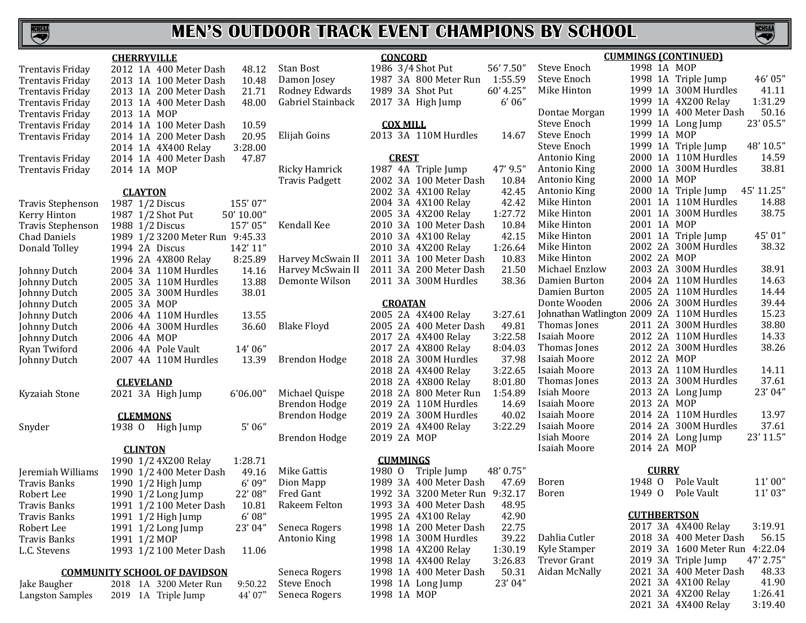

#### **CHERRYVILLE**

|                          | <u>.</u>         |                 | <u>.</u>                            |            |                       |
|--------------------------|------------------|-----------------|-------------------------------------|------------|-----------------------|
| <b>Trentavis Friday</b>  |                  |                 | 2012 1A 400 Meter Dash              | 48.12      | <b>Stan Bost</b>      |
| Trentavis Friday         | 2013 1A          |                 | 100 Meter Dash                      | 10.48      | Damon Josey           |
| Trentavis Friday         |                  |                 | 2013 1A 200 Meter Dash              | 21.71      | Rodney Edward         |
| Trentavis Friday         |                  |                 | 2013 1A 400 Meter Dash              | 48.00      | Gabriel Stainbac      |
| Trentavis Friday         | 2013 1A MOP      |                 |                                     |            |                       |
| <b>Trentavis Friday</b>  |                  |                 | 2014 1A 100 Meter Dash              | 10.59      |                       |
| Trentavis Friday         |                  |                 | 2014 1A 200 Meter Dash              | 20.95      | Elijah Goins          |
|                          | 2014 1A          |                 | 4X400 Relay                         | 3:28.00    |                       |
| Trentavis Friday         | 2014 1A          |                 | 400 Meter Dash                      | 47.87      |                       |
| Trentavis Friday         | 2014 1A MOP      |                 |                                     |            | Ricky Hamrick         |
|                          |                  |                 |                                     |            | <b>Travis Padgett</b> |
|                          |                  | <b>CLAYTON</b>  |                                     |            |                       |
| Travis Stephenson        |                  |                 | 1987 1/2 Discus                     | 155'07"    |                       |
| Kerry Hinton             |                  |                 | 1987 1/2 Shot Put                   | 50' 10.00" |                       |
| <b>Travis Stephenson</b> |                  |                 | 1988 1/2 Discus                     | 157'05"    | Kendall Kee           |
| <b>Chad Daniels</b>      |                  |                 | 1989 1/2 3200 Meter Run             | 9:45.33    |                       |
| Donald Tolley            |                  |                 | 1994 2A Discus                      | 142' 11"   |                       |
|                          |                  |                 | 1996 2A 4X800 Relay                 | 8:25.89    | Harvey McSwair        |
| Johnny Dutch             |                  |                 | 2004 3A 110M Hurdles                | 14.16      | Harvey McSwaii        |
| Johnny Dutch             |                  |                 | 2005 3A 110M Hurdles                | 13.88      | Demonte Wilsor        |
| Johnny Dutch             |                  |                 | 2005 3A 300M Hurdles                | 38.01      |                       |
| Johnny Dutch             | 2005 3A MOP      |                 |                                     |            |                       |
| Johnny Dutch             |                  |                 | 2006 4A 110M Hurdles                | 13.55      |                       |
| Johnny Dutch             |                  |                 | 2006 4A 300M Hurdles                | 36.60      | <b>Blake Floyd</b>    |
| Johnny Dutch             | 2006 4A MOP      |                 |                                     |            |                       |
| Ryan Twiford             |                  |                 | 2006 4A Pole Vault                  | 14'06"     |                       |
| Johnny Dutch             | 2007 4A          |                 | 110M Hurdles                        | 13.39      | <b>Brendon Hodge</b>  |
|                          | <b>CLEVELAND</b> |                 |                                     |            |                       |
| Kyzaiah Stone            |                  |                 | 2021 3A High Jump                   | 6'06.00"   | Michael Quispe        |
|                          |                  |                 |                                     |            | <b>Brendon Hodge</b>  |
|                          |                  | <b>CLEMMONS</b> |                                     |            | Brendon Hodge         |
| Snyder                   | 1938 0           |                 | High Jump                           | 5'06''     |                       |
|                          |                  |                 |                                     |            | <b>Brendon Hodge</b>  |
|                          |                  | <b>CLINTON</b>  |                                     |            |                       |
|                          |                  |                 | 1990 1/2 4X200 Relay                | 1:28.71    |                       |
| Jeremiah Williams        |                  |                 | 1990 1/2 400 Meter Dash             | 49.16      | <b>Mike Gattis</b>    |
| Travis Banks             |                  |                 | 1990 1/2 High Jump                  | 6'09''     | Dion Mapp             |
| Robert Lee               |                  |                 | 1990 1/2 Long Jump                  | 22' 08"    | Fred Gant             |
| Travis Banks             |                  |                 | 1991 1/2 100 Meter Dash             | 10.81      | Rakeem Felton         |
| Travis Banks             |                  |                 | 1991 1/2 High Jump                  | 6'08''     |                       |
| Robert Lee               |                  |                 | 1991 1/2 Long Jump                  | 23'04"     | Seneca Rogers         |
| Travis Banks             | 1991 1/2 MOP     |                 |                                     |            | Antonio King          |
| L.C. Stevens             |                  |                 | 1993 1/2 100 Meter Dash             | 11.06      |                       |
|                          |                  |                 | <b>COMMUNITY SCHOOL OF DAVIDSON</b> |            | Seneca Rogers         |
| Jake Baugher             |                  |                 | 2018 1A 3200 Meter Run              | 9:50.22    | <b>Steve Enoch</b>    |
|                          |                  |                 |                                     |            |                       |

Langston Samples 2019 1A Triple Jump 44' 07'

**CONCORD** Frank Bost 1986 3/4 Shot Put 56' 7.50"<br>1987 3A 800 Meter Run 1:55.5 Damon Josey 1987 3A 800 Meter Run 1:55.59 Rodney Edwards 1989 3A Shot Put 60' 4.25" 2017 3A High Jump **COX MILL** h Goins 2013 3A 110M Hurdles 14.6

Ricky Hamrick 1987 4A Triple Jump 47' 9.5"

dall Kee 2010 3A 100 Meter Dash 10.8<br>2010 3A 4X100 Relay 42.1 vey McSwain II 2011 3A 100 Meter Dash 10.8<br>vey McSwain II 2011 3A 200 Meter Dash 21.5 ey McSwain II 2011 3A 200 Meter Dash 21.5<br>1910 2011 3A 300M Hurdles 38.3

Seneca Rogers

#### **CROATAN**

|                      |             | 2005 2A 4X400 Relay    | 3:27.61 |
|----------------------|-------------|------------------------|---------|
| <b>Blake Floyd</b>   |             | 2005 2A 400 Meter Dash | 49.81   |
|                      |             | 2017 2A 4X400 Relay    | 3:22.58 |
|                      |             | 2017 2A 4X800 Relay    | 8:04.03 |
| Brendon Hodge        |             | 2018 2A 300M Hurdles   | 37.98   |
|                      |             | 2018 2A 4X400 Relay    | 3:22.65 |
|                      |             | 2018 2A 4X800 Relay    | 8:01.80 |
| Michael Quispe       |             | 2018 2A 800 Meter Run  | 1:54.89 |
| <b>Brendon Hodge</b> |             | 2019 2A 110M Hurdles   | 14.69   |
| Brendon Hodge        |             | 2019 2A 300M Hurdles   | 40.02   |
|                      |             | 2019 2A 4X400 Relay    | 3:22.29 |
| Brendon Hodge        | 2019 2A MOP |                        |         |
|                      |             |                        |         |

#### **CUMMINGS**

9 Gattis 1980 O Triple Jump 48' 0.7<br>Mapp 1989 3A 400 Meter Dash 47.6" Mapp 1989 3A 400 Meter Dash 6ant 1992 3A 3200 Meter Run Fred Gant 1992 3A 3200 Meter Run 9:32.17 1993 3A 400 Meter Dash 48.9<br>1995 2A 4X100 Relay 42.9 1995 2A 4X100 Relay 42.9<br>1998 1A 200 Meter Dash 22.7 Seneca Rogers 1998 1A 200 Meter Dash 22.75 1998 1A 300M Hurdles 39.2<br>1998 1A 4X200 Relay 1:30.1 1998 1A 4X200 Relay 1:30.1<br>1998 1A 4X400 Relay 3:26.8 1998 1A 4X400 Relay 3:26.83<br>1998 1A 400 Meter Dash 50.31 Seneca Rogers 1998 1A 400 Meter Dash 50.31<br>Steve Enoch 1998 1A Long Jump 23'04" 1998 1A Long Jump<br>1998 1A MOP

|                 | <b>CONCORD</b>  |                                |           |                                           |             |              | <b>CUMMINGS (CONTINUED)</b> |            |
|-----------------|-----------------|--------------------------------|-----------|-------------------------------------------|-------------|--------------|-----------------------------|------------|
|                 |                 | 1986 3/4 Shot Put              | 56' 7.50" | Steve Enoch                               | 1998 1A MOP |              |                             |            |
|                 |                 | 1987 3A 800 Meter Run          | 1:55.59   | Steve Enoch                               |             |              | 1998 1A Triple Jump         | 46'05"     |
|                 |                 | 1989 3A Shot Put               | 60' 4.25" | Mike Hinton                               |             |              | 1999 1A 300M Hurdles        | 41.11      |
|                 |                 | 2017 3A High Jump              | 6'06''    |                                           |             |              | 1999 1A 4X200 Relay         | 1:31.29    |
|                 |                 |                                |           | Dontae Morgan                             |             |              | 1999 1A 400 Meter Dash      | 50.16      |
|                 | <b>COX MILL</b> |                                |           | Steve Enoch                               |             |              | 1999 1A Long Jump           | 23' 05.5"  |
|                 |                 | 2013 3A 110M Hurdles           | 14.67     | Steve Enoch                               | 1999 1A MOP |              |                             |            |
|                 |                 |                                |           | Steve Enoch                               |             |              | 1999 1A Triple Jump         | 48' 10.5"  |
|                 | <b>CREST</b>    |                                |           | Antonio King                              |             |              | 2000 1A 110M Hurdles        | 14.59      |
|                 |                 | 1987 4A Triple Jump            | 47' 9.5"  | Antonio King                              |             |              | 2000 1A 300M Hurdles        | 38.81      |
|                 |                 | 2002 3A 100 Meter Dash         | 10.84     | Antonio King                              | 2000 1A MOP |              |                             |            |
|                 |                 | 2002 3A 4X100 Relay            | 42.45     | Antonio King                              |             |              | 2000 1A Triple Jump         | 45' 11.25" |
|                 |                 | 2004 3A 4X100 Relay            | 42.42     | Mike Hinton                               |             |              | 2001 1A 110M Hurdles        | 14.88      |
|                 |                 | 2005 3A 4X200 Relay            | 1:27.72   | Mike Hinton                               |             |              | 2001 1A 300M Hurdles        | 38.75      |
|                 |                 | 2010 3A 100 Meter Dash         | 10.84     | Mike Hinton                               | 2001 1A MOP |              |                             |            |
|                 |                 | 2010 3A 4X100 Relay            | 42.15     | Mike Hinton                               |             |              | 2001 1A Triple Jump         | 45' 01"    |
|                 |                 | 2010 3A 4X200 Relay            | 1:26.64   | Mike Hinton                               |             |              | 2002 2A 300M Hurdles        | 38.32      |
|                 |                 | 2011 3A 100 Meter Dash         | 10.83     | Mike Hinton                               | 2002 2A MOP |              |                             |            |
|                 |                 | 2011 3A 200 Meter Dash         | 21.50     | Michael Enzlow                            |             |              | 2003 2A 300M Hurdles        | 38.91      |
|                 |                 | 2011 3A 300M Hurdles           | 38.36     | Damien Burton                             |             |              | 2004 2A 110M Hurdles        | 14.63      |
|                 |                 |                                |           | Damien Burton                             |             |              | 2005 2A 110M Hurdles        | 14.44      |
|                 | <b>CROATAN</b>  |                                |           | Donte Wooden                              |             |              | 2006 2A 300M Hurdles        | 39.44      |
|                 |                 | 2005 2A 4X400 Relay            | 3:27.61   | Johnathan Watlington 2009 2A 110M Hurdles |             |              |                             | 15.23      |
|                 |                 | 2005 2A 400 Meter Dash         | 49.81     | Thomas Jones                              |             |              | 2011 2A 300M Hurdles        | 38.80      |
|                 |                 | 2017 2A 4X400 Relay            | 3:22.58   | Isaiah Moore                              |             |              | 2012 2A 110M Hurdles        | 14.33      |
|                 |                 | 2017 2A 4X800 Relay            | 8:04.03   | Thomas Jones                              |             |              | 2012 2A 300M Hurdles        | 38.26      |
|                 |                 | 2018 2A 300M Hurdles           | 37.98     | Isaiah Moore                              | 2012 2A MOP |              |                             |            |
|                 |                 | 2018 2A 4X400 Relay            | 3:22.65   | Isaiah Moore                              |             |              | 2013 2A 110M Hurdles        | 14.11      |
|                 |                 | 2018 2A 4X800 Relay            | 8:01.80   | Thomas Jones                              |             |              | 2013 2A 300M Hurdles        | 37.61      |
|                 |                 | 2018 2A 800 Meter Run          | 1:54.89   | Isiah Moore                               |             |              | 2013 2A Long Jump           | 23' 04"    |
|                 |                 | 2019 2A 110M Hurdles           | 14.69     | Isaiah Moore                              | 2013 2A MOP |              |                             |            |
|                 |                 | 2019 2A 300M Hurdles           | 40.02     | Isaiah Moore                              |             |              | 2014 2A 110M Hurdles        | 13.97      |
|                 |                 | 2019 2A 4X400 Relay            | 3:22.29   | Isaiah Moore                              |             |              | 2014 2A 300M Hurdles        | 37.61      |
| 2019 2A MOP     |                 |                                |           | Isiah Moore                               |             |              | 2014 2A Long Jump           | 23' 11.5"  |
|                 |                 |                                |           | Isaiah Moore                              | 2014 2A MOP |              |                             |            |
| <b>CUMMINGS</b> |                 |                                |           |                                           |             |              |                             |            |
| 1980 0          |                 | Triple Jump                    | 48' 0.75" |                                           |             | <b>CURRY</b> |                             |            |
|                 |                 | 1989 3A 400 Meter Dash         | 47.69     | Boren                                     | 1948 0      |              | Pole Vault                  | 11'00''    |
|                 |                 | 1992 3A 3200 Meter Run 9:32.17 |           | Boren                                     | 1949 0      |              | Pole Vault                  | 11'03''    |
|                 |                 | 1993 3A 400 Meter Dash         | 48.95     |                                           |             |              |                             |            |
|                 |                 | 1995 2A 4X100 Relay            | 42.90     |                                           |             |              | <b>CUTHBERTSON</b>          |            |
|                 |                 | 1998 1A 200 Meter Dash         | 22.75     |                                           |             |              | 2017 3A 4X400 Relay         | 3:19.91    |
|                 |                 | 1998 1A 300M Hurdles           | 39.22     | Dahlia Cutler                             |             |              | 2018 3A 400 Meter Dash      | 56.15      |
|                 |                 | 1998 1A 4X200 Relay            | 1:30.19   | Kyle Stamper                              |             |              | 2019 3A 1600 Meter Run      | 4:22.04    |
|                 |                 | 1998 1A 4X400 Relay            | 3:26.83   | <b>Trevor Grant</b>                       |             |              | 2019 3A Triple Jump         | 47' 2.75"  |
|                 |                 | 1998 1A 400 Meter Dash         | 50.31     | Aidan McNally                             |             |              | 2021 3A 400 Meter Dash      | 48.33      |
|                 |                 | 1998 1A Long Jump              | 23'04"    |                                           |             |              | 2021 3A 4X100 Relay         | 41.90      |

NCHSAI

2021 3A 4X100 Relay 41.90<br>2021 3A 4X200 Relay 1:26.41 2021 3A 4X200 Relay 1:26.41<br>2021 3A 4X400 Relay 3:19.40

2021 3A 4X400 Relay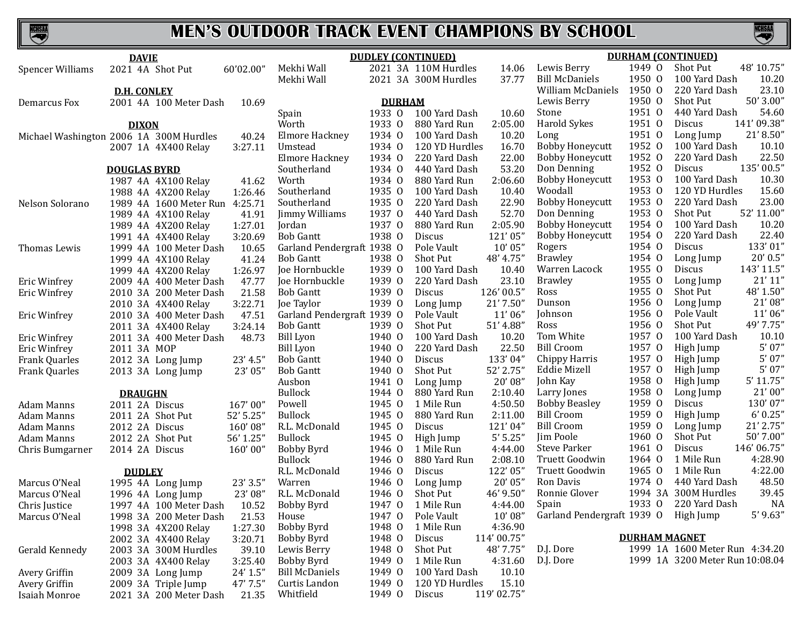KCHSAA

# **MEN'S OUTDOOR TRACK EVENT CHAMPIONS BY SCHOOL**

|                         | <b>DAVIE</b>                            |           |                            |               | <b>DUDLEY (CONTINUED)</b> |             |                            |                      | <b>DURHAM (CONTINUED)</b>       |
|-------------------------|-----------------------------------------|-----------|----------------------------|---------------|---------------------------|-------------|----------------------------|----------------------|---------------------------------|
| <b>Spencer Williams</b> | 2021 4A Shot Put                        | 60'02.00" | Mekhi Wall                 |               | 2021 3A 110M Hurdles      | 14.06       | Lewis Berry                | 1949 0               | 48' 10.75"<br>Shot Put          |
|                         |                                         |           | Mekhi Wall                 |               | 2021 3A 300M Hurdles      | 37.77       | <b>Bill McDaniels</b>      | 1950 0               | 100 Yard Dash<br>10.20          |
|                         | <b>D.H. CONLEY</b>                      |           |                            |               |                           |             | William McDaniels          | 1950 0               | 23.10<br>220 Yard Dash          |
| Demarcus Fox            | 2001 4A 100 Meter Dash                  | 10.69     |                            | <b>DURHAM</b> |                           |             | Lewis Berry                | 1950 0               | 50' 3.00"<br><b>Shot Put</b>    |
|                         |                                         |           | Spain                      | 1933 0        | 100 Yard Dash             | 10.60       | Stone                      | 1951 0               | 54.60<br>440 Yard Dash          |
|                         | <b>DIXON</b>                            |           | Worth                      | 1933 0        | 880 Yard Run              | 2:05.00     | Harold Sykes               | 1951 0               | 141'09.38"<br>Discus            |
|                         | Michael Washington 2006 1A 300M Hurdles | 40.24     | <b>Elmore Hackney</b>      | 1934 0        | 100 Yard Dash             | 10.20       | Long                       | 1951 0               | 21'8.50"<br>Long Jump           |
|                         | 2007 1A 4X400 Relay                     | 3:27.11   | Umstead                    | 1934 0        | 120 YD Hurdles            | 16.70       | <b>Bobby Honeycutt</b>     | 1952 0               | 10.10<br>100 Yard Dash          |
|                         |                                         |           | Elmore Hackney             | 1934 0        | 220 Yard Dash             | 22.00       | <b>Bobby Honeycutt</b>     | 1952 0               | 22.50<br>220 Yard Dash          |
|                         | <b>DOUGLAS BYRD</b>                     |           | Southerland                | 1934 0        | 440 Yard Dash             | 53.20       | Don Denning                | 1952 0               | 135'00.5"<br>Discus             |
|                         | 1987 4A 4X100 Relay                     | 41.62     | Worth                      | 1934 0        | 880 Yard Run              | 2:06.60     | <b>Bobby Honeycutt</b>     | 1953 0               | 10.30<br>100 Yard Dash          |
|                         | 1988 4A 4X200 Relay                     | 1:26.46   | Southerland                | 1935 0        | 100 Yard Dash             | 10.40       | Woodall                    | 1953 0               | 120 YD Hurdles<br>15.60         |
| Nelson Solorano         | 1989 4A 1600 Meter Run 4:25.71          |           | Southerland                | 1935 0        | 220 Yard Dash             | 22.90       | <b>Bobby Honeycutt</b>     | 1953 0               | 23.00<br>220 Yard Dash          |
|                         | 1989 4A 4X100 Relay                     | 41.91     | Jimmy Williams             | 1937 0        | 440 Yard Dash             | 52.70       | Don Denning                | 1953 0               | 52' 11.00"<br>Shot Put          |
|                         | 1989 4A 4X200 Relay                     | 1:27.01   | Jordan                     | 1937 0        | 880 Yard Run              | 2:05.90     | <b>Bobby Honeycutt</b>     | 1954 0               | 100 Yard Dash<br>10.20          |
|                         | 1991 4A 4X400 Relay                     | 3:20.69   | <b>Bob Gantt</b>           | 1938 0        | Discus                    | 121'05'     | <b>Bobby Honeycutt</b>     | 1954 0               | 22.40<br>220 Yard Dash          |
| Thomas Lewis            | 1999 4A 100 Meter Dash                  | 10.65     | Garland Pendergraft 1938 O |               | Pole Vault                | 10'05"      | Rogers                     | 1954 0               | 133'01"<br><b>Discus</b>        |
|                         | 1999 4A 4X100 Relay                     | 41.24     | <b>Bob Gantt</b>           | 1938 0        | Shot Put                  | 48' 4.75"   | <b>Brawley</b>             | 1954 0               | $20'$ 0.5"<br>Long Jump         |
|                         | 1999 4A 4X200 Relay                     | 1:26.97   | Joe Hornbuckle             | 1939 0        | 100 Yard Dash             | 10.40       | Warren Lacock              | 1955 0               | 143' 11.5"<br>Discus            |
| <b>Eric Winfrey</b>     | 2009 4A 400 Meter Dash                  | 47.77     | Joe Hornbuckle             | 1939 0        | 220 Yard Dash             | 23.10       | <b>Brawley</b>             | 1955 0               | 21'11''<br>Long Jump            |
| <b>Eric Winfrey</b>     | 2010 3A 200 Meter Dash                  | 21.58     | <b>Bob Gantt</b>           | 1939 0        | Discus                    | 126'00.5"   | Ross                       | 1955 0               | Shot Put<br>48' 1.50"           |
|                         | 2010 3A 4X400 Relay                     | 3:22.71   | Joe Taylor                 | 1939 0        | Long Jump                 | 21' 7.50"   | Dunson                     | 1956 0               | 21'08"<br>Long Jump             |
| Eric Winfrey            | 2010 3A 400 Meter Dash                  | 47.51     | Garland Pendergraft 1939 O |               | Pole Vault                | 11'06''     | Johnson                    | 1956 0               | 11'06''<br>Pole Vault           |
|                         | 2011 3A 4X400 Relay                     | 3:24.14   | <b>Bob Gantt</b>           | 1939 0        | Shot Put                  | 51' 4.88"   | Ross                       | 1956 0               | 49' 7.75"<br>Shot Put           |
| Eric Winfrey            | 2011 3A 400 Meter Dash                  | 48.73     | <b>Bill Lyon</b>           | 1940 0        | 100 Yard Dash             | 10.20       | Tom White                  | 1957 0               | 100 Yard Dash<br>10.10          |
| <b>Eric Winfrey</b>     | 2011 3A MOP                             |           | <b>Bill Lyon</b>           | 1940 0        | 220 Yard Dash             | 22.50       | <b>Bill Croom</b>          | 1957 0               | 5'07''<br>High Jump             |
| <b>Frank Quarles</b>    | 2012 3A Long Jump                       | 23' 4.5"  | <b>Bob Gantt</b>           | 1940 0        | Discus                    | 133'04"     | Chippy Harris              | 1957 0               | 5'07''<br>High Jump             |
| <b>Frank Quarles</b>    | 2013 3A Long Jump                       | 23' 05"   | <b>Bob Gantt</b>           | 1940 0        | Shot Put                  | 52' 2.75"   | Eddie Mizell               | 1957 0               | 5'07''<br>High Jump             |
|                         |                                         |           | Ausbon                     | 1941 0        | Long Jump                 | 20'08"      | John Kay                   | 1958 0               | $5'$ 11.75"<br>High Jump        |
|                         | <b>DRAUGHN</b>                          |           | <b>Bullock</b>             | 1944 0        | 880 Yard Run              | 2:10.40     | Larry Jones                | 1958 0               | 21'00"<br>Long Jump             |
| <b>Adam Manns</b>       | 2011 2A Discus                          | 167'00"   | Powell                     | 1945 0        | 1 Mile Run                | 4:50.50     | <b>Bobby Beasley</b>       | 1959 0               | 130'07"<br>Discus               |
| Adam Manns              | 2011 2A Shot Put                        | 52' 5.25" | <b>Bullock</b>             | 1945 0        | 880 Yard Run              | 2:11.00     | <b>Bill Croom</b>          | 1959 0               | 6' 0.25''<br>High Jump          |
| Adam Manns              | 2012 2A Discus                          | 160'08"   | R.L. McDonald              | 1945 0        | Discus                    | 121'04"     | <b>Bill Croom</b>          | 1959 0               | 21' 2.75"<br>Long Jump          |
| Adam Manns              | 2012 2A Shot Put                        | 56' 1.25" | <b>Bullock</b>             | 1945 0        | High Jump                 | 5' 5.25'    | Jim Poole                  | 1960 0               | Shot Put<br>50' 7.00"           |
| Chris Bumgarner         | 2014 2A Discus                          | 160'00"   | Bobby Byrd                 | 1946 0        | 1 Mile Run                | 4:44.00     | <b>Steve Parker</b>        | 1961 0               | 146'06.75"<br>Discus            |
|                         |                                         |           | <b>Bullock</b>             | 1946 0        | 880 Yard Run              | 2:08.10     | Truett Goodwin             | 1964 0               | 4:28.90<br>1 Mile Run           |
|                         | <b>DUDLEY</b>                           |           | R.L. McDonald              | 1946 0        | Discus                    | 122' 05"    | Truett Goodwin             | 1965 0               | 4:22.00<br>1 Mile Run           |
| Marcus O'Neal           | 1995 4A Long Jump                       | 23' 3.5"  | Warren                     | 1946 0        | Long Jump                 | 20' 05"     | Ron Davis                  | 1974 0               | 440 Yard Dash<br>48.50          |
| Marcus O'Neal           | 1996 4A Long Jump                       | 23' 08"   | R.L. McDonald              | $1946 \Omega$ | <b>Shot Put</b>           | 46' 9.50"   | Ronnie Glover              |                      | 39.45<br>1994 3A 300M Hurdles   |
| Chris Justice           | 1997 4A 100 Meter Dash                  | 10.52     | Bobby Byrd                 | 1947 0        | 1 Mile Run                | 4:44.00     | Spain                      |                      | 1933 0 220 Yard Dash<br>NA      |
| Marcus O'Neal           | 1998 3A 200 Meter Dash                  | 21.53     | House                      | 1947 0        | Pole Vault                | 10'08"      | Garland Pendergraft 1939 O |                      | $5'$ 9.63"<br>High Jump         |
|                         | 1998 3A 4X200 Relay                     | 1:27.30   | Bobby Byrd                 | 1948 0        | 1 Mile Run                | 4:36.90     |                            |                      |                                 |
|                         | 2002 3A 4X400 Relay                     | 3:20.71   | Bobby Byrd                 | 1948 0        | Discus                    | 114'00.75"  |                            | <b>DURHAM MAGNET</b> |                                 |
| Gerald Kennedy          | 2003 3A 300M Hurdles                    | 39.10     | Lewis Berry                | 1948 0        | Shot Put                  | 48' 7.75"   | D.J. Dore                  |                      | 1999 1A 1600 Meter Run 4:34.20  |
|                         | 2003 3A 4X400 Relay                     | 3:25.40   | Bobby Byrd                 | 1949 0        | 1 Mile Run                | 4:31.60     | D.J. Dore                  |                      | 1999 1A 3200 Meter Run 10:08.04 |
| Avery Griffin           | 2009 3A Long Jump                       | 24' 1.5"  | <b>Bill McDaniels</b>      | 1949 0        | 100 Yard Dash             | 10.10       |                            |                      |                                 |
| Avery Griffin           | 2009 3A Triple Jump                     | 47' 7.5"  | Curtis Landon              | 1949 0        | 120 YD Hurdles            | 15.10       |                            |                      |                                 |
| Isaiah Monroe           | 2021 3A 200 Meter Dash                  | 21.35     | Whitfield                  | 1949 0        | Discus                    | 119' 02.75" |                            |                      |                                 |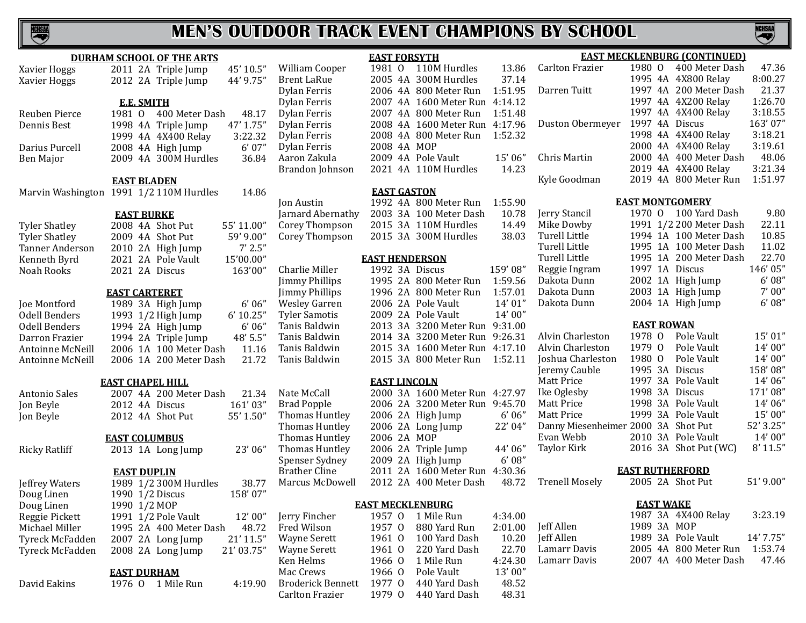

#### **DURHAM SCHOOL OF THE ARTS** Xavier Hoggs 2011 2A Triple Jump 45' 10.5"<br>Xavier Hoggs 2012 2A Triple Jump 44' 9.75" 2012 2A Triple Jump **E.E. SMITH** Reuben Pierce 1981 O 400 Meter Dash 48.17<br>Dennis Best 1998 4A Triple Jump 47' 1.75" 1998 4A Triple Jump 47' 1.75"<br>1999 4A 4X400 Relay 3:22.32 1999 4A 4X400 Relay 3:22.32<br>2008 4A High Jump 6'07" Darius Purcell 2008 4A High Jump 6' 07"<br>Ben Major 2009 4A 300M Hurdles 36.84 2009 4A 300M Hurdles **EAST BLADEN** Marvin Washington 1991 1/2 110M Hurdles 14.86 **EAST BURKE** Tyler Shatley 2008 4A Shot Put 55' 11.00"<br>Tyler Shatley 2009 4A Shot Put 59' 9.00" Tyler Shatley 2009 4A Shot Put 59' 9.00"<br>Tanner Anderson 2010 2A High Jump 7' 2.5" Tanner Anderson 2010 2A High Jump 7' 2.5"<br>Kenneth Byrd 2021 2A Pole Vault 15'00.00" Kenneth Byrd 2021 2A Pole Vault 15'00.00"<br>Noah Rooks 2021 2A Discus 163'00" 2021 2A Discus **EAST CARTERET** Joe Montford 1989 3A High Jump 6'06"<br>
0dell Benders 1993 1/2 High Jump 6' 10.25" Odell Benders 1993 1/2 High Jump 6' 10.25"<br>Odell Benders 1994 2A High Jump 6' 06" Odell Benders 1994 2A High Jump 6'06"<br>Darron Frazier 1994 2A Triple Jump 48'5.5" Darron Frazier 1994 2A Triple Jump 48' 5.5"<br>Antoinne McNeill 2006 1A 100 Meter Dash 11.16 Antoinne McNeill 2006 1A 100 Meter Dash 11.16<br>Antoinne McNeill 2006 1A 200 Meter Dash 21.72 2006 1A 200 Meter Dash **EAST CHAPEL HILL** Antonio Sales 2007 4A 200 Meter Dash 21.34<br>
Jon Beyle 2012 4A Discus 161'03" Jon Beyle 2012 4A Discus 161' 03" 2012 4A Shot Put **EAST COLUMBUS** Ricky Ratliff 2013 1A Long Jump 23' 06" **EAST DUPLIN** Jeffrey Waters 1989 1/2 300M Hurdles 38.77<br>Doug Linen 1990 1/2 Discus 158'07" Doug Linen 1990 1/2 Discus<br>Doug Linen 1990 1/2 MOP Doug Linen 1990 1/2 MOP<br>Reggie Pickett 1991 1/2 Pole Reggie Pickett 1991 1/2 Pole Vault 12' 00"<br>Michael Miller 1995 2A 400 Meter Dash 48.72 Michael Miller 1995 2A 400 Meter Dash 48.72<br>Tyreck McFadden 2007 2A Long Jump 21'11.5" Tyreck McFadden 2007 2A Long Jump 21' 11.5"  $2008$  2A Long Jump **EAST DURHAM** David Eakins 1976 O 1 Mile Run 4:19.90 **EAST FORSYTH** William Cooper Brent LaRue Dylan Ferris Dylan Ferris Dylan Ferris Dylan Ferris Dylan Ferris Dylan Ferris Aaron Zakula Brandon Johnson Jarnard Abernathy Corey Thompson Corey Thompson Charlie Miller **Jimmy Phillips** Jimmy Phillips Wesley Garren **Tyler Samotis** Tanis Baldwin Tanis Baldwin Tanis Baldwin Tanis Baldwin Nate McCall Brad Popple Thomas Huntley Thomas Huntley Thomas Huntley Thomas Huntley Spenser Sydney<br>Brather Cline Brather Cline 2011 2A 1600 Meter Run 4:30.36<br>Marcus McDowell 2012 2A 400 Meter Dash 48.72 2012 2A 400 Meter Dash

| William Cooper        | 1981    | $\Omega$ | 110M Hurdles          | 13.86   |
|-----------------------|---------|----------|-----------------------|---------|
| <b>Brent LaRue</b>    | 2005    | 4A       | 300M Hurdles          | 37.14   |
| Dylan Ferris          | 2006    | 4A       | 800 Meter Run         | 1:51.95 |
| Dylan Ferris          | 2007    | 4A       | 1600 Meter Run        | 4:14.12 |
| Dylan Ferris          | 2007    | 4A       | 800 Meter Run         | 1:51.48 |
| Dylan Ferris          | 2008    | 4A       | 1600 Meter Run        | 4:17.96 |
| Dylan Ferris          | 2008 4A |          | 800 Meter Run         | 1:52.32 |
| Dylan Ferris          | 2008 4A |          | <b>MOP</b>            |         |
| Aaron Zakula          | 2009 4A |          | Pole Vault            | 15'06"  |
| Brandon Johnson       | 2021 4A |          | 110M Hurdles          | 14.23   |
|                       |         |          | <b>EAST GASTON</b>    |         |
| Jon Austin            | 1992    | 4A       | 800 Meter Run         | 1:55.90 |
| Jarnard Abernathy     | 2003 3A |          | 100 Meter Dash        | 10.78   |
| Corey Thompson        | 2015 3A |          | 110M Hurdles          | 14.49   |
| Corey Thompson        | 2015 3A |          | 300M Hurdles          | 38.03   |
|                       |         |          | <b>EAST HENDERSON</b> |         |
| Charlie Miller        | 1992    | 3A       | <b>Discus</b>         | 159'08" |
| <b>Jimmy Phillips</b> | 1995    | 2A       | 800 Meter Run         | 1:59.56 |
| Jimmy Phillips        | 1996 2A |          | 800 Meter Run         | 1:57.01 |
| Wesley Garren         | 2006 2A |          | Pole Vault            | 14' 01" |
| <b>Tyler Samotis</b>  | 2009 2A |          | Pole Vault            | 14'00"  |
| Tanis Baldwin         | 2013    | 3A       | 3200 Meter Run        | 9:31.00 |
| Tanis Baldwin         | 2014    | 3A       | 3200 Meter Run        | 9:26.31 |
| Tanis Baldwin         | 2015 3A |          | 1600 Meter Run        | 4:17.10 |
| Tanis Baldwin         | 2015 3A |          | 800 Meter Run         | 1:52.11 |
|                       |         |          | <b>EAST LINCOLN</b>   |         |
| Nate McCall           | 2000 3A |          | 1600 Meter Run        | 4:27.97 |
| <b>Brad Popple</b>    | 2006    | 2A       | 3200 Meter Run        | 9:45.70 |
| Thomas Huntley        | 2006    | 2A       | High Jump             | 6'06''  |
| Thomas Huntley        | 2006    | 2A       | Long Jump             | 22' 04" |
| <b>Thomas Huntley</b> | 2006 2A |          | <b>MOP</b>            |         |
| Thomas Huntley        | 2006 2A |          | Triple Jump           | 44'06"  |
| Spenser Sydney        | 2009 2A |          | High Jump             | 6'08''  |
|                       |         |          |                       |         |

#### **EAST MECKLENBURG**

| Jerry Fincher            | 1957 0        | 1 Mile Run    | 4:34.00 |
|--------------------------|---------------|---------------|---------|
| Fred Wilson              | $1957 \Omega$ | 880 Yard Run  | 2:01.00 |
| <b>Wayne Serett</b>      | $1961 \Omega$ | 100 Yard Dash | 10.20   |
| <b>Wayne Serett</b>      | $1961 \Omega$ | 220 Yard Dash | 22.70   |
| Ken Helms                | 1966 0        | 1 Mile Run    | 4:24.30 |
| Mac Crews                | 19660         | Pole Vault    | 13'00"  |
| <b>Broderick Bennett</b> | 1977 0        | 440 Yard Dash | 48.52   |
| <b>Carlton Frazier</b>   | 1979.0        | 440 Yard Dash | 48.31   |
|                          |               |               |         |

#### 1980 O 400 Meter Dash 47.36<br>1995 4A 4X800 Relay 8:00.27 1995 4A 4X800 Relay 8:00.27<br>1997 4A 200 Meter Dash 21.37 Darren Tuitt 1997 4A 200 Meter Dash 21.37 1997 4A 4X200 Relay 1:26.70<br>1997 4A 4X400 Relay 3:18.55 1997 4A 4X400 Relay 3:18.55<br>1997 4A Discus 163'07" Duston Obermeyer 1997 4A Discus 163' 07" 1998 4A 4X400 Relay 3:18.21 2000 4A 4X400 Relay 3:19.61<br>2000 4A 400 Meter Dash 48.06 Chris Martin 2000 4A 400 Meter Dash 48.06<br>2019 4A 4X400 Relay 3:21.34 2019 4A 4X400 Relay 3:21.34<br>2019 4A 800 Meter Run 1:51.97 Kyle Goodman 2019 4A 800 Meter Run **EAST MONTGOMERY** Jerry Stancil Mike Dowby Turell Little

Turell Little Turell Little Reggie Ingram Dakota Dunn Dakota Dunn Dakota Dunn

**EAST MECKLENBURG (CONTINUED)**<br>Carlton Frazier 1980 0 400 Meter Dash

|                   |  |  | 1970 O 100 Yard Dash    | 9.80    |  |  |  |  |
|-------------------|--|--|-------------------------|---------|--|--|--|--|
|                   |  |  | 1991 1/2 200 Meter Dash | 22.11   |  |  |  |  |
|                   |  |  | 1994 1A 100 Meter Dash  | 10.85   |  |  |  |  |
|                   |  |  | 1995 1A 100 Meter Dash  | 11.02   |  |  |  |  |
|                   |  |  | 1995 1A 200 Meter Dash  | 22.70   |  |  |  |  |
|                   |  |  | 1997 1A Discus          | 146'05" |  |  |  |  |
|                   |  |  | 2002 1A High Jump       | 6'08''  |  |  |  |  |
|                   |  |  | 2003 1A High Jump       | 7'00''  |  |  |  |  |
|                   |  |  | 2004 1A High Jump       | 6'08''  |  |  |  |  |
| <b>FAST ROWAN</b> |  |  |                         |         |  |  |  |  |

#### **EAST ROWAN**

| Alvin Charleston                    | 1978 0 | Pole Vault            | 15' 01"   |
|-------------------------------------|--------|-----------------------|-----------|
| Alvin Charleston                    | 1979 0 | Pole Vault            | 14'00"    |
| Joshua Charleston                   | 1980 0 | Pole Vault            | 14'00"    |
| Jeremy Cauble                       |        | 1995 3A Discus        | 158'08"   |
| Matt Price                          |        | 1997 3A Pole Vault    | 14' 06"   |
| Ike Oglesby                         |        | 1998 3A Discus        | 171'08"   |
| Matt Price                          |        | 1998 3A Pole Vault    | 14'06''   |
| Matt Price                          |        | 1999 3A Pole Vault    | 15'00"    |
| Danny Miesenheimer 2000 3A Shot Put |        |                       | 52' 3.25" |
| Evan Webb                           |        | 2010 3A Pole Vault    | 14'00"    |
| Taylor Kirk                         |        | 2016 3A Shot Put (WC) | 8' 11.5"  |
|                                     |        |                       |           |

#### **EAST RUTHERFORD**

Trenell Mosely 2005 2A Shot Put 51' 9.00"

#### **EAST WAKE**

|              |             | 1987 3A 4X400 Relay    | 3:23.19   |
|--------------|-------------|------------------------|-----------|
| Jeff Allen   | 1989 3A MOP |                        |           |
| Jeff Allen-  |             | 1989 3A Pole Vault     | 14' 7.75" |
| Lamarr Davis |             | 2005 4A 800 Meter Run  | 1:53.74   |
| Lamarr Davis |             | 2007 4A 400 Meter Dash | -47.46    |
|              |             |                        |           |

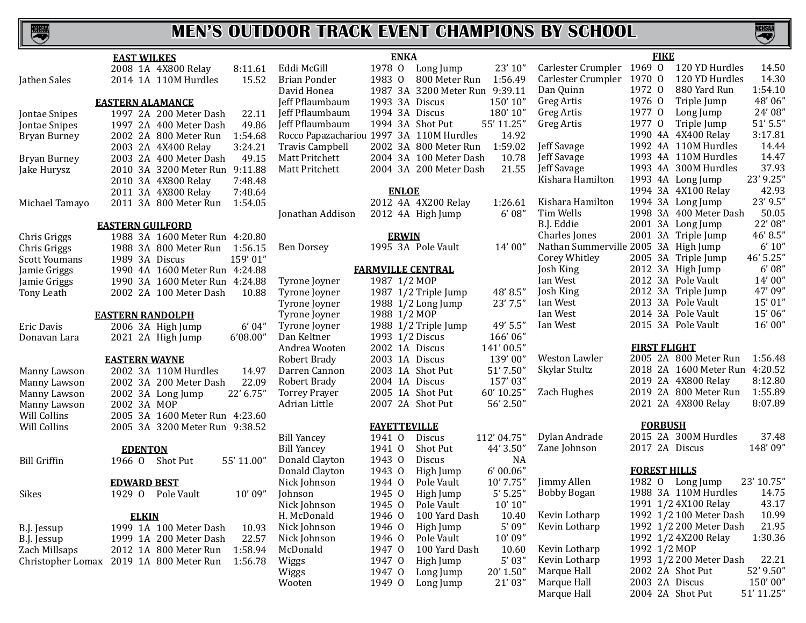

|                      | <b>EAST WILKES</b>               |                                          | <b>ENKA</b>              |                                |             |                                      | <b>FIKE</b>         |                                |            |
|----------------------|----------------------------------|------------------------------------------|--------------------------|--------------------------------|-------------|--------------------------------------|---------------------|--------------------------------|------------|
|                      | 2008 1A 4X800 Relay<br>8:11.61   | Eddi McGill                              | 1978 0                   | Long Jump                      | 23' 10"     | Carlester Crumpler 1969 O            |                     | 120 YD Hurdles                 | 14.50      |
| Jathen Sales         | 2014 1A 110M Hurdles<br>15.52    | <b>Brian Ponder</b>                      | 1983 0                   | 800 Meter Run                  | 1:56.49     | Carlester Crumpler 1970 O            |                     | 120 YD Hurdles                 | 14.30      |
|                      |                                  | David Honea                              |                          | 1987 3A 3200 Meter Run 9:39.11 |             | Dan Quinn                            | 1972 0              | 880 Yard Run                   | 1:54.10    |
|                      | <b>EASTERN ALAMANCE</b>          | Jeff Pflaumbaum                          | 1993 3A Discus           |                                | 150'10"     | Greg Artis                           | 1976 0              | Triple Jump                    | 48'06"     |
| Jontae Snipes        | 1997 2A 200 Meter Dash<br>22.11  | Jeff Pflaumbaum                          | 1994 3A Discus           |                                | 180'10"     | Greg Artis                           | 1977 0              | Long Jump                      | 24' 08"    |
| Jontae Snipes        | 1997 2A 400 Meter Dash<br>49.86  | Jeff Pflaumbaum                          |                          | 1994 3A Shot Put               | 55' 11.25"  | Greg Artis                           | 1977 0              | Triple Jump                    | $51'$ 5.5" |
| <b>Bryan Burney</b>  | 2002 2A 800 Meter Run<br>1:54.68 | Rocco Papazachariou 1997 3A 110M Hurdles |                          |                                | 14.92       |                                      |                     | 1990 4A 4X400 Relay            | 3:17.81    |
|                      | 2003 2A 4X400 Relay<br>3:24.21   | <b>Travis Campbell</b>                   |                          | 2002 3A 800 Meter Run          | 1:59.02     | Jeff Savage                          |                     | 1992 4A 110M Hurdles           | 14.44      |
| Bryan Burney         | 2003 2A 400 Meter Dash<br>49.15  | Matt Pritchett                           |                          | 2004 3A 100 Meter Dash         | 10.78       | Jeff Savage                          |                     | 1993 4A 110M Hurdles           | 14.47      |
| Jake Hurysz          | 2010 3A 3200 Meter Run 9:11.88   | Matt Pritchett                           |                          | 2004 3A 200 Meter Dash         | 21.55       | Jeff Savage                          |                     | 1993 4A 300M Hurdles           | 37.93      |
|                      | 7:48.48<br>2010 3A 4X800 Relay   |                                          |                          |                                |             | Kishara Hamilton                     |                     | 1993 4A Long Jump              | 23' 9.25"  |
|                      | 2011 3A 4X800 Relay<br>7:48.64   |                                          | <b>ENLOE</b>             |                                |             |                                      |                     | 1994 3A 4X100 Relay            | 42.93      |
| Michael Tamayo       | 2011 3A 800 Meter Run<br>1:54.05 |                                          |                          | 2012 4A 4X200 Relay            | 1:26.61     | Kishara Hamilton                     |                     | 1994 3A Long Jump              | 23' 9.5"   |
|                      |                                  | Jonathan Addison                         |                          | 2012 4A High Jump              | 6'08''      | Tim Wells                            |                     | 1998 3A 400 Meter Dash         | 50.05      |
|                      | <b>EASTERN GUILFORD</b>          |                                          |                          |                                |             | B.J. Eddie                           |                     | 2001 3A Long Jump              | 22' 08"    |
| Chris Griggs         | 1988 3A 1600 Meter Run 4:20.80   |                                          | <b>ERWIN</b>             |                                |             | Charles Jones                        |                     | 2001 3A Triple Jump            | 46' 8.5"   |
| Chris Griggs         | 1988 3A 800 Meter Run<br>1:56.15 | <b>Ben Dorsey</b>                        |                          | 1995 3A Pole Vault             | 14' 00"     | Nathan Summerville 2005 3A High Jump |                     |                                | 6' 10''    |
| <b>Scott Youmans</b> | 159'01"<br>1989 3A Discus        |                                          |                          |                                |             | Corey Whitley                        |                     | 2005 3A Triple Jump            | 46' 5.25"  |
| Jamie Griggs         | 1990 4A 1600 Meter Run 4:24.88   |                                          | <b>FARMVILLE CENTRAL</b> |                                |             | Josh King                            |                     | 2012 3A High Jump              | 6'08''     |
| Jamie Griggs         | 1990 3A 1600 Meter Run 4:24.88   | Tyrone Joyner                            | 1987 1/2 MOP             |                                |             | Ian West                             |                     | 2012 3A Pole Vault             | 14'00"     |
| Tony Leath           | 2002 2A 100 Meter Dash<br>10.88  | Tyrone Joyner                            |                          | 1987 1/2 Triple Jump           | 48' 8.5"    | Josh King                            |                     | 2012 3A Triple Jump            | 47'09"     |
|                      |                                  | Tyrone Joyner                            |                          | 1988 1/2 Long Jump             | 23' 7.5"    | Ian West                             |                     | 2013 3A Pole Vault             | 15' 01"    |
|                      | <b>EASTERN RANDOLPH</b>          | Tyrone Joyner                            | 1988 1/2 MOP             |                                |             | Ian West                             |                     | 2014 3A Pole Vault             | 15'06"     |
| Eric Davis           | 6'04"<br>2006 3A High Jump       | Tyrone Joyner                            |                          | 1988 1/2 Triple Jump           | 49' 5.5"    | Ian West                             |                     | 2015 3A Pole Vault             | 16'00"     |
| Donavan Lara         | 2021 2A High Jump<br>6'08.00"    | Dan Keltner                              | 1993 1/2 Discus          |                                | 166'06"     |                                      |                     |                                |            |
|                      |                                  | Andrea Wooten                            | 2002 1A Discus           |                                | 141'00.5"   |                                      | <b>FIRST FLIGHT</b> |                                |            |
|                      | <b>EASTERN WAYNE</b>             | Robert Brady                             | 2003 1A Discus           |                                | 139'00"     | Weston Lawler                        |                     | 2005 2A 800 Meter Run          | 1:56.48    |
| Manny Lawson         | 2002 3A 110M Hurdles<br>14.97    | Darren Cannon                            |                          | 2003 1A Shot Put               | 51' 7.50"   | Skylar Stultz                        |                     | 2018 2A 1600 Meter Run 4:20.52 |            |
| Manny Lawson         | 2002 3A 200 Meter Dash<br>22.09  | Robert Brady                             | 2004 1A Discus           |                                | 157'03"     |                                      |                     | 2019 2A 4X800 Relay            | 8:12.80    |
| Manny Lawson         | 22' 6.75"<br>2002 3A Long Jump   | <b>Torrey Prayer</b>                     |                          | 2005 1A Shot Put               | 60' 10.25"  | Zach Hughes                          |                     | 2019 2A 800 Meter Run          | 1:55.89    |
| Manny Lawson         | 2002 3A MOP                      | Adrian Little                            |                          | 2007 2A Shot Put               | 56' 2.50"   |                                      |                     | 2021 2A 4X800 Relay            | 8:07.89    |
| Will Collins         | 2005 3A 1600 Meter Run 4:23.60   |                                          |                          |                                |             |                                      |                     |                                |            |
| Will Collins         | 2005 3A 3200 Meter Run 9:38.52   |                                          | <b>FAYETTEVILLE</b>      |                                |             |                                      | <b>FORBUSH</b>      |                                |            |
|                      |                                  | <b>Bill Yancey</b>                       | 1941 0                   | <b>Discus</b>                  | 112' 04.75" | Dylan Andrade                        |                     | 2015 2A 300M Hurdles           | 37.48      |
|                      | <b>EDENTON</b>                   | <b>Bill Yancey</b>                       | 1941 0                   | Shot Put                       | 44' 3.50"   | Zane Johnson                         | 2017 2A Discus      |                                | 148'09"    |
| <b>Bill Griffin</b>  | Shot Put<br>55' 11.00"<br>1966 0 | Donald Clayton                           | 1943 0                   | Discus                         | <b>NA</b>   |                                      |                     |                                |            |
|                      |                                  | Donald Clayton                           | 1943 0                   | High Jump                      | 6'00.06"    |                                      | <b>FOREST HILLS</b> |                                |            |
|                      | <b>EDWARD BEST</b>               | Nick Johnson                             | 1944 0                   | Pole Vault                     | 10' 7.75"   | Jimmy Allen                          |                     | 1982 O Long Jump               | 23' 10.75" |
| Sikes                | 10'09"<br>Pole Vault<br>19290    | Johnson                                  | 1945 0                   | High Jump                      | 5'5.25''    | <b>Bobby Bogan</b>                   |                     | 1988 3A 110M Hurdles           | 14.75      |
|                      |                                  | Nick Johnson                             | 1945 0                   | Pole Vault                     | 10' 10''    |                                      |                     | 1991 1/2 4X100 Relay           | 43.17      |
|                      | <b>ELKIN</b>                     | H. McDonald                              | 1946 0                   | 100 Yard Dash                  | 10.40       | Kevin Lotharp                        |                     | 1992 1/2 100 Meter Dash        | 10.99      |
| B.J. Jessup          | 1999 1A 100 Meter Dash<br>10.93  | Nick Johnson                             | 1946 0                   | High Jump                      | 5'09''      | Kevin Lotharp                        |                     | 1992 1/2 200 Meter Dash        | 21.95      |
| B.J. Jessup          | 22.57<br>1999 1A 200 Meter Dash  | Nick Johnson                             | 1946 0                   | Pole Vault                     | 10' 09"     |                                      |                     | 1992 1/2 4X200 Relay           | 1:30.36    |
| Zach Millsaps        | 1:58.94<br>2012 1A 800 Meter Run | McDonald                                 | 1947 0                   | 100 Yard Dash                  | 10.60       | Kevin Lotharp                        | 1992 1/2 MOP        |                                |            |
| Christopher Lomax    | 2019 1A 800 Meter Run<br>1:56.78 | Wiggs                                    | 1947 0                   | High Jump                      | 5' 03''     | Kevin Lotharp                        |                     | 1993 1/2 200 Meter Dash        | 22.21      |
|                      |                                  | Wiggs                                    | 1947 0                   | Long Jump                      | 20' 1.50"   | Marque Hall                          |                     | 2002 2A Shot Put               | 52' 9.50"  |
|                      |                                  | Wooten                                   | 1949 0                   | Long Jump                      | 21' 03"     | Marque Hall                          | 2003 2A Discus      |                                | 150'00"    |
|                      |                                  |                                          |                          |                                |             | Marque Hall                          |                     | 2004 2A Shot Put               | 51' 11.25" |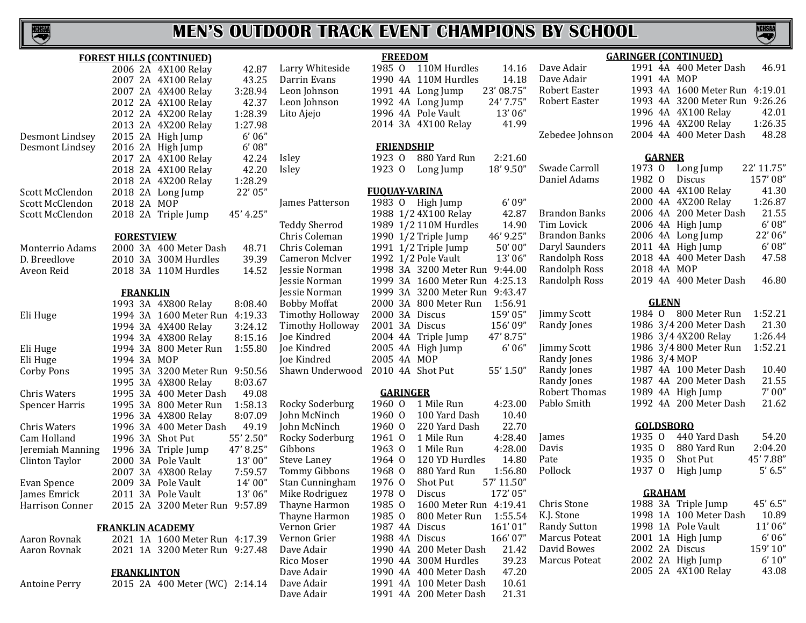

**FREEDOM**

| <b>FOREST HILLS (CONTINUED)</b> |                         |                                |           |  |  |  |  |  |
|---------------------------------|-------------------------|--------------------------------|-----------|--|--|--|--|--|
|                                 |                         | 2006 2A 4X100 Relay            | 42.87     |  |  |  |  |  |
|                                 | 2007 2A                 | 4X100 Relay                    | 43.25     |  |  |  |  |  |
|                                 | 2007 2A                 | 4X400 Relay                    | 3:28.94   |  |  |  |  |  |
|                                 | 2012 2A                 | 4X100 Relay                    | 42.37     |  |  |  |  |  |
|                                 | 2012 2A                 | 4X200 Relay                    | 1:28.39   |  |  |  |  |  |
|                                 | 2013 2A                 | 4X200 Relay                    | 1:27.98   |  |  |  |  |  |
| Desmont Lindsey                 | 2015<br>2A              | High Jump                      | 6'06''    |  |  |  |  |  |
| Desmont Lindsey                 | 2016 2A                 | High Jump                      | 6'08''    |  |  |  |  |  |
|                                 | 2017 2A                 | 4X100 Relay                    | 42.24     |  |  |  |  |  |
|                                 | 2018 2A                 | 4X100 Relay                    | 42.20     |  |  |  |  |  |
|                                 | 2018 2A                 | 4X200 Relay                    | 1:28.29   |  |  |  |  |  |
| Scott McClendon                 | 2018 2A                 | Long Jump                      | 22' 05"   |  |  |  |  |  |
| Scott McClendon                 | 2018 2A                 | MOP                            |           |  |  |  |  |  |
| Scott McClendon                 | 2018 2A                 | Triple Jump                    | 45' 4.25" |  |  |  |  |  |
|                                 |                         |                                |           |  |  |  |  |  |
|                                 | <b>FORESTVIEW</b>       |                                |           |  |  |  |  |  |
| Monterrio Adams                 |                         | 2000 3A 400 Meter Dash         | 48.71     |  |  |  |  |  |
| D. Breedlove                    | 2010 3A                 | 300M Hurdles                   | 39.39     |  |  |  |  |  |
| Aveon Reid                      | 2018 3A                 | 110M Hurdles                   | 14.52     |  |  |  |  |  |
|                                 |                         |                                |           |  |  |  |  |  |
|                                 | <b>FRANKLIN</b>         |                                |           |  |  |  |  |  |
|                                 | 1993<br>3A              | 4X800 Relay                    | 8:08.40   |  |  |  |  |  |
| Eli Huge                        | 1994 3A                 | 1600 Meter Run                 | 4:19.33   |  |  |  |  |  |
|                                 | 1994 3A                 | 4X400 Relay                    | 3:24.12   |  |  |  |  |  |
|                                 | 3A<br>1994              | 4X800 Relay                    | 8:15.16   |  |  |  |  |  |
| Eli Huge                        | 1994<br>3A              | 800 Meter Run                  | 1:55.80   |  |  |  |  |  |
| Eli Huge                        | 1994<br>3A              | <b>MOP</b>                     |           |  |  |  |  |  |
| <b>Corby Pons</b>               | 1995<br>3A              | 3200 Meter Run                 | 9:50.56   |  |  |  |  |  |
|                                 | 3A<br>1995              | 4X800 Relay                    | 8:03.67   |  |  |  |  |  |
| <b>Chris Waters</b>             | 1995<br>3A              | 400 Meter Dash                 | 49.08     |  |  |  |  |  |
| <b>Spencer Harris</b>           | 3A<br>1995              | 800 Meter Run                  | 1:58.13   |  |  |  |  |  |
|                                 | 1996<br>3A              | 4X800 Relay                    | 8:07.09   |  |  |  |  |  |
| <b>Chris Waters</b>             | 3A<br>1996              | 400 Meter Dash                 | 49.19     |  |  |  |  |  |
| Cam Holland                     | 3A<br>1996              | <b>Shot Put</b>                | 55' 2.50" |  |  |  |  |  |
| Jeremiah Manning                | 3A<br>1996              | Triple Jump                    | 47' 8.25" |  |  |  |  |  |
| Clinton Taylor                  | 3A<br>2000              | Pole Vault                     | 13'00"    |  |  |  |  |  |
|                                 | 2007<br>3A              | 4X800 Relay                    | 7:59.57   |  |  |  |  |  |
| Evan Spence                     | 3A<br>2009              | Pole Vault                     | 14'00"    |  |  |  |  |  |
| James Emrick                    | 3A<br>2011              | Pole Vault                     | 13'06"    |  |  |  |  |  |
| Harrison Conner                 |                         | 2015 2A 3200 Meter Run 9:57.89 |           |  |  |  |  |  |
|                                 |                         |                                |           |  |  |  |  |  |
|                                 | <b>FRANKLIN ACADEMY</b> | 2021 1A 1600 Meter Run 4:17.39 |           |  |  |  |  |  |
| Aaron Rovnak                    |                         |                                |           |  |  |  |  |  |
| Aaron Rovnak                    |                         | 2021 1A 3200 Meter Run 9:27.48 |           |  |  |  |  |  |
|                                 | <b>FRANKLINTON</b>      |                                |           |  |  |  |  |  |
| Antoine Perry                   |                         | 2015 2A 400 Meter (WC) 2:14.14 |           |  |  |  |  |  |
|                                 |                         |                                |           |  |  |  |  |  |

| Larry Whiteside         | 1985                 | O               | <b>110M Hurdles</b> | 14.16      |
|-------------------------|----------------------|-----------------|---------------------|------------|
| Darrin Evans            | 1990                 | 4A              | 110M Hurdles        | 14.18      |
| Leon Johnson            | 1991                 | 4A              | Long Jump           | 23' 08.75" |
| Leon Johnson            | 1992                 | 4A              | Long Jump           | 24' 7.75"  |
|                         | 1996 4A              |                 | Pole Vault          | 13'06"     |
| Lito Ajejo              |                      |                 |                     |            |
|                         | 2014 3A              |                 | 4X100 Relay         | 41.99      |
|                         | <b>FRIENDSHIP</b>    |                 |                     |            |
| Isley                   | 1923 0               |                 | 880 Yard Run        | 2:21.60    |
| Isley                   | 1923 0               |                 | Long Jump           | 18' 9.50"  |
|                         |                      |                 |                     |            |
|                         | <b>FUQUAY-VARINA</b> |                 |                     |            |
| James Patterson         | 1983                 | 0               | High Jump           | 6'09''     |
|                         | 1988                 |                 | 1/2 4X100 Relay     | 42.87      |
| <b>Teddy Sherrod</b>    | 1989                 |                 | 1/2 110M Hurdles    | 14.90      |
| Chris Coleman           | 1990                 |                 | 1/2 Triple Jump     | 46' 9.25"  |
| Chris Coleman           | 1991                 |                 | 1/2 Triple Jump     | 50'00"     |
| Cameron McIver          | 1992                 |                 | 1/2 Pole Vault      | 13'06"     |
| Jessie Norman           | 1998                 | 3A              | 3200 Meter Run      | 9:44.00    |
| Jessie Norman           | 1999 3A              |                 | 1600 Meter Run      | 4:25.13    |
| Jessie Norman           | 1999                 | 3A              | 3200 Meter Run      | 9:43.47    |
| <b>Bobby Moffat</b>     | 2000                 | 3A              | 800 Meter Run       | 1:56.91    |
|                         |                      |                 |                     |            |
| <b>Timothy Holloway</b> | 2000 3A              |                 | <b>Discus</b>       | 159'05"    |
| <b>Timothy Holloway</b> | 2001                 | 3A              | Discus              | 156'09"    |
| Joe Kindred             | 2004                 | 4A              | Triple Jump         | 47' 8.75"  |
| Joe Kindred             | 2005                 | 4Α              | High Jump           | 6'06''     |
| Joe Kindred             | 2005                 | 4A              | <b>MOP</b>          |            |
| Shawn Underwood         | 2010                 | 4A              | <b>Shot Put</b>     | 55' 1.50"  |
|                         |                      | <b>GARINGER</b> |                     |            |
| Rocky Soderburg         | 1960                 | 0               | 1 Mile Run          | 4:23.00    |
| John McNinch            | 1960                 | 0               | 100 Yard Dash       | 10.40      |
| John McNinch            | 1960                 | $\overline{0}$  | 220 Yard Dash       | 22.70      |
|                         |                      | $\overline{0}$  | 1 Mile Run          |            |
| Rocky Soderburg         | 1961                 |                 |                     | 4:28.40    |
| Gibbons                 | 1963                 | $\Omega$        | 1 Mile Run          | 4:28.00    |
| <b>Steve Laney</b>      | 1964                 | $\overline{0}$  | 120 YD Hurdles      | 14.80      |
| Tommy Gibbons           | 1968                 | $\overline{0}$  | 880 Yard Run        | 1:56.80    |
| Stan Cunningham         | 1976                 | $\overline{0}$  | Shot Put            | 57' 11.50" |
| Mike Rodriguez          | 1978                 | $\Omega$        | Discus              | 172'05"    |
| Thayne Harmon           | 1985                 | $\overline{0}$  | 1600 Meter Run      | 4:19.41    |
| Thayne Harmon           | 1985                 | $\overline{0}$  | 800 Meter Run       | 1:55.54    |
| Vernon Grier            | 1987                 | 4A              | <b>Discus</b>       | 161'01"    |
| Vernon Grier            | 1988                 | 4Α              | Discus              | 166'07"    |
| Dave Adair              | 1990                 | 4A              | 200 Meter Dash      | 21.42      |
| Rico Moser              | 1990                 | 4A              | 300M Hurdles        | 39.23      |
|                         |                      |                 |                     |            |
| Dave Adair              | 1990                 | 4A              | 400 Meter Dash      | 47.20      |
| Dave Adair              | 1991                 | 4Α              | 100 Meter Dash      | 10.61      |
| Dave Adair              | 1991                 | 4A              | 200 Meter Dash      | 21.31      |

|                         |                      |                  |               | <b>GARINGER (CONTINUED)</b> |            |
|-------------------------|----------------------|------------------|---------------|-----------------------------|------------|
| 14.16<br>ırdles         | Dave Adair           |                  |               | 1991 4A 400 Meter Dash      | 46.91      |
| ırdles<br>14.18         | Dave Adair           | 1991 4A MOP      |               |                             |            |
| 23' 08.75"<br>ıp        | Robert Easter        |                  |               | 1993 4A 1600 Meter Run      | 4:19.01    |
| 24' 7.75"<br>ıp         | Robert Easter        |                  |               | 1993 4A 3200 Meter Run      | 9:26.26    |
| 13'06"<br>lt            |                      |                  |               | 1996 4A 4X100 Relay         | 42.01      |
| 41.99<br>elay           |                      |                  |               | 1996 4A 4X200 Relay         | 1:26.35    |
|                         | Zebedee Johnson      |                  |               | 2004 4A 400 Meter Dash      | 48.28      |
|                         |                      |                  |               |                             |            |
| l Run<br>2:21.60        |                      |                  | <b>GARNER</b> |                             |            |
| 18' 9.50"<br>ıp         | Swade Carroll        | 1973 0           |               | Long Jump                   | 22' 11.75" |
|                         | Daniel Adams         | 1982 0           |               | <b>Discus</b>               | 157'08"    |
|                         |                      |                  |               | 2000 4A 4X100 Relay         | 41.30      |
| 6'09''<br>ıp            |                      |                  |               | 2000 4A 4X200 Relay         | 1:26.87    |
| 42.87<br>elay           | Brandon Banks        |                  |               | 2006 4A 200 Meter Dash      | 21.55      |
| ırdles<br>14.90         | Tim Lovick           |                  |               | 2006 4A High Jump           | 6'08''     |
| 46' 9.25"<br>mp         | <b>Brandon Banks</b> |                  |               | 2006 4A Long Jump           | 22'06"     |
| 50'00"<br>mp            | Daryl Saunders       |                  |               | 2011 4A High Jump           | 6'08''     |
| lt<br>13'06"            | Randolph Ross        |                  |               | 2018 4A 400 Meter Dash      | 47.58      |
| ter Run<br>9:44.00      | Randolph Ross        | 2018 4A MOP      |               |                             |            |
| 4:25.13<br>ter Run      | Randolph Ross        |                  |               | 2019 4A 400 Meter Dash      | 46.80      |
|                         |                      |                  |               |                             |            |
| ter Run<br>9:43.47      |                      |                  | <b>GLENN</b>  |                             |            |
| er Run<br>1:56.91       |                      |                  |               | 1984 0 800 Meter Run        |            |
| 159'05"                 | <b>Jimmy Scott</b>   |                  |               |                             | 1:52.21    |
| 156'09"                 | Randy Jones          |                  |               | 1986 3/4 200 Meter Dash     | 21.30      |
| 47' 8.75"<br>mp         |                      |                  |               | 1986 3/4 4X200 Relay        | 1:26.44    |
| 6'06''<br>ıp            | <b>Jimmy Scott</b>   |                  |               | 1986 3/4 800 Meter Run      | 1:52.21    |
|                         | Randy Jones          | 1986 3/4 MOP     |               |                             |            |
| 55' 1.50"               | Randy Jones          |                  |               | 1987 4A 100 Meter Dash      | 10.40      |
|                         | Randy Jones          |                  |               | 1987 4A 200 Meter Dash      | 21.55      |
|                         | <b>Robert Thomas</b> |                  |               | 1989 4A High Jump           | 7' 00''    |
| 4:23.00<br>ın           | Pablo Smith          |                  |               | 1992 4A 200 Meter Dash      | 21.62      |
| Dash<br>10.40           |                      |                  |               |                             |            |
| l Dash<br>22.70         |                      | <b>GOLDSBORO</b> |               |                             |            |
| 4:28.40<br>ın           | James                | 1935 0           |               | 440 Yard Dash               | 54.20      |
| 4:28.00<br>ın           | Davis                | 1935 0           |               | 880 Yard Run                | 2:04.20    |
| <b>Iurdles</b><br>14.80 | Pate                 | 1935 0           |               | Shot Put                    | 45' 7.88"  |
| Run<br>1:56.80          | Pollock              | 1937 0           |               | High Jump                   | 5' 6.5''   |
| 57' 11.50"              |                      |                  |               |                             |            |
| 172'05"                 |                      |                  | <b>GRAHAM</b> |                             |            |
| ter Run 4:19.41         | Chris Stone          |                  |               | 1988 3A Triple Jump         | 45' 6.5"   |
| er Run<br>1:55.54       | K.J. Stone           |                  |               | 1998 1A 100 Meter Dash      | 10.89      |
| 161'01"                 | <b>Randy Sutton</b>  |                  |               | 1998 1A Pole Vault          | 11'06"     |
| 166'07"                 | Marcus Poteat        |                  |               | 2001 1A High Jump           | 6'06''     |
| 21.42<br>er Dash        | David Bowes          |                  |               | 2002 2A Discus              | 159'10"    |
| ırdles<br>39.23         | Marcus Poteat        |                  |               | 2002 2A High Jump           | 6' 10''    |
| er Dash<br>47.20        |                      |                  |               | 2005 2A 4X100 Relay         | 43.08      |
| er Dash<br>10.61        |                      |                  |               |                             |            |
|                         |                      |                  |               |                             |            |

**NGHSA**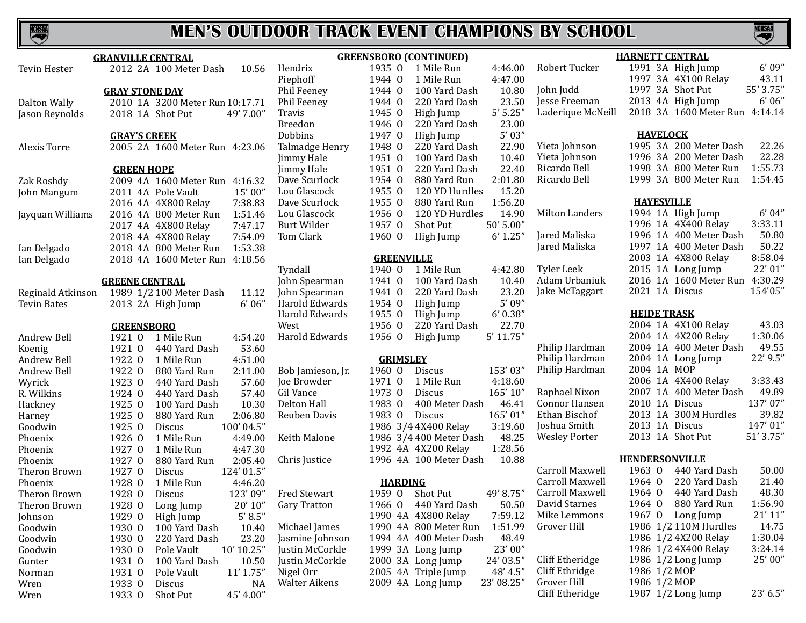**NCHSAA** 

 $Cliff$  Etheridge 1987 1/2 Long Jump 23' 6.5"

|                    | <b>GRANVILLE CENTRAL</b>             |                    |                   | <b>GREENSBORO (CONTINUED)</b> |             |                      | <b>HARNETT CENTRAL</b>         |           |
|--------------------|--------------------------------------|--------------------|-------------------|-------------------------------|-------------|----------------------|--------------------------------|-----------|
| Tevin Hester       | 2012 2A 100 Meter Dash<br>10.56      | Hendrix            |                   | 1935 0 1 Mile Run             | 4:46.00     | Robert Tucker        | 1991 3A High Jump              | 6'09''    |
|                    |                                      | Piephoff           | 1944 0            | 1 Mile Run                    | 4:47.00     |                      | 1997 3A 4X100 Relay            | 43.11     |
|                    | <b>GRAY STONE DAY</b>                | Phil Feeney        | 1944 0            | 100 Yard Dash                 | 10.80       | John Judd            | 1997 3A Shot Put               | 55' 3.75" |
| Dalton Wally       | 2010 1A 3200 Meter Run 10:17.71      | Phil Feeney        | 1944 0            | 220 Yard Dash                 | 23.50       | Jesse Freeman        | 2013 4A High Jump              | 6'06''    |
| Jason Reynolds     | 2018 1A Shot Put<br>49' 7.00"        | Travis             | 1945 0            | High Jump                     | 5'5.25''    | Laderique McNeill    | 2018 3A 1600 Meter Run 4:14.14 |           |
|                    |                                      | Breedon            | 1946 0            | 220 Yard Dash                 | 23.00       |                      |                                |           |
|                    | <b>GRAY'S CREEK</b>                  | Dobbins            | 1947 0            | High Jump                     | 5'03''      |                      | <b>HAVELOCK</b>                |           |
| Alexis Torre       | 2005 2A 1600 Meter Run 4:23.06       | Talmadge Henry     | 1948 0            | 220 Yard Dash                 | 22.90       | Yieta Johnson        | 1995 3A 200 Meter Dash         | 22.26     |
|                    |                                      | Jimmy Hale         | 1951 0            | 100 Yard Dash                 | 10.40       | Yieta Johnson        | 1996 3A 200 Meter Dash         | 22.28     |
|                    | <b>GREEN HOPE</b>                    | Jimmy Hale         | 1951 0            | 220 Yard Dash                 | 22.40       | Ricardo Bell         | 1998 3A 800 Meter Run          | 1:55.73   |
| Zak Roshdy         | 2009 4A 1600 Meter Run 4:16.32       | Dave Scurlock      | 1954 0            | 880 Yard Run                  | 2:01.80     | Ricardo Bell         | 1999 3A 800 Meter Run          | 1:54.45   |
| John Mangum        | 15'00"<br>2011 4A Pole Vault         | Lou Glascock       | 1955 0            | 120 YD Hurdles                | 15.20       |                      |                                |           |
|                    | 7:38.83<br>2016 4A 4X800 Relay       | Dave Scurlock      | 1955 0            | 880 Yard Run                  | 1:56.20     |                      | <b>HAYESVILLE</b>              |           |
| Jayquan Williams   | 1:51.46<br>2016 4A 800 Meter Run     | Lou Glascock       | 1956 0            | 120 YD Hurdles                | 14.90       | Milton Landers       | 1994 1A High Jump              | 6' 04''   |
|                    | 7:47.17<br>2017 4A 4X800 Relay       | <b>Burt Wilder</b> | 1957 0            | Shot Put                      | 50' 5.00"   |                      | 1996 1A 4X400 Relay            | 3:33.11   |
|                    | 7:54.09<br>2018 4A 4X800 Relay       | Tom Clark          | 1960 0            | High Jump                     | 6' 1.25''   | Jared Maliska        | 1996 1A 400 Meter Dash         | 50.80     |
| Ian Delgado        | 1:53.38<br>2018 4A 800 Meter Run     |                    |                   |                               |             | Jared Maliska        | 1997 1A 400 Meter Dash         | 50.22     |
| Ian Delgado        | 2018 4A 1600 Meter Run 4:18.56       |                    | <b>GREENVILLE</b> |                               |             |                      | 2003 1A 4X800 Relay            | 8:58.04   |
|                    |                                      | Tyndall            |                   | 1940 O 1 Mile Run             | 4:42.80     | Tyler Leek           | 2015 1A Long Jump              | 22' 01"   |
|                    | <b>GREENE CENTRAL</b>                | John Spearman      | 1941 0            | 100 Yard Dash                 | 10.40       | Adam Urbaniuk        | 2016 1A 1600 Meter Run         | 4:30.29   |
| Reginald Atkinson  | 1989 1/2 100 Meter Dash<br>11.12     | John Spearman      | 1941 0            | 220 Yard Dash                 | 23.20       | Jake McTaggart       | 2021 1A Discus                 | 154'05"   |
| <b>Tevin Bates</b> | 6'06''<br>2013 2A High Jump          | Harold Edwards     | 1954 0            | High Jump                     | 5'09''      |                      |                                |           |
|                    |                                      | Harold Edwards     | 1955 0            | High Jump                     | 6' 0.38''   |                      | <b>HEIDE TRASK</b>             |           |
|                    | <b>GREENSBORO</b>                    | West               | 1956 0            | 220 Yard Dash                 | 22.70       |                      | 2004 1A 4X100 Relay            | 43.03     |
| Andrew Bell        | 4:54.20<br>1921 0 1 Mile Run         | Harold Edwards     | 1956 0            | High Jump                     | $5'$ 11.75" |                      | 2004 1A 4X200 Relay            | 1:30.06   |
| Koenig             | 53.60<br>1921 0<br>440 Yard Dash     |                    |                   |                               |             | Philip Hardman       | 2004 1A 400 Meter Dash         | 49.55     |
| Andrew Bell        | 1922 0<br>4:51.00<br>1 Mile Run      |                    | <b>GRIMSLEY</b>   |                               |             | Philip Hardman       | 2004 1A Long Jump              | 22' 9.5"  |
| Andrew Bell        | 1922 0<br>880 Yard Run<br>2:11.00    | Bob Jamieson, Jr.  | 1960 0            | Discus                        | 153'03"     | Philip Hardman       | 2004 1A MOP                    |           |
| Wyrick             | 1923 0<br>57.60<br>440 Yard Dash     | Joe Browder        | 1971 0            | 1 Mile Run                    | 4:18.60     |                      | 2006 1A 4X400 Relay            | 3:33.43   |
| R. Wilkins         | 57.40<br>1924 0<br>440 Yard Dash     | <b>Gil Vance</b>   | 1973 0            | Discus                        | 165' 10"    | Raphael Nixon        | 2007 1A 400 Meter Dash         | 49.89     |
| Hackney            | 10.30<br>1925 0<br>100 Yard Dash     | Delton Hall        | 1983 0            | 400 Meter Dash                | 46.41       | Connor Hansen        | 2010 1A Discus                 | 137'07"   |
| Harney             | 880 Yard Run<br>2:06.80<br>1925 0    | Reuben Davis       | 1983 0            | Discus                        | 165'01"     | Ethan Bischof        | 2013 1A 300M Hurdles           | 39.82     |
| Goodwin            | 100'04.5"<br>1925 0<br><b>Discus</b> |                    |                   | 1986 3/4 4X400 Relay          | 3:19.60     | Joshua Smith         | 2013 1A Discus                 | 147'01"   |
| Phoenix            | 1926 0<br>1 Mile Run<br>4:49.00      | Keith Malone       |                   | 1986 3/4 400 Meter Dash       | 48.25       | <b>Wesley Porter</b> | 2013 1A Shot Put               | 51' 3.75" |
| Phoenix            | 1927 0<br>4:47.30<br>1 Mile Run      |                    |                   | 1992 4A 4X200 Relay           | 1:28.56     |                      |                                |           |
| Phoenix            | 1927 0<br>880 Yard Run<br>2:05.40    | Chris Justice      |                   | 1996 4A 100 Meter Dash        | 10.88       |                      | <b>HENDERSONVILLE</b>          |           |
| Theron Brown       | 1927 0<br>Discus<br>124'01.5"        |                    |                   |                               |             | Carroll Maxwell      | 440 Yard Dash<br>1963 0        | 50.00     |
| Phoenix            | 1928 0<br>1 Mile Run<br>4:46.20      |                    | <b>HARDING</b>    |                               |             | Carroll Maxwell      | 1964 0<br>220 Yard Dash        | 21.40     |
| Theron Brown       | 123'09"<br>1928 0<br>Discus          | Fred Stewart       |                   | 1959 0 Shot Put               | 49' 8.75"   | Carroll Maxwell      | 1964 0<br>440 Yard Dash        | 48.30     |
| Theron Brown       | 1928 O Long Jump<br>$20'$ $10''$     | Gary Tratton       |                   | 1966 0 440 Yard Dash          | 50.50       | David Starnes        | 1964 0 880 Yard Run            | 1:56.90   |
| Johnson            | 5'8.5''<br>1929 0<br>High Jump       |                    |                   | 1990 4A 4X800 Relay           | 7:59.12     | Mike Lemmons         | 1967 O Long Jump               | 21'11''   |
| Goodwin            | 1930 0<br>100 Yard Dash<br>10.40     | Michael James      |                   | 1990 4A 800 Meter Run         | 1:51.99     | Grover Hill          | 1986 1/2 110M Hurdles          | 14.75     |
| Goodwin            | 23.20<br>1930 0<br>220 Yard Dash     | Jasmine Johnson    |                   | 1994 4A 400 Meter Dash        | 48.49       |                      | 1986 1/2 4X200 Relay           | 1:30.04   |
| Goodwin            | 10' 10.25"<br>1930 0<br>Pole Vault   | Justin McCorkle    |                   | 1999 3A Long Jump             | 23'00"      |                      | 1986 1/2 4X400 Relay           | 3:24.14   |
| Gunter             | 10.50<br>1931 0<br>100 Yard Dash     | Justin McCorkle    |                   | 2000 3A Long Jump             | 24' 03.5"   | Cliff Etheridge      | 1986 1/2 Long Jump             | 25'00"    |
| Norman             | 11' 1.75"<br>1931 0<br>Pole Vault    | Nigel Orr          |                   | 2005 4A Triple Jump           | 48' 4.5"    | Cliff Ethridge       | 1986 1/2 MOP                   |           |
| Wren               | 1933 0<br>Discus<br>NA               | Walter Aikens      |                   | 2009 4A Long Jump             | 23' 08.25"  | Grover Hill          | 1986 1/2 MOP                   |           |
| Wren               | 1933 0 Shot Put<br>45' 4.00"         |                    |                   |                               |             | Cliff Etheridge      | 1987 1/2 Long Jump             | 23' 6.5"  |
|                    |                                      |                    |                   |                               |             |                      |                                |           |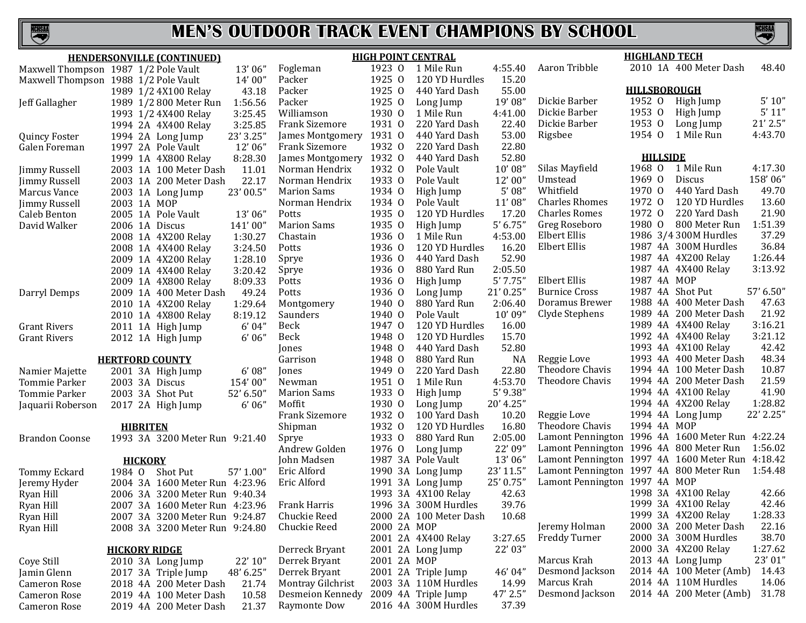



| 2010 1A 400 Meter Dash<br>Aaron Tribble<br>48.40<br>1923 0<br>4:55.40<br>1 Mile Run<br>Maxwell Thompson 1987 1/2 Pole Vault<br>13'06"<br>Fogleman<br>1925 0<br>120 YD Hurdles<br>15.20<br>14'00"<br>Packer<br>Maxwell Thompson 1988 1/2 Pole Vault<br><b>HILLSBOROUGH</b><br>1925 0<br>440 Yard Dash<br>55.00<br>Packer<br>43.18<br>1989 1/2 4X100 Relay<br>1952 0<br>5' 10''<br>19'08"<br>Dickie Barber<br>High Jump<br>Packer<br>1925 0<br>1:56.56<br>Long Jump<br>Jeff Gallagher<br>1989 1/2 800 Meter Run<br>$5'$ $11''$<br>1953 0<br>Dickie Barber<br>High Jump<br>1930 0<br>4:41.00<br>Williamson<br>1 Mile Run<br>3:25.45<br>1993 1/2 4X400 Relay<br>$21'$ $2.5"$<br>1953 0<br><b>Frank Sizemore</b><br>1931 0<br>220 Yard Dash<br>22.40<br>Dickie Barber<br>Long Jump<br>3:25.85<br>1994 2A 4X400 Relay<br>1954 0<br>4:43.70<br>1 Mile Run<br>1931 0<br>53.00<br>Rigsbee<br>23' 3.25"<br>440 Yard Dash<br>James Montgomery<br><b>Quincy Foster</b><br>1994 2A Long Jump<br>1932 0<br>22.80<br>12'06"<br><b>Frank Sizemore</b><br>220 Yard Dash<br>1997 2A Pole Vault<br>Galen Foreman<br>52.80<br><b>HILLSIDE</b><br>1932 0<br>James Montgomery<br>440 Yard Dash<br>8:28.30<br>1999 1A 4X800 Relay<br>1968 0 1 Mile Run<br>4:17.30<br>1932 0<br>10'08"<br>Silas Mayfield<br>Norman Hendrix<br>11.01<br>Pole Vault<br>2003 1A 100 Meter Dash<br>Jimmy Russell<br>158'06"<br>1969 0<br>Discus<br>Umstead<br>1933 0<br>12'00"<br>22.17<br>Norman Hendrix<br>Pole Vault<br>2003 1A 200 Meter Dash<br>Jimmy Russell<br>1970 0<br>49.70<br>5'08''<br>Whitfield<br>440 Yard Dash<br>1934 0<br>23' 00.5"<br><b>Marion Sams</b><br>High Jump<br>Marcus Vance<br>2003 1A Long Jump<br>1972 0<br>120 YD Hurdles<br>13.60<br>11'08"<br><b>Charles Rhomes</b><br>1934 0<br>Norman Hendrix<br>Pole Vault<br>2003 1A MOP<br>Jimmy Russell<br>21.90<br>1972 0<br>220 Yard Dash<br>1935 0<br>17.20<br><b>Charles Romes</b><br>120 YD Hurdles<br>13'06"<br>Potts<br>2005 1A Pole Vault<br>Caleb Benton<br>1:51.39<br>5' 6.75'<br>Greg Roseboro<br>1980 0<br>800 Meter Run<br><b>Marion Sams</b><br>1935 0<br>High Jump<br>2006 1A Discus<br>141'00"<br>David Walker<br>37.29<br>Elbert Ellis<br>1986 3/4 300M Hurdles<br>4:53.00<br>Chastain<br>1936 0<br>1 Mile Run<br>1:30.27<br>2008 1A 4X200 Relay<br>36.84<br>1987 4A 300M Hurdles<br>16.20<br>Elbert Ellis<br>1936 0<br>120 YD Hurdles<br>3:24.50<br>Potts<br>2008 1A 4X400 Relay<br>1:26.44<br>52.90<br>1987 4A 4X200 Relay<br>1936 0<br>440 Yard Dash<br>Sprye<br>2009 1A 4X200 Relay<br>1:28.10<br>3:13.92<br>2:05.50<br>1987 4A 4X400 Relay<br>1936 0<br>880 Yard Run<br>3:20.42<br>Sprye<br>2009 1A 4X400 Relay<br>1987 4A MOP<br>5'7.75''<br>Elbert Ellis<br>1936 0<br>8:09.33<br>High Jump<br>2009 1A 4X800 Relay<br>Potts<br>21'0.25"<br><b>Burnice Cross</b><br>1987 4A Shot Put<br>57' 6.50"<br>1936 0<br>Long Jump<br>49.24<br>Potts<br>Darryl Demps<br>2009 1A 400 Meter Dash<br>Doramus Brewer<br>1988 4A 400 Meter Dash<br>47.63<br>1940 0<br>880 Yard Run<br>2:06.40<br>Montgomery<br>2010 1A 4X200 Relay<br>1:29.64<br>1989 4A 200 Meter Dash<br>21.92<br>10'09"<br>Clyde Stephens<br>1940 0<br>Pole Vault<br>8:19.12<br>Saunders<br>2010 1A 4X800 Relay<br>3:16.21<br>1989 4A 4X400 Relay<br>1947 0<br>16.00<br>6'04"<br>Beck<br>120 YD Hurdles<br><b>Grant Rivers</b><br>2011 1A High Jump<br>3:21.12<br>15.70<br>1992 4A 4X400 Relay<br>1948 0<br>120 YD Hurdles<br>6'06''<br>Beck<br><b>Grant Rivers</b><br>2012 1A High Jump<br>42.42<br>52.80<br>1993 4A 4X100 Relay<br>1948 0<br>440 Yard Dash<br>Jones<br>48.34<br>Reggie Love<br>1993 4A 400 Meter Dash<br>1948 0<br>880 Yard Run<br>NA<br>Garrison<br><b>HERTFORD COUNTY</b><br>10.87<br>22.80<br>Theodore Chavis<br>1994 4A 100 Meter Dash<br>1949 0<br>220 Yard Dash<br>6'08''<br>Namier Majette<br>2001 3A High Jump<br>Jones<br>21.59<br>1994 4A 200 Meter Dash<br>4:53.70<br>Theodore Chavis<br>1951 0<br>1 Mile Run<br>2003 3A Discus<br>154'00"<br>Newman<br>Tommie Parker<br>41.90<br>$5'$ 9.38"<br>1994 4A 4X100 Relay<br>1933 0<br><b>Marion Sams</b><br>High Jump<br>2003 3A Shot Put<br>52' 6.50"<br><b>Tommie Parker</b><br>1:28.82<br>1994 4A 4X200 Relay<br>Moffit<br>1930 0<br>20' 4.25"<br>6'06''<br>Long Jump<br>2017 2A High Jump<br>Jaquarii Roberson<br>22' 2.25"<br>1994 4A Long Jump<br><b>Frank Sizemore</b><br>1932 0<br>10.20<br>Reggie Love<br>100 Yard Dash<br>Theodore Chavis<br>1994 4A MOP<br>1932 0<br>16.80<br>Shipman<br>120 YD Hurdles<br><b>HIBRITEN</b><br>Lamont Pennington 1996 4A 1600 Meter Run 4:22.24<br>1933 0<br>2:05.00<br>880 Yard Run<br>1993 3A 3200 Meter Run 9:21.40<br>Sprye<br><b>Brandon Coonse</b><br>Lamont Pennington 1996 4A 800 Meter Run<br>22' 09"<br>1:56.02<br>1976 0<br>Andrew Golden<br>Long Jump<br>13'06"<br>Lamont Pennington 1997 4A 1600 Meter Run 4:18.42<br>1987 3A Pole Vault<br>John Madsen<br><b>HICKORY</b><br>23' 11.5"<br>Lamont Pennington 1997 4A 800 Meter Run<br>1:54.48<br>1990 3A Long Jump<br>Eric Alford<br>1984 0<br>Shot Put<br>57' 1.00"<br>Tommy Eckard<br>Lamont Pennington 1997 4A MOP<br>25' 0.75"<br>1991 3A Long Jump<br>Eric Alford<br>2004 3A 1600 Meter Run 4:23.96<br>Jeremy Hyder<br>1998 3A 4X100 Relay<br>42.66<br>42.63<br>1993 3A 4X100 Relay<br>Ryan Hill<br>2006 3A 3200 Meter Run 9:40.34<br>1999 3A 4X100 Relay<br>42.46<br>1996 3A 300M Hurdles<br>39.76<br>Frank Harris<br>Ryan Hill<br>2007 3A 1600 Meter Run 4:23.96<br>1999 3A 4X200 Relay<br>1:28.33<br>Chuckie Reed<br>2000 2A 100 Meter Dash<br>10.68<br>Ryan Hill<br>2007 3A 3200 Meter Run 9:24.87<br>22.16<br>Jeremy Holman<br>2000 3A 200 Meter Dash<br>Chuckie Reed<br>2000 2A MOP<br>Ryan Hill<br>2008 3A 3200 Meter Run 9:24.80<br>38.70<br>Freddy Turner<br>2000 3A 300M Hurdles<br>2001 2A 4X400 Relay<br>3:27.65<br>1:27.62<br>2000 3A 4X200 Relay<br>22' 03"<br>Derreck Bryant<br>2001 2A Long Jump<br><b>HICKORY RIDGE</b><br>23'01"<br>Marcus Krah<br>2013 4A Long Jump<br>Derrek Bryant<br>2001 2A MOP<br>22' 10"<br>Coye Still<br>2010 3A Long Jump<br>Desmond Jackson<br>2014 4A 100 Meter (Amb)<br>46' 04"<br>14.43<br>Derrek Bryant<br>2001 2A Triple Jump<br>2017 3A Triple Jump<br>48' 6.25"<br>Jamin Glenn<br>2014 4A 110M Hurdles<br>Marcus Krah<br>14.06<br>Montray Gilchrist<br>2003 3A 110M Hurdles<br>14.99<br><b>Cameron Rose</b><br>2018 4A 200 Meter Dash<br>21.74<br>2014 4A 200 Meter (Amb)<br>31.78<br>47' 2.5"<br>Desmond Jackson<br>Desmeion Kennedy<br>2009 4A Triple Jump<br>10.58<br><b>Cameron Rose</b><br>2019 4A 100 Meter Dash<br>Raymonte Dow<br>2016 4A 300M Hurdles<br>37.39<br>Cameron Rose<br>2019 4A 200 Meter Dash<br>21.37 | <b>HENDERSONVILLE (CONTINUED)</b> |  | <b>HIGH POINT CENTRAL</b> |  | <b>HIGHLAND TECH</b> |  |
|-----------------------------------------------------------------------------------------------------------------------------------------------------------------------------------------------------------------------------------------------------------------------------------------------------------------------------------------------------------------------------------------------------------------------------------------------------------------------------------------------------------------------------------------------------------------------------------------------------------------------------------------------------------------------------------------------------------------------------------------------------------------------------------------------------------------------------------------------------------------------------------------------------------------------------------------------------------------------------------------------------------------------------------------------------------------------------------------------------------------------------------------------------------------------------------------------------------------------------------------------------------------------------------------------------------------------------------------------------------------------------------------------------------------------------------------------------------------------------------------------------------------------------------------------------------------------------------------------------------------------------------------------------------------------------------------------------------------------------------------------------------------------------------------------------------------------------------------------------------------------------------------------------------------------------------------------------------------------------------------------------------------------------------------------------------------------------------------------------------------------------------------------------------------------------------------------------------------------------------------------------------------------------------------------------------------------------------------------------------------------------------------------------------------------------------------------------------------------------------------------------------------------------------------------------------------------------------------------------------------------------------------------------------------------------------------------------------------------------------------------------------------------------------------------------------------------------------------------------------------------------------------------------------------------------------------------------------------------------------------------------------------------------------------------------------------------------------------------------------------------------------------------------------------------------------------------------------------------------------------------------------------------------------------------------------------------------------------------------------------------------------------------------------------------------------------------------------------------------------------------------------------------------------------------------------------------------------------------------------------------------------------------------------------------------------------------------------------------------------------------------------------------------------------------------------------------------------------------------------------------------------------------------------------------------------------------------------------------------------------------------------------------------------------------------------------------------------------------------------------------------------------------------------------------------------------------------------------------------------------------------------------------------------------------------------------------------------------------------------------------------------------------------------------------------------------------------------------------------------------------------------------------------------------------------------------------------------------------------------------------------------------------------------------------------------------------------------------------------------------------------------------------------------------------------------------------------------------------------------------------------------------------------------------------------------------------------------------------------------------------------------------------------------------------------------------------------------------------------------------------------------------------------------------------------------------------------------------------------------------------------------------------------------------------------------------------------------------------------------------------------------------------------------------------------------------------------------------------------------------------------------------------------------------------------------------------------------------------------------------------------------------------------------------------------------------------------------------------------------------------------------------------------------------------------------------------------------------------------------------------------------------------------------------------------------------------------------------------------------------------------------------------------------------------------------------------------------------------------------------------------------------------------------------------------------------------------------------------------------------------------------------------------------------------------------------------------------------------------------------------------------------------------------------------------------------------------------------------------------------------------------------------------------------------------------------------------------------------------------------------------------------------------------------------|-----------------------------------|--|---------------------------|--|----------------------|--|
|                                                                                                                                                                                                                                                                                                                                                                                                                                                                                                                                                                                                                                                                                                                                                                                                                                                                                                                                                                                                                                                                                                                                                                                                                                                                                                                                                                                                                                                                                                                                                                                                                                                                                                                                                                                                                                                                                                                                                                                                                                                                                                                                                                                                                                                                                                                                                                                                                                                                                                                                                                                                                                                                                                                                                                                                                                                                                                                                                                                                                                                                                                                                                                                                                                                                                                                                                                                                                                                                                                                                                                                                                                                                                                                                                                                                                                                                                                                                                                                                                                                                                                                                                                                                                                                                                                                                                                                                                                                                                                                                                                                                                                                                                                                                                                                                                                                                                                                                                                                                                                                                                                                                                                                                                                                                                                                                                                                                                                                                                                                                                                                                                                                                                                                                                                                                                                                                                                                                                                                                                                                                                                                                                                                                                                                                                                                                                                                                                                                                                                                                                                                                                                                                       |                                   |  |                           |  |                      |  |
|                                                                                                                                                                                                                                                                                                                                                                                                                                                                                                                                                                                                                                                                                                                                                                                                                                                                                                                                                                                                                                                                                                                                                                                                                                                                                                                                                                                                                                                                                                                                                                                                                                                                                                                                                                                                                                                                                                                                                                                                                                                                                                                                                                                                                                                                                                                                                                                                                                                                                                                                                                                                                                                                                                                                                                                                                                                                                                                                                                                                                                                                                                                                                                                                                                                                                                                                                                                                                                                                                                                                                                                                                                                                                                                                                                                                                                                                                                                                                                                                                                                                                                                                                                                                                                                                                                                                                                                                                                                                                                                                                                                                                                                                                                                                                                                                                                                                                                                                                                                                                                                                                                                                                                                                                                                                                                                                                                                                                                                                                                                                                                                                                                                                                                                                                                                                                                                                                                                                                                                                                                                                                                                                                                                                                                                                                                                                                                                                                                                                                                                                                                                                                                                                       |                                   |  |                           |  |                      |  |
|                                                                                                                                                                                                                                                                                                                                                                                                                                                                                                                                                                                                                                                                                                                                                                                                                                                                                                                                                                                                                                                                                                                                                                                                                                                                                                                                                                                                                                                                                                                                                                                                                                                                                                                                                                                                                                                                                                                                                                                                                                                                                                                                                                                                                                                                                                                                                                                                                                                                                                                                                                                                                                                                                                                                                                                                                                                                                                                                                                                                                                                                                                                                                                                                                                                                                                                                                                                                                                                                                                                                                                                                                                                                                                                                                                                                                                                                                                                                                                                                                                                                                                                                                                                                                                                                                                                                                                                                                                                                                                                                                                                                                                                                                                                                                                                                                                                                                                                                                                                                                                                                                                                                                                                                                                                                                                                                                                                                                                                                                                                                                                                                                                                                                                                                                                                                                                                                                                                                                                                                                                                                                                                                                                                                                                                                                                                                                                                                                                                                                                                                                                                                                                                                       |                                   |  |                           |  |                      |  |
|                                                                                                                                                                                                                                                                                                                                                                                                                                                                                                                                                                                                                                                                                                                                                                                                                                                                                                                                                                                                                                                                                                                                                                                                                                                                                                                                                                                                                                                                                                                                                                                                                                                                                                                                                                                                                                                                                                                                                                                                                                                                                                                                                                                                                                                                                                                                                                                                                                                                                                                                                                                                                                                                                                                                                                                                                                                                                                                                                                                                                                                                                                                                                                                                                                                                                                                                                                                                                                                                                                                                                                                                                                                                                                                                                                                                                                                                                                                                                                                                                                                                                                                                                                                                                                                                                                                                                                                                                                                                                                                                                                                                                                                                                                                                                                                                                                                                                                                                                                                                                                                                                                                                                                                                                                                                                                                                                                                                                                                                                                                                                                                                                                                                                                                                                                                                                                                                                                                                                                                                                                                                                                                                                                                                                                                                                                                                                                                                                                                                                                                                                                                                                                                                       |                                   |  |                           |  |                      |  |
|                                                                                                                                                                                                                                                                                                                                                                                                                                                                                                                                                                                                                                                                                                                                                                                                                                                                                                                                                                                                                                                                                                                                                                                                                                                                                                                                                                                                                                                                                                                                                                                                                                                                                                                                                                                                                                                                                                                                                                                                                                                                                                                                                                                                                                                                                                                                                                                                                                                                                                                                                                                                                                                                                                                                                                                                                                                                                                                                                                                                                                                                                                                                                                                                                                                                                                                                                                                                                                                                                                                                                                                                                                                                                                                                                                                                                                                                                                                                                                                                                                                                                                                                                                                                                                                                                                                                                                                                                                                                                                                                                                                                                                                                                                                                                                                                                                                                                                                                                                                                                                                                                                                                                                                                                                                                                                                                                                                                                                                                                                                                                                                                                                                                                                                                                                                                                                                                                                                                                                                                                                                                                                                                                                                                                                                                                                                                                                                                                                                                                                                                                                                                                                                                       |                                   |  |                           |  |                      |  |
|                                                                                                                                                                                                                                                                                                                                                                                                                                                                                                                                                                                                                                                                                                                                                                                                                                                                                                                                                                                                                                                                                                                                                                                                                                                                                                                                                                                                                                                                                                                                                                                                                                                                                                                                                                                                                                                                                                                                                                                                                                                                                                                                                                                                                                                                                                                                                                                                                                                                                                                                                                                                                                                                                                                                                                                                                                                                                                                                                                                                                                                                                                                                                                                                                                                                                                                                                                                                                                                                                                                                                                                                                                                                                                                                                                                                                                                                                                                                                                                                                                                                                                                                                                                                                                                                                                                                                                                                                                                                                                                                                                                                                                                                                                                                                                                                                                                                                                                                                                                                                                                                                                                                                                                                                                                                                                                                                                                                                                                                                                                                                                                                                                                                                                                                                                                                                                                                                                                                                                                                                                                                                                                                                                                                                                                                                                                                                                                                                                                                                                                                                                                                                                                                       |                                   |  |                           |  |                      |  |
|                                                                                                                                                                                                                                                                                                                                                                                                                                                                                                                                                                                                                                                                                                                                                                                                                                                                                                                                                                                                                                                                                                                                                                                                                                                                                                                                                                                                                                                                                                                                                                                                                                                                                                                                                                                                                                                                                                                                                                                                                                                                                                                                                                                                                                                                                                                                                                                                                                                                                                                                                                                                                                                                                                                                                                                                                                                                                                                                                                                                                                                                                                                                                                                                                                                                                                                                                                                                                                                                                                                                                                                                                                                                                                                                                                                                                                                                                                                                                                                                                                                                                                                                                                                                                                                                                                                                                                                                                                                                                                                                                                                                                                                                                                                                                                                                                                                                                                                                                                                                                                                                                                                                                                                                                                                                                                                                                                                                                                                                                                                                                                                                                                                                                                                                                                                                                                                                                                                                                                                                                                                                                                                                                                                                                                                                                                                                                                                                                                                                                                                                                                                                                                                                       |                                   |  |                           |  |                      |  |
|                                                                                                                                                                                                                                                                                                                                                                                                                                                                                                                                                                                                                                                                                                                                                                                                                                                                                                                                                                                                                                                                                                                                                                                                                                                                                                                                                                                                                                                                                                                                                                                                                                                                                                                                                                                                                                                                                                                                                                                                                                                                                                                                                                                                                                                                                                                                                                                                                                                                                                                                                                                                                                                                                                                                                                                                                                                                                                                                                                                                                                                                                                                                                                                                                                                                                                                                                                                                                                                                                                                                                                                                                                                                                                                                                                                                                                                                                                                                                                                                                                                                                                                                                                                                                                                                                                                                                                                                                                                                                                                                                                                                                                                                                                                                                                                                                                                                                                                                                                                                                                                                                                                                                                                                                                                                                                                                                                                                                                                                                                                                                                                                                                                                                                                                                                                                                                                                                                                                                                                                                                                                                                                                                                                                                                                                                                                                                                                                                                                                                                                                                                                                                                                                       |                                   |  |                           |  |                      |  |
|                                                                                                                                                                                                                                                                                                                                                                                                                                                                                                                                                                                                                                                                                                                                                                                                                                                                                                                                                                                                                                                                                                                                                                                                                                                                                                                                                                                                                                                                                                                                                                                                                                                                                                                                                                                                                                                                                                                                                                                                                                                                                                                                                                                                                                                                                                                                                                                                                                                                                                                                                                                                                                                                                                                                                                                                                                                                                                                                                                                                                                                                                                                                                                                                                                                                                                                                                                                                                                                                                                                                                                                                                                                                                                                                                                                                                                                                                                                                                                                                                                                                                                                                                                                                                                                                                                                                                                                                                                                                                                                                                                                                                                                                                                                                                                                                                                                                                                                                                                                                                                                                                                                                                                                                                                                                                                                                                                                                                                                                                                                                                                                                                                                                                                                                                                                                                                                                                                                                                                                                                                                                                                                                                                                                                                                                                                                                                                                                                                                                                                                                                                                                                                                                       |                                   |  |                           |  |                      |  |
|                                                                                                                                                                                                                                                                                                                                                                                                                                                                                                                                                                                                                                                                                                                                                                                                                                                                                                                                                                                                                                                                                                                                                                                                                                                                                                                                                                                                                                                                                                                                                                                                                                                                                                                                                                                                                                                                                                                                                                                                                                                                                                                                                                                                                                                                                                                                                                                                                                                                                                                                                                                                                                                                                                                                                                                                                                                                                                                                                                                                                                                                                                                                                                                                                                                                                                                                                                                                                                                                                                                                                                                                                                                                                                                                                                                                                                                                                                                                                                                                                                                                                                                                                                                                                                                                                                                                                                                                                                                                                                                                                                                                                                                                                                                                                                                                                                                                                                                                                                                                                                                                                                                                                                                                                                                                                                                                                                                                                                                                                                                                                                                                                                                                                                                                                                                                                                                                                                                                                                                                                                                                                                                                                                                                                                                                                                                                                                                                                                                                                                                                                                                                                                                                       |                                   |  |                           |  |                      |  |
|                                                                                                                                                                                                                                                                                                                                                                                                                                                                                                                                                                                                                                                                                                                                                                                                                                                                                                                                                                                                                                                                                                                                                                                                                                                                                                                                                                                                                                                                                                                                                                                                                                                                                                                                                                                                                                                                                                                                                                                                                                                                                                                                                                                                                                                                                                                                                                                                                                                                                                                                                                                                                                                                                                                                                                                                                                                                                                                                                                                                                                                                                                                                                                                                                                                                                                                                                                                                                                                                                                                                                                                                                                                                                                                                                                                                                                                                                                                                                                                                                                                                                                                                                                                                                                                                                                                                                                                                                                                                                                                                                                                                                                                                                                                                                                                                                                                                                                                                                                                                                                                                                                                                                                                                                                                                                                                                                                                                                                                                                                                                                                                                                                                                                                                                                                                                                                                                                                                                                                                                                                                                                                                                                                                                                                                                                                                                                                                                                                                                                                                                                                                                                                                                       |                                   |  |                           |  |                      |  |
|                                                                                                                                                                                                                                                                                                                                                                                                                                                                                                                                                                                                                                                                                                                                                                                                                                                                                                                                                                                                                                                                                                                                                                                                                                                                                                                                                                                                                                                                                                                                                                                                                                                                                                                                                                                                                                                                                                                                                                                                                                                                                                                                                                                                                                                                                                                                                                                                                                                                                                                                                                                                                                                                                                                                                                                                                                                                                                                                                                                                                                                                                                                                                                                                                                                                                                                                                                                                                                                                                                                                                                                                                                                                                                                                                                                                                                                                                                                                                                                                                                                                                                                                                                                                                                                                                                                                                                                                                                                                                                                                                                                                                                                                                                                                                                                                                                                                                                                                                                                                                                                                                                                                                                                                                                                                                                                                                                                                                                                                                                                                                                                                                                                                                                                                                                                                                                                                                                                                                                                                                                                                                                                                                                                                                                                                                                                                                                                                                                                                                                                                                                                                                                                                       |                                   |  |                           |  |                      |  |
|                                                                                                                                                                                                                                                                                                                                                                                                                                                                                                                                                                                                                                                                                                                                                                                                                                                                                                                                                                                                                                                                                                                                                                                                                                                                                                                                                                                                                                                                                                                                                                                                                                                                                                                                                                                                                                                                                                                                                                                                                                                                                                                                                                                                                                                                                                                                                                                                                                                                                                                                                                                                                                                                                                                                                                                                                                                                                                                                                                                                                                                                                                                                                                                                                                                                                                                                                                                                                                                                                                                                                                                                                                                                                                                                                                                                                                                                                                                                                                                                                                                                                                                                                                                                                                                                                                                                                                                                                                                                                                                                                                                                                                                                                                                                                                                                                                                                                                                                                                                                                                                                                                                                                                                                                                                                                                                                                                                                                                                                                                                                                                                                                                                                                                                                                                                                                                                                                                                                                                                                                                                                                                                                                                                                                                                                                                                                                                                                                                                                                                                                                                                                                                                                       |                                   |  |                           |  |                      |  |
|                                                                                                                                                                                                                                                                                                                                                                                                                                                                                                                                                                                                                                                                                                                                                                                                                                                                                                                                                                                                                                                                                                                                                                                                                                                                                                                                                                                                                                                                                                                                                                                                                                                                                                                                                                                                                                                                                                                                                                                                                                                                                                                                                                                                                                                                                                                                                                                                                                                                                                                                                                                                                                                                                                                                                                                                                                                                                                                                                                                                                                                                                                                                                                                                                                                                                                                                                                                                                                                                                                                                                                                                                                                                                                                                                                                                                                                                                                                                                                                                                                                                                                                                                                                                                                                                                                                                                                                                                                                                                                                                                                                                                                                                                                                                                                                                                                                                                                                                                                                                                                                                                                                                                                                                                                                                                                                                                                                                                                                                                                                                                                                                                                                                                                                                                                                                                                                                                                                                                                                                                                                                                                                                                                                                                                                                                                                                                                                                                                                                                                                                                                                                                                                                       |                                   |  |                           |  |                      |  |
|                                                                                                                                                                                                                                                                                                                                                                                                                                                                                                                                                                                                                                                                                                                                                                                                                                                                                                                                                                                                                                                                                                                                                                                                                                                                                                                                                                                                                                                                                                                                                                                                                                                                                                                                                                                                                                                                                                                                                                                                                                                                                                                                                                                                                                                                                                                                                                                                                                                                                                                                                                                                                                                                                                                                                                                                                                                                                                                                                                                                                                                                                                                                                                                                                                                                                                                                                                                                                                                                                                                                                                                                                                                                                                                                                                                                                                                                                                                                                                                                                                                                                                                                                                                                                                                                                                                                                                                                                                                                                                                                                                                                                                                                                                                                                                                                                                                                                                                                                                                                                                                                                                                                                                                                                                                                                                                                                                                                                                                                                                                                                                                                                                                                                                                                                                                                                                                                                                                                                                                                                                                                                                                                                                                                                                                                                                                                                                                                                                                                                                                                                                                                                                                                       |                                   |  |                           |  |                      |  |
|                                                                                                                                                                                                                                                                                                                                                                                                                                                                                                                                                                                                                                                                                                                                                                                                                                                                                                                                                                                                                                                                                                                                                                                                                                                                                                                                                                                                                                                                                                                                                                                                                                                                                                                                                                                                                                                                                                                                                                                                                                                                                                                                                                                                                                                                                                                                                                                                                                                                                                                                                                                                                                                                                                                                                                                                                                                                                                                                                                                                                                                                                                                                                                                                                                                                                                                                                                                                                                                                                                                                                                                                                                                                                                                                                                                                                                                                                                                                                                                                                                                                                                                                                                                                                                                                                                                                                                                                                                                                                                                                                                                                                                                                                                                                                                                                                                                                                                                                                                                                                                                                                                                                                                                                                                                                                                                                                                                                                                                                                                                                                                                                                                                                                                                                                                                                                                                                                                                                                                                                                                                                                                                                                                                                                                                                                                                                                                                                                                                                                                                                                                                                                                                                       |                                   |  |                           |  |                      |  |
|                                                                                                                                                                                                                                                                                                                                                                                                                                                                                                                                                                                                                                                                                                                                                                                                                                                                                                                                                                                                                                                                                                                                                                                                                                                                                                                                                                                                                                                                                                                                                                                                                                                                                                                                                                                                                                                                                                                                                                                                                                                                                                                                                                                                                                                                                                                                                                                                                                                                                                                                                                                                                                                                                                                                                                                                                                                                                                                                                                                                                                                                                                                                                                                                                                                                                                                                                                                                                                                                                                                                                                                                                                                                                                                                                                                                                                                                                                                                                                                                                                                                                                                                                                                                                                                                                                                                                                                                                                                                                                                                                                                                                                                                                                                                                                                                                                                                                                                                                                                                                                                                                                                                                                                                                                                                                                                                                                                                                                                                                                                                                                                                                                                                                                                                                                                                                                                                                                                                                                                                                                                                                                                                                                                                                                                                                                                                                                                                                                                                                                                                                                                                                                                                       |                                   |  |                           |  |                      |  |
|                                                                                                                                                                                                                                                                                                                                                                                                                                                                                                                                                                                                                                                                                                                                                                                                                                                                                                                                                                                                                                                                                                                                                                                                                                                                                                                                                                                                                                                                                                                                                                                                                                                                                                                                                                                                                                                                                                                                                                                                                                                                                                                                                                                                                                                                                                                                                                                                                                                                                                                                                                                                                                                                                                                                                                                                                                                                                                                                                                                                                                                                                                                                                                                                                                                                                                                                                                                                                                                                                                                                                                                                                                                                                                                                                                                                                                                                                                                                                                                                                                                                                                                                                                                                                                                                                                                                                                                                                                                                                                                                                                                                                                                                                                                                                                                                                                                                                                                                                                                                                                                                                                                                                                                                                                                                                                                                                                                                                                                                                                                                                                                                                                                                                                                                                                                                                                                                                                                                                                                                                                                                                                                                                                                                                                                                                                                                                                                                                                                                                                                                                                                                                                                                       |                                   |  |                           |  |                      |  |
|                                                                                                                                                                                                                                                                                                                                                                                                                                                                                                                                                                                                                                                                                                                                                                                                                                                                                                                                                                                                                                                                                                                                                                                                                                                                                                                                                                                                                                                                                                                                                                                                                                                                                                                                                                                                                                                                                                                                                                                                                                                                                                                                                                                                                                                                                                                                                                                                                                                                                                                                                                                                                                                                                                                                                                                                                                                                                                                                                                                                                                                                                                                                                                                                                                                                                                                                                                                                                                                                                                                                                                                                                                                                                                                                                                                                                                                                                                                                                                                                                                                                                                                                                                                                                                                                                                                                                                                                                                                                                                                                                                                                                                                                                                                                                                                                                                                                                                                                                                                                                                                                                                                                                                                                                                                                                                                                                                                                                                                                                                                                                                                                                                                                                                                                                                                                                                                                                                                                                                                                                                                                                                                                                                                                                                                                                                                                                                                                                                                                                                                                                                                                                                                                       |                                   |  |                           |  |                      |  |
|                                                                                                                                                                                                                                                                                                                                                                                                                                                                                                                                                                                                                                                                                                                                                                                                                                                                                                                                                                                                                                                                                                                                                                                                                                                                                                                                                                                                                                                                                                                                                                                                                                                                                                                                                                                                                                                                                                                                                                                                                                                                                                                                                                                                                                                                                                                                                                                                                                                                                                                                                                                                                                                                                                                                                                                                                                                                                                                                                                                                                                                                                                                                                                                                                                                                                                                                                                                                                                                                                                                                                                                                                                                                                                                                                                                                                                                                                                                                                                                                                                                                                                                                                                                                                                                                                                                                                                                                                                                                                                                                                                                                                                                                                                                                                                                                                                                                                                                                                                                                                                                                                                                                                                                                                                                                                                                                                                                                                                                                                                                                                                                                                                                                                                                                                                                                                                                                                                                                                                                                                                                                                                                                                                                                                                                                                                                                                                                                                                                                                                                                                                                                                                                                       |                                   |  |                           |  |                      |  |
|                                                                                                                                                                                                                                                                                                                                                                                                                                                                                                                                                                                                                                                                                                                                                                                                                                                                                                                                                                                                                                                                                                                                                                                                                                                                                                                                                                                                                                                                                                                                                                                                                                                                                                                                                                                                                                                                                                                                                                                                                                                                                                                                                                                                                                                                                                                                                                                                                                                                                                                                                                                                                                                                                                                                                                                                                                                                                                                                                                                                                                                                                                                                                                                                                                                                                                                                                                                                                                                                                                                                                                                                                                                                                                                                                                                                                                                                                                                                                                                                                                                                                                                                                                                                                                                                                                                                                                                                                                                                                                                                                                                                                                                                                                                                                                                                                                                                                                                                                                                                                                                                                                                                                                                                                                                                                                                                                                                                                                                                                                                                                                                                                                                                                                                                                                                                                                                                                                                                                                                                                                                                                                                                                                                                                                                                                                                                                                                                                                                                                                                                                                                                                                                                       |                                   |  |                           |  |                      |  |
|                                                                                                                                                                                                                                                                                                                                                                                                                                                                                                                                                                                                                                                                                                                                                                                                                                                                                                                                                                                                                                                                                                                                                                                                                                                                                                                                                                                                                                                                                                                                                                                                                                                                                                                                                                                                                                                                                                                                                                                                                                                                                                                                                                                                                                                                                                                                                                                                                                                                                                                                                                                                                                                                                                                                                                                                                                                                                                                                                                                                                                                                                                                                                                                                                                                                                                                                                                                                                                                                                                                                                                                                                                                                                                                                                                                                                                                                                                                                                                                                                                                                                                                                                                                                                                                                                                                                                                                                                                                                                                                                                                                                                                                                                                                                                                                                                                                                                                                                                                                                                                                                                                                                                                                                                                                                                                                                                                                                                                                                                                                                                                                                                                                                                                                                                                                                                                                                                                                                                                                                                                                                                                                                                                                                                                                                                                                                                                                                                                                                                                                                                                                                                                                                       |                                   |  |                           |  |                      |  |
|                                                                                                                                                                                                                                                                                                                                                                                                                                                                                                                                                                                                                                                                                                                                                                                                                                                                                                                                                                                                                                                                                                                                                                                                                                                                                                                                                                                                                                                                                                                                                                                                                                                                                                                                                                                                                                                                                                                                                                                                                                                                                                                                                                                                                                                                                                                                                                                                                                                                                                                                                                                                                                                                                                                                                                                                                                                                                                                                                                                                                                                                                                                                                                                                                                                                                                                                                                                                                                                                                                                                                                                                                                                                                                                                                                                                                                                                                                                                                                                                                                                                                                                                                                                                                                                                                                                                                                                                                                                                                                                                                                                                                                                                                                                                                                                                                                                                                                                                                                                                                                                                                                                                                                                                                                                                                                                                                                                                                                                                                                                                                                                                                                                                                                                                                                                                                                                                                                                                                                                                                                                                                                                                                                                                                                                                                                                                                                                                                                                                                                                                                                                                                                                                       |                                   |  |                           |  |                      |  |
|                                                                                                                                                                                                                                                                                                                                                                                                                                                                                                                                                                                                                                                                                                                                                                                                                                                                                                                                                                                                                                                                                                                                                                                                                                                                                                                                                                                                                                                                                                                                                                                                                                                                                                                                                                                                                                                                                                                                                                                                                                                                                                                                                                                                                                                                                                                                                                                                                                                                                                                                                                                                                                                                                                                                                                                                                                                                                                                                                                                                                                                                                                                                                                                                                                                                                                                                                                                                                                                                                                                                                                                                                                                                                                                                                                                                                                                                                                                                                                                                                                                                                                                                                                                                                                                                                                                                                                                                                                                                                                                                                                                                                                                                                                                                                                                                                                                                                                                                                                                                                                                                                                                                                                                                                                                                                                                                                                                                                                                                                                                                                                                                                                                                                                                                                                                                                                                                                                                                                                                                                                                                                                                                                                                                                                                                                                                                                                                                                                                                                                                                                                                                                                                                       |                                   |  |                           |  |                      |  |
|                                                                                                                                                                                                                                                                                                                                                                                                                                                                                                                                                                                                                                                                                                                                                                                                                                                                                                                                                                                                                                                                                                                                                                                                                                                                                                                                                                                                                                                                                                                                                                                                                                                                                                                                                                                                                                                                                                                                                                                                                                                                                                                                                                                                                                                                                                                                                                                                                                                                                                                                                                                                                                                                                                                                                                                                                                                                                                                                                                                                                                                                                                                                                                                                                                                                                                                                                                                                                                                                                                                                                                                                                                                                                                                                                                                                                                                                                                                                                                                                                                                                                                                                                                                                                                                                                                                                                                                                                                                                                                                                                                                                                                                                                                                                                                                                                                                                                                                                                                                                                                                                                                                                                                                                                                                                                                                                                                                                                                                                                                                                                                                                                                                                                                                                                                                                                                                                                                                                                                                                                                                                                                                                                                                                                                                                                                                                                                                                                                                                                                                                                                                                                                                                       |                                   |  |                           |  |                      |  |
|                                                                                                                                                                                                                                                                                                                                                                                                                                                                                                                                                                                                                                                                                                                                                                                                                                                                                                                                                                                                                                                                                                                                                                                                                                                                                                                                                                                                                                                                                                                                                                                                                                                                                                                                                                                                                                                                                                                                                                                                                                                                                                                                                                                                                                                                                                                                                                                                                                                                                                                                                                                                                                                                                                                                                                                                                                                                                                                                                                                                                                                                                                                                                                                                                                                                                                                                                                                                                                                                                                                                                                                                                                                                                                                                                                                                                                                                                                                                                                                                                                                                                                                                                                                                                                                                                                                                                                                                                                                                                                                                                                                                                                                                                                                                                                                                                                                                                                                                                                                                                                                                                                                                                                                                                                                                                                                                                                                                                                                                                                                                                                                                                                                                                                                                                                                                                                                                                                                                                                                                                                                                                                                                                                                                                                                                                                                                                                                                                                                                                                                                                                                                                                                                       |                                   |  |                           |  |                      |  |
|                                                                                                                                                                                                                                                                                                                                                                                                                                                                                                                                                                                                                                                                                                                                                                                                                                                                                                                                                                                                                                                                                                                                                                                                                                                                                                                                                                                                                                                                                                                                                                                                                                                                                                                                                                                                                                                                                                                                                                                                                                                                                                                                                                                                                                                                                                                                                                                                                                                                                                                                                                                                                                                                                                                                                                                                                                                                                                                                                                                                                                                                                                                                                                                                                                                                                                                                                                                                                                                                                                                                                                                                                                                                                                                                                                                                                                                                                                                                                                                                                                                                                                                                                                                                                                                                                                                                                                                                                                                                                                                                                                                                                                                                                                                                                                                                                                                                                                                                                                                                                                                                                                                                                                                                                                                                                                                                                                                                                                                                                                                                                                                                                                                                                                                                                                                                                                                                                                                                                                                                                                                                                                                                                                                                                                                                                                                                                                                                                                                                                                                                                                                                                                                                       |                                   |  |                           |  |                      |  |
|                                                                                                                                                                                                                                                                                                                                                                                                                                                                                                                                                                                                                                                                                                                                                                                                                                                                                                                                                                                                                                                                                                                                                                                                                                                                                                                                                                                                                                                                                                                                                                                                                                                                                                                                                                                                                                                                                                                                                                                                                                                                                                                                                                                                                                                                                                                                                                                                                                                                                                                                                                                                                                                                                                                                                                                                                                                                                                                                                                                                                                                                                                                                                                                                                                                                                                                                                                                                                                                                                                                                                                                                                                                                                                                                                                                                                                                                                                                                                                                                                                                                                                                                                                                                                                                                                                                                                                                                                                                                                                                                                                                                                                                                                                                                                                                                                                                                                                                                                                                                                                                                                                                                                                                                                                                                                                                                                                                                                                                                                                                                                                                                                                                                                                                                                                                                                                                                                                                                                                                                                                                                                                                                                                                                                                                                                                                                                                                                                                                                                                                                                                                                                                                                       |                                   |  |                           |  |                      |  |
|                                                                                                                                                                                                                                                                                                                                                                                                                                                                                                                                                                                                                                                                                                                                                                                                                                                                                                                                                                                                                                                                                                                                                                                                                                                                                                                                                                                                                                                                                                                                                                                                                                                                                                                                                                                                                                                                                                                                                                                                                                                                                                                                                                                                                                                                                                                                                                                                                                                                                                                                                                                                                                                                                                                                                                                                                                                                                                                                                                                                                                                                                                                                                                                                                                                                                                                                                                                                                                                                                                                                                                                                                                                                                                                                                                                                                                                                                                                                                                                                                                                                                                                                                                                                                                                                                                                                                                                                                                                                                                                                                                                                                                                                                                                                                                                                                                                                                                                                                                                                                                                                                                                                                                                                                                                                                                                                                                                                                                                                                                                                                                                                                                                                                                                                                                                                                                                                                                                                                                                                                                                                                                                                                                                                                                                                                                                                                                                                                                                                                                                                                                                                                                                                       |                                   |  |                           |  |                      |  |
|                                                                                                                                                                                                                                                                                                                                                                                                                                                                                                                                                                                                                                                                                                                                                                                                                                                                                                                                                                                                                                                                                                                                                                                                                                                                                                                                                                                                                                                                                                                                                                                                                                                                                                                                                                                                                                                                                                                                                                                                                                                                                                                                                                                                                                                                                                                                                                                                                                                                                                                                                                                                                                                                                                                                                                                                                                                                                                                                                                                                                                                                                                                                                                                                                                                                                                                                                                                                                                                                                                                                                                                                                                                                                                                                                                                                                                                                                                                                                                                                                                                                                                                                                                                                                                                                                                                                                                                                                                                                                                                                                                                                                                                                                                                                                                                                                                                                                                                                                                                                                                                                                                                                                                                                                                                                                                                                                                                                                                                                                                                                                                                                                                                                                                                                                                                                                                                                                                                                                                                                                                                                                                                                                                                                                                                                                                                                                                                                                                                                                                                                                                                                                                                                       |                                   |  |                           |  |                      |  |
|                                                                                                                                                                                                                                                                                                                                                                                                                                                                                                                                                                                                                                                                                                                                                                                                                                                                                                                                                                                                                                                                                                                                                                                                                                                                                                                                                                                                                                                                                                                                                                                                                                                                                                                                                                                                                                                                                                                                                                                                                                                                                                                                                                                                                                                                                                                                                                                                                                                                                                                                                                                                                                                                                                                                                                                                                                                                                                                                                                                                                                                                                                                                                                                                                                                                                                                                                                                                                                                                                                                                                                                                                                                                                                                                                                                                                                                                                                                                                                                                                                                                                                                                                                                                                                                                                                                                                                                                                                                                                                                                                                                                                                                                                                                                                                                                                                                                                                                                                                                                                                                                                                                                                                                                                                                                                                                                                                                                                                                                                                                                                                                                                                                                                                                                                                                                                                                                                                                                                                                                                                                                                                                                                                                                                                                                                                                                                                                                                                                                                                                                                                                                                                                                       |                                   |  |                           |  |                      |  |
|                                                                                                                                                                                                                                                                                                                                                                                                                                                                                                                                                                                                                                                                                                                                                                                                                                                                                                                                                                                                                                                                                                                                                                                                                                                                                                                                                                                                                                                                                                                                                                                                                                                                                                                                                                                                                                                                                                                                                                                                                                                                                                                                                                                                                                                                                                                                                                                                                                                                                                                                                                                                                                                                                                                                                                                                                                                                                                                                                                                                                                                                                                                                                                                                                                                                                                                                                                                                                                                                                                                                                                                                                                                                                                                                                                                                                                                                                                                                                                                                                                                                                                                                                                                                                                                                                                                                                                                                                                                                                                                                                                                                                                                                                                                                                                                                                                                                                                                                                                                                                                                                                                                                                                                                                                                                                                                                                                                                                                                                                                                                                                                                                                                                                                                                                                                                                                                                                                                                                                                                                                                                                                                                                                                                                                                                                                                                                                                                                                                                                                                                                                                                                                                                       |                                   |  |                           |  |                      |  |
|                                                                                                                                                                                                                                                                                                                                                                                                                                                                                                                                                                                                                                                                                                                                                                                                                                                                                                                                                                                                                                                                                                                                                                                                                                                                                                                                                                                                                                                                                                                                                                                                                                                                                                                                                                                                                                                                                                                                                                                                                                                                                                                                                                                                                                                                                                                                                                                                                                                                                                                                                                                                                                                                                                                                                                                                                                                                                                                                                                                                                                                                                                                                                                                                                                                                                                                                                                                                                                                                                                                                                                                                                                                                                                                                                                                                                                                                                                                                                                                                                                                                                                                                                                                                                                                                                                                                                                                                                                                                                                                                                                                                                                                                                                                                                                                                                                                                                                                                                                                                                                                                                                                                                                                                                                                                                                                                                                                                                                                                                                                                                                                                                                                                                                                                                                                                                                                                                                                                                                                                                                                                                                                                                                                                                                                                                                                                                                                                                                                                                                                                                                                                                                                                       |                                   |  |                           |  |                      |  |
|                                                                                                                                                                                                                                                                                                                                                                                                                                                                                                                                                                                                                                                                                                                                                                                                                                                                                                                                                                                                                                                                                                                                                                                                                                                                                                                                                                                                                                                                                                                                                                                                                                                                                                                                                                                                                                                                                                                                                                                                                                                                                                                                                                                                                                                                                                                                                                                                                                                                                                                                                                                                                                                                                                                                                                                                                                                                                                                                                                                                                                                                                                                                                                                                                                                                                                                                                                                                                                                                                                                                                                                                                                                                                                                                                                                                                                                                                                                                                                                                                                                                                                                                                                                                                                                                                                                                                                                                                                                                                                                                                                                                                                                                                                                                                                                                                                                                                                                                                                                                                                                                                                                                                                                                                                                                                                                                                                                                                                                                                                                                                                                                                                                                                                                                                                                                                                                                                                                                                                                                                                                                                                                                                                                                                                                                                                                                                                                                                                                                                                                                                                                                                                                                       |                                   |  |                           |  |                      |  |
|                                                                                                                                                                                                                                                                                                                                                                                                                                                                                                                                                                                                                                                                                                                                                                                                                                                                                                                                                                                                                                                                                                                                                                                                                                                                                                                                                                                                                                                                                                                                                                                                                                                                                                                                                                                                                                                                                                                                                                                                                                                                                                                                                                                                                                                                                                                                                                                                                                                                                                                                                                                                                                                                                                                                                                                                                                                                                                                                                                                                                                                                                                                                                                                                                                                                                                                                                                                                                                                                                                                                                                                                                                                                                                                                                                                                                                                                                                                                                                                                                                                                                                                                                                                                                                                                                                                                                                                                                                                                                                                                                                                                                                                                                                                                                                                                                                                                                                                                                                                                                                                                                                                                                                                                                                                                                                                                                                                                                                                                                                                                                                                                                                                                                                                                                                                                                                                                                                                                                                                                                                                                                                                                                                                                                                                                                                                                                                                                                                                                                                                                                                                                                                                                       |                                   |  |                           |  |                      |  |
|                                                                                                                                                                                                                                                                                                                                                                                                                                                                                                                                                                                                                                                                                                                                                                                                                                                                                                                                                                                                                                                                                                                                                                                                                                                                                                                                                                                                                                                                                                                                                                                                                                                                                                                                                                                                                                                                                                                                                                                                                                                                                                                                                                                                                                                                                                                                                                                                                                                                                                                                                                                                                                                                                                                                                                                                                                                                                                                                                                                                                                                                                                                                                                                                                                                                                                                                                                                                                                                                                                                                                                                                                                                                                                                                                                                                                                                                                                                                                                                                                                                                                                                                                                                                                                                                                                                                                                                                                                                                                                                                                                                                                                                                                                                                                                                                                                                                                                                                                                                                                                                                                                                                                                                                                                                                                                                                                                                                                                                                                                                                                                                                                                                                                                                                                                                                                                                                                                                                                                                                                                                                                                                                                                                                                                                                                                                                                                                                                                                                                                                                                                                                                                                                       |                                   |  |                           |  |                      |  |
|                                                                                                                                                                                                                                                                                                                                                                                                                                                                                                                                                                                                                                                                                                                                                                                                                                                                                                                                                                                                                                                                                                                                                                                                                                                                                                                                                                                                                                                                                                                                                                                                                                                                                                                                                                                                                                                                                                                                                                                                                                                                                                                                                                                                                                                                                                                                                                                                                                                                                                                                                                                                                                                                                                                                                                                                                                                                                                                                                                                                                                                                                                                                                                                                                                                                                                                                                                                                                                                                                                                                                                                                                                                                                                                                                                                                                                                                                                                                                                                                                                                                                                                                                                                                                                                                                                                                                                                                                                                                                                                                                                                                                                                                                                                                                                                                                                                                                                                                                                                                                                                                                                                                                                                                                                                                                                                                                                                                                                                                                                                                                                                                                                                                                                                                                                                                                                                                                                                                                                                                                                                                                                                                                                                                                                                                                                                                                                                                                                                                                                                                                                                                                                                                       |                                   |  |                           |  |                      |  |
|                                                                                                                                                                                                                                                                                                                                                                                                                                                                                                                                                                                                                                                                                                                                                                                                                                                                                                                                                                                                                                                                                                                                                                                                                                                                                                                                                                                                                                                                                                                                                                                                                                                                                                                                                                                                                                                                                                                                                                                                                                                                                                                                                                                                                                                                                                                                                                                                                                                                                                                                                                                                                                                                                                                                                                                                                                                                                                                                                                                                                                                                                                                                                                                                                                                                                                                                                                                                                                                                                                                                                                                                                                                                                                                                                                                                                                                                                                                                                                                                                                                                                                                                                                                                                                                                                                                                                                                                                                                                                                                                                                                                                                                                                                                                                                                                                                                                                                                                                                                                                                                                                                                                                                                                                                                                                                                                                                                                                                                                                                                                                                                                                                                                                                                                                                                                                                                                                                                                                                                                                                                                                                                                                                                                                                                                                                                                                                                                                                                                                                                                                                                                                                                                       |                                   |  |                           |  |                      |  |
|                                                                                                                                                                                                                                                                                                                                                                                                                                                                                                                                                                                                                                                                                                                                                                                                                                                                                                                                                                                                                                                                                                                                                                                                                                                                                                                                                                                                                                                                                                                                                                                                                                                                                                                                                                                                                                                                                                                                                                                                                                                                                                                                                                                                                                                                                                                                                                                                                                                                                                                                                                                                                                                                                                                                                                                                                                                                                                                                                                                                                                                                                                                                                                                                                                                                                                                                                                                                                                                                                                                                                                                                                                                                                                                                                                                                                                                                                                                                                                                                                                                                                                                                                                                                                                                                                                                                                                                                                                                                                                                                                                                                                                                                                                                                                                                                                                                                                                                                                                                                                                                                                                                                                                                                                                                                                                                                                                                                                                                                                                                                                                                                                                                                                                                                                                                                                                                                                                                                                                                                                                                                                                                                                                                                                                                                                                                                                                                                                                                                                                                                                                                                                                                                       |                                   |  |                           |  |                      |  |
|                                                                                                                                                                                                                                                                                                                                                                                                                                                                                                                                                                                                                                                                                                                                                                                                                                                                                                                                                                                                                                                                                                                                                                                                                                                                                                                                                                                                                                                                                                                                                                                                                                                                                                                                                                                                                                                                                                                                                                                                                                                                                                                                                                                                                                                                                                                                                                                                                                                                                                                                                                                                                                                                                                                                                                                                                                                                                                                                                                                                                                                                                                                                                                                                                                                                                                                                                                                                                                                                                                                                                                                                                                                                                                                                                                                                                                                                                                                                                                                                                                                                                                                                                                                                                                                                                                                                                                                                                                                                                                                                                                                                                                                                                                                                                                                                                                                                                                                                                                                                                                                                                                                                                                                                                                                                                                                                                                                                                                                                                                                                                                                                                                                                                                                                                                                                                                                                                                                                                                                                                                                                                                                                                                                                                                                                                                                                                                                                                                                                                                                                                                                                                                                                       |                                   |  |                           |  |                      |  |
|                                                                                                                                                                                                                                                                                                                                                                                                                                                                                                                                                                                                                                                                                                                                                                                                                                                                                                                                                                                                                                                                                                                                                                                                                                                                                                                                                                                                                                                                                                                                                                                                                                                                                                                                                                                                                                                                                                                                                                                                                                                                                                                                                                                                                                                                                                                                                                                                                                                                                                                                                                                                                                                                                                                                                                                                                                                                                                                                                                                                                                                                                                                                                                                                                                                                                                                                                                                                                                                                                                                                                                                                                                                                                                                                                                                                                                                                                                                                                                                                                                                                                                                                                                                                                                                                                                                                                                                                                                                                                                                                                                                                                                                                                                                                                                                                                                                                                                                                                                                                                                                                                                                                                                                                                                                                                                                                                                                                                                                                                                                                                                                                                                                                                                                                                                                                                                                                                                                                                                                                                                                                                                                                                                                                                                                                                                                                                                                                                                                                                                                                                                                                                                                                       |                                   |  |                           |  |                      |  |
|                                                                                                                                                                                                                                                                                                                                                                                                                                                                                                                                                                                                                                                                                                                                                                                                                                                                                                                                                                                                                                                                                                                                                                                                                                                                                                                                                                                                                                                                                                                                                                                                                                                                                                                                                                                                                                                                                                                                                                                                                                                                                                                                                                                                                                                                                                                                                                                                                                                                                                                                                                                                                                                                                                                                                                                                                                                                                                                                                                                                                                                                                                                                                                                                                                                                                                                                                                                                                                                                                                                                                                                                                                                                                                                                                                                                                                                                                                                                                                                                                                                                                                                                                                                                                                                                                                                                                                                                                                                                                                                                                                                                                                                                                                                                                                                                                                                                                                                                                                                                                                                                                                                                                                                                                                                                                                                                                                                                                                                                                                                                                                                                                                                                                                                                                                                                                                                                                                                                                                                                                                                                                                                                                                                                                                                                                                                                                                                                                                                                                                                                                                                                                                                                       |                                   |  |                           |  |                      |  |
|                                                                                                                                                                                                                                                                                                                                                                                                                                                                                                                                                                                                                                                                                                                                                                                                                                                                                                                                                                                                                                                                                                                                                                                                                                                                                                                                                                                                                                                                                                                                                                                                                                                                                                                                                                                                                                                                                                                                                                                                                                                                                                                                                                                                                                                                                                                                                                                                                                                                                                                                                                                                                                                                                                                                                                                                                                                                                                                                                                                                                                                                                                                                                                                                                                                                                                                                                                                                                                                                                                                                                                                                                                                                                                                                                                                                                                                                                                                                                                                                                                                                                                                                                                                                                                                                                                                                                                                                                                                                                                                                                                                                                                                                                                                                                                                                                                                                                                                                                                                                                                                                                                                                                                                                                                                                                                                                                                                                                                                                                                                                                                                                                                                                                                                                                                                                                                                                                                                                                                                                                                                                                                                                                                                                                                                                                                                                                                                                                                                                                                                                                                                                                                                                       |                                   |  |                           |  |                      |  |
|                                                                                                                                                                                                                                                                                                                                                                                                                                                                                                                                                                                                                                                                                                                                                                                                                                                                                                                                                                                                                                                                                                                                                                                                                                                                                                                                                                                                                                                                                                                                                                                                                                                                                                                                                                                                                                                                                                                                                                                                                                                                                                                                                                                                                                                                                                                                                                                                                                                                                                                                                                                                                                                                                                                                                                                                                                                                                                                                                                                                                                                                                                                                                                                                                                                                                                                                                                                                                                                                                                                                                                                                                                                                                                                                                                                                                                                                                                                                                                                                                                                                                                                                                                                                                                                                                                                                                                                                                                                                                                                                                                                                                                                                                                                                                                                                                                                                                                                                                                                                                                                                                                                                                                                                                                                                                                                                                                                                                                                                                                                                                                                                                                                                                                                                                                                                                                                                                                                                                                                                                                                                                                                                                                                                                                                                                                                                                                                                                                                                                                                                                                                                                                                                       |                                   |  |                           |  |                      |  |
|                                                                                                                                                                                                                                                                                                                                                                                                                                                                                                                                                                                                                                                                                                                                                                                                                                                                                                                                                                                                                                                                                                                                                                                                                                                                                                                                                                                                                                                                                                                                                                                                                                                                                                                                                                                                                                                                                                                                                                                                                                                                                                                                                                                                                                                                                                                                                                                                                                                                                                                                                                                                                                                                                                                                                                                                                                                                                                                                                                                                                                                                                                                                                                                                                                                                                                                                                                                                                                                                                                                                                                                                                                                                                                                                                                                                                                                                                                                                                                                                                                                                                                                                                                                                                                                                                                                                                                                                                                                                                                                                                                                                                                                                                                                                                                                                                                                                                                                                                                                                                                                                                                                                                                                                                                                                                                                                                                                                                                                                                                                                                                                                                                                                                                                                                                                                                                                                                                                                                                                                                                                                                                                                                                                                                                                                                                                                                                                                                                                                                                                                                                                                                                                                       |                                   |  |                           |  |                      |  |
|                                                                                                                                                                                                                                                                                                                                                                                                                                                                                                                                                                                                                                                                                                                                                                                                                                                                                                                                                                                                                                                                                                                                                                                                                                                                                                                                                                                                                                                                                                                                                                                                                                                                                                                                                                                                                                                                                                                                                                                                                                                                                                                                                                                                                                                                                                                                                                                                                                                                                                                                                                                                                                                                                                                                                                                                                                                                                                                                                                                                                                                                                                                                                                                                                                                                                                                                                                                                                                                                                                                                                                                                                                                                                                                                                                                                                                                                                                                                                                                                                                                                                                                                                                                                                                                                                                                                                                                                                                                                                                                                                                                                                                                                                                                                                                                                                                                                                                                                                                                                                                                                                                                                                                                                                                                                                                                                                                                                                                                                                                                                                                                                                                                                                                                                                                                                                                                                                                                                                                                                                                                                                                                                                                                                                                                                                                                                                                                                                                                                                                                                                                                                                                                                       |                                   |  |                           |  |                      |  |
|                                                                                                                                                                                                                                                                                                                                                                                                                                                                                                                                                                                                                                                                                                                                                                                                                                                                                                                                                                                                                                                                                                                                                                                                                                                                                                                                                                                                                                                                                                                                                                                                                                                                                                                                                                                                                                                                                                                                                                                                                                                                                                                                                                                                                                                                                                                                                                                                                                                                                                                                                                                                                                                                                                                                                                                                                                                                                                                                                                                                                                                                                                                                                                                                                                                                                                                                                                                                                                                                                                                                                                                                                                                                                                                                                                                                                                                                                                                                                                                                                                                                                                                                                                                                                                                                                                                                                                                                                                                                                                                                                                                                                                                                                                                                                                                                                                                                                                                                                                                                                                                                                                                                                                                                                                                                                                                                                                                                                                                                                                                                                                                                                                                                                                                                                                                                                                                                                                                                                                                                                                                                                                                                                                                                                                                                                                                                                                                                                                                                                                                                                                                                                                                                       |                                   |  |                           |  |                      |  |
|                                                                                                                                                                                                                                                                                                                                                                                                                                                                                                                                                                                                                                                                                                                                                                                                                                                                                                                                                                                                                                                                                                                                                                                                                                                                                                                                                                                                                                                                                                                                                                                                                                                                                                                                                                                                                                                                                                                                                                                                                                                                                                                                                                                                                                                                                                                                                                                                                                                                                                                                                                                                                                                                                                                                                                                                                                                                                                                                                                                                                                                                                                                                                                                                                                                                                                                                                                                                                                                                                                                                                                                                                                                                                                                                                                                                                                                                                                                                                                                                                                                                                                                                                                                                                                                                                                                                                                                                                                                                                                                                                                                                                                                                                                                                                                                                                                                                                                                                                                                                                                                                                                                                                                                                                                                                                                                                                                                                                                                                                                                                                                                                                                                                                                                                                                                                                                                                                                                                                                                                                                                                                                                                                                                                                                                                                                                                                                                                                                                                                                                                                                                                                                                                       |                                   |  |                           |  |                      |  |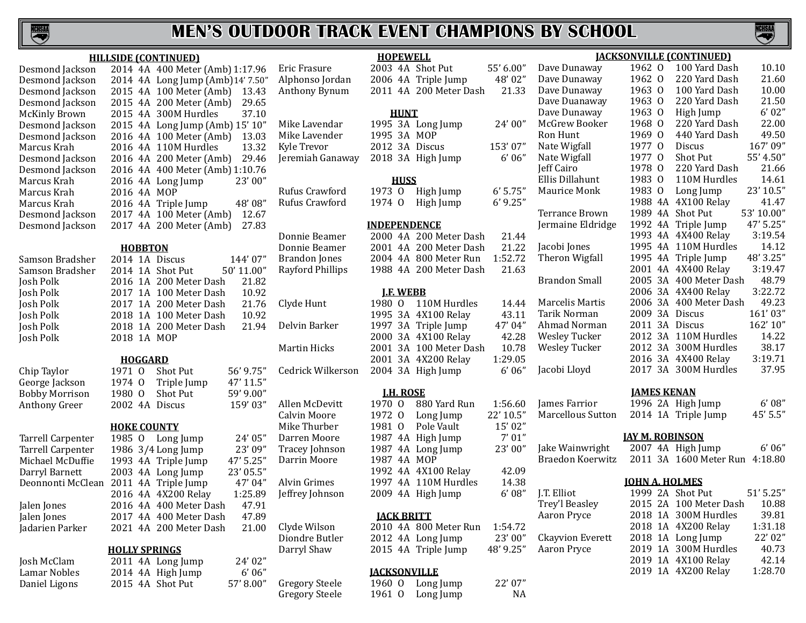

#### **HILLSIDE (CONTINUED)**

| Desmond Jackson      |             | 2014 4A 400 Meter (Amb) 1:17.96  |  |
|----------------------|-------------|----------------------------------|--|
| Desmond Jackson      |             | 2014 4A Long Jump (Amb)14' 7.50" |  |
| Desmond Jackson      |             | 2015 4A 100 Meter (Amb)<br>13.43 |  |
| Desmond Jackson      |             | 2015 4A 200 Meter (Amb)<br>29.65 |  |
| <b>McKinly Brown</b> |             | 37.10<br>2015 4A 300M Hurdles    |  |
| Desmond Jackson      |             | 2015 4A Long Jump (Amb) 15' 10"  |  |
| Desmond Jackson      |             | 2016 4A 100 Meter (Amb)<br>13.03 |  |
| Marcus Krah          |             | 2016 4A 110M Hurdles<br>13.32    |  |
| Desmond Jackson      |             | 29.46<br>2016 4A 200 Meter (Amb) |  |
| Desmond Jackson      |             | 2016 4A 400 Meter (Amb) 1:10.76  |  |
| Marcus Krah          |             | 23'00''<br>2016 4A Long Jump     |  |
| Marcus Krah-         | 2016 4A MOP |                                  |  |
| Marcus Krah          |             | 48' 08"<br>2016 4A Triple Jump   |  |
| Desmond Jackson      |             | 2017 4A 100 Meter (Amb)<br>12.67 |  |
| Desmond Jackson      |             | 27.83<br>2017 4A 200 Meter (Amb) |  |
|                      |             |                                  |  |

#### **HOBBTON**

| Samson Bradsher | 2014 |
|-----------------|------|
| Samson Bradsher | 2014 |
| Josh Polk       | 2016 |
| Josh Polk       | 2017 |
| Josh Polk       | 2017 |
| Josh Polk       | 2018 |
| Josh Polk       | 2018 |
| Josh Polk       | 2018 |

Chip Taylor 1971 O Shot Put 56' 9.75"<br>George Jackson 1974 O Triple Jump 47' 11.5" George Jackson 1974 O Triple Jump 47' 11.5"<br>Bobby Morrison 1980 O Shot Put 59' 9.00" Bobby Morrison 1980 O Shot Put 59' 9.00"<br>Anthony Greer 2002 4A Discus 159' 03"

| <b>Tarrell Carpenter</b> |
|--------------------------|
| <b>Tarrell Carpenter</b> |
| Michael McDuffie         |
| Darryl Barnett           |
| Deonnonti McClean        |
|                          |
| Ialon Jones              |

Daniel Ligons

| 11VDD I VII     |             |  |                              |  |         |  |  |  |  |  |
|-----------------|-------------|--|------------------------------|--|---------|--|--|--|--|--|
| Samson Bradsher |             |  | 2014 1A Discus               |  | 144'07" |  |  |  |  |  |
| Samson Bradsher |             |  | 2014 1A Shot Put 50' 11.00"  |  |         |  |  |  |  |  |
| Josh Polk       |             |  | 2016 1A 200 Meter Dash       |  | 21.82   |  |  |  |  |  |
| Josh Polk       |             |  | 2017 1A 100 Meter Dash 10.92 |  |         |  |  |  |  |  |
| Josh Polk       |             |  | 2017 1A 200 Meter Dash       |  | 21.76   |  |  |  |  |  |
| Josh Polk       |             |  | 2018 1A 100 Meter Dash       |  | 10.92   |  |  |  |  |  |
| Josh Polk       |             |  | 2018 1A 200 Meter Dash       |  | 21.94   |  |  |  |  |  |
| Josh Polk       | 2018 1A MOP |  |                              |  |         |  |  |  |  |  |
|                 |             |  |                              |  |         |  |  |  |  |  |
|                 |             |  |                              |  |         |  |  |  |  |  |

# **HOGGARD**<br>971 0 Shot Put

2002 4A Discus

#### **HOKE COUNTY**

1985 O Long Jump 24' 05"<br>1986 3/4 Long Jump 23' 09" 1986 3/4 Long Jump 23' 09"<br>1993 4A Triple Jump 47' 5.25" 1993 4A Triple Jump 47' 5.25"<br>2003 4A Long Jump 23' 05.5" 2003 4A Long Jump 23' 05.5"<br>2011 4A Triple Jump 47' 04" 2011 4A Triple Jump 47' 04"<br>2016 4A 4X200 Relay 1:25.89 2016 4A 4X200 Relay 1:25.89<br>2016 4A 400 Meter Dash 47.91 Jalen Jones 2016 4A 400 Meter Dash 47.91 Jalen Jones 2017 4A 400 Meter Dash 47.89 2021 4A 200 Meter Dash

#### **HOLLY SPRINGS**

| Josh McClam   |  | 2011 4A Long Jump | 24'02"   |
|---------------|--|-------------------|----------|
| Lamar Nobles  |  | 2014 4A High Jump | 6'06''   |
| Daniel Ligons |  | 2015 4A Shot Put  | 57'8.00" |

Mike Lavender 1995 3A MOP<br>Kyle Trevor 2012 3A Discu Kyle Trevor 2012 3A Discus 153' 07"

Rufus Crawford

Cedrick Wilkerson 2004 3A High Jump

**HOPEWELL** Eric Frasure 2003 4A Shot Put 55' 6.00" Alphonso Jordan 2006 4A Triple Jump 48' 02"  $2011$  4A  $200$  Meter Dash

#### **HUNT** Mike Lavendar 1995 3A Long Jump<br>Mike Lavender 1995 3A MOP

 $2018$  3A High Jump

#### **HUSS**

Rufus Crawford 1973 O High Jump 6' 5.75"

#### **INDEPENDENCE**

Donnie Beamer 2000 4A 200 Meter Dash<br>Donnie Beamer 2001 4A 200 Meter Dash Donnie Beamer 2001 4A 200 Meter Dash<br>Brandon Jones 2004 4A 800 Meter Run Brandon Jones 2004 4A 800 Meter Run<br>Rayford Phillips 1988 4A 200 Meter Dasl 1988 4A 200 Meter Dash

#### **J.F. WEBB**

Clyde Hunt 1980 O 110M Hurdles 1995 3A 4X100 Relay Delvin Barker 1997 3A Triple Jump 2000 3A 4X100 Relay Martin Hicks 2001 3A 100 Meter Dash 2001 3A 4X200 Relay 1:29.05<br>2004 3A High Jump 6'06"

**<u>J.H. ROSE</u><br>70 0 880 Yard Run** Allen McDevitt 1970 0 880 Yard Run 1:56.60<br>Calvin Moore 1972 0 Long Jump 22'10.5" Calvin Moore 1972 O Long Jump 22' 10.5"<br>
Mike Thurber 1981 O Pole Vault 15' 02" Mike Thurber 1981 O Pole Vault 15' 02"<br>Darren Moore 1987 4A High Jump 7' 01" Darren Moore 1987 4A High Jump 7' 01"<br>Tracey Johnson 1987 4A Long Jump 23' 00" Tracey Johnson 1987 4A Long Jump<br>Darrin Moore 1987 4A MOP 1987 4A MOP 1992 4A 4X100 Relay 42.09<br>1997 4A 110M Hurdles 14.38 Alvin Grimes 1997 4A 110M Hurdles 14.38<br>
Jeffrey Johnson 2009 4A High Jump 6'08"  $2009$  4A High Jump

#### **JACK BRITT**

Clyde Wilson 2010 4A 800 Meter Run 1:54.72<br>Diondre Butler 2012 4A Long Jump 23'00" Diondre Butler 2012 4A Long Jump 23' 00" 2015 4A Triple Jump

#### **JACKSONVILLE**

Gregory Steele 1960 O Long Jump 22' 07"<br>Gregory Steele 1961 O Long Jump NA 1961  $0$  Long Jump

|   | 48'02"     | Dave Dunaway         | 1962    | $\overline{0}$ | 220 Yard Dash          | 21.60      |
|---|------------|----------------------|---------|----------------|------------------------|------------|
| ı | 21.33      | Dave Dunaway         | 1963    | $\overline{0}$ | 100 Yard Dash          | 10.00      |
|   |            | Dave Duanaway        | 1963 0  |                | 220 Yard Dash          | 21.50      |
|   |            | Dave Dunaway         | 1963    | $\Omega$       | High Jump              | 6'02"      |
|   | 24'00"     | McGrew Booker        | 1968    | $\Omega$       | 220 Yard Dash          | 22.00      |
|   |            | Ron Hunt             | 1969    | $\overline{0}$ | 440 Yard Dash          | 49.50      |
|   | 153'07"    | Nate Wigfall         | 1977 0  |                | <b>Discus</b>          | 167'09"    |
|   | 6'06''     | Nate Wigfall         | 1977 0  |                | Shot Put               | 55' 4.50"  |
|   |            | Jeff Cairo           | 1978    | $\overline{0}$ | 220 Yard Dash          | 21.66      |
|   |            | Ellis Dillahunt      | 1983    | $\overline{0}$ | 110M Hurdles           | 14.61      |
|   | $6'$ 5.75" | Maurice Monk         | 1983    | 0              | Long Jump              | 23' 10.5"  |
|   | $6'$ 9.25" |                      | 1988 4A |                | 4X100 Relay            | 41.47      |
|   |            | Terrance Brown       |         |                | 1989 4A Shot Put       | 53' 10.00" |
|   |            | Jermaine Eldridge    |         |                | 1992 4A Triple Jump    | 47' 5.25"  |
| ı | 21.44      |                      |         |                | 1993 4A 4X400 Relay    | 3:19.54    |
| ı | 21.22      | Jacobi Jones         |         |                | 1995 4A 110M Hurdles   | 14.12      |
|   | 1:52.72    | Theron Wigfall       |         |                | 1995 4A Triple Jump    | 48' 3.25"  |
| ı | 21.63      |                      |         |                | 2001 4A 4X400 Relay    | 3:19.47    |
|   |            | <b>Brandon Small</b> |         |                | 2005 3A 400 Meter Dash | 48.79      |
|   |            |                      |         |                | 2006 3A 4X400 Relay    | 3:22.72    |
|   | 14.44      | Marcelis Martis      |         |                | 2006 3A 400 Meter Dash | 49.23      |
|   | 43.11      | Tarik Norman         |         |                | 2009 3A Discus         | 161'03"    |
|   | 47' 04"    | Ahmad Norman         | 2011 3A |                | Discus                 | 162' 10"   |
|   | 42.28      | <b>Wesley Tucker</b> | 2012 3A |                | 110M Hurdles           | 14.22      |
| ı | 10.78      | <b>Wesley Tucker</b> |         |                | 2012 3A 300M Hurdles   | 38.17      |
|   | 1:29.05    |                      |         |                | 2016 3A 4X400 Relay    | 3:19.71    |

- Jake Wainwright
	- Braedon Koerwitz
	-
- J.T. Elliot Trey'l Beasley Aaron Pryce **Ckayvion Everett** Aaron Pryce

| Jermaine Eldridge |  | 1992 4A Triple Jump    | 47' 5.25" |
|-------------------|--|------------------------|-----------|
|                   |  | 1993 4A 4X400 Relay    | 3:19.54   |
| Jacobi Jones      |  | 1995 4A 110M Hurdles   | 14.12     |
| Theron Wigfall    |  | 1995 4A Triple Jump    | 48' 3.25" |
|                   |  | 2001 4A 4X400 Relay    | 3:19.47   |
| Brandon Small     |  | 2005 3A 400 Meter Dash | 48.79     |
|                   |  | 2006 3A 4X400 Relay    | 3:22.72   |
| Marcelis Martis   |  | 2006 3A 400 Meter Dash | 49.23     |
| Tarik Norman      |  | 2009 3A Discus         | 161'03"   |
| Ahmad Norman      |  | 2011 3A Discus         | 162' 10"  |
| Wesley Tucker     |  | 2012 3A 110M Hurdles   | 14.22     |
|                   |  |                        |           |

**JACKSONVILLE (CONTINUED)** Dave Dunaway 1962 O 100 Yard Dash 10.10

#### Wesley Tucker 2012 3A 110M Hurdles 14.22 2012 3A 300M Hurdles 38.17<br>2016 3A 4X400 Relay 3:19.71 2016 3A 4X400 Relay 3:19.71<br>2017 3A 300M Hurdles 37.95 Jacobi Lloyd 2017 3A 300M Hurdles

#### **JAMES KENAN**

James Farrior 1996 2A High Jump 6' 08"<br>Marcellous Sutton 2014 1A Triple Jump 45' 5.5" 2014 1A Triple Jump

#### **JAY M. ROBINSON**

|  | 2007 4A High Jump              | 6'06'' |
|--|--------------------------------|--------|
|  | 2011 3A 1600 Meter Run 4:18.80 |        |

#### **JOHN A. HOLMES**

|  | 1999 2A Shot Put       | 51' 5.25" |
|--|------------------------|-----------|
|  | 2015 2A 100 Meter Dash | 10.88     |
|  | 2018 1A 300M Hurdles   | 39.81     |
|  | 2018 1A 4X200 Relay    | 1:31.18   |
|  | 2018 1A Long Jump      | 22' 02"   |
|  | 2019 1A 300M Hurdles   | 40.73     |
|  | 2019 1A 4X100 Relay    | 42.14     |
|  | 2019 1A 4X200 Relay    | 1:28.70   |
|  |                        |           |

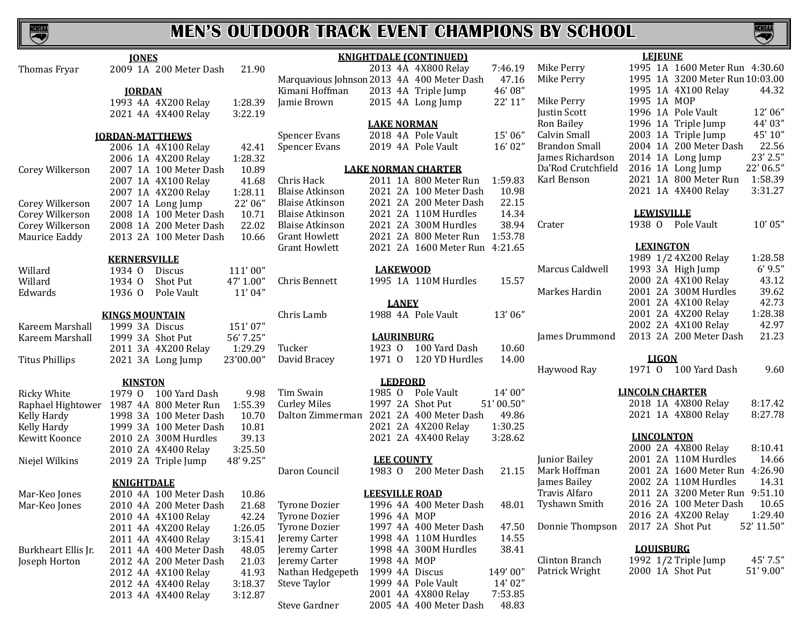NCHSAA

# **MEN'S OUTDOOR TRACK EVENT CHAMPIONS BY SCHOOL**

|                       | <b>IONES</b>                     |                                            | <b>KNIGHTDALE (CONTINUED)</b>  |           |                    | <b>LEJEUNE</b>                   |
|-----------------------|----------------------------------|--------------------------------------------|--------------------------------|-----------|--------------------|----------------------------------|
| Thomas Fryar          | 2009 1A 200 Meter Dash<br>21.90  |                                            | 2013 4A 4X800 Relay            | 7:46.19   | Mike Perry         | 1995 1A 1600 Meter Run 4:30.60   |
|                       |                                  | Marquavious Johnson 2013 4A 400 Meter Dash |                                | 47.16     | Mike Perry         | 1995 1A 3200 Meter Run 10:03.00  |
|                       | <b>JORDAN</b>                    | Kimani Hoffman                             | 2013 4A Triple Jump            | 46'08"    |                    | 1995 1A 4X100 Relay<br>44.32     |
|                       | 1993 4A 4X200 Relay<br>1:28.39   | Jamie Brown                                | 2015 4A Long Jump              | 22' 11"   | Mike Perry         | 1995 1A MOP                      |
|                       | 3:22.19<br>2021 4A 4X400 Relay   |                                            |                                |           | Justin Scott       | 1996 1A Pole Vault<br>12'06"     |
|                       |                                  |                                            | <b>LAKE NORMAN</b>             |           | Ron Bailey         | 1996 1A Triple Jump<br>44' 03"   |
|                       | <b>JORDAN-MATTHEWS</b>           | <b>Spencer Evans</b>                       | 2018 4A Pole Vault             | 15'06"    | Calvin Small       | 45' 10"<br>2003 1A Triple Jump   |
|                       | 2006 1A 4X100 Relay<br>42.41     | <b>Spencer Evans</b>                       | 2019 4A Pole Vault             | 16'02"    | Brandon Small      | 22.56<br>2004 1A 200 Meter Dash  |
|                       | 1:28.32<br>2006 1A 4X200 Relay   |                                            |                                |           | James Richardson   | 23' 2.5"<br>2014 1A Long Jump    |
| Corey Wilkerson       | 10.89<br>2007 1A 100 Meter Dash  |                                            | <b>LAKE NORMAN CHARTER</b>     |           | Da'Rod Crutchfield | 22' 06.5"<br>2016 1A Long Jump   |
|                       | 2007 1A 4X100 Relay<br>41.68     | Chris Hack                                 | 2011 1A 800 Meter Run          | 1:59.83   | Karl Benson        | 1:58.39<br>2021 1A 800 Meter Run |
|                       | 1:28.11<br>2007 1A 4X200 Relay   | <b>Blaise Atkinson</b>                     | 2021 2A 100 Meter Dash         | 10.98     |                    | 3:31.27<br>2021 1A 4X400 Relay   |
| Corey Wilkerson       | 22' 06"<br>2007 1A Long Jump     | <b>Blaise Atkinson</b>                     | 2021 2A 200 Meter Dash         | 22.15     |                    |                                  |
| Corey Wilkerson       | 2008 1A 100 Meter Dash<br>10.71  | <b>Blaise Atkinson</b>                     | 2021 2A 110M Hurdles           | 14.34     |                    | <b>LEWISVILLE</b>                |
| Corey Wilkerson       | 22.02<br>2008 1A 200 Meter Dash  | <b>Blaise Atkinson</b>                     | 2021 2A 300M Hurdles           | 38.94     | Crater             | 1938 O Pole Vault<br>10'05"      |
| Maurice Eaddy         | 2013 2A 100 Meter Dash<br>10.66  | <b>Grant Howlett</b>                       | 2021 2A 800 Meter Run          | 1:53.78   |                    |                                  |
|                       |                                  | <b>Grant Howlett</b>                       | 2021 2A 1600 Meter Run 4:21.65 |           |                    | <b>LEXINGTON</b>                 |
|                       | <b>KERNERSVILLE</b>              |                                            |                                |           |                    | 1989 1/2 4X200 Relay<br>1:28.58  |
| Willard               | 1934 0<br>111'00"<br>Discus      |                                            | <b>LAKEWOOD</b>                |           | Marcus Caldwell    | 6'9.5"<br>1993 3A High Jump      |
| Willard               | 47' 1.00"<br>Shot Put<br>1934 0  | Chris Bennett                              | 1995 1A 110M Hurdles           | 15.57     |                    | 43.12<br>2000 2A 4X100 Relay     |
| Edwards               | 11'04"<br>1936 0<br>Pole Vault   |                                            |                                |           | Markes Hardin      | 2001 2A 300M Hurdles<br>39.62    |
|                       |                                  |                                            | <b>LANEY</b>                   |           |                    | 42.73<br>2001 2A 4X100 Relay     |
|                       | <b>KINGS MOUNTAIN</b>            | Chris Lamb                                 | 1988 4A Pole Vault             | 13'06"    |                    | 1:28.38<br>2001 2A 4X200 Relay   |
| Kareem Marshall       | 1999 3A Discus<br>151'07"        |                                            |                                |           |                    | 2002 2A 4X100 Relay<br>42.97     |
| Kareem Marshall       | 1999 3A Shot Put<br>56' 7.25"    |                                            | <b>LAURINBURG</b>              |           | James Drummond     | 2013 2A 200 Meter Dash<br>21.23  |
|                       | 1:29.29<br>2011 3A 4X200 Relay   | 1923 0<br>Tucker                           | 100 Yard Dash                  | 10.60     |                    |                                  |
| <b>Titus Phillips</b> | 23'00.00"<br>2021 3A Long Jump   | 1971 0<br>David Bracey                     | 120 YD Hurdles                 | 14.00     |                    | <b>LIGON</b>                     |
|                       |                                  |                                            |                                |           | Haywood Ray        | 1971 0 100 Yard Dash<br>9.60     |
|                       | <b>KINSTON</b>                   |                                            | <b>LEDFORD</b>                 |           |                    |                                  |
| <b>Ricky White</b>    | 1979 0 100 Yard Dash<br>9.98     | Tim Swain<br>1985 0                        | Pole Vault                     | 14'00''   |                    | <b>LINCOLN CHARTER</b>           |
| Raphael Hightower     | 1:55.39<br>1987 4A 800 Meter Run | <b>Curley Miles</b>                        | 1997 2A Shot Put               | 51'00.50" |                    | 2018 1A 4X800 Relay<br>8:17.42   |
| Kelly Hardy           | 1998 3A 100 Meter Dash<br>10.70  | Dalton Zimmerman                           | 2021 2A 400 Meter Dash         | 49.86     |                    | 8:27.78<br>2021 1A 4X800 Relay   |
| Kelly Hardy           | 1999 3A 100 Meter Dash<br>10.81  |                                            | 2021 2A 4X200 Relay            | 1:30.25   |                    |                                  |
| Kewitt Koonce         | 39.13<br>2010 2A 300M Hurdles    |                                            | 2021 2A 4X400 Relay            | 3:28.62   |                    | <b>LINCOLNTON</b>                |
|                       | 2010 2A 4X400 Relay<br>3:25.50   |                                            |                                |           |                    | 2000 2A 4X800 Relay<br>8:10.41   |
| Niejel Wilkins        | 48' 9.25"<br>2019 2A Triple Jump |                                            | <b>LEE COUNTY</b>              |           | Junior Bailey      | 2001 2A 110M Hurdles<br>14.66    |
|                       |                                  | Daron Council                              | 1983 0 200 Meter Dash          | 21.15     | Mark Hoffman       | 2001 2A 1600 Meter Run 4:26.90   |
|                       | <b>KNIGHTDALE</b>                |                                            |                                |           | James Bailey       | 2002 2A 110M Hurdles<br>14.31    |
| Mar-Keo Jones         | 2010 4A 100 Meter Dash<br>10.86  |                                            | <b>LEESVILLE ROAD</b>          |           | Travis Alfaro      | 2011 2A 3200 Meter Run 9:51.10   |
| Mar-Keo Jones         | 21.68<br>2010 4A 200 Meter Dash  | <b>Tyrone Dozier</b>                       | 1996 4A 400 Meter Dash         | 48.01     | Tyshawn Smith      | 2016 2A 100 Meter Dash<br>10.65  |
|                       | 2010 4A 4X100 Relay<br>42.24     | <b>Tyrone Dozier</b>                       | 1996 4A MOP                    |           |                    | 2016 2A 4X200 Relay<br>1:29.40   |
|                       | 2011 4A 4X200 Relay<br>1:26.05   | <b>Tyrone Dozier</b>                       | 1997 4A 400 Meter Dash         | 47.50     | Donnie Thompson    | 2017 2A Shot Put<br>52' 11.50"   |
|                       | 3:15.41<br>2011 4A 4X400 Relay   | Jeremy Carter                              | 1998 4A 110M Hurdles           | 14.55     |                    |                                  |
| Burkheart Ellis Jr.   | 2011 4A 400 Meter Dash<br>48.05  | Jeremy Carter                              | 1998 4A 300M Hurdles           | 38.41     |                    | <b>LOUISBURG</b>                 |
| Joseph Horton         | 2012 4A 200 Meter Dash<br>21.03  | Jeremy Carter                              | 1998 4A MOP                    |           | Clinton Branch     | 1992 1/2 Triple Jump<br>45' 7.5" |
|                       | 41.93<br>2012 4A 4X100 Relay     | Nathan Hedgepeth                           | 1999 4A Discus                 | 149'00"   | Patrick Wright     | 2000 1A Shot Put<br>51' 9.00"    |
|                       | 3:18.37<br>2012 4A 4X400 Relay   | Steve Taylor                               | 1999 4A Pole Vault             | 14'02"    |                    |                                  |
|                       | 3:12.87<br>2013 4A 4X400 Relay   |                                            | 2001 4A 4X800 Relay            | 7:53.85   |                    |                                  |
|                       |                                  | Steve Gardner                              | 2005 4A 400 Meter Dash         | 48.83     |                    |                                  |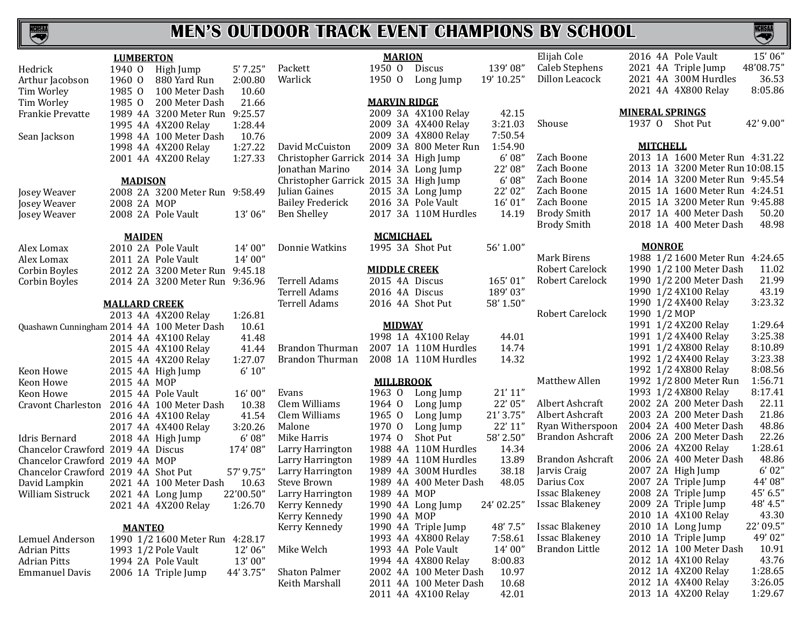

|                                            | <b>LUMBERTON</b>     |                                 |           |                                       | <b>MARION</b>       |                        |            | Elijah Cole             | 15'06"<br>2016 4A Pole Vault      |
|--------------------------------------------|----------------------|---------------------------------|-----------|---------------------------------------|---------------------|------------------------|------------|-------------------------|-----------------------------------|
| Hedrick                                    |                      | 1940 O High Jump                | 5'7.25''  | Packett                               | 1950 0              | <b>Discus</b>          | 139'08"    | Caleb Stephens          | 48'08.75"<br>2021 4A Triple Jump  |
| Arthur Jacobson                            | 1960 0               | 880 Yard Run                    | 2:00.80   | Warlick                               | 1950 0              | Long Jump              | 19' 10.25" | Dillon Leacock          | 2021 4A 300M Hurdles<br>36.53     |
| Tim Worley                                 | 1985 0               | 100 Meter Dash                  | 10.60     |                                       |                     |                        |            |                         | 8:05.86<br>2021 4A 4X800 Relay    |
| Tim Worley                                 | 1985 0               | 200 Meter Dash                  | 21.66     |                                       | <b>MARVIN RIDGE</b> |                        |            |                         |                                   |
| Frankie Prevatte                           |                      | 1989 4A 3200 Meter Run 9:25.57  |           |                                       |                     | 2009 3A 4X100 Relay    | 42.15      |                         | <b>MINERAL SPRINGS</b>            |
|                                            |                      | 1995 4A 4X200 Relay             | 1:28.44   |                                       |                     | 2009 3A 4X400 Relay    | 3:21.03    | Shouse                  | 1937 0 Shot Put<br>42' 9.00"      |
| Sean Jackson                               |                      | 1998 4A 100 Meter Dash          | 10.76     |                                       |                     | 2009 3A 4X800 Relay    | 7:50.54    |                         |                                   |
|                                            |                      | 1998 4A 4X200 Relay             | 1:27.22   | David McCuiston                       |                     | 2009 3A 800 Meter Run  | 1:54.90    |                         | <b>MITCHELL</b>                   |
|                                            |                      | 2001 4A 4X200 Relay             | 1:27.33   | Christopher Garrick 2014 3A High Jump |                     |                        | 6'08''     | Zach Boone              | 2013 1A 1600 Meter Run 4:31.22    |
|                                            |                      |                                 |           | Jonathan Marino                       |                     | 2014 3A Long Jump      | 22' 08"    | Zach Boone              | 2013 1A 3200 Meter Run 10:08.15   |
|                                            | <b>MADISON</b>       |                                 |           | Christopher Garrick 2015 3A High Jump |                     |                        | 6'08''     | Zach Boone              | 2014 1A 3200 Meter Run 9:45.54    |
| Josey Weaver                               |                      | 2008 2A 3200 Meter Run 9:58.49  |           | Julian Gaines                         |                     | 2015 3A Long Jump      | 22' 02"    | Zach Boone              | 2015 1A 1600 Meter Run 4:24.51    |
| Josey Weaver                               | 2008 2A MOP          |                                 |           | <b>Bailey Frederick</b>               |                     | 2016 3A Pole Vault     | 16' 01"    | Zach Boone              | 2015 1A 3200 Meter Run 9:45.88    |
| Josey Weaver                               |                      | 2008 2A Pole Vault              | 13'06"    | <b>Ben Shelley</b>                    |                     | 2017 3A 110M Hurdles   | 14.19      | <b>Brody Smith</b>      | 2017 1A 400 Meter Dash<br>50.20   |
|                                            |                      |                                 |           |                                       |                     |                        |            | <b>Brody Smith</b>      | 48.98<br>2018 1A 400 Meter Dash   |
|                                            | <b>MAIDEN</b>        |                                 |           |                                       | <b>MCMICHAEL</b>    |                        |            |                         |                                   |
| Alex Lomax                                 |                      | 2010 2A Pole Vault              | 14' 00"   | Donnie Watkins                        |                     | 1995 3A Shot Put       | 56' 1.00"  |                         | <b>MONROE</b>                     |
| Alex Lomax                                 |                      | 2011 2A Pole Vault              | 14'00"    |                                       |                     |                        |            | <b>Mark Birens</b>      | 1988 1/2 1600 Meter Run 4:24.65   |
| Corbin Boyles                              |                      | 2012 2A 3200 Meter Run 9:45.18  |           |                                       | <b>MIDDLE CREEK</b> |                        |            | <b>Robert Carelock</b>  | 1990 1/2 100 Meter Dash<br>11.02  |
| Corbin Boyles                              |                      | 2014 2A 3200 Meter Run 9:36.96  |           | Terrell Adams                         | 2015 4A Discus      |                        | 165'01"    | <b>Robert Carelock</b>  | 21.99<br>1990 1/2 200 Meter Dash  |
|                                            |                      |                                 |           | <b>Terrell Adams</b>                  | 2016 4A Discus      |                        | 189'03"    |                         | 43.19<br>1990 1/2 4X100 Relay     |
|                                            | <b>MALLARD CREEK</b> |                                 |           | Terrell Adams                         |                     | 2016 4A Shot Put       | 58' 1.50"  |                         | 3:23.32<br>1990 1/2 4X400 Relay   |
|                                            |                      | 2013 4A 4X200 Relay             | 1:26.81   |                                       |                     |                        |            | Robert Carelock         | 1990 1/2 MOP                      |
| Quashawn Cunningham 2014 4A 100 Meter Dash |                      |                                 | 10.61     |                                       | <b>MIDWAY</b>       |                        |            |                         | 1:29.64<br>1991 1/2 4X200 Relay   |
|                                            |                      | 2014 4A 4X100 Relay             | 41.48     |                                       |                     | 1998 1A 4X100 Relay    | 44.01      |                         | 3:25.38<br>1991 1/2 4X400 Relay   |
|                                            |                      | 2015 4A 4X100 Relay             | 41.44     | Brandon Thurman                       |                     | 2007 1A 110M Hurdles   | 14.74      |                         | 8:10.89<br>1991 1/2 4X800 Relay   |
|                                            |                      | 2015 4A 4X200 Relay             | 1:27.07   | Brandon Thurman                       |                     | 2008 1A 110M Hurdles   | 14.32      |                         | 3:23.38<br>1992 1/2 4X400 Relay   |
| Keon Howe                                  |                      | 2015 4A High Jump               | 6' 10''   |                                       |                     |                        |            |                         | 8:08.56<br>1992 1/2 4X800 Relay   |
| Keon Howe                                  | 2015 4A MOP          |                                 |           |                                       | <b>MILLBROOK</b>    |                        |            | Matthew Allen           | 1:56.71<br>1992 1/2 800 Meter Run |
| Keon Howe                                  |                      | 2015 4A Pole Vault              | 16'00"    | Evans                                 | 1963 0              | Long Jump              | 21'11"     |                         | 8:17.41<br>1993 1/2 4X800 Relay   |
| <b>Cravont Charleston</b>                  |                      | 2016 4A 100 Meter Dash          | 10.38     | Clem Williams                         | 1964 0              | Long Jump              | 22' 05"    | Albert Ashcraft         | 22.11<br>2002 2A 200 Meter Dash   |
|                                            |                      | 2016 4A 4X100 Relay             | 41.54     | Clem Williams                         | 1965 0              | Long Jump              | 21' 3.75'  | Albert Ashcraft         | 21.86<br>2003 2A 200 Meter Dash   |
|                                            |                      | 2017 4A 4X400 Relay             | 3:20.26   | Malone                                | 1970 0              | Long Jump              | 22' 11"    | Ryan Witherspoon        | 48.86<br>2004 2A 400 Meter Dash   |
| <b>Idris Bernard</b>                       |                      | 2018 4A High Jump               | 6'08''    | Mike Harris                           | 1974 0              | Shot Put               | 58' 2.50"  | Brandon Ashcraft        | 22.26<br>2006 2A 200 Meter Dash   |
| Chancelor Crawford 2019 4A Discus          |                      |                                 | 174'08"   | Larry Harrington                      |                     | 1988 4A 110M Hurdles   | 14.34      |                         | 1:28.61<br>2006 2A 4X200 Relay    |
| Chancelor Crawford 2019 4A MOP             |                      |                                 |           | Larry Harrington                      |                     | 1989 4A 110M Hurdles   | 13.89      | <b>Brandon Ashcraft</b> | 48.86<br>2006 2A 400 Meter Dash   |
| Chancelor Crawford 2019 4A Shot Put        |                      |                                 | 57' 9.75" | Larry Harrington                      |                     | 1989 4A 300M Hurdles   | 38.18      | Jarvis Craig            | 6'02"<br>2007 2A High Jump        |
| David Lampkin                              |                      | 2021 4A 100 Meter Dash          | 10.63     | Steve Brown                           |                     | 1989 4A 400 Meter Dash | 48.05      | Darius Cox              | 44'08"<br>2007 2A Triple Jump     |
| William Sistruck                           |                      | 2021 4A Long Jump               | 22'00.50" | Larry Harrington                      | 1989 4A MOP         |                        |            | <b>Issac Blakeney</b>   | 2008 2A Triple Jump<br>45' 6.5''  |
|                                            |                      | 2021 4A 4X200 Relay             | 1:26.70   | Kerry Kennedy                         |                     | 1990 4A Long Jump      | 24' 02.25" | Issac Blakeney          | 48' 4.5"<br>2009 2A Triple Jump   |
|                                            |                      |                                 |           | Kerry Kennedy                         | 1990 4A MOP         |                        |            |                         | 2010 1A 4X100 Relay<br>43.30      |
|                                            | <b>MANTEO</b>        |                                 |           | Kerry Kennedy                         |                     | 1990 4A Triple Jump    | 48' 7.5"   | <b>Issac Blakeney</b>   | 2010 1A Long Jump<br>22' 09.5"    |
| Lemuel Anderson                            |                      | 1990 1/2 1600 Meter Run 4:28.17 |           |                                       |                     | 1993 4A 4X800 Relay    | 7:58.61    | <b>Issac Blakeney</b>   | 49'02"<br>2010 1A Triple Jump     |
| <b>Adrian Pitts</b>                        |                      | 1993 1/2 Pole Vault             | 12'06''   | Mike Welch                            |                     | 1993 4A Pole Vault     | 14'00"     | <b>Brandon Little</b>   | 2012 1A 100 Meter Dash<br>10.91   |
| <b>Adrian Pitts</b>                        |                      | 1994 2A Pole Vault              | 13'00"    |                                       |                     | 1994 4A 4X800 Relay    | 8:00.83    |                         | 2012 1A 4X100 Relay<br>43.76      |
| <b>Emmanuel Davis</b>                      |                      | 2006 1A Triple Jump             | 44' 3.75" | Shaton Palmer                         |                     | 2002 4A 100 Meter Dash | 10.97      |                         | 2012 1A 4X200 Relay<br>1:28.65    |
|                                            |                      |                                 |           | Keith Marshall                        |                     | 2011 4A 100 Meter Dash | 10.68      |                         | 2012 1A 4X400 Relay<br>3:26.05    |
|                                            |                      |                                 |           |                                       |                     | 2011 4A 4X100 Relay    | 42.01      |                         | 2013 1A 4X200 Relay<br>1:29.67    |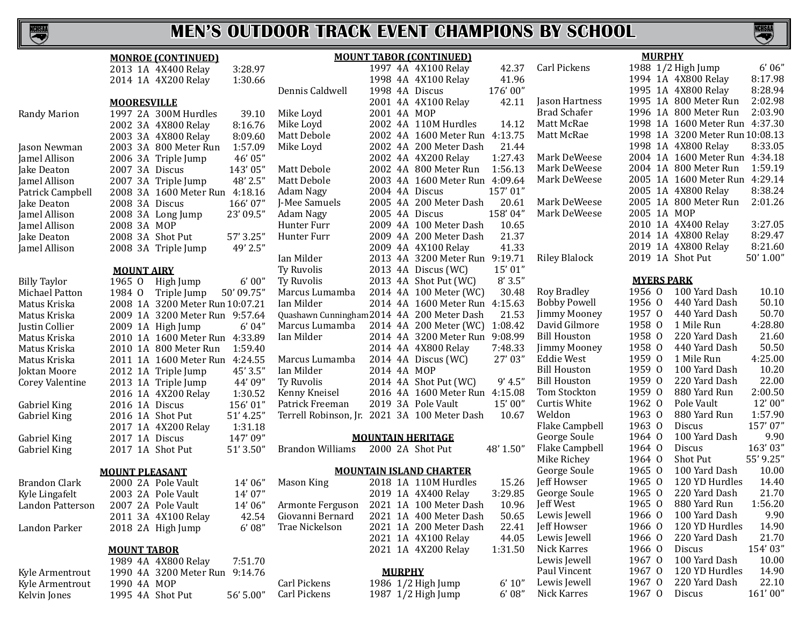NCHSAA

# **MEN'S OUTDOOR TRACK EVENT CHAMPIONS BY SCHOOL**

S

|                     | <b>MONROE (CONTINUED)</b>           |                  | <b>MOUNT TABOR (CONTINUED)</b>               |                                 | <b>MURPHY</b>                   |           |
|---------------------|-------------------------------------|------------------|----------------------------------------------|---------------------------------|---------------------------------|-----------|
|                     | 3:28.97<br>2013 1A 4X400 Relay      |                  | 1997 4A 4X100 Relay                          | Carl Pickens<br>42.37           | 1988 1/2 High Jump              | 6'06''    |
|                     | 2014 1A 4X200 Relay<br>1:30.66      |                  | 1998 4A 4X100 Relay                          | 41.96                           | 1994 1A 4X800 Relay             | 8:17.98   |
|                     |                                     | Dennis Caldwell  | 176'00"<br>1998 4A Discus                    |                                 | 1995 1A 4X800 Relay             | 8:28.94   |
|                     | <b>MOORESVILLE</b>                  |                  | 2001 4A 4X100 Relay                          | Jason Hartness<br>42.11         | 1995 1A 800 Meter Run           | 2:02.98   |
| <b>Randy Marion</b> | 1997 2A 300M Hurdles<br>39.10       | Mike Loyd        | 2001 4A MOP                                  | <b>Brad Schafer</b>             | 1996 1A 800 Meter Run           | 2:03.90   |
|                     | 2002 3A 4X800 Relay<br>8:16.76      | Mike Loyd        | 2002 4A 110M Hurdles                         | 14.12<br>Matt McRae             | 1998 1A 1600 Meter Run 4:37.30  |           |
|                     | 8:09.60<br>2003 3A 4X800 Relay      | Matt Debole      | 2002 4A 1600 Meter Run 4:13.75               | Matt McRae                      | 1998 1A 3200 Meter Run 10:08.13 |           |
| Jason Newman        | 1:57.09<br>2003 3A 800 Meter Run    | Mike Loyd        | 2002 4A 200 Meter Dash                       | 21.44                           | 1998 1A 4X800 Relay             | 8:33.05   |
| Jamel Allison       | 46' 05"<br>2006 3A Triple Jump      |                  | 2002 4A 4X200 Relay                          | Mark DeWeese<br>1:27.43         | 2004 1A 1600 Meter Run 4:34.18  |           |
| Jake Deaton         | 2007 3A Discus<br>143'05"           | Matt Debole      | 2002 4A 800 Meter Run                        | Mark DeWeese<br>1:56.13         | 2004 1A 800 Meter Run           | 1:59.19   |
| Jamel Allison       | 2007 3A Triple Jump<br>48' 2.5"     | Matt Debole      | 2003 4A 1600 Meter Run 4:09.64               | Mark DeWeese                    | 2005 1A 1600 Meter Run 4:29.14  |           |
| Patrick Campbell    | 2008 3A 1600 Meter Run 4:18.16      | Adam Nagy        | 157'01"<br>2004 4A Discus                    |                                 | 2005 1A 4X800 Relay             | 8:38.24   |
| Jake Deaton         | 2008 3A Discus<br>166'07"           | J-Mee Samuels    | 2005 4A 200 Meter Dash                       | Mark DeWeese<br>20.61           | 2005 1A 800 Meter Run           | 2:01.26   |
| Jamel Allison       | 23' 09.5"                           | Adam Nagy        | 158'04"<br>2005 4A Discus                    | Mark DeWeese                    | 2005 1A MOP                     |           |
|                     | 2008 3A Long Jump                   | Hunter Furr      | 2009 4A 100 Meter Dash                       | 10.65                           | 2010 1A 4X400 Relay             | 3:27.05   |
| Jamel Allison       | 2008 3A MOP<br>57' 3.25"            | Hunter Furr      | 2009 4A 200 Meter Dash                       | 21.37                           | 2014 1A 4X800 Relay             | 8:29.47   |
| Jake Deaton         | 2008 3A Shot Put                    |                  | 2009 4A 4X100 Relay                          | 41.33                           | 2019 1A 4X800 Relay             | 8:21.60   |
| Jamel Allison       | 49' 2.5"<br>2008 3A Triple Jump     | Ian Milder       | 2013 4A 3200 Meter Run 9:19.71               | <b>Riley Blalock</b>            | 2019 1A Shot Put                | 50' 1.00" |
|                     |                                     |                  |                                              | 15' 01"                         |                                 |           |
|                     | <b>MOUNT AIRY</b>                   | Ty Ruvolis       | 2013 4A Discus (WC)                          |                                 | <b>MYERS PARK</b>               |           |
| <b>Billy Taylor</b> | 6'00''<br>1965 0<br>High Jump       | Ty Ruvolis       | 2013 4A Shot Put (WC)                        | 8'3.5''                         | 1956 0<br>100 Yard Dash         | 10.10     |
| Michael Patton      | 50' 09.75"<br>1984 0<br>Triple Jump | Marcus Lumamba   | 2014 4A 100 Meter (WC)                       | Roy Bradley<br>30.48            |                                 | 50.10     |
| Matus Kriska        | 2008 1A 3200 Meter Run 10:07.21     | Ian Milder       | 2014 4A 1600 Meter Run 4:15.63               | <b>Bobby Powell</b>             | 1956 0<br>440 Yard Dash         |           |
| Matus Kriska        | 2009 1A 3200 Meter Run 9:57.64      |                  | Quashawn Cunningham 2014 4A 200 Meter Dash   | 21.53<br><b>Jimmy Mooney</b>    | 1957 0<br>440 Yard Dash         | 50.70     |
| Justin Collier      | 6'04"<br>2009 1A High Jump          | Marcus Lumamba   | 2014 4A 200 Meter (WC)<br>1:08.42            | David Gilmore                   | 1958 0<br>1 Mile Run            | 4:28.80   |
| Matus Kriska        | 2010 1A 1600 Meter Run 4:33.89      | Ian Milder       | 2014 4A 3200 Meter Run 9:08.99               | <b>Bill Houston</b>             | 1958 0<br>220 Yard Dash         | 21.60     |
| Matus Kriska        | 2010 1A 800 Meter Run<br>1:59.40    |                  | 2014 4A 4X800 Relay                          | 7:48.33<br>Jimmy Mooney         | 1958 0<br>440 Yard Dash         | 50.50     |
| Matus Kriska        | 2011 1A 1600 Meter Run 4:24.55      | Marcus Lumamba   | 2014 4A Discus (WC)                          | 27'03"<br>Eddie West            | 1959 0<br>1 Mile Run            | 4:25.00   |
| Joktan Moore        | 45' 3.5"<br>2012 1A Triple Jump     | Ian Milder       | 2014 4A MOP                                  | <b>Bill Houston</b>             | 1959 0<br>100 Yard Dash         | 10.20     |
| Corey Valentine     | 44' 09"<br>2013 1A Triple Jump      | Ty Ruvolis       | 2014 4A Shot Put (WC)                        | <b>Bill Houston</b><br>9' 4.5'' | 1959 0<br>220 Yard Dash         | 22.00     |
|                     | 1:30.52<br>2016 1A 4X200 Relay      | Kenny Kneisel    | 2016 4A 1600 Meter Run 4:15.08               | Tom Stockton                    | 1959 0<br>880 Yard Run          | 2:00.50   |
| Gabriel King        | 2016 1A Discus<br>156'01"           | Patrick Freeman  | 2019 3A Pole Vault                           | 15'00"<br>Curtis White          | 1962 0<br>Pole Vault            | 12' 00"   |
| Gabriel King        | 51' 4.25"<br>2016 1A Shot Put       |                  | Terrell Robinson, Jr. 2021 3A 100 Meter Dash | Weldon<br>10.67                 | 1963 0<br>880 Yard Run          | 1:57.90   |
|                     | 1:31.18<br>2017 1A 4X200 Relay      |                  |                                              | Flake Campbell                  | 1963 0<br><b>Discus</b>         | 157'07"   |
| Gabriel King        | 147'09"<br>2017 1A Discus           |                  | <b>MOUNTAIN HERITAGE</b>                     | George Soule                    | 1964 0<br>100 Yard Dash         | 9.90      |
| Gabriel King        | 51' 3.50"<br>2017 1A Shot Put       | Brandon Williams | 2000 2A Shot Put<br>48' 1.50"                | Flake Campbell                  | 1964 0<br>Discus                | 163'03"   |
|                     |                                     |                  |                                              | Mike Richey                     | 1964 0<br><b>Shot Put</b>       | 55' 9.25" |
|                     | <b>MOUNT PLEASANT</b>               |                  | <b>MOUNTAIN ISLAND CHARTER</b>               | George Soule                    | 1965 0<br>100 Yard Dash         | 10.00     |
| Brandon Clark       | 2000 2A Pole Vault<br>14'06"        | Mason King       | 2018 1A 110M Hurdles                         | Jeff Howser<br>15.26            | 1965 0<br>120 YD Hurdles        | 14.40     |
| Kyle Lingafelt      | 14'07"<br>2003 2A Pole Vault        |                  | 2019 1A 4X400 Relay                          | 3:29.85<br>George Soule         | 1965 0<br>220 Yard Dash         | 21.70     |
| Landon Patterson    | 14'06"<br>2007 2A Pole Vault        | Armonte Ferguson | 2021 1A 100 Meter Dash                       | Jeff West<br>10.96              | 1965 0 880 Yard Run             | 1:56.20   |
|                     | 2011 3A 4X100 Relay<br>42.54        | Giovanni Bernard | 2021 1A 400 Meter Dash                       | Lewis Jewell<br>50.65           | 1966 0<br>100 Yard Dash         | 9.90      |
| Landon Parker       | 6'08''<br>2018 2A High Jump         | Trae Nickelson   | 2021 1A 200 Meter Dash                       | 22.41<br>Jeff Howser            | 120 YD Hurdles<br>1966 0        | 14.90     |
|                     |                                     |                  | 2021 1A 4X100 Relay                          | Lewis Jewell<br>44.05           | 1966 0<br>220 Yard Dash         | 21.70     |
|                     | <b>MOUNT TABOR</b>                  |                  | 2021 1A 4X200 Relay                          | Nick Karres<br>1:31.50          | 1966 0<br>Discus                | 154'03"   |
|                     | 1989 4A 4X800 Relay<br>7:51.70      |                  |                                              | Lewis Jewell                    | 100 Yard Dash<br>1967 0         | 10.00     |
| Kyle Armentrout     | 1990 4A 3200 Meter Run 9:14.76      |                  | <b>MURPHY</b>                                | Paul Vincent                    | 1967 0<br>120 YD Hurdles        | 14.90     |
| Kyle Armentrout     | 1990 4A MOP                         | Carl Pickens     | 1986 1/2 High Jump                           | Lewis Jewell<br>6' 10''         | 220 Yard Dash<br>1967 0         | 22.10     |
| Kelvin Jones        | 1995 4A Shot Put<br>56' 5.00"       | Carl Pickens     | 1987 1/2 High Jump                           | Nick Karres<br>6'08''           | 1967 0<br>Discus                | 161'00"   |
|                     |                                     |                  |                                              |                                 |                                 |           |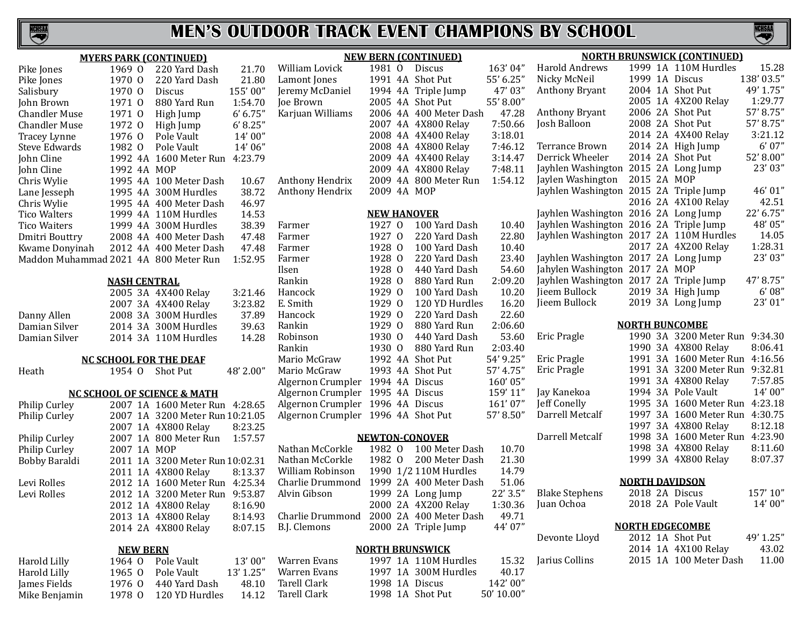

|                                       | 1969 0              | <b>MYERS PARK (CONTINUED)</b><br>220 Yard Dash | 21.70     | William Lovick                          | 1981 0             | <b>NEW BERN (CONTINUED)</b><br><b>Discus</b> | 163'04"    |
|---------------------------------------|---------------------|------------------------------------------------|-----------|-----------------------------------------|--------------------|----------------------------------------------|------------|
| Pike Jones                            | 1970 0              | 220 Yard Dash                                  | 21.80     | Lamont Jones                            |                    | 1991 4A Shot Put                             | 55' 6.25"  |
| Pike Jones                            | 1970 0              |                                                | 155'00"   | Jeremy McDaniel                         |                    | 1994 4A Triple Jump                          | 47'03"     |
| Salisbury<br>John Brown               | 1971 0              | Discus<br>880 Yard Run                         | 1:54.70   | Joe Brown                               |                    | 2005 4A Shot Put                             | 55' 8.00"  |
|                                       |                     |                                                |           | Karjuan Williams                        |                    | 2006 4A 400 Meter Dash                       | 47.28      |
| <b>Chandler Muse</b>                  | 1971 0              | High Jump                                      | 6' 6.75'' |                                         |                    |                                              | 7:50.66    |
| <b>Chandler Muse</b>                  | 1972 0              | High Jump                                      | 6' 8.25"  |                                         |                    | 2007 4A 4X800 Relay                          |            |
| Tracey Lynne                          | 1976 0              | Pole Vault                                     | 14' 00"   |                                         |                    | 2008 4A 4X400 Relay                          | 3:18.01    |
| <b>Steve Edwards</b>                  | 1982 0              | Pole Vault                                     | 14' 06"   |                                         |                    | 2008 4A 4X800 Relay                          | 7:46.12    |
| John Cline                            |                     | 1992 4A 1600 Meter Run 4:23.79                 |           |                                         |                    | 2009 4A 4X400 Relay                          | 3:14.47    |
| John Cline                            | 1992 4A MOP         |                                                |           |                                         |                    | 2009 4A 4X800 Relay                          | 7:48.11    |
| Chris Wylie                           |                     | 1995 4A 100 Meter Dash                         | 10.67     | Anthony Hendrix                         |                    | 2009 4A 800 Meter Run                        | 1:54.12    |
| Lane Jesseph                          |                     | 1995 4A 300M Hurdles                           | 38.72     | Anthony Hendrix                         | 2009 4A MOP        |                                              |            |
| Chris Wylie                           |                     | 1995 4A 400 Meter Dash                         | 46.97     |                                         |                    |                                              |            |
| <b>Tico Walters</b>                   |                     | 1999 4A 110M Hurdles                           | 14.53     |                                         | <b>NEW HANOVER</b> |                                              |            |
| <b>Tico Waiters</b>                   |                     | 1999 4A 300M Hurdles                           | 38.39     | Farmer                                  | 1927 0             | 100 Yard Dash                                | 10.40      |
| Dmitri Bouttry                        |                     | 2008 4A 400 Meter Dash                         | 47.48     | Farmer                                  | 1927 0             | 220 Yard Dash                                | 22.80      |
| Kwame Donyinah                        |                     | 2012 4A 400 Meter Dash                         | 47.48     | Farmer                                  | 1928 0             | 100 Yard Dash                                | 10.40      |
| Maddon Muhammad 2021 4A 800 Meter Run |                     |                                                | 1:52.95   | Farmer                                  | 1928 0             | 220 Yard Dash                                | 23.40      |
|                                       |                     |                                                |           | Ilsen                                   | 1928 0             | 440 Yard Dash                                | 54.60      |
|                                       | <b>NASH CENTRAL</b> |                                                |           | Rankin                                  | 1928 0             | 880 Yard Run                                 | 2:09.20    |
|                                       |                     | 2005 3A 4X400 Relay                            | 3:21.46   | Hancock                                 | 1929 0             | 100 Yard Dash                                | 10.20      |
|                                       |                     | 2007 3A 4X400 Relay                            | 3:23.82   | E. Smith                                | 1929 0             | 120 YD Hurdles                               | 16.20      |
| Danny Allen                           |                     | 2008 3A 300M Hurdles                           | 37.89     | Hancock                                 | 1929 0             | 220 Yard Dash                                | 22.60      |
| Damian Silver                         |                     | 2014 3A 300M Hurdles                           | 39.63     | Rankin                                  | 1929 0             | 880 Yard Run                                 | 2:06.60    |
| Damian Silver                         |                     | 2014 3A 110M Hurdles                           | 14.28     | Robinson                                | 1930 0             | 440 Yard Dash                                | 53.60      |
|                                       |                     |                                                |           | Rankin                                  | 1930 0             | 880 Yard Run                                 | 2:03.40    |
|                                       |                     | <b>NC SCHOOL FOR THE DEAF</b>                  |           | Mario McGraw                            |                    | 1992 4A Shot Put                             | 54' 9.25"  |
| Heath                                 | 1954 0              | Shot Put                                       | 48' 2.00" | Mario McGraw                            |                    | 1993 4A Shot Put                             | 57' 4.75"  |
|                                       |                     |                                                |           | Algernon Crumpler 1994 4A Discus        |                    |                                              | 160'05"    |
|                                       |                     | <b>NC SCHOOL OF SCIENCE &amp; MATH</b>         |           | Algernon Crumpler 1995 4A Discus        |                    |                                              | 159' 11"   |
| Philip Curley                         |                     | 2007 1A 1600 Meter Run 4:28.65                 |           | Algernon Crumpler 1996 4A Discus        |                    |                                              | 161'07"    |
| Philip Curley                         |                     | 2007 1A 3200 Meter Run 10:21.05                |           | Algernon Crumpler 1996 4A Shot Put      |                    |                                              | 57' 8.50"  |
|                                       |                     | 2007 1A 4X800 Relay                            | 8:23.25   |                                         |                    |                                              |            |
| Philip Curley                         |                     | 2007 1A 800 Meter Run                          | 1:57.57   |                                         |                    | <b>NEWTON-CONOVER</b>                        |            |
| Philip Curley                         | 2007 1A MOP         |                                                |           | Nathan McCorkle                         | 1982 0             | 100 Meter Dash                               | 10.70      |
| Bobby Baraldi                         |                     | 2011 1A 3200 Meter Run 10:02.31                |           | Nathan McCorkle                         | 1982 0             | 200 Meter Dash                               | 21.30      |
|                                       |                     | 2011 1A 4X800 Relay                            | 8:13.37   | William Robinson                        |                    | 1990 1/2 110M Hurdles                        | 14.79      |
| Levi Rolles                           |                     | 2012 1A 1600 Meter Run 4:25.34                 |           | Charlie Drummond 1999 2A 400 Meter Dash |                    |                                              | 51.06      |
| Levi Rolles                           |                     | 2012 1A 3200 Meter Run 9:53.87                 |           | Alvin Gibson                            |                    | 1999 2A Long Jump                            | 22' 3.5"   |
|                                       |                     | 2012 1A 4X800 Relay                            | 8:16.90   |                                         |                    | 2000 2A 4X200 Relay                          | 1:30.36    |
|                                       |                     | 2013 1A 4X800 Relay                            | 8:14.93   | Charlie Drummond                        |                    | 2000 2A 400 Meter Dash                       | 49.71      |
|                                       |                     | 2014 2A 4X800 Relay                            | 8:07.15   | B.J. Clemons                            |                    | 2000 2A Triple Jump                          | 44' 07"    |
|                                       | <b>NEW BERN</b>     |                                                |           |                                         |                    | <b>NORTH BRUNSWICK</b>                       |            |
| <b>Harold Lilly</b>                   | 1964 0              | Pole Vault                                     | 13'00"    | <b>Warren Evans</b>                     |                    | 1997 1A 110M Hurdles                         | 15.32      |
| <b>Harold Lilly</b>                   | 1965 0              | Pole Vault                                     | 13' 1.25" | <b>Warren Evans</b>                     |                    | 1997 1A 300M Hurdles                         | 40.17      |
| James Fields                          | 1976 0              | 440 Yard Dash                                  | 48.10     | <b>Tarell Clark</b>                     |                    | 1998 1A Discus                               | 142'00"    |
| Mike Benjamin                         | 1978 0              | 120 YD Hurdles                                 | 14.12     | <b>Tarell Clark</b>                     |                    | 1998 1A Shot Put                             | 50' 10.00" |
|                                       |                     |                                                |           |                                         |                    |                                              |            |

| <b>NEW BERN (CONTINUED)</b> |                    |                |                        |           |  |  |  |  |  |
|-----------------------------|--------------------|----------------|------------------------|-----------|--|--|--|--|--|
| William Lovick              | 1981 0             |                | Discus                 | 163'04"   |  |  |  |  |  |
| Lamont Jones                | 1991               | 4Α             | <b>Shot Put</b>        | 55' 6.25" |  |  |  |  |  |
| Jeremy McDaniel             | 1994 4A            |                | Triple Jump            | 47'03"    |  |  |  |  |  |
| Joe Brown                   | 2005               | 4A             | <b>Shot Put</b>        | 55' 8.00" |  |  |  |  |  |
| Karjuan Williams            | 2006 4A            |                | 400 Meter Dash         | 47.28     |  |  |  |  |  |
|                             | 2007 4A            |                | 4X800 Relay            | 7:50.66   |  |  |  |  |  |
|                             | 2008               | 4A             | 4X400 Relay            | 3:18.01   |  |  |  |  |  |
|                             | 2008 4A            |                | 4X800 Relay            | 7:46.12   |  |  |  |  |  |
|                             | 2009               | 4A             | 4X400 Relay            | 3:14.47   |  |  |  |  |  |
|                             | 2009               | 4Α             | 4X800 Relay            | 7:48.11   |  |  |  |  |  |
| Anthony Hendrix             | 2009               | 4A             | 800 Meter Run          | 1:54.12   |  |  |  |  |  |
| Anthony Hendrix             | 2009               | 4A             | MOP                    |           |  |  |  |  |  |
|                             | <b>NEW HANOVER</b> |                |                        |           |  |  |  |  |  |
| Farmer                      | 1927 0             |                | 100 Yard Dash          | 10.40     |  |  |  |  |  |
| Farmer                      | 1927               | 0              | 220 Yard Dash          | 22.80     |  |  |  |  |  |
| Farmer                      | 1928               | $\Omega$       | 100 Yard Dash          | 10.40     |  |  |  |  |  |
| Farmer                      | 1928 0             |                | 220 Yard Dash          | 23.40     |  |  |  |  |  |
| Ilsen                       | 1928 0             |                | 440 Yard Dash          | 54.60     |  |  |  |  |  |
| Rankin                      | 1928               | $\overline{0}$ | 880 Yard Run           | 2:09.20   |  |  |  |  |  |
| Hancock                     | 1929               | $\Omega$       | 100 Yard Dash          | 10.20     |  |  |  |  |  |
| E. Smith                    | 1929               | $\overline{0}$ | 120 YD Hurdles         | 16.20     |  |  |  |  |  |
| Hancock                     | 1929               | $\mathbf{0}$   | 220 Yard Dash          | 22.60     |  |  |  |  |  |
| Rankin                      | 1929               | $\overline{0}$ | 880 Yard Run           | 2:06.60   |  |  |  |  |  |
| Robinson                    | 1930               | 0              | 440 Yard Dash          | 53.60     |  |  |  |  |  |
| Rankin                      | 1930               | $\overline{0}$ | 880 Yard Run           | 2:03.40   |  |  |  |  |  |
| Mario McGraw                | 1992               | 4A             | Shot Put               | 54' 9.25" |  |  |  |  |  |
| Mario McGraw                | 1993               | 4A             | Shot Put               | 57' 4.75" |  |  |  |  |  |
| Algernon Crumpler           | 1994 4A            |                | Discus                 | 160'05"   |  |  |  |  |  |
| Algernon Crumpler           | 1995               | 4A             | Discus                 | 159' 11"  |  |  |  |  |  |
| Algernon Crumpler           | 1996               | 4A             | Discus                 | 161'07"   |  |  |  |  |  |
| Algernon Crumpler           | 1996               | 4A             | Shot Put               | 57' 8.50" |  |  |  |  |  |
|                             |                    |                | <b>NEWTON-CONOVER</b>  |           |  |  |  |  |  |
| Nathan McCorkle             | 1982               | 0              | 100 Meter Dash         | 10.70     |  |  |  |  |  |
| Nathan McCorkle             | 1982               | $\Omega$       | 200 Meter Dash         | 21.30     |  |  |  |  |  |
| William Robinson            | 1990               |                | 1/2 110M Hurdles       | 14.79     |  |  |  |  |  |
| Charlie Drummond            | 1999               | 2A             | 400 Meter Dash         | 51.06     |  |  |  |  |  |
| Alvin Gibson                | 1999               | 2A             | Long Jump              | 22' 3.5"  |  |  |  |  |  |
|                             | 2000               | 2A             | 4X200 Relay            | 1:30.36   |  |  |  |  |  |
| Charlie Drummond            | 2000               | 2A             | 400 Meter Dash         | 49.71     |  |  |  |  |  |
| <b>B.J. Clemons</b>         | 2000               | 2A             | Triple Jump            | 44' 07"   |  |  |  |  |  |
|                             |                    |                | <b>NORTH BRUNSWICK</b> |           |  |  |  |  |  |
| Warren Evans                |                    |                | 1997 1A 110M Hurdles   | 15.32     |  |  |  |  |  |
|                             |                    |                |                        |           |  |  |  |  |  |

| <b>NORTH BRUNSWICK (CONTINUED)</b> |         |    |                       |           |  |  |  |  |  |
|------------------------------------|---------|----|-----------------------|-----------|--|--|--|--|--|
| Harold Andrews                     | 1999    | 1A | 110M Hurdles          | 15.28     |  |  |  |  |  |
| Nicky McNeil                       | 1999    | 1A | Discus                | 138'03.5" |  |  |  |  |  |
| <b>Anthony Bryant</b>              | 2004    | 1A | <b>Shot Put</b>       | 49' 1.75" |  |  |  |  |  |
|                                    | 2005    | 1A | 4X200 Relay           | 1:29.77   |  |  |  |  |  |
| <b>Anthony Bryant</b>              | 2006    | 2A | <b>Shot Put</b>       | 57' 8.75" |  |  |  |  |  |
| Josh Balloon                       | 2008 2A |    | <b>Shot Put</b>       | 57'8.75"  |  |  |  |  |  |
|                                    | 2014 2A |    | 4X400 Relay           | 3:21.12   |  |  |  |  |  |
| Terrance Brown                     | 2014 2A |    | High Jump             | 6'07"     |  |  |  |  |  |
| Derrick Wheeler                    | 2014    | 2A | <b>Shot Put</b>       | 52' 8.00" |  |  |  |  |  |
| Jayhlen Washington                 | 2015    | 2A | Long Jump             | 23' 03"   |  |  |  |  |  |
| Jaylen Washington                  | 2015 2A |    | <b>MOP</b>            |           |  |  |  |  |  |
| Jayhlen Washington                 | 2015 2A |    | Triple Jump           | 46'01"    |  |  |  |  |  |
|                                    | 2016    | 2A | 4X100 Relay           | 42.51     |  |  |  |  |  |
| Jayhlen Washington                 | 2016    | 2A | Long Jump             | 22' 6.75" |  |  |  |  |  |
| Jayhlen Washington                 | 2016    | 2A | Triple Jump           | 48'05"    |  |  |  |  |  |
| Jayhlen Washington                 | 2017 2A |    | 110M Hurdles          | 14.05     |  |  |  |  |  |
|                                    | 2017    | 2A | 4X200 Relay           | 1:28.31   |  |  |  |  |  |
| Jayhlen Washington                 | 2017    | 2A | Long Jump             | 23' 03"   |  |  |  |  |  |
| Jahylen Washington                 | 2017    | 2A | <b>MOP</b>            |           |  |  |  |  |  |
| Jayhlen Washington                 | 2017    | 2A | Triple Jump           | 47' 8.75" |  |  |  |  |  |
| Jieem Bullock                      | 2019    | 3A | High Jump             | 6'08''    |  |  |  |  |  |
| Jieem Bullock                      | 2019    | 3A | Long Jump             | 23'01"    |  |  |  |  |  |
|                                    |         |    | <b>NORTH BUNCOMBE</b> |           |  |  |  |  |  |
| Eric Pragle                        | 1990    | 3A | 3200 Meter Run        | 9:34.30   |  |  |  |  |  |
|                                    | 1990    | 3A | 4X800 Relay           | 8:06.41   |  |  |  |  |  |
| Eric Pragle                        | 1991    | 3A | 1600 Meter Run        | 4:16.56   |  |  |  |  |  |
| Eric Pragle                        | 1991    | 3A | 3200 Meter Run        | 9:32.81   |  |  |  |  |  |
|                                    | 1991    | 3A | 4X800 Relay           | 7:57.85   |  |  |  |  |  |
| Jay Kanekoa                        | 1994    | 3A | Pole Vault            | 14'00"    |  |  |  |  |  |
| Jeff Conelly                       | 1995    | 3A | 1600 Meter Run        | 4:23.18   |  |  |  |  |  |
| Darrell Metcalf                    | 1997    | 3A | 1600 Meter Run        | 4:30.75   |  |  |  |  |  |
|                                    | 1997    | 3A | 4X800 Relay           | 8:12.18   |  |  |  |  |  |
| Darrell Metcalf                    | 1998    | 3A | 1600 Meter Run        | 4:23.90   |  |  |  |  |  |
|                                    | 1998    | 3A | 4X800 Relay           | 8:11.60   |  |  |  |  |  |
|                                    | 1999    | 3A | 4X800 Relay           | 8:07.37   |  |  |  |  |  |
|                                    |         |    | <b>NORTH DAVIDSON</b> |           |  |  |  |  |  |
| <b>Blake Stephens</b>              | 2018 2A |    | <b>Discus</b>         | 157'10"   |  |  |  |  |  |
| Juan Ochoa                         |         |    | 2018 2A Pole Vault    | 14'00"    |  |  |  |  |  |

**NCHSAR** 

| <b>NORTH EDGECOMBE</b> |  |        |  |
|------------------------|--|--------|--|
|                        |  | $\sim$ |  |

| Devonte Lloyd  |  | 2012 1A Shot Put       | 49' 1.25" |
|----------------|--|------------------------|-----------|
|                |  | 2014 1A 4X100 Relay    | 43.02     |
| Jarius Collins |  | 2015 1A 100 Meter Dash | 11.00     |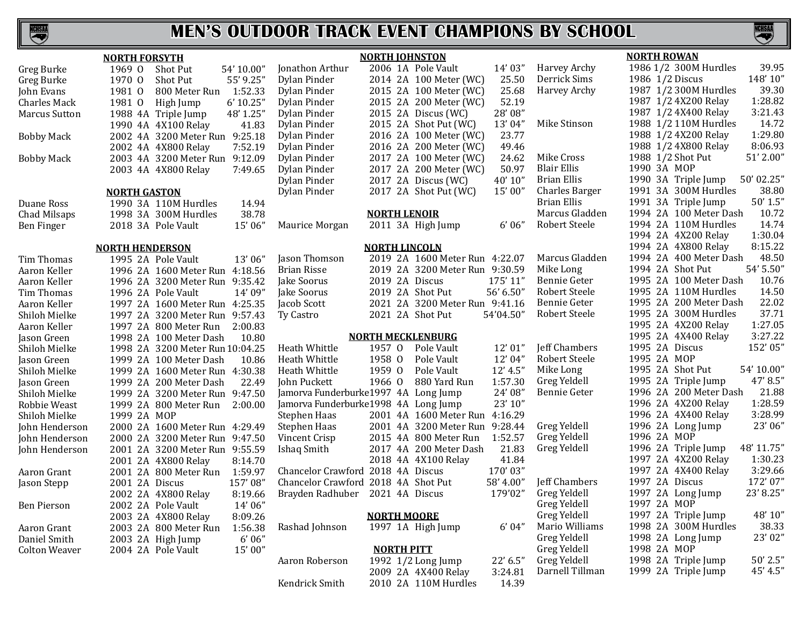

| <b>NORTH FORSYTH</b> |                                 |            | <b>NORTH JOHNSTON</b>                |                          |                                | <b>NORTH ROWAN</b> |                       |                                     |
|----------------------|---------------------------------|------------|--------------------------------------|--------------------------|--------------------------------|--------------------|-----------------------|-------------------------------------|
| Greg Burke           | Shot Put<br>1969 0              | 54' 10.00" | Jonathon Arthur                      |                          | 2006 1A Pole Vault             | 14' 03"            | Harvey Archy          | 39.95<br>1986 1/2 300M Hurdles      |
| Greg Burke           | 1970 0<br><b>Shot Put</b>       | 55' 9.25"  | Dylan Pinder                         |                          | 2014 2A 100 Meter (WC)         | 25.50              | Derrick Sims          | 148'10"<br>1986 1/2 Discus          |
| John Evans           | 1981 0<br>800 Meter Run         | 1:52.33    | Dylan Pinder                         |                          | 2015 2A 100 Meter (WC)         | 25.68              | Harvey Archy          | 39.30<br>1987 1/2 300M Hurdles      |
| Charles Mack         | 1981 0<br>High Jump             | 6' 10.25"  | Dylan Pinder                         |                          | 2015 2A 200 Meter (WC)         | 52.19              |                       | 1:28.82<br>1987 1/2 4X200 Relay     |
| <b>Marcus Sutton</b> | 1988 4A Triple Jump             | 48' 1.25"  | Dylan Pinder                         |                          | 2015 2A Discus (WC)            | 28'08"             |                       | 1987 1/2 4X400 Relay<br>3:21.43     |
|                      | 1990 4A 4X100 Relay             | 41.83      | Dylan Pinder                         |                          | 2015 2A Shot Put (WC)          | 13'04"             | Mike Stinson          | 14.72<br>1988 1/2 110M Hurdles      |
| <b>Bobby Mack</b>    | 2002 4A 3200 Meter Run 9:25.18  |            | Dylan Pinder                         |                          | 2016 2A 100 Meter (WC)         | 23.77              |                       | 1:29.80<br>1988 1/2 4X200 Relay     |
|                      | 2002 4A 4X800 Relay             | 7:52.19    | Dylan Pinder                         |                          | 2016 2A 200 Meter (WC)         | 49.46              |                       | 8:06.93<br>1988 1/2 4X800 Relay     |
| <b>Bobby Mack</b>    | 2003 4A 3200 Meter Run 9:12.09  |            | Dylan Pinder                         |                          | 2017 2A 100 Meter (WC)         | 24.62              | Mike Cross            | 51' 2.00"<br>1988 1/2 Shot Put      |
|                      | 2003 4A 4X800 Relay             | 7:49.65    | Dylan Pinder                         |                          | 2017 2A 200 Meter (WC)         | 50.97              | Blair Ellis           | 1990 3A MOP                         |
|                      |                                 |            | Dylan Pinder                         |                          | 2017 2A Discus (WC)            | 40' 10"            | <b>Brian Ellis</b>    | 50' 02.25"<br>1990 3A Triple Jump   |
|                      | <b>NORTH GASTON</b>             |            | Dylan Pinder                         |                          | 2017 2A Shot Put (WC)          | 15'00"             | <b>Charles Barger</b> | 38.80<br>1991 3A 300M Hurdles       |
| Duane Ross           | 1990 3A 110M Hurdles            | 14.94      |                                      |                          |                                |                    | Brian Ellis           | $50'$ $1.5"$<br>1991 3A Triple Jump |
| Chad Milsaps         | 1998 3A 300M Hurdles            | 38.78      |                                      | <b>NORTH LENOIR</b>      |                                |                    | Marcus Gladden        | 10.72<br>1994 2A 100 Meter Dash     |
| Ben Finger           | 2018 3A Pole Vault              | 15'06"     | Maurice Morgan                       |                          | 2011 3A High Jump              | 6'06''             | Robert Steele         | 1994 2A 110M Hurdles<br>14.74       |
|                      |                                 |            |                                      |                          |                                |                    |                       | 1:30.04<br>1994 2A 4X200 Relay      |
|                      | <b>NORTH HENDERSON</b>          |            |                                      | <b>NORTH LINCOLN</b>     |                                |                    |                       | 8:15.22<br>1994 2A 4X800 Relay      |
| Tim Thomas           | 1995 2A Pole Vault              | 13'06"     | Jason Thomson                        |                          | 2019 2A 1600 Meter Run 4:22.07 |                    | Marcus Gladden        | 48.50<br>1994 2A 400 Meter Dash     |
| Aaron Keller         | 1996 2A 1600 Meter Run 4:18.56  |            | <b>Brian Risse</b>                   |                          | 2019 2A 3200 Meter Run 9:30.59 |                    | Mike Long             | 54' 5.50"<br>1994 2A Shot Put       |
| Aaron Keller         | 1996 2A 3200 Meter Run 9:35.42  |            | Jake Soorus                          | 2019 2A Discus           |                                | 175' 11"           | Bennie Geter          | 10.76<br>1995 2A 100 Meter Dash     |
| Tim Thomas           | 1996 2A Pole Vault              | 14' 09"    | Jake Soorus                          |                          | 2019 2A Shot Put               | 56' 6.50"          | Robert Steele         | 14.50<br>1995 2A 110M Hurdles       |
| Aaron Keller         | 1997 2A 1600 Meter Run 4:25.35  |            | Jacob Scott                          |                          | 2021 2A 3200 Meter Run 9:41.16 |                    | Bennie Geter          | 22.02<br>1995 2A 200 Meter Dash     |
| Shiloh Mielke        | 1997 2A 3200 Meter Run 9:57.43  |            | Ty Castro                            |                          | 2021 2A Shot Put               | 54'04.50"          | Robert Steele         | 37.71<br>1995 2A 300M Hurdles       |
| Aaron Keller         | 1997 2A 800 Meter Run           | 2:00.83    |                                      |                          |                                |                    |                       | 1:27.05<br>1995 2A 4X200 Relay      |
| Jason Green          | 1998 2A 100 Meter Dash          | 10.80      |                                      | <b>NORTH MECKLENBURG</b> |                                |                    |                       | 3:27.22<br>1995 2A 4X400 Relay      |
| Shiloh Mielke        | 1998 2A 3200 Meter Run 10:04.25 |            | Heath Whittle                        | 1957 0                   | Pole Vault                     | 12'01''            | <b>Jeff Chambers</b>  | 152'05"<br>1995 2A Discus           |
| Jason Green          | 1999 2A 100 Meter Dash          | 10.86      | Heath Whittle                        | 1958 0                   | Pole Vault                     | 12' 04"            | Robert Steele         | 1995 2A MOP                         |
| Shiloh Mielke        | 1999 2A 1600 Meter Run 4:30.38  |            | Heath Whittle                        | 1959 0                   | Pole Vault                     | $12'$ 4.5"         | Mike Long             | 1995 2A Shot Put<br>54' 10.00"      |
| Jason Green          | 1999 2A 200 Meter Dash          | 22.49      | John Puckett                         | 1966 0                   | 880 Yard Run                   | 1:57.30            | Greg Yeldell          | 47' 8.5"<br>1995 2A Triple Jump     |
| Shiloh Mielke        | 1999 2A 3200 Meter Run 9:47.50  |            | Jamorva Funderburke1997 4A Long Jump |                          |                                | 24' 08"            | Bennie Geter          | 1996 2A 200 Meter Dash<br>21.88     |
| Robbie Weast         | 1999 2A 800 Meter Run           | 2:00.00    | Jamorva Funderburke1998 4A Long Jump |                          |                                | 23' 10"            |                       | 1:28.59<br>1996 2A 4X200 Relay      |
| Shiloh Mielke        | 1999 2A MOP                     |            | Stephen Haas                         |                          | 2001 4A 1600 Meter Run 4:16.29 |                    |                       | 3:28.99<br>1996 2A 4X400 Relay      |
| John Henderson       | 2000 2A 1600 Meter Run 4:29.49  |            | Stephen Haas                         |                          | 2001 4A 3200 Meter Run 9:28.44 |                    | Greg Yeldell          | 23'06"<br>1996 2A Long Jump         |
| John Henderson       | 2000 2A 3200 Meter Run 9:47.50  |            | Vincent Crisp                        |                          | 2015 4A 800 Meter Run          | 1:52.57            | Greg Yeldell          | 1996 2A MOP                         |
| John Henderson       | 2001 2A 3200 Meter Run 9:55.59  |            | Ishaq Smith                          |                          | 2017 4A 200 Meter Dash         | 21.83              | Greg Yeldell          | 1996 2A Triple Jump<br>48' 11.75"   |
|                      | 2001 2A 4X800 Relay             | 8:14.70    |                                      |                          | 2018 4A 4X100 Relay            | 41.84              |                       | 1:30.23<br>1997 2A 4X200 Relay      |
| Aaron Grant          | 2001 2A 800 Meter Run           | 1:59.97    | Chancelor Crawford 2018 4A Discus    |                          |                                | 170'03"            |                       | 3:29.66<br>1997 2A 4X400 Relay      |
| Jason Stepp          | 2001 2A Discus                  | 157'08"    | Chancelor Crawford 2018 4A Shot Put  |                          |                                | 58' 4.00"          | Jeff Chambers         | 1997 2A Discus<br>172'07"           |
|                      | 2002 2A 4X800 Relay             | 8:19.66    | Brayden Radhuber 2021 4A Discus      |                          |                                | 179'02"            | Greg Yeldell          | 23' 8.25"<br>1997 2A Long Jump      |
| Ben Pierson          | 2002 2A Pole Vault              | 14'06"     |                                      |                          |                                |                    | Greg Yeldell          | 1997 2A MOP                         |
|                      | 2003 2A 4X800 Relay             | 8:09.26    |                                      | <b>NORTH MOORE</b>       |                                |                    | Greg Yeldell          | 1997 2A Triple Jump<br>48' 10"      |
| Aaron Grant          | 2003 2A 800 Meter Run           | 1:56.38    | Rashad Johnson                       |                          | 1997 1A High Jump              | 6'04"              | Mario Williams        | 1998 2A 300M Hurdles<br>38.33       |
| Daniel Smith         | 2003 2A High Jump               | 6'06''     |                                      |                          |                                |                    | Greg Yeldell          | 23' 02"<br>1998 2A Long Jump        |
| <b>Colton Weaver</b> | 2004 2A Pole Vault              | 15' 00"    |                                      | <b>NORTH PITT</b>        |                                |                    | Greg Yeldell          | 1998 2A MOP                         |
|                      |                                 |            | Aaron Roberson                       |                          | 1992 1/2 Long Jump             | 22' 6.5"           | Greg Yeldell          | 1998 2A Triple Jump<br>$50'$ 2.5"   |
|                      |                                 |            |                                      |                          | 2009 2A 4X400 Relay            | 3:24.81            | Darnell Tillman       | 1999 2A Triple Jump<br>45' 4.5"     |
|                      |                                 |            | Kendrick Smith                       |                          | 2010 2A 110M Hurdles           | 14.39              |                       |                                     |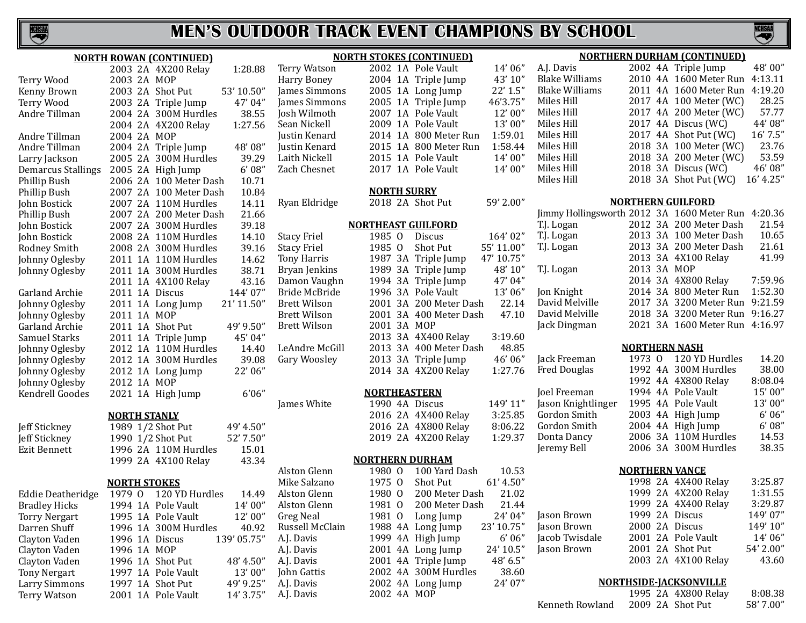

S

|                           | <b>NORTH ROWAN (CONTINUED)</b>          |                     | <b>NORTH STOKES (CONTINUED)</b>        |                         |                                                    |                          | <b>NORTHERN DURHAM (CONTINUED)</b> |           |
|---------------------------|-----------------------------------------|---------------------|----------------------------------------|-------------------------|----------------------------------------------------|--------------------------|------------------------------------|-----------|
|                           | 2003 2A 4X200 Relay<br>1:28.88          | <b>Terry Watson</b> | 2002 1A Pole Vault                     | 14'06"                  | A.J. Davis                                         |                          | 2002 4A Triple Jump                | 48'00"    |
| Terry Wood                | 2003 2A MOP                             | Harry Boney         | 2004 1A Triple Jump                    | 43' 10"                 | <b>Blake Williams</b>                              |                          | 2010 4A 1600 Meter Run             | 4:13.11   |
| Kenny Brown               | 2003 2A Shot Put<br>53' 10.50"          | James Simmons       | 2005 1A Long Jump                      | 22' 1.5"                | <b>Blake Williams</b>                              |                          | 2011 4A 1600 Meter Run             | 4:19.20   |
| Terry Wood                | 47' 04"<br>2003 2A Triple Jump          | James Simmons       | 2005 1A Triple Jump                    | 46'3.75'                | Miles Hill                                         |                          | 2017 4A 100 Meter (WC)             | 28.25     |
| Andre Tillman             | 38.55<br>2004 2A 300M Hurdles           | Josh Wilmoth        | 2007 1A Pole Vault                     | 12'00"                  | Miles Hill                                         |                          | 2017 4A 200 Meter (WC)             | 57.77     |
|                           | 1:27.56<br>2004 2A 4X200 Relay          | Sean Nickell        | 2009 1A Pole Vault                     | 13'00"                  | Miles Hill                                         |                          | 2017 4A Discus (WC)                | 44'08"    |
| Andre Tillman             | 2004 2A MOP                             | Justin Kenard       | 2014 1A 800 Meter Run                  | 1:59.01                 | Miles Hill                                         |                          | 2017 4A Shot Put (WC)              | 16' 7.5"  |
| Andre Tillman             | 48'08"<br>2004 2A Triple Jump           | Justin Kenard       | 2015 1A 800 Meter Run                  | 1:58.44                 | Miles Hill                                         |                          | 2018 3A 100 Meter (WC)             | 23.76     |
| Larry Jackson             | 2005 2A 300M Hurdles<br>39.29           | Laith Nickell       | 2015 1A Pole Vault                     | 14'00"                  | Miles Hill                                         |                          | 2018 3A 200 Meter (WC)             | 53.59     |
| <b>Demarcus Stallings</b> | 6'08''<br>2005 2A High Jump             | Zach Chesnet        | 2017 1A Pole Vault                     | 14'00"                  | Miles Hill                                         |                          | 2018 3A Discus (WC)                | 46'08"    |
| Phillip Bush              | 10.71<br>2006 2A 100 Meter Dash         |                     |                                        |                         | Miles Hill                                         |                          | 2018 3A Shot Put (WC)              | 16' 4.25" |
| Phillip Bush              | 10.84<br>2007 2A 100 Meter Dash         |                     | <b>NORTH SURRY</b>                     |                         |                                                    |                          |                                    |           |
| John Bostick              | 14.11<br>2007 2A 110M Hurdles           | Ryan Eldridge       | 2018 2A Shot Put                       | 59' 2.00"               |                                                    | <b>NORTHERN GUILFORD</b> |                                    |           |
| Phillip Bush              | 21.66<br>2007 2A 200 Meter Dash         |                     |                                        |                         | Jimmy Hollingsworth 2012 3A 1600 Meter Run 4:20.36 |                          |                                    |           |
| John Bostick              | 39.18<br>2007 2A 300M Hurdles           |                     | <b>NORTHEAST GUILFORD</b>              |                         | T.J. Logan                                         |                          | 2012 3A 200 Meter Dash             | 21.54     |
| John Bostick              | 2008 2A 110M Hurdles<br>14.10           | <b>Stacy Friel</b>  | 1985 0<br>Discus                       | 164'02"                 | T.J. Logan                                         |                          | 2013 3A 100 Meter Dash             | 10.65     |
| Rodney Smith              | 39.16<br>2008 2A 300M Hurdles           | <b>Stacy Friel</b>  | 1985 0<br>Shot Put                     | 55' 11.00"              | T.J. Logan                                         |                          | 2013 3A 200 Meter Dash             | 21.61     |
| Johnny Oglesby            | 2011 1A 110M Hurdles<br>14.62           | Tony Harris         | 1987 3A Triple Jump                    | 47' 10.75"              |                                                    |                          | 2013 3A 4X100 Relay                | 41.99     |
| Johnny Oglesby            | 2011 1A 300M Hurdles<br>38.71           | Bryan Jenkins       | 1989 3A Triple Jump                    | 48' 10"                 | T.J. Logan                                         | 2013 3A MOP              |                                    |           |
|                           | 2011 1A 4X100 Relay<br>43.16            | Damon Vaughn        | 1994 3A Triple Jump                    | 47' 04"                 |                                                    |                          | 2014 3A 4X800 Relay                | 7:59.96   |
| Garland Archie            | 144'07"<br>2011 1A Discus               | Bride McBride       | 1996 3A Pole Vault                     | 13'06"                  | Jon Knight                                         |                          | 2014 3A 800 Meter Run              | 1:52.30   |
| Johnny Oglesby            | 21' 11.50"<br>2011 1A Long Jump         | <b>Brett Wilson</b> | 2001 3A 200 Meter Dash                 | 22.14                   | David Melville                                     |                          | 2017 3A 3200 Meter Run 9:21.59     |           |
| Johnny Oglesby            | 2011 1A MOP                             | <b>Brett Wilson</b> | 2001 3A 400 Meter Dash                 | 47.10                   | David Melville                                     |                          | 2018 3A 3200 Meter Run 9:16.27     |           |
| Garland Archie            | 49' 9.50"<br>2011 1A Shot Put           | <b>Brett Wilson</b> | 2001 3A MOP                            |                         | Jack Dingman                                       |                          | 2021 3A 1600 Meter Run 4:16.97     |           |
| Samuel Starks             | 45' 04"<br>2011 1A Triple Jump          |                     | 2013 3A 4X400 Relay                    | 3:19.60                 |                                                    |                          |                                    |           |
| Johnny Oglesby            | 2012 1A 110M Hurdles<br>14.40           | LeAndre McGill      | 2013 3A 400 Meter Dash                 | 48.85                   |                                                    | <b>NORTHERN NASH</b>     |                                    |           |
| Johnny Oglesby            | 39.08<br>2012 1A 300M Hurdles           | Gary Woosley        | 2013 3A Triple Jump                    | 46'06"                  | Jack Freeman                                       |                          | 1973 0 120 YD Hurdles              | 14.20     |
| Johnny Oglesby            | 22' 06"<br>2012 1A Long Jump            |                     | 2014 3A 4X200 Relay                    | 1:27.76                 | <b>Fred Douglas</b>                                |                          | 1992 4A 300M Hurdles               | 38.00     |
| Johnny Oglesby            | 2012 1A MOP                             |                     |                                        |                         |                                                    |                          | 1992 4A 4X800 Relay                | 8:08.04   |
| Kendrell Goodes           | 6'06''<br>2021 1A High Jump             |                     | <b>NORTHEASTERN</b>                    |                         | Joel Freeman                                       |                          | 1994 4A Pole Vault                 | 15'00"    |
|                           |                                         | James White         | 1990 4A Discus                         | 149'11"                 | Jason Knightlinger                                 |                          | 1995 4A Pole Vault                 | 13'00"    |
|                           | <b>NORTH STANLY</b>                     |                     | 2016 2A 4X400 Relay                    | 3:25.85                 | Gordon Smith                                       |                          | 2003 4A High Jump                  | 6'06''    |
| Jeff Stickney             | 1989 1/2 Shot Put<br>49' 4.50"          |                     | 2016 2A 4X800 Relay                    | 8:06.22                 | Gordon Smith                                       |                          | 2004 4A High Jump                  | 6'08''    |
| Jeff Stickney             | 52' 7.50"<br>1990 1/2 Shot Put          |                     | 2019 2A 4X200 Relay                    | 1:29.37                 | Donta Dancy                                        |                          | 2006 3A 110M Hurdles               | 14.53     |
| <b>Ezit Bennett</b>       | 15.01<br>1996 2A 110M Hurdles           |                     |                                        |                         | Jeremy Bell                                        |                          | 2006 3A 300M Hurdles               | 38.35     |
|                           | 43.34<br>1999 2A 4X100 Relay            |                     | <b>NORTHERN DURHAM</b>                 |                         |                                                    |                          |                                    |           |
|                           |                                         | Alston Glenn        | 1980 0                                 | 100 Yard Dash<br>10.53  |                                                    | <b>NORTHERN VANCE</b>    |                                    |           |
|                           | <b>NORTH STOKES</b>                     | Mike Salzano        | 1975 0<br>Shot Put                     | 61' 4.50"               |                                                    |                          | 1998 2A 4X400 Relay                | 3:25.87   |
| Eddie Deatheridge         | 1979 0 120 YD Hurdles<br>14.49          | Alston Glenn        | 1980 0                                 | 200 Meter Dash<br>21.02 |                                                    |                          | 1999 2A 4X200 Relay                | 1:31.55   |
|                           | 1994 1A Pole Vault                      | Alston Glenn        | 1981 0                                 | 200 Meter Dash<br>21.44 |                                                    |                          | 1999 2A 4X400 Relay                | 3:29.87   |
| <b>Bradley Hicks</b>      | 14'00''<br>12'00"<br>1995 1A Pole Vault | <b>Greg Neal</b>    | 1981 0                                 | 24' 04"<br>Long Jump    | Jason Brown                                        | 1999 2A Discus           |                                    | 149'07"   |
| <b>Torry Nergart</b>      |                                         | Russell McClain     | 1988 4A Long Jump                      | 23' 10.75"              | Jason Brown                                        | 2000 2A Discus           |                                    | 149' 10"  |
| Darren Shuff              | 40.92<br>1996 1A 300M Hurdles           |                     |                                        | 6'06''                  | Jacob Twisdale                                     |                          | 2001 2A Pole Vault                 | 14'06"    |
| Clayton Vaden             | 139' 05.75"<br>1996 1A Discus           | A.J. Davis          | 1999 4A High Jump<br>2001 4A Long Jump | 24' 10.5"               | Jason Brown                                        | 2001 2A Shot Put         |                                    | 54' 2.00" |
| Clayton Vaden             | 1996 1A MOP                             | A.J. Davis          |                                        | 48' 6.5"                |                                                    |                          | 2003 2A 4X100 Relay                | 43.60     |
| Clayton Vaden             | 1996 1A Shot Put<br>48' 4.50"           | A.J. Davis          | 2001 4A Triple Jump                    |                         |                                                    |                          |                                    |           |
| <b>Tony Nergart</b>       | 1997 1A Pole Vault<br>13'00"            | John Gattis         | 2002 4A 300M Hurdles                   | 38.60                   |                                                    |                          | <b>NORTHSIDE-IACKSONVILLE</b>      |           |
| Larry Simmons             | 1997 1A Shot Put<br>49' 9.25"           | A.J. Davis          | 2002 4A Long Jump                      | 24' 07"                 |                                                    |                          | 1995 2A 4X800 Relay                | 8:08.38   |
| <b>Terry Watson</b>       | 2001 1A Pole Vault<br>14' 3.75"         | A.J. Davis          | 2002 4A MOP                            |                         | Kenneth Rowland                                    | 2009 2A Shot Put         |                                    | 58' 7.00" |
|                           |                                         |                     |                                        |                         |                                                    |                          |                                    |           |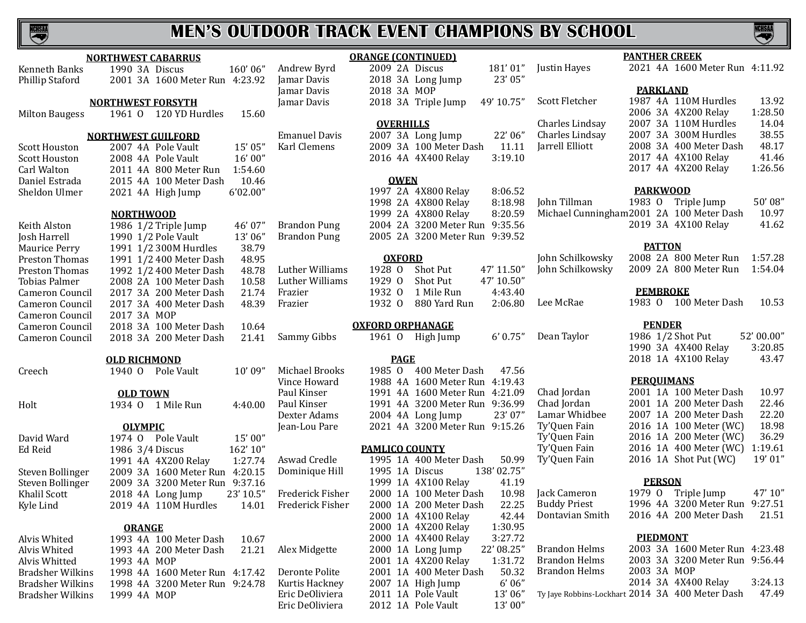| <b>NORTHWEST CABARRUS</b>                     |                                  |                        | <b>ORANGE (CONTINUED)</b>      |            |                      | <b>PANTHER CREEK</b>                            |           |
|-----------------------------------------------|----------------------------------|------------------------|--------------------------------|------------|----------------------|-------------------------------------------------|-----------|
| 1990 3A Discus<br>Kenneth Banks               | 160'06"                          | Andrew Byrd            | 2009 2A Discus                 | 181'01"    | Justin Hayes         | 2021 4A 1600 Meter Run 4:11.92                  |           |
| Phillip Staford                               | 2001 3A 1600 Meter Run 4:23.92   | Jamar Davis            | 2018 3A Long Jump              | 23' 05"    |                      |                                                 |           |
|                                               |                                  | Jamar Davis            | 2018 3A MOP                    |            |                      | <b>PARKLAND</b>                                 |           |
| <b>NORTHWEST FORSYTH</b>                      |                                  | Jamar Davis            | 2018 3A Triple Jump            | 49' 10.75" | Scott Fletcher       | 1987 4A 110M Hurdles                            | 13.92     |
| <b>Milton Baugess</b>                         | 1961 0 120 YD Hurdles<br>15.60   |                        |                                |            |                      | 2006 3A 4X200 Relay                             | 1:28.50   |
|                                               |                                  |                        | <b>OVERHILLS</b>               |            | Charles Lindsay      | 2007 3A 110M Hurdles                            | 14.04     |
| <b>NORTHWEST GUILFORD</b>                     |                                  | <b>Emanuel Davis</b>   | 2007 3A Long Jump              | 22'06"     | Charles Lindsay      | 2007 3A 300M Hurdles                            | 38.55     |
|                                               | 15' 05"                          | Karl Clemens           | 2009 3A 100 Meter Dash         | 11.11      | Jarrell Elliott      | 2008 3A 400 Meter Dash                          | 48.17     |
| 2007 4A Pole Vault<br><b>Scott Houston</b>    |                                  |                        |                                | 3:19.10    |                      | 2017 4A 4X100 Relay                             | 41.46     |
| <b>Scott Houston</b><br>2008 4A Pole Vault    | 16'00"                           |                        | 2016 4A 4X400 Relay            |            |                      | 2017 4A 4X200 Relay                             | 1:26.56   |
| Carl Walton                                   | 1:54.60<br>2011 4A 800 Meter Run |                        |                                |            |                      |                                                 |           |
| Daniel Estrada                                | 2015 4A 100 Meter Dash<br>10.46  |                        | <b>OWEN</b>                    |            |                      |                                                 |           |
| Sheldon Ulmer<br>2021 4A High Jump            | 6'02.00"                         |                        | 1997 2A 4X800 Relay            | 8:06.52    |                      | <b>PARKWOOD</b>                                 |           |
|                                               |                                  |                        | 1998 2A 4X800 Relay            | 8:18.98    | John Tillman         | 1983 O Triple Jump                              | 50'08"    |
| <b>NORTHWOOD</b>                              |                                  |                        | 1999 2A 4X800 Relay            | 8:20.59    |                      | Michael Cunningham2001 2A 100 Meter Dash        | 10.97     |
| 1986 1/2 Triple Jump<br>Keith Alston          | 46' 07"                          | <b>Brandon Pung</b>    | 2004 2A 3200 Meter Run 9:35.56 |            |                      | 2019 3A 4X100 Relay                             | 41.62     |
| 1990 1/2 Pole Vault<br>Josh Harrell           | 13'06"                           | <b>Brandon Pung</b>    | 2005 2A 3200 Meter Run 9:39.52 |            |                      |                                                 |           |
| 1991 1/2 300M Hurdles<br><b>Maurice Perry</b> | 38.79                            |                        |                                |            |                      | <b>PATTON</b>                                   |           |
| Preston Thomas                                | 1991 1/2 400 Meter Dash<br>48.95 |                        | <b>OXFORD</b>                  |            | John Schilkowsky     | 2008 2A 800 Meter Run                           | 1:57.28   |
| Preston Thomas                                | 1992 1/2 400 Meter Dash<br>48.78 | Luther Williams        | 1928 0<br>Shot Put             | 47' 11.50" | John Schilkowsky     | 2009 2A 800 Meter Run                           | 1:54.04   |
| Tobias Palmer                                 | 10.58<br>2008 2A 100 Meter Dash  | Luther Williams        | 1929 0<br>Shot Put             | 47' 10.50" |                      |                                                 |           |
| Cameron Council                               | 2017 3A 200 Meter Dash<br>21.74  | Frazier                | 1932 0<br>1 Mile Run           | 4:43.40    |                      | <b>PEMBROKE</b>                                 |           |
| Cameron Council                               | 48.39<br>2017 3A 400 Meter Dash  | Frazier                | 1932 0<br>880 Yard Run         | 2:06.80    | Lee McRae            | 1983 0 100 Meter Dash                           | 10.53     |
| 2017 3A MOP<br>Cameron Council                |                                  |                        |                                |            |                      |                                                 |           |
| Cameron Council                               | 2018 3A 100 Meter Dash<br>10.64  |                        | <b>OXFORD ORPHANAGE</b>        |            |                      | <b>PENDER</b>                                   |           |
| Cameron Council                               | 2018 3A 200 Meter Dash<br>21.41  | Sammy Gibbs            | 1961 0 High Jump               | 6' 0.75''  | Dean Taylor          | 1986 1/2 Shot Put                               | 52'00.00" |
|                                               |                                  |                        |                                |            |                      | 1990 3A 4X400 Relay                             | 3:20.85   |
| <b>OLD RICHMOND</b>                           |                                  |                        | <b>PAGE</b>                    |            |                      | 2018 1A 4X100 Relay                             | 43.47     |
| 1940 O Pole Vault<br>Creech                   | 10'09''                          | Michael Brooks         | 1985 0 400 Meter Dash          | 47.56      |                      |                                                 |           |
|                                               |                                  | Vince Howard           | 1988 4A 1600 Meter Run 4:19.43 |            |                      | <b>PERQUIMANS</b>                               |           |
| <b>OLD TOWN</b>                               |                                  | Paul Kinser            | 1991 4A 1600 Meter Run 4:21.09 |            | Chad Jordan          | 2001 1A 100 Meter Dash                          | 10.97     |
| Holt<br>1934 0 1 Mile Run                     | 4:40.00                          | Paul Kinser            | 1991 4A 3200 Meter Run 9:36.99 |            | Chad Jordan          | 2001 1A 200 Meter Dash                          | 22.46     |
|                                               |                                  | Dexter Adams           | 2004 4A Long Jump              | 23' 07"    | Lamar Whidbee        | 2007 1A 200 Meter Dash                          | 22.20     |
| <b>OLYMPIC</b>                                |                                  | Jean-Lou Pare          | 2021 4A 3200 Meter Run 9:15.26 |            | Ty'Quen Fain         | 2016 1A 100 Meter (WC)                          | 18.98     |
| David Ward<br>1974 O Pole Vault               | 15'00"                           |                        |                                |            | Ty'Quen Fain         | 2016 1A 200 Meter (WC)                          | 36.29     |
| Ed Reid<br>1986 3/4 Discus                    | 162' 10"                         |                        | <b>PAMLICO COUNTY</b>          |            | Ty'Quen Fain         | 2016 1A 400 Meter (WC) 1:19.61                  |           |
| 1991 4A 4X200 Relay                           | 1:27.74                          | Aswad Credle           | 1995 1A 400 Meter Dash         | 50.99      | Ty'Quen Fain         | 2016 1A Shot Put (WC)                           | 19'01"    |
| Steven Bollinger                              | 2009 3A 1600 Meter Run 4:20.15   | Dominique Hill         | 1995 1A Discus                 | 138'02.75" |                      |                                                 |           |
| Steven Bollinger                              | 2009 3A 3200 Meter Run 9:37.16   |                        | 1999 1A 4X100 Relay            | 41.19      |                      | <b>PERSON</b>                                   |           |
| 2018 4A Long Jump                             |                                  | Frederick Fisher       | 2000 1A 100 Meter Dash         | 10.98      | Jack Cameron         | 1979 O Triple Jump                              | 47' 10"   |
| Khalil Scott                                  | $23'$ 10.5"                      | 14.01 Frederick Fisher | 2000 1A 200 Meter Dash         | 22.25      | <b>Buddy Priest</b>  | 1996 4A 3200 Meter Run 9:27.51                  |           |
| Kyle Lind                                     | 2019 4A 110M Hurdles             |                        |                                | 42.44      | Dontavian Smith      | 2016 4A 200 Meter Dash                          | 21.51     |
|                                               |                                  |                        | 2000 1A 4X100 Relay            |            |                      |                                                 |           |
| <b>ORANGE</b>                                 |                                  |                        | 2000 1A 4X200 Relay            | 1:30.95    |                      | <b>PIEDMONT</b>                                 |           |
| Alvis Whited                                  | 1993 4A 100 Meter Dash<br>10.67  |                        | 2000 1A 4X400 Relay            | 3:27.72    |                      |                                                 |           |
| Alvis Whited                                  | 21.21<br>1993 4A 200 Meter Dash  | Alex Midgette          | 2000 1A Long Jump              | 22' 08.25" | <b>Brandon Helms</b> | 2003 3A 1600 Meter Run 4:23.48                  |           |
| Alvis Whitted<br>1993 4A MOP                  |                                  |                        | 2001 1A 4X200 Relay            | 1:31.72    | <b>Brandon Helms</b> | 2003 3A 3200 Meter Run 9:56.44                  |           |
| <b>Bradsher Wilkins</b>                       | 1998 4A 1600 Meter Run 4:17.42   | Deronte Polite         | 2001 1A 400 Meter Dash         | 50.32      | <b>Brandon Helms</b> | 2003 3A MOP                                     |           |
| <b>Bradsher Wilkins</b>                       | 1998 4A 3200 Meter Run 9:24.78   | Kurtis Hackney         | 2007 1A High Jump              | 6'06''     |                      | 2014 3A 4X400 Relay                             | 3:24.13   |
| 1999 4A MOP<br>Bradsher Wilkins               |                                  | Eric DeOliviera        | 2011 1A Pole Vault             | 13'06"     |                      | Ty Jaye Robbins-Lockhart 2014 3A 400 Meter Dash | 47.49     |
|                                               |                                  | Eric DeOliviera        | 2012 1A Pole Vault             | 13'00"     |                      |                                                 |           |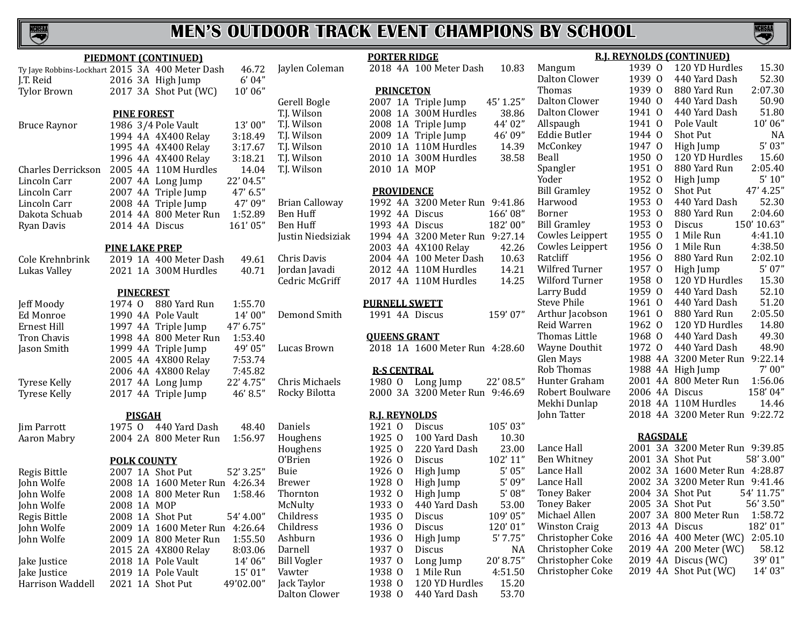

**PORTER RIDGE**

| PIEDMONT (CONTINUED)                            |                    |               |                                                 |                   |                      |  |  |  |  |  |  |
|-------------------------------------------------|--------------------|---------------|-------------------------------------------------|-------------------|----------------------|--|--|--|--|--|--|
| Ty Jaye Robbins-Lockhart 2015 3A 400 Meter Dash |                    |               |                                                 | 46.72             | Jaylen Colemar       |  |  |  |  |  |  |
| J.T. Reid                                       |                    |               | 2016 3A High Jump                               | 6'04"             |                      |  |  |  |  |  |  |
| Tylor Brown                                     |                    |               | 2017 3A Shot Put (WC)                           | 10'06''           |                      |  |  |  |  |  |  |
|                                                 |                    |               |                                                 |                   | Gerell Bogle         |  |  |  |  |  |  |
|                                                 | <b>PINE FOREST</b> |               |                                                 |                   | T.J. Wilson          |  |  |  |  |  |  |
| <b>Bruce Raynor</b>                             |                    |               | 1986 3/4 Pole Vault                             | 13'00"            | T.J. Wilson          |  |  |  |  |  |  |
|                                                 |                    |               | 1994 4A 4X400 Relay                             | 3:18.49           | T.J. Wilson          |  |  |  |  |  |  |
|                                                 |                    |               | 1995 4A 4X400 Relay                             | 3:17.67           | T.J. Wilson          |  |  |  |  |  |  |
|                                                 |                    |               | 1996 4A 4X400 Relay                             | 3:18.21           | T.J. Wilson          |  |  |  |  |  |  |
| Charles Derrickson                              |                    |               | 2005 4A 110M Hurdles                            | 14.04             | T.J. Wilson          |  |  |  |  |  |  |
| Lincoln Carr                                    |                    |               | 2007 4A Long Jump                               | 22' 04.5"         |                      |  |  |  |  |  |  |
| Lincoln Carr                                    |                    |               | 2007 4A Triple Jump                             | 47' 6.5"          |                      |  |  |  |  |  |  |
| Lincoln Carr                                    |                    |               | 2008 4A Triple Jump                             | 47' 09"           | Brian Calloway       |  |  |  |  |  |  |
| Dakota Schuab                                   |                    |               | 2014 4A 800 Meter Run                           | 1:52.89           | Ben Huff             |  |  |  |  |  |  |
| Ryan Davis                                      |                    |               | 2014 4A Discus                                  | 161'05"           | Ben Huff             |  |  |  |  |  |  |
|                                                 |                    |               |                                                 |                   | Justin Niedsizi      |  |  |  |  |  |  |
|                                                 |                    |               | <b>PINE LAKE PREP</b><br>2019 1A 400 Meter Dash | 49.61             | Chris Davis          |  |  |  |  |  |  |
| Cole Krehnbrink                                 |                    |               | 2021 1A 300M Hurdles                            | 40.71             | Jordan Javadi        |  |  |  |  |  |  |
| Lukas Valley                                    |                    |               |                                                 |                   | Cedric McGriff       |  |  |  |  |  |  |
|                                                 |                    |               | <b>PINECREST</b>                                |                   |                      |  |  |  |  |  |  |
| Jeff Moody                                      | 1974 0             |               | 880 Yard Run                                    | 1:55.70           |                      |  |  |  |  |  |  |
| <b>Ed Monroe</b>                                |                    |               | 1990 4A Pole Vault                              | 14' 00"           | Demond Smith         |  |  |  |  |  |  |
| Ernest Hill                                     |                    |               | 1997 4A Triple Jump                             | 47' 6.75"         |                      |  |  |  |  |  |  |
| Tron Chavis                                     |                    |               | 1998 4A 800 Meter Run                           | 1:53.40           |                      |  |  |  |  |  |  |
| Jason Smith                                     |                    |               | 1999 4A Triple Jump                             | 49' 05"           | Lucas Brown          |  |  |  |  |  |  |
|                                                 |                    |               | 2005 4A 4X800 Relay                             | 7:53.74           |                      |  |  |  |  |  |  |
|                                                 |                    |               | 2006 4A 4X800 Relay                             | 7:45.82           |                      |  |  |  |  |  |  |
| Tyrese Kelly                                    |                    |               | 2017 4A Long Jump                               | 22' 4.75"         | Chris Michaels       |  |  |  |  |  |  |
| Tyrese Kelly                                    |                    |               | 2017 4A Triple Jump                             | 46' 8.5"          | Rocky Bilotta        |  |  |  |  |  |  |
|                                                 |                    |               |                                                 |                   |                      |  |  |  |  |  |  |
|                                                 |                    | <b>PISGAH</b> |                                                 |                   |                      |  |  |  |  |  |  |
| <b>Jim Parrott</b>                              | 1975 0             |               | 440 Yard Dash                                   | 48.40             | Daniels              |  |  |  |  |  |  |
| Aaron Mabry                                     |                    |               | 2004 2A 800 Meter Run                           | 1:56.97           | Houghens             |  |  |  |  |  |  |
|                                                 |                    |               |                                                 |                   | Houghens             |  |  |  |  |  |  |
|                                                 |                    |               | <b>POLK COUNTY</b>                              |                   | O'Brien              |  |  |  |  |  |  |
| Regis Bittle                                    |                    |               | 2007 1A Shot Put                                | 52' 3.25"         | Buie                 |  |  |  |  |  |  |
| John Wolfe                                      |                    |               | 2008 1A 1600 Meter Run 4:26.34                  |                   | <b>Brewer</b>        |  |  |  |  |  |  |
| John Wolfe                                      |                    |               | 2008–1A 800 Meter Run                           | 1:58.46           | Thornton             |  |  |  |  |  |  |
| John Wolfe                                      | 2008 1A MOP        |               |                                                 |                   | McNulty<br>Childress |  |  |  |  |  |  |
| Regis Bittle                                    |                    |               | 2008 1A Shot Put                                | 54' 4.00"         | Childress            |  |  |  |  |  |  |
| John Wolfe                                      |                    |               | 2009 1A 1600 Meter Run                          | 4:26.64           | Ashburn              |  |  |  |  |  |  |
| John Wolfe                                      |                    |               | 2009 1A 800 Meter Run                           | 1:55.50           | Darnell              |  |  |  |  |  |  |
| Jake Justice                                    |                    |               | 2015 2A 4X800 Relay<br>2018 1A Pole Vault       | 8:03.06<br>14'06" | <b>Bill Vogler</b>   |  |  |  |  |  |  |
| Jake Justice                                    |                    |               | 2019 1A Pole Vault                              | 15'01"            | Vawter               |  |  |  |  |  |  |
| Harrison Waddell                                |                    |               | 2021 1A Shot Put                                | 49'02.00"         | Jack Taylor          |  |  |  |  |  |  |
|                                                 |                    |               |                                                 |                   | Dalton Clower        |  |  |  |  |  |  |

| $\overline{c}$<br>$\cdot$             | Jaylen Coleman        |                      |                | 2018 4A 100 Meter Dash         | 10.83      |
|---------------------------------------|-----------------------|----------------------|----------------|--------------------------------|------------|
| 'n,                                   |                       | <b>PRINCETON</b>     |                |                                |            |
|                                       | Gerell Bogle          |                      |                | 2007 1A Triple Jump            | 45' 1.25"  |
|                                       | T.J. Wilson           |                      |                | 2008 1A 300M Hurdles           | 38.86      |
| "                                     | T.J. Wilson           |                      |                | 2008 1A Triple Jump            | 44'02"     |
| 9                                     | T.J. Wilson           |                      |                | 2009 1A Triple Jump            | 46'09"     |
| 7                                     | T.J. Wilson           |                      |                | 2010 1A 110M Hurdles           | 14.39      |
| $\mathbf{1}$                          | T.J. Wilson           |                      |                | 2010 1A 300M Hurdles           | 38.58      |
| 4                                     | T.J. Wilson           | 2010 1A MOP          |                |                                |            |
| $\ddot{\phantom{a}}$                  |                       |                      |                |                                |            |
| w                                     |                       | <b>PROVIDENCE</b>    |                |                                |            |
| 'n,                                   | <b>Brian Calloway</b> |                      |                | 1992 4A 3200 Meter Run 9:41.86 |            |
| 9                                     | <b>Ben Huff</b>       | 1992 4A              |                | Discus                         | 166'08"    |
| P                                     | <b>Ben Huff</b>       |                      |                | 1993 4A Discus                 | 182'00"    |
|                                       | Justin Niedsiziak     | 1994 4A              |                | 3200 Meter Run 9:27.14         |            |
|                                       |                       |                      |                | 2003 4A 4X100 Relay            | 42.26      |
| $\mathbf{1}$                          | Chris Davis           | 2004 4A              |                | 100 Meter Dash                 | 10.63      |
| $\mathbf{1}$                          | Jordan Javadi         | 2012 4A              |                | 110M Hurdles                   | 14.21      |
|                                       | Cedric McGriff        | 2017 4A              |                | 110M Hurdles                   | 14.25      |
| 0                                     |                       |                      |                | <b>PURNELL SWETT</b>           |            |
| 'n,<br>$^{\prime}$                    | Demond Smith          |                      |                | 1991 4A Discus                 | 159'07"    |
| 0                                     |                       |                      |                | <b>OUEENS GRANT</b>            |            |
| $\ddot{\phantom{a}}$                  | Lucas Brown           |                      |                | 2018 1A 1600 Meter Run 4:28.60 |            |
| 4                                     |                       |                      |                | <b>R-S CENTRAL</b>             |            |
| $\overline{\mathbf{c}}$<br>$\ddot{ }$ | Chris Michaels        |                      |                | 1980 O Long Jump               | 22' 08.5"  |
| $\ddot{\phantom{a}}$                  | Rocky Bilotta         |                      |                | 2000 3A 3200 Meter Run 9:46.69 |            |
|                                       |                       |                      |                |                                |            |
|                                       |                       | <b>R.J. REYNOLDS</b> |                |                                |            |
| 0                                     | Daniels               | 1921 0               |                | <b>Discus</b>                  | 105'03"    |
| 7                                     | Houghens              | 1925 0               |                | 100 Yard Dash                  | 10.30      |
|                                       | Houghens              | 1925 0               |                | 220 Yard Dash                  | 23.00      |
|                                       | O'Brien               | 1926 0               |                | Discus                         | 102'11"    |
| $^{\prime}$                           | Buie                  | 1926                 | $\overline{0}$ | High Jump                      | 5'05''     |
| 4                                     | <b>Brewer</b>         | 1928                 | $\overline{0}$ | High Jump                      | 5'09''     |
| 6                                     | Thornton              | 1932                 | $\Omega$       | High Jump                      | $5'$ 08"   |
|                                       | McNulty               | 1933                 | $\mathbf 0$    | 440 Yard Dash                  | 53.00      |
| v                                     | Childrocc             | 1025 A               |                | Diccus <b>District</b>         | 100' $05"$ |

| Gerell Bogle          |                      | 2007 1A Triple Jump            | 45' 1.25" | Dalton Clower        |
|-----------------------|----------------------|--------------------------------|-----------|----------------------|
| T.J. Wilson           |                      | 2008 1A 300M Hurdles           | 38.86     | Dalton Clower        |
| T.J. Wilson           |                      | 2008 1A Triple Jump            | 44' 02"   | Allspaugh            |
| T.J. Wilson           |                      | 2009 1A Triple Jump            | 46'09"    | Eddie Butler         |
| T.J. Wilson           | 2010 1A              | 110M Hurdles                   | 14.39     | McConkey             |
| T.J. Wilson           |                      | 2010 1A 300M Hurdles           | 38.58     | Beall                |
| T.J. Wilson           | 2010 1A MOP          |                                |           | Spangler             |
|                       |                      |                                |           | Yoder                |
|                       | <b>PROVIDENCE</b>    |                                |           | <b>Bill Gramley</b>  |
| <b>Brian Calloway</b> |                      | 1992 4A 3200 Meter Run 9:41.86 |           | Harwood              |
| Ben Huff              |                      | 1992 4A Discus                 | 166'08"   | Borner               |
| Ben Huff              |                      | 1993 4A Discus                 | 182'00"   | <b>Bill Gramley</b>  |
| Justin Niedsiziak     |                      | 1994 4A 3200 Meter Run 9:27.14 |           | Cowles Leippert      |
|                       |                      | 2003 4A 4X100 Relay            | 42.26     | Cowles Leippert      |
| Chris Davis           |                      | 2004 4A 100 Meter Dash         | 10.63     | Ratcliff             |
| Jordan Javadi         |                      | 2012 4A 110M Hurdles           | 14.21     | Wilfred Turner       |
| Cedric McGriff        |                      | 2017 4A 110M Hurdles           | 14.25     | Wilford Turner       |
|                       |                      |                                |           | Larry Budd           |
|                       | <b>PURNELL SWETT</b> |                                |           | <b>Steve Phile</b>   |
| <b>Demond Smith</b>   |                      | 1991 4A Discus                 | 159'07"   | Arthur Jacobson      |
|                       |                      |                                |           | Reid Warren          |
|                       | <b>QUEENS GRANT</b>  |                                |           | Thomas Little        |
| Lucas Brown           |                      | 2018 1A 1600 Meter Run 4:28.60 |           | <b>Wayne Douthit</b> |
|                       |                      |                                |           | Glen Mays            |
|                       | <b>R-S CENTRAL</b>   |                                |           | Rob Thomas           |
| Chris Michaels        | 1980 O               | Long Jump                      | 22' 08.5" | Hunter Graham        |
| Rocky Bilotta         |                      | 2000 3A 3200 Meter Run 9:46.69 |           | Robert Boulware      |
|                       |                      |                                |           | Mekhi Dunlap         |
|                       | <b>R.J. REYNOLDS</b> |                                |           | John Tatter          |
| Daniels               | 1921 0               | <b>Discus</b>                  | 105'03"   |                      |
| Houghens              | 1925 0               | 100 Yard Dash                  | 10.30     |                      |
| Houghens              | 1925 0               | 220 Yard Dash                  | 23.00     | Lance Hall           |
| O'Brien               | 1926 0               | <b>Discus</b>                  | 102'11"   | <b>Ben Whitney</b>   |
| Buie                  | 1926 0               | High Jump                      | $5'$ 05"  | Lance Hall           |
| <b>Brewer</b>         | 1928 0               | High Jump                      | 5'09''    | Lance Hall           |
| Thornton              | 1932 0               | High Jump                      | 5'08''    | <b>Toney Baker</b>   |
| McNulty               | 1933 0               | 440 Yard Dash                  | 53.00     | <b>Toney Baker</b>   |
| Childress             | 1935 0               | Discus                         | 109'05"   | Michael Allen        |
| Childress             | 1936 0               | <b>Discus</b>                  | 120'01"   | <b>Winston Craig</b> |
| Ashburn               | 1936 0               | High Jump                      | 5'7.75''  | Christopher Coke     |
| Darnell               | 1937 0               | Discus                         | NA        | Christopher Coke     |
| <b>Bill Vogler</b>    | 1937 0               | Long Jump                      | 20'8.75"  | Christopher Coke     |
| Vawter                | 1938 0               | 1 Mile Run                     | 4:51.50   | Christopher Coke     |
| Jack Taylor           | 1938 0               | 120 YD Hurdles                 | 15.20     |                      |
| Dalton Clower         | 1938 0               | 440 Yard Dash                  | 53.70     |                      |

| <b>R.J. REYNOLDS (CONTINUED)</b> |         |                 |                 |             |  |  |  |  |
|----------------------------------|---------|-----------------|-----------------|-------------|--|--|--|--|
| Mangum                           | 1939 0  |                 | 120 YD Hurdles  | 15.30       |  |  |  |  |
| Dalton Clower                    | 1939    | $\Omega$        | 440 Yard Dash   | 52.30       |  |  |  |  |
| Thomas                           | 1939    | $\Omega$        | 880 Yard Run    | 2:07.30     |  |  |  |  |
| Dalton Clower                    | 1940    | $\Omega$        | 440 Yard Dash   | 50.90       |  |  |  |  |
| Dalton Clower                    | 1941    | $\Omega$        | 440 Yard Dash   | 51.80       |  |  |  |  |
| Allspaugh                        | 1941    | $\Omega$        | Pole Vault      | 10'06"      |  |  |  |  |
| <b>Eddie Butler</b>              | 1944    | $\Omega$        | <b>Shot Put</b> | <b>NA</b>   |  |  |  |  |
| McConkey                         | 1947    | $\overline{0}$  | High Jump       | 5'03''      |  |  |  |  |
| Beall                            | 1950    | $\Omega$        | 120 YD Hurdles  | 15.60       |  |  |  |  |
| Spangler                         | 1951    | $\Omega$        | 880 Yard Run    | 2:05.40     |  |  |  |  |
| Yoder                            | 1952    | $\Omega$        | High Jump       | 5' 10''     |  |  |  |  |
| <b>Bill Gramley</b>              | 1952    | $\mathbf{0}$    | <b>Shot Put</b> | 47' 4.25"   |  |  |  |  |
| Harwood                          | 1953    | $\Omega$        | 440 Yard Dash   | 52.30       |  |  |  |  |
| Borner                           | 1953    | $\overline{0}$  | 880 Yard Run    | 2:04.60     |  |  |  |  |
| <b>Bill Gramley</b>              | 1953    | $\Omega$        | Discus          | 150' 10.63" |  |  |  |  |
| Cowles Leippert                  | 1955 0  |                 | 1 Mile Run      | 4:41.10     |  |  |  |  |
| Cowles Leippert                  | 1956 0  |                 | 1 Mile Run      | 4:38.50     |  |  |  |  |
| Ratcliff                         | 1956    | $\Omega$        | 880 Yard Run    | 2:02.10     |  |  |  |  |
| Wilfred Turner                   | 1957    | $\Omega$        | High Jump       | 5'07''      |  |  |  |  |
| Wilford Turner                   | 1958    | $\Omega$        | 120 YD Hurdles  | 15.30       |  |  |  |  |
| Larry Budd                       | 1959    | $\Omega$        | 440 Yard Dash   | 52.10       |  |  |  |  |
| <b>Steve Phile</b>               | 1961    | $\Omega$        | 440 Yard Dash   | 51.20       |  |  |  |  |
| Arthur Jacobson                  | 1961    | $\Omega$        | 880 Yard Run    | 2:05.50     |  |  |  |  |
| Reid Warren                      | 1962    | $\Omega$        | 120 YD Hurdles  | 14.80       |  |  |  |  |
| Thomas Little                    | 1968    | $\Omega$        | 440 Yard Dash   | 49.30       |  |  |  |  |
| Wayne Douthit                    | 1972    | $\Omega$        | 440 Yard Dash   | 48.90       |  |  |  |  |
| <b>Glen Mays</b>                 | 1988 4A |                 | 3200 Meter Run  | 9:22.14     |  |  |  |  |
| Rob Thomas                       | 1988 4A |                 | High Jump       | 7'00''      |  |  |  |  |
| Hunter Graham                    | 2001    | 4A              | 800 Meter Run   | 1:56.06     |  |  |  |  |
| Robert Boulware                  | 2006    | 4A              | <b>Discus</b>   | 158'04"     |  |  |  |  |
| Mekhi Dunlap                     | 2018    | 4A              | 110M Hurdles    | 14.46       |  |  |  |  |
| John Tatter                      | 2018 4A |                 | 3200 Meter Run  | 9:22.72     |  |  |  |  |
|                                  |         | <b>DACCDALE</b> |                 |             |  |  |  |  |

**NCHSM** 

#### **RAGSDALE**

| Lance Hall       |  | 2001 3A 3200 Meter Run 9:39.85 |         |
|------------------|--|--------------------------------|---------|
| Ben Whitney      |  | 2001 3A Shot Put 58' 3.00"     |         |
| Lance Hall       |  | 2002 3A 1600 Meter Run 4:28.87 |         |
| Lance Hall       |  | 2002 3A 3200 Meter Run 9:41.46 |         |
| Toney Baker      |  | 2004 3A Shot Put 54' 11.75"    |         |
| Toney Baker      |  | 2005 3A Shot Put 56' 3.50"     |         |
| Michael Allen    |  | 2007 3A 800 Meter Run 1:58.72  |         |
| Winston Craig    |  | 2013 4A Discus                 | 182'01" |
| Christopher Coke |  | 2016 4A 400 Meter (WC)         | 2:05.10 |
| Christopher Coke |  | 2019 4A 200 Meter (WC)         | 58.12   |
| Christopher Coke |  | 2019 4A Discus (WC)            | 39' 01" |
| Christopher Coke |  | 2019 4A Shot Put (WC)          | 14' 03" |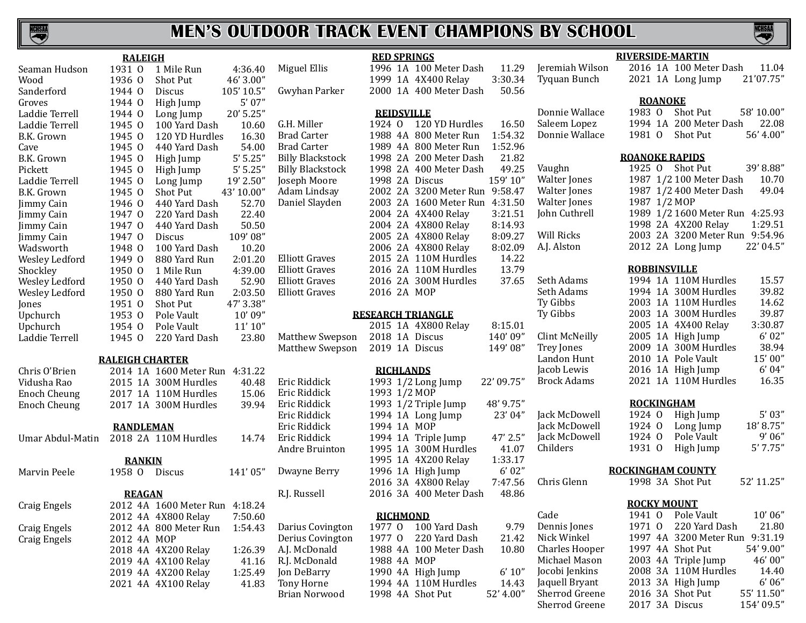

|                     | <b>RALEIGH</b>   |                                |            |                   |
|---------------------|------------------|--------------------------------|------------|-------------------|
| Seaman Hudson       | 1931 0           | 1 Mile Run                     | 4:36.40    | Miguel El         |
| Wood                | 1936 0           | <b>Shot Put</b>                | 46' 3.00"  |                   |
| Sanderford          | 1944 0           | Discus                         | 105' 10.5" | Gwyhan I          |
| Groves              | 1944 0           | High Jump                      | 5'07''     |                   |
| Laddie Terrell      | $1944 \Omega$    | Long Jump                      | 20' 5.25"  |                   |
| Laddie Terrell      | 1945 0           | 100 Yard Dash                  | 10.60      | G.H. Mille        |
| B.K. Grown          | 1945 0           | 120 YD Hurdles                 | 16.30      | <b>Brad Cart</b>  |
| Cave                | 1945 0           | 440 Yard Dash                  | 54.00      | <b>Brad Cart</b>  |
| B.K. Grown          | 1945 0           | High Jump                      | 5'5.25''   | <b>Billy Blac</b> |
| Pickett             | 1945 0           | High Jump                      | 5'5.25''   | <b>Billy Blac</b> |
| Laddie Terrell      | 1945 0           | Long Jump                      | 19' 2.50"  | Joseph M          |
| B.K. Grown          | 1945 0           | <b>Shot Put</b>                | 43' 10.00" | Adam Lin          |
| Jimmy Cain          | 1946 0           | 440 Yard Dash                  | 52.70      | Daniel Sla        |
| Jimmy Cain          | 1947 0           | 220 Yard Dash                  | 22.40      |                   |
| Jimmy Cain          | 1947 0           | 440 Yard Dash                  | 50.50      |                   |
| Jimmy Cain          | 1947 0           | <b>Discus</b>                  | 109'08"    |                   |
| Wadsworth           | 1948 0           | 100 Yard Dash                  | 10.20      |                   |
| Wesley Ledford      | 1949 0           | 880 Yard Run                   | 2:01.20    | Elliott Gra       |
| Shockley            | 1950 0           | 1 Mile Run                     | 4:39.00    | Elliott Gra       |
| Wesley Ledford      | 1950 0           | 440 Yard Dash                  | 52.90      | Elliott Gra       |
| Wesley Ledford      | 1950 0           | 880 Yard Run                   | 2:03.50    | Elliott Gra       |
| Jones               | 1951 0           | <b>Shot Put</b>                | 47' 3.38"  |                   |
| Upchurch            | 1953 0           | Pole Vault                     | 10'09"     |                   |
| Upchurch            | 1954 0           | Pole Vault                     | 11'10''    |                   |
| Laddie Terrell      | 1945 0           | 220 Yard Dash                  | 23.80      | Matthew           |
|                     |                  |                                |            | Matthew           |
|                     |                  | <b>RALEIGH CHARTER</b>         |            |                   |
| Chris O'Brien       |                  | 2014 1A 1600 Meter Run         | 4:31.22    |                   |
| Vidusha Rao         |                  | 2015 1A 300M Hurdles           | 40.48      | Eric Ridd         |
| <b>Enoch Cheung</b> |                  | 2017 1A 110M Hurdles           | 15.06      | Eric Ridd         |
| <b>Enoch Cheung</b> |                  | 2017 1A 300M Hurdles           | 39.94      | Eric Ridd         |
|                     |                  |                                |            | Eric Ridd         |
|                     | <b>RANDLEMAN</b> |                                |            | Eric Ridd         |
| Umar Abdul-Matin    |                  | 2018 2A 110M Hurdles           | 14.74      | Eric Ridd         |
|                     |                  |                                |            | Andre Br          |
|                     | <b>RANKIN</b>    |                                | 141'05"    |                   |
| Marvin Peele        | 1958 0           | <b>Discus</b>                  |            | Dwayne I          |
|                     | <b>REAGAN</b>    |                                |            | R.J. Russe        |
| Craig Engels        |                  | 2012 4A 1600 Meter Run 4:18.24 |            |                   |
|                     |                  | 2012 4A 4X800 Relay            | 7:50.60    |                   |
| Craig Engels        |                  | 2012 4A 800 Meter Run          | 1:54.43    | Darius Co         |
| Craig Engels        | 2012 4A MOP      |                                |            | Derius Co         |
|                     |                  | 2018 4A 4X200 Relay            | 1:26.39    | A.J. McDo         |
|                     |                  | 2019 4A 4X100 Relay            | 41.16      | R.J. McDo         |
|                     |                  | 2019 4A 4X200 Relay            | 1:25.49    | Jon DeBa          |
|                     |                  | 2021 4A 4X100 Relay            | 41.83      | <b>Tony Hor</b>   |
|                     |                  |                                |            | <b>Rrian Nor</b>  |

|                         | <b>RED SPRINGS</b> |                 |                          |            |
|-------------------------|--------------------|-----------------|--------------------------|------------|
| Miguel Ellis            | 1996 1A            |                 | 100 Meter Dash           | 11.29      |
|                         | 1999               | 1A              | 4X400 Relay              | 3:30.34    |
| Gwyhan Parker           | 2000 1A            |                 | 400 Meter Dash           | 50.56      |
|                         |                    |                 |                          |            |
|                         | <b>REIDSVILLE</b>  |                 |                          |            |
| G.H. Miller             | 1924 0             |                 | 120 YD Hurdles           | 16.50      |
| <b>Brad Carter</b>      | 1988 4A            |                 | 800 Meter Run            | 1:54.32    |
| <b>Brad Carter</b>      | 1989 4A            |                 | 800 Meter Run            | 1:52.96    |
| <b>Billy Blackstock</b> | 1998 2A            |                 | 200 Meter Dash           | 21.82      |
| <b>Billy Blackstock</b> | 1998               | 2A              | 400 Meter Dash           | 49.25      |
| Joseph Moore            | 1998 2A            |                 | Discus                   | 159' 10"   |
| Adam Lindsay            | 2002 2A            |                 | 3200 Meter Run           | 9:58.47    |
| Daniel Slayden          | 2003 2A            |                 | 1600 Meter Run           | 4:31.50    |
|                         | 2004 2A            |                 | 4X400 Relay              | 3:21.51    |
|                         | 2004 2A            |                 | 4X800 Relay              | 8:14.93    |
|                         | 2005               | 2A              | 4X800 Relay              | 8:09.27    |
|                         | 2006               | 2A              | 4X800 Relay              | 8:02.09    |
| <b>Elliott Graves</b>   | 2015 2A            |                 | 110M Hurdles             | 14.22      |
| <b>Elliott Graves</b>   | 2016 2A            |                 | 110M Hurdles             | 13.79      |
| Elliott Graves          | 2016 2A            |                 | 300M Hurdles             | 37.65      |
| Elliott Graves          | 2016 2A            |                 | <b>MOP</b>               |            |
|                         |                    |                 | <b>RESEARCH TRIANGLE</b> |            |
|                         | 2015 1A            |                 | 4X800 Relay              | 8:15.01    |
| Matthew Swepson         | 2018               | 1A              | <b>Discus</b>            | 140'09"    |
| Matthew Swepson         |                    |                 | 2019 1A Discus           | 149'08"    |
|                         |                    |                 |                          |            |
|                         | <b>RICHLANDS</b>   |                 |                          |            |
| Eric Riddick            | 1993               |                 | 1/2 Long Jump            | 22' 09.75" |
| Eric Riddick            | 1993               |                 | $1/2$ MOP                |            |
| Eric Riddick            | 1993               |                 | 1/2 Triple Jump          | 48' 9.75"  |
| Eric Riddick            | 1994               |                 | 1A Long Jump             | 23' 04"    |
| Eric Riddick            | 1994               |                 | 1A MOP                   |            |
| Eric Riddick            | 1994               | 1A              | Triple Jump              | 47' 2.5"   |
| Andre Bruinton          | 1995               | 1A              | 300M Hurdles             | 41.07      |
|                         | 1995               |                 | 1A 4X200 Relay           | 1:33.17    |
| Dwayne Berry            | 1996               |                 | 1A High Jump             | 6'02"      |
|                         | 2016 3A            |                 | 4X800 Relay              | 7:47.56    |
| R.J. Russell            | 2016 3A            |                 | 400 Meter Dash           | 48.86      |
|                         |                    | <b>RICHMOND</b> |                          |            |
| Darius Covington        | 1977 0             |                 | 100 Yard Dash            | 9.79       |
| Derius Covington        | 1977               | $\overline{0}$  | 220 Yard Dash            | 21.42      |
| A.J. McDonald           | 1988 4A            |                 | 100 Meter Dash           | 10.80      |
| R.J. McDonald           | 1988 4A            |                 | MOP                      |            |
| Jon DeBarry             | 1990 4A            |                 | High Jump                | 6' 10''    |
| <b>Tony Horne</b>       | 1994 4A            |                 | 110M Hurdles             | 14.43      |
|                         |                    |                 |                          |            |

#### Jeremiah Wilson 2016 1A 100 Meter Dash 11.04 Tyquan Bunch

Walter Jones 1<br>987 100 Walter Jones 10. Walter Jones 1<br>987 112 400 Walter Jones 1 Walter Jones 1<br>1987 10 Mon Cuthrell John Cuthrell 1<br>1

Will Ricks 2<br>A.J. Alston 2 A.J. Alston

Seth Adams Seth Adams<br>Ty Gibbs Ty Gibbs Clint McNeilly Trey Jones Landon Hunt Jacob Lewis Brock Adams

Jack McDowell Jack McDowell Jack McDowell<br>Childers

rwood 1998 4A Shot Put 52' 4.00" Dennis Jones<br>Nick Winkel

|                | 21 1A Long Jump | 21'07.75" |
|----------------|-----------------|-----------|
| <b>ROANOKE</b> |                 |           |

#### Donnie Wallace 1983 O Shot Put 58' 10.00" Saleem Lopez 1994 1A 200 Meter Dash 22.08<br>Donnie Wallace 1981 0 Shot Put 56'4.00" 1981 O Shot Put

#### **ROANOKE RAPIDS**

**RIVERSIDE-MARTIN**

| Vaughn              |              | 1925 O Shot Put                 | 39'8.88"  |
|---------------------|--------------|---------------------------------|-----------|
| <b>Walter Jones</b> |              | 1987 1/2 100 Meter Dash         | 10.70     |
| <b>Walter Jones</b> |              | 1987 1/2 400 Meter Dash         | 49.04     |
| Walter Jones        | 1987 1/2 MOP |                                 |           |
| John Cuthrell       |              | 1989 1/2 1600 Meter Run 4:25.93 |           |
|                     |              | 1998 2A 4X200 Relay             | 1:29.51   |
| Will Ricks          |              | 2003 2A 3200 Meter Run          | 9:54.96   |
| A.J. Alston         |              | 2012 2A Long Jump               | 22' 04.5" |
|                     |              |                                 |           |

#### **ROBBINSVILLE**

| Seth Adams         |  | 1994 1A 110M Hurdles | 15.57   |
|--------------------|--|----------------------|---------|
| Seth Adams         |  | 1994 1A 300M Hurdles | 39.82   |
| Ty Gibbs           |  | 2003 1A 110M Hurdles | 14.62   |
| Ty Gibbs           |  | 2003 1A 300M Hurdles | 39.87   |
|                    |  | 2005 1A 4X400 Relay  | 3:30.87 |
| Clint McNeilly     |  | 2005 1A High Jump    | 6'02"   |
| Trey Jones         |  | 2009 1A 300M Hurdles | 38.94   |
| Landon Hunt        |  | 2010 1A Pole Vault   | 15'00"  |
| Jacob Lewis        |  | 2016 1A High Jump    | 6'04"   |
| <b>Brock Adams</b> |  | 2021 1A 110M Hurdles | 16.35   |
|                    |  |                      |         |

#### **ROCKINGHAM**

| Jack McDowell | $1924 \Omega$ | 1924 O High Jump | 5'03''   |
|---------------|---------------|------------------|----------|
| Jack McDowell |               | Long Jump        | 18'8.75" |
| Jack McDowell | $1924 \Omega$ | Pole Vault       | 9' 06"   |
| Childers      |               | 1931 0 High Jump | 5'7.75'' |
|               |               |                  |          |

#### **ROCKINGHAM COUNTY**

Chris Glenn 1998 3A Shot Put 52' 11.25"

#### **ROCKY MOUNT**

Cade 1941 O Pole Vault 10'06"<br>Dennis Jones 1971 O 220 Yard Dash 21.80 Nick Winkel 1997 4A 3200 Meter Run 9:31.19<br>Charles Hooper 1997 4A Shot Put 54'9.00" Charles Hooper 1997 4A Shot Put 54' 9.00"<br>Michael Mason 2003 4A Triple Jump 46' 00" Michael Mason 2003 4A Triple Jump 46' 00"<br>Jocobi Jenkins 2008 3A 110M Hurdles 14.40 Jocobi Jenkins 2008 3A 110M Hurdles 14.40 Jaquell Bryant 2013 3A High Jump 6' 06"<br>Sherrod Greene 2016 3A Shot Put 55' 11.50" Sherrod Greene 2016 3A Shot Put 55' 11.50"<br>Sherrod Greene 2017 3A Discus 154' 09.5" 2017 3A Discus

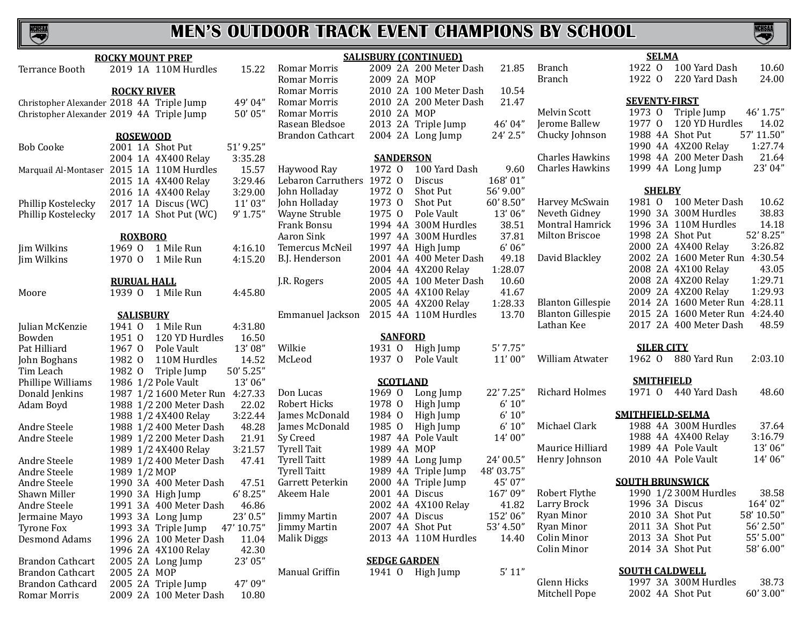# **NCHSAA**

# **MEN'S OUTDOOR TRACK EVENT CHAMPIONS BY SCHOOL**

S

|                         | <b>ROCKY MOUNT PREP</b>                   |            |                           |                     | <b>SALISBURY (CONTINUED)</b> |            |                          | <b>SELMA</b>                       |
|-------------------------|-------------------------------------------|------------|---------------------------|---------------------|------------------------------|------------|--------------------------|------------------------------------|
| Terrance Booth          | 2019 1A 110M Hurdles                      | 15.22      | Romar Morris              |                     | 2009 2A 200 Meter Dash       | 21.85      | <b>Branch</b>            | 1922 0 100 Yard Dash<br>10.60      |
|                         |                                           |            | Romar Morris              | 2009 2A MOP         |                              |            | <b>Branch</b>            | 1922 0<br>220 Yard Dash<br>24.00   |
|                         | <b>ROCKY RIVER</b>                        |            | Romar Morris              |                     | 2010 2A 100 Meter Dash       | 10.54      |                          |                                    |
|                         | Christopher Alexander 2018 4A Triple Jump | 49' 04"    | Romar Morris              |                     | 2010 2A 200 Meter Dash       | 21.47      |                          | <b>SEVENTY-FIRST</b>               |
|                         | Christopher Alexander 2019 4A Triple Jump | 50' 05"    | Romar Morris              | 2010 2A MOP         |                              |            | Melvin Scott             | 1973 0<br>Triple Jump<br>46' 1.75" |
|                         |                                           |            | Rasean Bledsoe            |                     | 2013 2A Triple Jump          | 46' 04"    | Jerome Ballew            | 1977 0 120 YD Hurdles<br>14.02     |
|                         | <b>ROSEWOOD</b>                           |            | Brandon Cathcart          |                     | 2004 2A Long Jump            | 24' 2.5"   | Chucky Johnson           | 1988 4A Shot Put<br>57' 11.50"     |
| <b>Bob Cooke</b>        | 2001 1A Shot Put                          | 51' 9.25"  |                           |                     |                              |            |                          | 1:27.74<br>1990 4A 4X200 Relay     |
|                         | 2004 1A 4X400 Relay                       | 3:35.28    |                           | <b>SANDERSON</b>    |                              |            | <b>Charles Hawkins</b>   | 1998 4A 200 Meter Dash<br>21.64    |
|                         | Marquail Al-Montaser 2015 1A 110M Hurdles | 15.57      | Haywood Ray               | 1972 0              | 100 Yard Dash                | 9.60       | <b>Charles Hawkins</b>   | 23' 04"<br>1999 4A Long Jump       |
|                         | 2015 1A 4X400 Relay                       | 3:29.46    | Lebaron Carruthers 1972 O |                     | Discus                       | 168'01"    |                          |                                    |
|                         | 2016 1A 4X400 Relay                       | 3:29.00    | John Holladay             | 1972 0              | Shot Put                     | 56' 9.00"  |                          | <b>SHELBY</b>                      |
| Phillip Kostelecky      | 2017 1A Discus (WC)                       | 11'03"     | John Holladay             | 1973 0              | Shot Put                     | 60'8.50"   | Harvey McSwain           | 1981 0 100 Meter Dash<br>10.62     |
| Phillip Kostelecky      | 2017 1A Shot Put (WC)                     | 9' 1.75''  | Wayne Struble             | 1975 0              | Pole Vault                   | 13'06"     | Neveth Gidney            | 38.83<br>1990 3A 300M Hurdles      |
|                         |                                           |            | Frank Bonsu               |                     | 1994 4A 300M Hurdles         | 38.51      | Montral Hamrick          | 14.18<br>1996 3A 110M Hurdles      |
|                         | <b>ROXBORO</b>                            |            | Aaron Sink                |                     | 1997 4A 300M Hurdles         | 37.81      | Milton Briscoe           | 1998 2A Shot Put<br>52' 8.25"      |
| Jim Wilkins             | 1969 0 1 Mile Run                         | 4:16.10    | Temercus McNeil           |                     | 1997 4A High Jump            | 6'06''     |                          | 3:26.82<br>2000 2A 4X400 Relay     |
| Jim Wilkins             | 1 Mile Run<br>1970 0                      | 4:15.20    | B.J. Henderson            |                     | 2001 4A 400 Meter Dash       | 49.18      | David Blackley           | 2002 2A 1600 Meter Run 4:30.54     |
|                         |                                           |            |                           |                     | 2004 4A 4X200 Relay          | 1:28.07    |                          | 2008 2A 4X100 Relay<br>43.05       |
|                         | <b>RURUAL HALL</b>                        |            | J.R. Rogers               |                     | 2005 4A 100 Meter Dash       | 10.60      |                          | 1:29.71<br>2008 2A 4X200 Relay     |
| Moore                   | 1939 0 1 Mile Run                         | 4:45.80    |                           |                     | 2005 4A 4X100 Relay          | 41.67      |                          | 2009 2A 4X200 Relay<br>1:29.93     |
|                         |                                           |            |                           |                     | 2005 4A 4X200 Relay          | 1:28.33    | <b>Blanton Gillespie</b> | 2014 2A 1600 Meter Run 4:28.11     |
|                         | <b>SALISBURY</b>                          |            | Emmanuel Jackson          |                     | 2015 4A 110M Hurdles         | 13.70      | <b>Blanton Gillespie</b> | 2015 2A 1600 Meter Run 4:24.40     |
| Julian McKenzie         | 1941 0<br>1 Mile Run                      | 4:31.80    |                           |                     |                              |            | Lathan Kee               | 48.59<br>2017 2A 400 Meter Dash    |
| Bowden                  | 1951 0<br>120 YD Hurdles                  | 16.50      |                           | <b>SANFORD</b>      |                              |            |                          |                                    |
| Pat Hilliard            | 1967 0<br>Pole Vault                      | 13'08"     | Wilkie                    | 1931 0              | High Jump                    | 5'7.75''   |                          | <b>SILER CITY</b>                  |
| John Boghans            | 1982 0<br>110M Hurdles                    | 14.52      | McLeod                    | 1937 0              | Pole Vault                   | 11'00''    | William Atwater          | 1962 0 880 Yard Run<br>2:03.10     |
| Tim Leach               | 1982 0<br>Triple Jump                     | 50' 5.25"  |                           |                     |                              |            |                          |                                    |
| Phillipe Williams       | 1986 1/2 Pole Vault                       | 13'06"     |                           | <b>SCOTLAND</b>     |                              |            |                          | <b>SMITHFIELD</b>                  |
| Donald Jenkins          | 1987 1/2 1600 Meter Run 4:27.33           |            | Don Lucas                 | 1969 0              | Long Jump                    | 22' 7.25"  | <b>Richard Holmes</b>    | 1971 0 440 Yard Dash<br>48.60      |
| Adam Boyd               | 1988 1/2 200 Meter Dash                   | 22.02      | Robert Hicks              | 1978 0              | High Jump                    | 6' 10''    |                          |                                    |
|                         | 1988 1/2 4X400 Relay                      | 3:22.44    | James McDonald            | 1984 0              | High Jump                    | 6' 10''    |                          | SMITHFIELD-SELMA                   |
| Andre Steele            | 1988 1/2 400 Meter Dash                   | 48.28      | James McDonald            | 1985 0              | High Jump                    | 6' 10''    | Michael Clark            | 1988 4A 300M Hurdles<br>37.64      |
| Andre Steele            | 1989 1/2 200 Meter Dash                   | 21.91      | Sy Creed                  |                     | 1987 4A Pole Vault           | 14' 00"    |                          | 3:16.79<br>1988 4A 4X400 Relay     |
|                         | 1989 1/2 4X400 Relay                      | 3:21.57    | <b>Tyrell Tait</b>        | 1989 4A MOP         |                              |            | Maurice Hilliard         | 13'06"<br>1989 4A Pole Vault       |
| Andre Steele            | 1989 1/2 400 Meter Dash                   | 47.41      | <b>Tyrell Taitt</b>       |                     | 1989 4A Long Jump            | 24' 00.5"  | Henry Johnson            | 14'06"<br>2010 4A Pole Vault       |
| Andre Steele            | 1989 1/2 MOP                              |            | <b>Tyrell Taitt</b>       |                     | 1989 4A Triple Jump          | 48' 03.75" |                          |                                    |
| Andre Steele            | 1990 3A 400 Meter Dash                    | 47.51      | Garrett Peterkin          |                     | 2000 4A Triple Jump          | 45' 07"    |                          | <b>SOUTH BRUNSWICK</b>             |
| Shawn Miller            | 1990 3A High Jump                         | 6' 8.25''  | Akeem Hale                | 2001 4A Discus      |                              | 167'09"    | Robert Flythe            | 1990 1/2 300M Hurdles<br>38.58     |
| Andre Steele            | 1991 3A 400 Meter Dash                    | 46.86      |                           |                     | 2002 4A 4X100 Relay          | 41.82      | Larry Brock              | 1996 3A Discus<br>164'02"          |
| Jermaine Mayo           | 1993 3A Long Jump                         | 23' 0.5"   | <b>Jimmy Martin</b>       | 2007 4A Discus      |                              | 152'06"    | Ryan Minor               | 58' 10.50"<br>2010 3A Shot Put     |
| Tyrone Fox              | 1993 3A Triple Jump                       | 47' 10.75" | <b>Jimmy Martin</b>       |                     | 2007 4A Shot Put             | 53' 4.50"  | Ryan Minor               | 56' 2.50"<br>2011 3A Shot Put      |
| Desmond Adams           | 1996 2A 100 Meter Dash                    | 11.04      | Malik Diggs               |                     | 2013 4A 110M Hurdles         | 14.40      | Colin Minor              | 55' 5.00"<br>2013 3A Shot Put      |
|                         | 1996 2A 4X100 Relay                       | 42.30      |                           |                     |                              |            | Colin Minor              | 2014 3A Shot Put<br>58' 6.00"      |
| <b>Brandon Cathcart</b> | 2005 2A Long Jump                         | 23' 05"    |                           | <b>SEDGE GARDEN</b> |                              |            |                          |                                    |
| Brandon Cathcart        | 2005 2A MOP                               |            | Manual Griffin            |                     | 1941 O High Jump             | 5' 11''    |                          | <b>SOUTH CALDWELL</b>              |
| Brandon Cathcard        | 2005 2A Triple Jump                       | 47'09"     |                           |                     |                              |            | Glenn Hicks              | 1997 3A 300M Hurdles<br>38.73      |
| Romar Morris            | 2009 2A 100 Meter Dash                    | 10.80      |                           |                     |                              |            | Mitchell Pope            | 2002 4A Shot Put<br>60' 3.00"      |
|                         |                                           |            |                           |                     |                              |            |                          |                                    |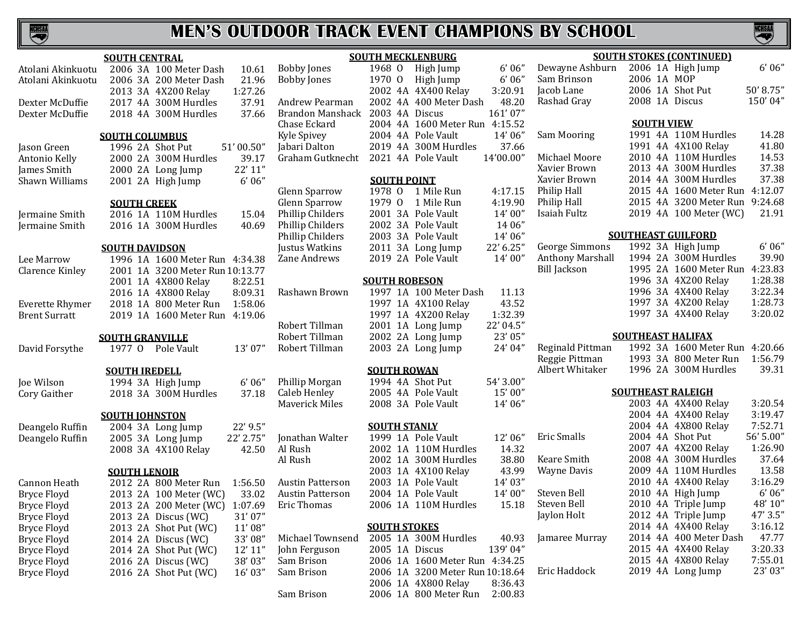

|                        | <b>SOUTH CENTRAL</b> |                                 |           |
|------------------------|----------------------|---------------------------------|-----------|
| Atolani Akinkuotu      |                      | 2006 3A 100 Meter Dash          | 10.61     |
| Atolani Akinkuotu      | 2006 3A              | 200 Meter Dash                  | 21.96     |
|                        |                      | 2013 3A 4X200 Relay             | 1:27.26   |
| Dexter McDuffie        |                      | 2017 4A 300M Hurdles            | 37.91     |
| Dexter McDuffie        | 2018 4A              | 300M Hurdles                    | 37.66     |
|                        |                      | <b>SOUTH COLUMBUS</b>           |           |
| Jason Green            |                      | 1996 2A Shot Put                | 51'00.50" |
| Antonio Kelly          |                      | 2000 2A 300M Hurdles            | 39.17     |
| James Smith            |                      | 2000 2A Long Jump               | 22' 11''  |
| Shawn Williams         |                      | 2001 2A High Jump               | 6'06''    |
|                        |                      | <b>SOUTH CREEK</b>              |           |
| Jermaine Smith         | 2016 1A              | 110M Hurdles                    | 15.04     |
| Jermaine Smith         |                      | 2016 1A 300M Hurdles            | 40.69     |
|                        |                      | <b>SOUTH DAVIDSON</b>           |           |
| Lee Marrow             |                      | 1996 1A 1600 Meter Run          | 4:34.38   |
| <b>Clarence Kinley</b> |                      | 2001 1A 3200 Meter Run 10:13.77 |           |
|                        |                      | 2001 1A 4X800 Relay             | 8:22.51   |
|                        |                      | 2016 1A 4X800 Relay             | 8:09.31   |
| <b>Everette Rhymer</b> |                      | 2018 1A 800 Meter Run           | 1:58.06   |
| Brent Surratt          | 2019 1A              | 1600 Meter Run                  | 4:19.06   |
|                        |                      | <b>SOUTH GRANVILLE</b>          |           |
| David Forsythe         | 1977 O               | Pole Vault                      | 13'07"    |
|                        | <b>SOUTH IREDELL</b> |                                 |           |
| Joe Wilson             |                      | 1994 3A High Jump               | 6'06''    |
| Cory Gaither           |                      | 2018 3A 300M Hurdles            | 37.18     |
|                        |                      | <b>SOUTH JOHNSTON</b>           |           |
| Deangelo Ruffin        |                      | 2004 3A Long Jump               | 22' 9.5"  |
| Deangelo Ruffin        |                      | 2005 3A Long Jump               | 22' 2.75" |
|                        |                      | 2008 3A 4X100 Relay             | 42.50     |
|                        | <b>SOUTH LENOIR</b>  |                                 |           |
| Cannon Heath           |                      | 2012 2A 800 Meter Run           | 1:56.50   |
| <b>Bryce Floyd</b>     | 2013 2A              | 100 Meter (WC)                  | 33.02     |
| Bryce Floyd            | 2013 2A              | 200 Meter (WC)                  | 1:07.69   |
| <b>Bryce Floyd</b>     | 2013 2A              | Discus (WC)                     | 31'07"    |
| <b>Bryce Floyd</b>     | 2013 2A              | Shot Put (WC)                   | 11'08"    |
| <b>Bryce Floyd</b>     | 2014 2A              | Discus (WC)                     | 33'08"    |
| <b>Bryce Floyd</b>     | 2014 2A              | Shot Put (WC)                   | 12' 11"   |
| <b>Bryce Floyd</b>     | 2016 2A              | Discus (WC)                     | 38'03"    |
| <b>Bryce Floyd</b>     | 2016 2A              | Shot Put (WC)                   | 16' 03"   |

|                   |                         | <b>SOUTH M</b> |
|-------------------|-------------------------|----------------|
| .61               | <b>Bobby Jones</b>      | 1968           |
| .96               | <b>Bobby Jones</b>      | 1970           |
|                   |                         | 2002           |
| $\frac{.26}{.91}$ | <b>Andrew Pearman</b>   | 2002           |
| .66               | <b>Brandon Manshack</b> | 2003           |
|                   | Chase Eckard            | 2004           |
|                   | <b>Kyle Spivey</b>      | 2004           |
| 50"               | Jabari Dalton           | 2019           |
| .17               | Graham Gutknecht        | 2021           |
| 11"               |                         |                |
| 06"               |                         | <b>SOUT</b>    |
|                   | <b>Glenn Sparrow</b>    | 1978           |
|                   | <b>Glenn Sparrow</b>    | 1979           |
| .04               | Phillip Childers        | 2001           |
| .69               | Phillip Childers        | 2002           |
|                   | Phillip Childers        | 2003           |
|                   | Justus Watkins          | 2011           |
| .38               | Zane Andrews            | 2019           |
| .77               |                         |                |
| .51               |                         | <b>SOUTH</b>   |
| .31               | Rashawn Brown           | 1997           |
| .06               |                         | 1997           |
| .06               |                         | 1997           |
|                   | Robert Tillman          | 2001           |
|                   | Robert Tillman          | 2002           |
| 07"               | Robert Tillman          | 2003           |
|                   |                         |                |
|                   |                         | <b>SOUT</b>    |
| 06''              | Phillip Morgan          | 1994           |
| .18               | Caleb Henley            | 2005           |
|                   | <b>Maverick Miles</b>   | 2008           |
| .5"               |                         | <u>SOUT</u>    |
| 75"               | Jonathan Walter         | 1999           |
| .50               | Al Rush                 | 2002           |
|                   | Al Rush                 | 2002           |
|                   |                         | 2003           |
| .50               | <b>Austin Patterson</b> | 2003           |
| .02               | <b>Austin Patterson</b> | 2004           |
| .69               | <b>Eric Thomas</b>      | 2006           |
| 07"               |                         |                |
| 08''              |                         | <b>SOUT</b>    |

John Ferguson 2005 1A Discus<br>
Sam Brison 2006 1A 1600 M

|                         |         |              | <b>SOUTH MECKLENBURG</b> |           |
|-------------------------|---------|--------------|--------------------------|-----------|
| <b>Bobby Jones</b>      | 1968 0  |              | High Jump                | 6'06''    |
| <b>Bobby Jones</b>      | 1970 0  |              | High Jump                | $6'$ 06"  |
|                         | 2002 4A |              | 4X400 Relay              | 3:20.91   |
| Andrew Pearman          | 2002    | 4A           | 400 Meter Dash           | 48.20     |
| Brandon Manshack        | 2003    | 4A           | Discus                   | 161'07"   |
| Chase Eckard            | 2004 4A |              | 1600 Meter Run           | 4:15.52   |
| Kyle Spivey             | 2004 4A |              | Pole Vault               | 14'06"    |
| Jabari Dalton           | 2019 4A |              | 300M Hurdles             | 37.66     |
| Graham Gutknecht        | 2021 4A |              | Pole Vault               | 14'00.00" |
|                         |         |              | <b>SOUTH POINT</b>       |           |
| Glenn Sparrow           | 1978 0  |              | 1 Mile Run               | 4:17.15   |
| Glenn Sparrow           | 1979    | $\mathbf{0}$ | 1 Mile Run               | 4:19.90   |
| Phillip Childers        | 2001    | 3A           | Pole Vault               | 14'00"    |
| Phillip Childers        | 2002 3A |              | Pole Vault               | 14 06"    |
| Phillip Childers        | 2003 3A |              | Pole Vault               | 14'06"    |
| Justus Watkins          | 2011    | 3A           | Long Jump                | 22' 6.25" |
| Zane Andrews            | 2019 2A |              | Pole Vault               | 14'00"    |
|                         |         |              | <b>SOUTH ROBESON</b>     |           |
| Rashawn Brown           | 1997    |              | 1A 100 Meter Dash        | 11.13     |
|                         | 1997    |              | 1A 4X100 Relay           | 43.52     |
|                         | 1997    | 1A           | 4X200 Relay              | 1:32.39   |
| Robert Tillman          | 2001    |              | 1A Long Jump             | 22' 04.5" |
| Robert Tillman          | 2002 2A |              | Long Jump                | 23' 05"   |
| Robert Tillman          |         |              | 2003 2A Long Jump        | 24' 04"   |
|                         |         |              | <b>SOUTH ROWAN</b>       |           |
| Phillip Morgan          |         |              | 1994 4A Shot Put         | 54' 3.00" |
| Caleb Henley            |         |              | 2005 4A Pole Vault       | 15'00"    |
| Maverick Miles          |         |              | 2008 3A Pole Vault       | 14'06"    |
|                         |         |              | <b>SOUTH STANLY</b>      |           |
| Jonathan Walter         |         |              | 1999 1A Pole Vault       | 12'06"    |
| Al Rush                 | 2002 1A |              | 110M Hurdles             | 14.32     |
| Al Rush                 | 2002    |              | 1A 300M Hurdles          | 38.80     |
|                         | 2003    |              | 1A 4X100 Relay           | 43.99     |
| <b>Austin Patterson</b> | 2003    | 1A           | Pole Vault               | 14' 03"   |
| Austin Patterson        | 2004 1A |              | Pole Vault               | 14'00"    |
| Eric Thomas             | 2006 1A |              | 110M Hurdles             | 15.18     |

#### **H STOKES**

Michael Townsend 2005 1A 300M Hurdles 40.93<br>John Ferguson 2005 1A Discus 139'04" Sam Brison 2006 1A 1600 Meter Run 4:34.25<br>Sam Brison 2006 1A 3200 Meter Run 10:18.64 2006 1A 3200 Meter Run 10:18.64<br>2006 1A 4X800 Relay 8:36.43 2006 1A 4X800 Relay Sam Brison 2006 1A 800 Meter Run 2:00.83

| Dewayne Ashburn                   | 2006               | 1A | High Jump                       | 6'06''           |
|-----------------------------------|--------------------|----|---------------------------------|------------------|
| Sam Brinson                       | 2006               | 1A | <b>MOP</b>                      |                  |
| Jacob Lane                        | 2006               | 1A | <b>Shot Put</b>                 | 50'8.75"         |
| Rashad Gray                       | 2008 1A            |    | Discus                          | 150'04"          |
|                                   |                    |    |                                 |                  |
|                                   | <b>SOUTH VIEW</b>  |    |                                 |                  |
| Sam Mooring                       | 1991 4A            |    | 110M Hurdles                    | 14.28            |
|                                   | 1991 4A            |    | 4X100 Relay                     | 41.80            |
| Michael Moore                     | 2010 4A            |    | 110M Hurdles                    | 14.53            |
| Xavier Brown                      | 2013 4A            |    | 300M Hurdles                    | 37.38            |
| Xavier Brown                      | 2014 4A            |    | 300M Hurdles                    | 37.38            |
| Philip Hall                       | 2015 4A            |    | 1600 Meter Run                  | 4:12.07          |
| Philip Hall                       | 2015 4A            |    | 3200 Meter Run                  | 9:24.68          |
| Isaiah Fultz                      | 2019 4A            |    | 100 Meter (WC)                  | 21.91            |
|                                   |                    |    |                                 |                  |
|                                   |                    |    | <b>SOUTHEAST GUILFORD</b>       |                  |
| <b>George Simmons</b>             | 1992               | 3A | High Jump                       | 6'06''           |
| <b>Anthony Marshall</b>           | 1994 2A            |    | 300M Hurdles                    | 39.90            |
| <b>Bill Jackson</b>               | 1995               | 2A | 1600 Meter Run                  | 4:23.83          |
|                                   | 1996 3A            |    | 4X200 Relay                     | 1:28.38          |
|                                   | 1996 3A            |    | 4X400 Relay                     | 3:22.34          |
|                                   | 1997 3A            |    | 4X200 Relay                     | 1:28.73          |
|                                   | 1997               | 3A | 4X400 Relay                     | 3:20.02          |
|                                   |                    |    |                                 |                  |
|                                   |                    |    |                                 |                  |
|                                   |                    |    | <b>SOUTHEAST HALIFAX</b>        |                  |
| Reginald Pittman                  | 1992 3A            |    | 1600 Meter Run<br>800 Meter Run | 4:20.66          |
| Reggie Pittman<br>Albert Whitaker | 1993 3A<br>1996 2A |    | 300M Hurdles                    | 1:56.79<br>39.31 |
|                                   |                    |    |                                 |                  |
|                                   |                    |    | <b>SOUTHEAST RALEIGH</b>        |                  |
|                                   | 2003 4A            |    | 4X400 Relay                     | 3:20.54          |
|                                   | 2004 4A            |    | 4X400 Relay                     | 3:19.47          |
|                                   | 2004 4A            |    | 4X800 Relay                     | 7:52.71          |
| Eric Smalls                       | 2004 4A            |    | <b>Shot Put</b>                 | 56' 5.00"        |
|                                   | 2007 4A            |    | 4X200 Relay                     | 1:26.90          |
| Keare Smith                       | 2008 4A            |    | 300M Hurdles                    | 37.64            |
| <b>Wayne Davis</b>                | 2009 4A            |    | 110M Hurdles                    | 13.58            |
|                                   | 2010 4A            |    | 4X400 Relay                     | 3:16.29          |
| Steven Bell                       | 2010 4A            |    | High Jump                       | 6'06''           |
| Steven Bell                       | 2010 4A            |    | Triple Jump                     | 48' 10"          |
| Jaylon Holt                       | 2012 4A            |    | Triple Jump                     | 47' 3.5"         |
|                                   | 2014 4A            |    | 4X400 Relay                     | 3:16.12          |
| Jamaree Murray                    | 2014 4A            |    | 400 Meter Dash                  | 47.77            |
|                                   | 2015 4A            |    | 4X400 Relay                     | 3:20.33          |
|                                   | 2015 4A            |    | 4X800 Relay                     | 7:55.01          |
| Eric Haddock                      | 2019 4A            |    | Long Jump                       | 23' 03"          |

**SOUTH STOKES (CONTINUED)**

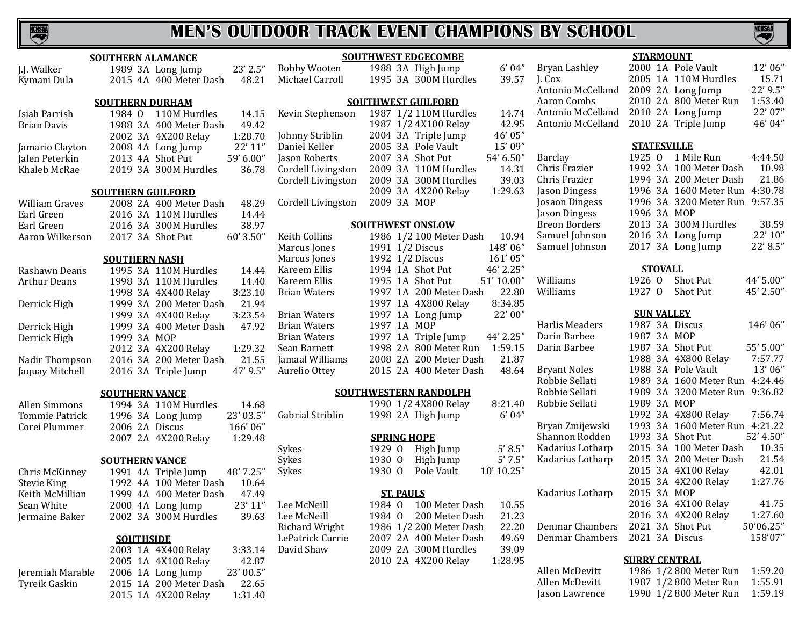

|                      | <b>SOUTHERN ALAMANCE</b>         |                       | <b>SOUTHWEST EDGECOMBE</b>                 |                                   | <b>STARMOUNT</b>                                                   |
|----------------------|----------------------------------|-----------------------|--------------------------------------------|-----------------------------------|--------------------------------------------------------------------|
| J.J. Walker          | 23' 2.5"<br>1989 3A Long Jump    | <b>Bobby Wooten</b>   | 1988 3A High Jump<br>6'04"                 | Bryan Lashley                     | 12'06"<br>2000 1A Pole Vault                                       |
| Kymani Dula          | 48.21<br>2015 4A 400 Meter Dash  | Michael Carroll       | 39.57<br>1995 3A 300M Hurdles              | J. Cox                            | 15.71<br>2005 1A 110M Hurdles                                      |
|                      |                                  |                       |                                            | Antonio McCelland                 | 22' 9.5"<br>2009 2A Long Jump                                      |
|                      | <b>SOUTHERN DURHAM</b>           |                       | <b>SOUTHWEST GUILFORD</b>                  | Aaron Combs                       | 2010 2A 800 Meter Run<br>1:53.40                                   |
| Isiah Parrish        | 1984 0 110M Hurdles<br>14.15     | Kevin Stephenson      | 1987 1/2 110M Hurdles<br>14.74             | Antonio McCelland                 | 22' 07"<br>2010 2A Long Jump                                       |
| Brian Davis          | 49.42<br>1988 3A 400 Meter Dash  |                       | 42.95<br>1987 1/2 4X100 Relay              | Antonio McCelland                 | 46' 04"<br>2010 2A Triple Jump                                     |
|                      | 1:28.70<br>2002 3A 4X200 Relay   | Johnny Striblin       | 46' 05"<br>2004 3A Triple Jump             |                                   |                                                                    |
| Jamario Clayton      | 22' 11"<br>2008 4A Long Jump     | Daniel Keller         | 15' 09"<br>2005 3A Pole Vault              |                                   | <b>STATESVILLE</b>                                                 |
| Jalen Peterkin       | 2013 4A Shot Put<br>59' 6.00"    | Jason Roberts         | 54' 6.50"<br>2007 3A Shot Put              | Barclay                           | 4:44.50<br>1925 0 1 Mile Run                                       |
| Khaleb McRae         | 2019 3A 300M Hurdles<br>36.78    | Cordell Livingston    | 14.31<br>2009 3A 110M Hurdles              | Chris Frazier                     | 10.98<br>1992 3A 100 Meter Dash                                    |
|                      |                                  | Cordell Livingston    | 39.03<br>2009 3A 300M Hurdles              | Chris Frazier                     | 1994 3A 200 Meter Dash<br>21.86                                    |
|                      | <b>SOUTHERN GUILFORD</b>         |                       | 1:29.63<br>2009 3A 4X200 Relay             | Jason Dingess                     | 4:30.78<br>1996 3A 1600 Meter Run                                  |
| William Graves       | 48.29<br>2008 2A 400 Meter Dash  | Cordell Livingston    | 2009 3A MOP                                | Josaon Dingess                    | 1996 3A 3200 Meter Run 9:57.35                                     |
| Earl Green           | 2016 3A 110M Hurdles<br>14.44    |                       |                                            | Jason Dingess                     | 1996 3A MOP                                                        |
| Earl Green           | 38.97<br>2016 3A 300M Hurdles    |                       | <b>SOUTHWEST ONSLOW</b>                    | <b>Breon Borders</b>              | 38.59<br>2013 3A 300M Hurdles                                      |
|                      | 2017 3A Shot Put<br>60' 3.50"    | Keith Collins         | 1986 1/2 100 Meter Dash<br>10.94           | Samuel Johnson                    | 22' 10"<br>2016 3A Long Jump                                       |
| Aaron Wilkerson      |                                  | Marcus Jones          | 148'06"<br>1991 1/2 Discus                 | Samuel Johnson                    | 22' 8.5"<br>2017 3A Long Jump                                      |
|                      |                                  | Marcus Jones          | 161'05"<br>1992 1/2 Discus                 |                                   |                                                                    |
|                      | <b>SOUTHERN NASH</b>             | Kareem Ellis          | 46' 2.25"<br>1994 1A Shot Put              |                                   | <b>STOVALL</b>                                                     |
| Rashawn Deans        | 1995 3A 110M Hurdles<br>14.44    |                       | 51' 10.00"<br>1995 1A Shot Put             | Williams                          | 44' 5.00"<br>1926 0<br>Shot Put                                    |
| <b>Arthur Deans</b>  | 1998 3A 110M Hurdles<br>14.40    | Kareem Ellis          | 22.80<br>1997 1A 200 Meter Dash            | Williams                          | 1927 0<br>Shot Put<br>45' 2.50"                                    |
|                      | 3:23.10<br>1998 3A 4X400 Relay   | <b>Brian Waters</b>   | 8:34.85                                    |                                   |                                                                    |
| Derrick High         | 21.94<br>1999 3A 200 Meter Dash  |                       | 1997 1A 4X800 Relay                        |                                   | <b>SUN VALLEY</b>                                                  |
|                      | 3:23.54<br>1999 3A 4X400 Relay   | <b>Brian Waters</b>   | 22'00"<br>1997 1A Long Jump<br>1997 1A MOP | Harlis Meaders                    | 1987 3A Discus<br>146'06"                                          |
| Derrick High         | 1999 3A 400 Meter Dash<br>47.92  | <b>Brian Waters</b>   | 44' 2.25"                                  | Darin Barbee                      | 1987 3A MOP                                                        |
| Derrick High         | 1999 3A MOP                      | <b>Brian Waters</b>   | 1997 1A Triple Jump                        | Darin Barbee                      | 55' 5.00"<br>1987 3A Shot Put                                      |
|                      | 2012 3A 4X200 Relay<br>1:29.32   | Sean Barnett          | 1:59.15<br>1998 2A 800 Meter Run           |                                   | 7:57.77<br>1988 3A 4X800 Relay                                     |
| Nadir Thompson       | 2016 3A 200 Meter Dash<br>21.55  | Jamaal Williams       | 21.87<br>2008 2A 200 Meter Dash            | <b>Bryant Noles</b>               | 13'06"<br>1988 3A Pole Vault                                       |
| Jaquay Mitchell      | 47' 9.5"<br>2016 3A Triple Jump  | Aurelio Ottey         | 48.64<br>2015 2A 400 Meter Dash            | Robbie Sellati                    | 1989 3A 1600 Meter Run<br>4:24.46                                  |
|                      |                                  |                       |                                            | Robbie Sellati                    | 1989 3A 3200 Meter Run 9:36.82                                     |
|                      | <b>SOUTHERN VANCE</b>            |                       | <b>SOUTHWESTERN RANDOLPH</b>               |                                   | 1989 3A MOP                                                        |
| <b>Allen Simmons</b> | 1994 3A 110M Hurdles<br>14.68    |                       | 1990 1/2 4X800 Relay<br>8:21.40            | Robbie Sellati                    |                                                                    |
| Tommie Patrick       | 23' 03.5"<br>1996 3A Long Jump   | Gabrial Striblin      | 6'04"<br>1998 2A High Jump                 |                                   | 7:56.74<br>1992 3A 4X800 Relay                                     |
| Corei Plummer        | 166'06"<br>2006 2A Discus        |                       |                                            | Bryan Zmijewski<br>Shannon Rodden | 1993 3A 1600 Meter Run<br>4:21.22<br>52' 4.50"<br>1993 3A Shot Put |
|                      | 2007 2A 4X200 Relay<br>1:29.48   |                       | <b>SPRING HOPE</b>                         |                                   |                                                                    |
|                      |                                  | Sykes                 | 5' 8.5''<br>1929 0<br>High Jump            | Kadarius Lotharp                  | 2015 3A 100 Meter Dash<br>10.35<br>2015 3A 200 Meter Dash          |
|                      | <b>SOUTHERN VANCE</b>            | Sykes                 | 5'7.5''<br>1930 0<br>High Jump             | Kadarius Lotharp                  | 21.54<br>42.01                                                     |
| Chris McKinney       | 48' 7.25"<br>1991 4A Triple Jump | Sykes                 | 10' 10.25"<br>1930 0<br>Pole Vault         |                                   | 2015 3A 4X100 Relay                                                |
| <b>Stevie King</b>   | 1992 4A 100 Meter Dash<br>10.64  |                       |                                            |                                   | 2015 3A 4X200 Relay<br>1:27.76                                     |
| Keith McMillian      | 1999 4A 400 Meter Dash<br>47.49  |                       | <b>ST. PAULS</b>                           | Kadarius Lotharp                  | 2015 3A MOP                                                        |
| Sean White           | 2000 4A Long Jump<br>23′ 11      | Lee McNeill           | 10.55<br>100 Meter Dash<br>1984 0          |                                   | 2016 3A 4X100 Relay<br>41.75                                       |
| Jermaine Baker       | 2002 3A 300M Hurdles<br>39.63    | Lee McNeill           | 21.23<br>1984 0<br>200 Meter Dash          |                                   | 2016 3A 4X200 Relay<br>1:27.60                                     |
|                      |                                  | <b>Richard Wright</b> | 22.20<br>1986 1/2 200 Meter Dash           | Denmar Chambers                   | 2021 3A Shot Put<br>50'06.25"                                      |
|                      | <b>SOUTHSIDE</b>                 | LePatrick Currie      | 2007 2A 400 Meter Dash<br>49.69            | Denmar Chambers                   | 2021 3A Discus<br>158'07"                                          |
|                      | 2003 1A 4X400 Relay<br>3:33.14   | David Shaw            | 2009 2A 300M Hurdles<br>39.09              |                                   |                                                                    |
|                      | 2005 1A 4X100 Relay<br>42.87     |                       | 2010 2A 4X200 Relay<br>1:28.95             |                                   | <b>SURRY CENTRAL</b>                                               |
| Jeremiah Marable     | 23' 00.5"<br>2006 1A Long Jump   |                       |                                            | Allen McDevitt                    | 1986 1/2 800 Meter Run<br>1:59.20                                  |
| Tyreik Gaskin        | 2015 1A 200 Meter Dash<br>22.65  |                       |                                            | Allen McDevitt                    | 1987 1/2 800 Meter Run<br>1:55.91                                  |
|                      | 2015 1A 4X200 Relay<br>1:31.40   |                       |                                            | Jason Lawrence                    | 1990 1/2 800 Meter Run<br>1:59.19                                  |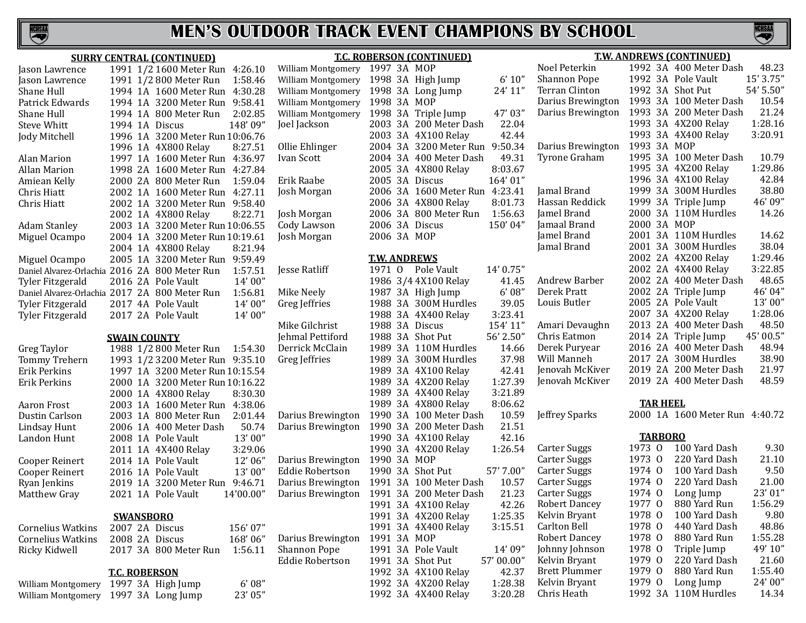

#### **SURRY CENTRAL (CONTINUED)** Jason Lawrence 1991 1/2 1600 Meter Run 4:26.10 Jason Lawrence 1991 1/2 800 Meter Run 1:58.46<br>
Shane Hull 1994 1A 1600 Meter Run 4:30.28 Shane Hull 1994 1A 1600 Meter Run 4:30.28<br>Patrick Edwards 1994 1A 3200 Meter Run 9:58.41 Patrick Edwards 1994 1A 3200 Meter Run 9:58.41 Shane Hull 1994 1A 800 Meter Run 2:02.85<br>Steve Whitt 1994 1A Discus 148'09" Steve Whitt 1994 1A Discus<br>
Jody Mitchell 1996 1A 3200 M 1996 1A 3200 Meter Run 10:06.76<br>1996 1A 4X800 Relay 8:27.51 1996 1A 4X800 Relay Alan Marion 1997 1A 1600 Meter Run 4:36.97<br>Allan Marion 1998 2A 1600 Meter Run 4:27.84 Allan Marion 1998 2A 1600 Meter Run 4:27.84<br>Amiean Kelly 2000 2A 800 Meter Run 1:59.04 Amiean Kelly 2000 2A 800 Meter Run 1:59.04<br>Chris Hiatt 2002 1A 1600 Meter Run 4:27.11 Chris Hiatt 2002 1A 1600 Meter Run 4:27.11<br>Chris Hiatt 2002 1A 3200 Meter Run 9:58.40 2002 1A 3200 Meter Run 9:58.40<br>2002 1A 4X800 Relay 8:22.71 2002 1A 4X800 Relay Adam Stanley 2003 1A 3200 Meter Run 10:06.55<br>Miguel Ocampo 2004 1A 3200 Meter Run 10:19.61 2004 1A 3200 Meter Run 10:19.61<br>2004 1A 4X800 Relay 8:21.94 2004 1A 4X800 Relay Miguel Ocampo 2005 1A 3200 Meter Run 9:59.49 Daniel Alvarez-Orlachia 2016 2A 800 Meter Run 1:57.51 2016 2A Pole Vault Daniel Alvarez-Orlachia 2017 2A 800 Meter Run 1:56.81 Tyler Fitzgerald 2017 4A Pole Vault 14' 00"<br>Tyler Fitzgerald 2017 2A Pole Vault 14' 00" 2017 2A Pole Vault **SWAIN COUNTY** Greg Taylor 1988 1/2 800 Meter Run 1:54.30<br>Tommy Trehern 1993 1/2 3200 Meter Run 9:35.10 Tommy Trehern 1993 1/2 3200 Meter Run 9:35.10<br>Erik Perkins 1997 1A 3200 Meter Run 10:15.54 Erik Perkins 1997 1A 3200 Meter Run 10:15.54<br>
Erik Perkins 2000 1A 3200 Meter Run 10:16.22 2000 1A 3200 Meter Run 10:16.22<br>2000 1A 4X800 Relay 8:30.30 2000 1A 4X800 Relay Aaron Frost 2003 1A 1600 Meter Run 4:38.06<br>Dustin Carlson 2003 1A 800 Meter Run 2:01.44 Dustin Carlson 2003 1A 800 Meter Run 2:01.44<br>Lindsay Hunt 2006 1A 400 Meter Dash 50.74 Lindsay Hunt 2006 1A 400 Meter Dash 50.74<br>Landon Hunt 2008 1A Pole Vault 13'00" 2008 1A Pole Vault 13' 00"<br>2011 1A 4X400 Relav 3:29.06 2011 1A 4X400 Relay 3:29.06<br>2014 1A Pole Vault 12'06" Cooper Reinert 2014 1A Pole Vault 12' 06"<br>Cooper Reinert 2016 1A Pole Vault 13' 00" Cooper Reinert 2016 1A Pole Vault<br>Ryan Jenkins 2019 1A 3200 Mete Ryan Jenkins 2019 1A 3200 Meter Run 9:46.71<br>Matthew Gray 2021 1A Pole Vault 14'00.00" 2021 1A Pole Vault **SWANSBORO** Cornelius Watkins 2007 2A Discus 156' 07" Cornelius Watkins 2008 2A Discus 168' 06" 2017 3A 800 Meter Run **T.C. ROBERSON** William Montgomery 1997 3A High Jump 6'08"<br>William Montgomery 1997 3A Long Jump 23'05" William Montgomery 1997 3A MOP William Montgomery 1998 3A MOP Darius Brewington 1991 3A MOP

William Montgomery 1997 3A Long Jump

#### **T.C. ROBERSON (CONTINUED)** William Montgomery 1998 3A High Jump 6' 10"<br>William Montgomery 1998 3A Long Jump 24' 11" William Montgomery 1998 3A Long Jump William Montgomery 1998 3A Triple Jump 47' 03"<br>Ioel Jackson 2003 3A 200 Meter Dash 22.04 2003 3A 200 Meter Dash 22.04<br>2003 3A 4X100 Relav 42.44 2003 3A 4X100 Relay Ollie Ehlinger 2004 3A 3200 Meter Run 9:50.34<br>Ivan Scott 2004 3A 400 Meter Dash 49.31 2004 3A 400 Meter Dash 49.31<br>2005 3A 4X800 Relay 8:03.67 2005 3A 4X800 Relay 8:03.67<br>2005 3A Discus 164'01" Erik Raabe 2005 3A Discus<br>Josh Morgan 2006 3A 1600 N 2006 3A 1600 Meter Run 4:23.41<br>2006 3A 4X800 Relay 8:01.73 2006 3A 4X800 Relay Josh Morgan 2006 3A 800 Meter Run 1:56.63 Cody Lawson 2006 3A Discus<br>
Iosh Morgan 2006 3A MOP 2006 3A MOP **T.W. ANDREWS** Jesse Ratliff 1971 O Pole Vault 14' 0.75"<br>1986 3/4 4X100 Relay 41.45 1986 3/4 4X100 Relay 41.45<br>1987 3A High Jump 6'08" Mike Neely 1987 3A High Jump 6' 08"<br>Greg Jeffries 1988 3A 300M Hurdles 39.05 1988 3A 300M Hurdles 39.05<br>1988 3A 4X400 Relay 3:23.41 1988 3A 4X400 Relay 3:23.41<br>1988 3A Discus 154'11" Mike Gilchrist 1988 3A Discus 154' 11"<br>
Iehmal Pettiford 1988 3A Shot Put 56' 2.50" Jehmal Pettiford 1988 3A Shot Put 56' 2.50"<br>Derrick McClain 1989 3A 110M Hurdles 14.66 Derrick McClain 1989 3A 110M Hurdles 14.66<br>Greg leffries 1989 3A 300M Hurdles 37.98 1989 3A 300M Hurdles 37.98<br>1989 3A 4X100 Relay 42.41 1989 3A 4X100 Relay 42.41<br>1989 3A 4X200 Relay 1:27.39 1989 3A 4X200 Relay 1:27.39<br>1989 3A 4X400 Relay 3:21.89 1989 3A 4X400 Relay 3:21.89<br>1989 3A 4X800 Relay 8:06.62 1989 3A 4X800 Relay 8:06.62<br>1990 3A 100 Meter Dash 10.59 Darius Brewington 1990 3A 100 Meter Dash 10.59<br>Darius Brewington 1990 3A 200 Meter Dash 21.51 Darius Brewington 1990 3A 200 Meter Dash 21.51 1990 3A 4X100 Relay 42.16<br>1990 3A 4X200 Relay 1:26.54 1990 3A 4X200 Relay Darius Brewington 1990 3A MOP Eddie Robertson 1990 3A Shot Put 57' 7.00" Darius Brewington 1991 3A 100 Meter Dash 10.57 Darius Brewington 1991 3A 200 Meter Dash 21.23 1991 3A 4X100 Relay 42.26<br>1991 3A 4X200 Relay 1:25.35 1991 3A 4X200 Relay 1:25.35<br>1991 3A 4X400 Relay 3:15.51 1991 3A 4X400 Relay Shannon Pope 1991 3A Pole Vault 14' 09"<br>Eddie Robertson 1991 3A Shot Put 57' 00.00" 1991 3A Shot Put 57' 00.00"<br>1992 3A 4X100 Relay 42.37 1992 3A 4X100 Relay 42.37<br>1992 3A 4X200 Relay 1:28.38 1992 3A 4X200 Relay 1:28.38<br>1992 3A 4X400 Relay 3:20.28 1992 3A 4X400 Relay

#### **T.W. ANDREWS (CONTINUED)**<br>Noel Peterkin 1992 3A 400 Meter Da Noel Peterkin 1992 3A 400 Meter Dash 48.23<br>Shannon Pope 1992 3A Pole Vault 15'3.75" Shannon Pope 1992 3A Pole Vault 15' 3.75"<br>Terran Clinton 1992 3A Shot Put 54' 5.50" Terran Clinton  $1992\,3A\,500$  Put  $54\,5.50$ " Darius Brewington 1993 3A 100 Meter Dash 10.54 Darius Brewington 1993 3A 200 Meter Dash 21.24 1993 3A 4X200 Relay 1:28.16<br>1993 3A 4X400 Relay 3:20.91 1993 3A 4X400 Relay Darius Brewington 1993 3A MOP<br>Tyrone Graham 1995 3A 1001 1995 3A 100 Meter Dash 10.79<br>1995 3A 4X200 Relav 1:29.86 1995 3A 4X200 Relay 1:29.86<br>1996 3A 4X100 Relay 42.84 1996 3A 4X100 Relay 42.84<br>1999 3A 300M Hurdles 38.80 Jamal Brand 1999 3A 300M Hurdles 38.80 Hassan Reddick 1999 3A Triple Jump 46' 09" Jamel Brand 2000 3A 110M Hurdles<br>Jamaal Brand 2000 3A MOP Famaal Brand at 2000 3A MOP<br>Jamel Brand at 2001 3A 110M Jamel Brand 2001 3A 110M Hurdles 14.62 2001 3A 300M Hurdles 38.04<br>2002 2A 4X200 Relay 1:29.46 2002 2A 4X200 Relay 1:29.46<br>2002 2A 4X400 Relay 3:22.85 2002 2A 4X400 Relay 3:22.85<br>2002 2A 400 Meter Dash 48.65 Andrew Barber 2002 2A 400 Meter Dash 48.65<br>Derek Pratt 2002 2A Triple Jump 46'04" Derek Pratt 2002 2A Triple Jump 46' 04"<br>
Louis Butler 2005 2A Pole Vault 13' 00" 2005 2A Pole Vault 13' 00"<br>2007 3A 4X200 Relay 1:28.06 2007 3A 4X200 Relay 1:28.06<br>2013 2A 400 Meter Dash 48.50 Amari Devaughn 2013 2A 400 Meter Dash 48.50<br>Chris Eatmon 2014 2A Triple Jump 45'00.5" Chris Eatmon 2014 2A Triple Jump 45' 00.5"<br>Derek Puryear 2016 2A 400 Meter Dash 48.94 Derek Puryear 2016 2A 400 Meter Dash 48.94 Will Manneh 2017 2A 300M Hurdles 38.90 Jenovah McKiver 2019 2A 200 Meter Dash 21.97 2019 2A 400 Meter Dash **TAR HEEL** Jeffrey Sparks 2000 1A 1600 Meter Run 4:40.72 **TARBORO** Carter Suggs 1973 0 100 Yard Dash 9.30<br>Carter Suggs 1973 0 220 Yard Dash 21.10 Carter Suggs 1973 0 220 Yard Dash 21.10<br>Carter Suggs 1974 0 100 Yard Dash 9.50 Carter Suggs 1974 0 100 Yard Dash 9.50<br>Carter Suggs 1974 0 220 Yard Dash 21.00 1974 0 220 Yard Dash 21.00<br>1974 O Long Jump 23' 01" Carter Suggs 1974 O Long Jump 23' 01" Robert Dancey 1977 O 880 Yard Run 1:56.29 Kelvin Bryant 1978 O 100 Yard Dash 9.80 1978 0 440 Yard Dash 48.86<br>1978 0 880 Yard Run 1:55.28 Robert Dancey 1978 0 880 Yard Run 1:55.28<br>19 Johnny Johnson 1978 0 Triple Jump 49'10" Johnny Johnson 1978 O Triple Jump 49' 10" 1979 O 220 Yard Dash 21.60<br>1979 O 880 Yard Run 1:55.40 Brett Plummer 1979 O 880 Yard Run 1:55.40 Kelvin Bryant 1979 O Long Jump 24' 00"<br>Chris Heath 1992 3A 110M Hurdles 14.34

1992 3A 110M Hurdles

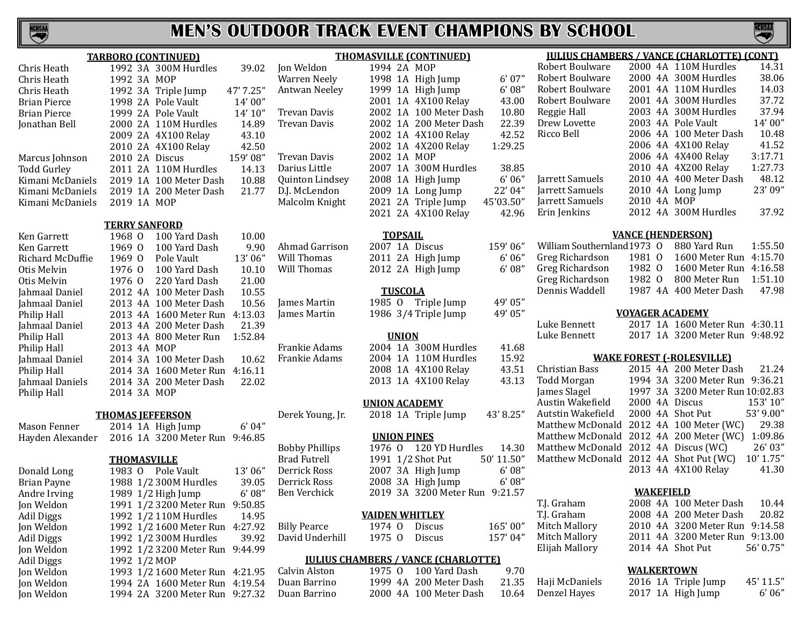# CHSAA

# **MEN'S OUTDOOR TRACK EVENT CHAMPIONS BY SCHOOL**

|                     |                    | <b>TARBORO (CONTINUED)</b> |           | T                     |
|---------------------|--------------------|----------------------------|-----------|-----------------------|
| Chris Heath         |                    | 1992 3A 300M Hurdles       | 39.02     | Jon Weldon            |
| Chris Heath         | 1992 3A MOP        |                            |           | <b>Warren Neely</b>   |
| Chris Heath         |                    | 1992 3A Triple Jump        | 47' 7.25" | Antwan Neeley         |
| <b>Brian Pierce</b> |                    | 1998 2A Pole Vault         | 14'00''   |                       |
| <b>Brian Pierce</b> |                    | 1999 2A Pole Vault         | 14' 10''  | Trevan Davis          |
| Jonathan Bell       |                    | 2000 2A 110M Hurdles       | 14.89     | <b>Trevan Davis</b>   |
|                     |                    | 2009 2A 4X100 Relay        | 43.10     |                       |
|                     |                    | 2010 2A 4X100 Relay        | 42.50     |                       |
| Marcus Johnson      |                    | 2010 2A Discus             | 159'08"   | Trevan Davis          |
| <b>Todd Gurley</b>  |                    | 2011 2A 110M Hurdles       | 14.13     | Darius Little         |
| Kimani McDaniels    |                    | 2019 1A 100 Meter Dash     | 10.88     | Quinton Linds         |
| Kimani McDaniels    |                    | 2019 1A 200 Meter Dash     | 21.77     | D.J. McLendon         |
| Kimani McDaniels    | 2019 1A MOP        |                            |           | Malcolm Knigh         |
|                     |                    | <b>TERRY SANFORD</b>       |           |                       |
| Ken Garrett         | 1968 0             | 100 Yard Dash              | 10.00     |                       |
| Ken Garrett         | 1969 0             | 100 Yard Dash              | 9.90      | Ahmad Garrisc         |
| Richard McDuffie    | 1969 0             | Pole Vault                 | 13'06"    | Will Thomas           |
| Otis Melvin         | 1976 0             | 100 Yard Dash              | 10.10     | Will Thomas           |
| Otis Melvin         | 1976 0             | 220 Yard Dash              | 21.00     |                       |
| Jahmaal Daniel      |                    | 2012 4A 100 Meter Dash     | 10.55     |                       |
| Jahmaal Daniel      |                    | 2013 4A 100 Meter Dash     | 10.56     | James Martin          |
| Philip Hall         |                    | 2013 4A 1600 Meter Run     | 4:13.03   | James Martin          |
| Jahmaal Daniel      |                    | 2013 4A 200 Meter Dash     | 21.39     |                       |
| Philip Hall         |                    | 2013 4A 800 Meter Run      | 1:52.84   |                       |
| Philip Hall         | 2013 4A MOP        |                            |           | Frankie Adams         |
| Jahmaal Daniel      |                    | 2014 3A 100 Meter Dash     | 10.62     | Frankie Adams         |
| Philip Hall         |                    | 2014 3A 1600 Meter Run     | 4:16.11   |                       |
| Jahmaal Daniels     |                    | 2014 3A 200 Meter Dash     | 22.02     |                       |
| Philip Hall         | 2014 3A MOP        |                            |           |                       |
|                     |                    | <b>THOMAS JEFFERSON</b>    |           | Derek Young, JI       |
| Mason Fenner        |                    | 2014 1A High Jump          | 6'04"     |                       |
| Hayden Alexander    |                    | 2016 1A 3200 Meter Run     | 9:46.85   |                       |
|                     |                    |                            |           | <b>Bobby Phillips</b> |
|                     | <b>THOMASVILLE</b> |                            |           | <b>Brad Futrell</b>   |
| Donald Long         | 1983 0             | Pole Vault                 | 13'06"    | Derrick Ross          |
| <b>Brian Payne</b>  |                    | 1988 1/2 300M Hurdles      | 39.05     | Derrick Ross          |
| Andre Irving        |                    | 1989 1/2 High Jump         | 6'08''    | Ben Verchick          |
| Jon Weldon          |                    | 1991 1/2 3200 Meter Run    | 9:50.85   |                       |
| Adil Diggs          |                    | 1992 1/2 110M Hurdles      | 14.95     |                       |
| Jon Weldon          |                    | 1992 1/2 1600 Meter Run    | 4:27.92   | <b>Billy Pearce</b>   |
| <b>Adil Diggs</b>   |                    | 1992 1/2 300M Hurdles      | 39.92     | David Underhil        |
| Jon Weldon          |                    | 1992 1/2 3200 Meter Run    | 9:44.99   |                       |
| <b>Adil Diggs</b>   | 1992 1/2 MOP       |                            |           | <u><b>JULIUS</b></u>  |
| Jon Weldon          |                    | 1993 1/2 1600 Meter Run    | 4:21.95   | Calvin Alston         |
| Jon Weldon          |                    | 1994 2A 1600 Meter Run     | 4:19.54   | Duan Barrino          |
|                     |                    |                            |           |                       |

Jon Weldon 1994 2A 3200 Meter Run 9:27.32

|  | 6'07''                                                                                                                                                                                                                                                                                                                                          |
|--|-------------------------------------------------------------------------------------------------------------------------------------------------------------------------------------------------------------------------------------------------------------------------------------------------------------------------------------------------|
|  | 6'08''                                                                                                                                                                                                                                                                                                                                          |
|  | 43.00                                                                                                                                                                                                                                                                                                                                           |
|  | 10.80                                                                                                                                                                                                                                                                                                                                           |
|  | 22.39                                                                                                                                                                                                                                                                                                                                           |
|  | 42.52                                                                                                                                                                                                                                                                                                                                           |
|  | 1:29.25                                                                                                                                                                                                                                                                                                                                         |
|  |                                                                                                                                                                                                                                                                                                                                                 |
|  | 38.85                                                                                                                                                                                                                                                                                                                                           |
|  | 6'06''                                                                                                                                                                                                                                                                                                                                          |
|  | 22' 04"                                                                                                                                                                                                                                                                                                                                         |
|  | 45'03.50"                                                                                                                                                                                                                                                                                                                                       |
|  | 42.96                                                                                                                                                                                                                                                                                                                                           |
|  |                                                                                                                                                                                                                                                                                                                                                 |
|  | <b>THOMASVILLE (CONTINUED)</b><br>1994 2A MOP<br>1998 1A High Jump<br>1999 1A High Jump<br>2001 1A 4X100 Relay<br>2002 1A 100 Meter Dash<br>2002 1A 200 Meter Dash<br>2002 1A 4X100 Relay<br>2002 1A 4X200 Relay<br>2002 1A MOP<br>2007 1A 300M Hurdles<br>2008 1A High Jump<br>2009 1A Long Jump<br>2021 2A Triple Jump<br>2021 2A 4X100 Relay |

#### **TOPSAIL**

ahmad Garrison 2007 1A Discus 159' 06"<br>2011 2A High Jump 6' 06" 2011 2A High Jump 6' 06"<br>2012 2A High Jump 6' 08" 2012 2A High Jump

#### **TUSCOLA**

1985 O Triple Jump 49' 05"<br>1986 3/4 Triple Jump 49' 05" 1986  $3/4$  Triple Jump

#### **UNION**

2004 1A 300M Hurdles 41.68<br>2004 1A 110M Hurdles 15.92 2004 1A 110M Hurdles 15.92<br>2008 1A 4X100 Relay 43.51 2008 1A 4X100 Relay 43.51<br>2013 1A 4X100 Relay 43.13 2013 1A 4X100 Relay

#### **UNION ACADEMY**

r. 2018 1A Triple Jump 43' 8.25"

#### **UNION PINES**

| Bobby Phillips |  | 1976 0 120 YD Hurdles          | 14.30      |
|----------------|--|--------------------------------|------------|
| Brad Futrell   |  | 1991 1/2 Shot Put              | 50' 11.50" |
| Derrick Ross   |  | 2007 3A High Jump              | 6'08''     |
| Derrick Ross   |  | 2008 3A High Jump              | 6'08''     |
| Ben Verchick   |  | 2019 3A 3200 Meter Run 9:21.57 |            |
|                |  |                                |            |

#### **VAIDEN WHITLEY**

1974 O Discus 165' 00"<br>1975 O Discus 157' 04" 1975 O Discus

#### **CHAMBERS / VANCE (CHARLOTTE)**

1975 O 100 Yard Dash 9.70<br>1999 4A 200 Meter Dash 21.35 1999 4A 200 Meter Dash 21.35<br>2000 4A 100 Meter Dash 10.64 2000 4A 100 Meter Dash

| <u>IULIUS CHAMBERS / VANCE (CHARLOTTE) (CONT)</u> |  |  |  |
|---------------------------------------------------|--|--|--|
|                                                   |  |  |  |

VCHSA

| Robert Boulware |             | 2000 4A 110M Hurdles   | 14.31   |
|-----------------|-------------|------------------------|---------|
| Robert Boulware |             | 2000 4A 300M Hurdles   | 38.06   |
| Robert Boulware |             | 2001 4A 110M Hurdles   | 14.03   |
| Robert Boulware |             | 2001 4A 300M Hurdles   | 37.72   |
| Reggie Hall     |             | 2003 4A 300M Hurdles   | 37.94   |
| Drew Lovette    |             | 2003 4A Pole Vault     | 14'00"  |
| Ricco Bell      |             | 2006 4A 100 Meter Dash | 10.48   |
|                 |             | 2006 4A 4X100 Relay    | 41.52   |
|                 |             | 2006 4A 4X400 Relay    | 3:17.71 |
|                 |             | 2010 4A 4X200 Relay    | 1:27.73 |
| Jarrett Samuels |             | 2010 4A 400 Meter Dash | 48.12   |
| Jarrett Samuels |             | 2010 4A Long Jump      | 23' 09" |
| Jarrett Samuels | 2010 4A MOP |                        |         |
| Erin Jenkins    |             | 2012 4A 300M Hurdles   | 37.92   |

#### **VANCE (HENDERSON)**

| William Southernland 1973 O |               | 880 Yard Run           | 1:55.50 |
|-----------------------------|---------------|------------------------|---------|
| Greg Richardson             | $1981 \Omega$ | 1600 Meter Run 4:15.70 |         |
| Greg Richardson             | 1982 0        | 1600 Meter Run 4:16.58 |         |
| Greg Richardson             |               | 1982 0 800 Meter Run   | 1:51.10 |
| Dennis Waddell              |               | 1987 4A 400 Meter Dash | 47.98   |
|                             |               |                        |         |

#### **VOYAGER ACADEMY**

Luke Bennett 2017 1A 1600 Meter Run 4:30.11 2017 1A 3200 Meter Run 9:48.92

#### **WAKE FOREST (-ROLESVILLE)**

| Christian Bass                          |  | 2015 4A 200 Meter Dash 21.24    |           |
|-----------------------------------------|--|---------------------------------|-----------|
| Todd Morgan                             |  | 1994 3A 3200 Meter Run 9:36.21  |           |
| James Slagel                            |  | 1997 3A 3200 Meter Run 10:02.83 |           |
| Austin Wakefield                        |  | 2000 4A Discus                  | 153'10''  |
|                                         |  |                                 | 53' 9.00" |
| Matthew McDonald 2012 4A 100 Meter (WC) |  |                                 | 29.38     |
| Matthew McDonald 2012 4A 200 Meter (WC) |  |                                 | 1:09.86   |
| Matthew McDonald 2012 4A Discus (WC)    |  |                                 | 26' 03"   |
| Matthew McDonald 2012 4A Shot Put (WC)  |  |                                 | 10' 1.75" |
|                                         |  | 2013 4A 4X100 Relay             | 41.30     |
|                                         |  |                                 |           |

#### **WAKEFIELD**

T.J. Graham T.J. Graham Mitch Mallory Mitch Mallory Elijah Mallory

|                  | 2008–4A–100 Meter Dash             | 10.44      |
|------------------|------------------------------------|------------|
|                  | 2008–4A–200 Meter Dash             | 20.82      |
|                  | 2010  4A  3200 Meter Run   9:14.58 |            |
|                  | 2011 4A 3200 Meter Run 9:13.00     |            |
| 2014 4A Shot Put |                                    | 56' 0.75'' |

#### **WALKERTOWN**

Haji McDaniels 2016 1A Triple Jump 45' 11.5"<br>Denzel Hayes 2017 1A High Jump 6' 06" 2017 1A High Jump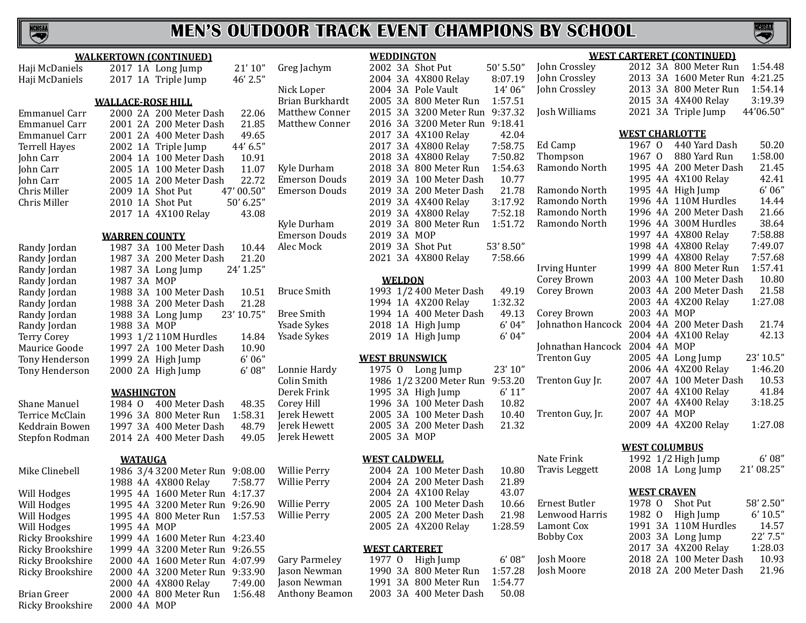

Brian Greer 2000 4A 800 Meter Run 1:56.48

Ricky Brookshire 2000 4A MOP

# **MEN'S OUTDOOR TRACK EVENT CHAMPIONS BY SCHOOL**

**NCHSM** 

|                         | <b>WALKERTOWN (CONTINUED)</b>               |            |                       | <b>WEDDINGTON</b>     |                                               |                |                       |                       | <b>WEST CARTERET (CONTINUED)</b> |                                    |
|-------------------------|---------------------------------------------|------------|-----------------------|-----------------------|-----------------------------------------------|----------------|-----------------------|-----------------------|----------------------------------|------------------------------------|
| Haji McDaniels          | 2017 1A Long Jump                           | 21'10''    | Greg Jachym           |                       | 2002 3A Shot Put                              | 50' 5.50"      | John Crossley         |                       | 2012 3A 800 Meter Run            | 1:54.48                            |
| Haji McDaniels          | 2017 1A Triple Jump                         | 46' 2.5"   |                       |                       | 2004 3A 4X800 Relay                           | 8:07.19        | John Crossley         |                       | 2013 3A 1600 Meter Run           | 4:21.25                            |
|                         |                                             |            | Nick Loper            |                       | 2004 3A Pole Vault                            | 14'06"         | John Crossley         |                       | 2013 3A 800 Meter Run            | 1:54.14                            |
|                         | <b>WALLACE-ROSE HILL</b>                    |            | Brian Burkhardt       |                       | 2005 3A 800 Meter Run                         | 1:57.51        |                       |                       | 2015 3A 4X400 Relay              | 3:19.39                            |
| <b>Emmanuel Carr</b>    | 2000 2A 200 Meter Dash                      | 22.06      | <b>Matthew Conner</b> |                       | 2015 3A 3200 Meter Run 9:37.32                |                | Josh Williams         |                       | 2021 3A Triple Jump              | 44'06.50"                          |
| <b>Emmanuel Carr</b>    | 2001 2A 200 Meter Dash                      | 21.85      | Matthew Conner        |                       | 2016 3A 3200 Meter Run 9:18.41                |                |                       |                       |                                  |                                    |
| <b>Emmanuel Carr</b>    | 2001 2A 400 Meter Dash                      | 49.65      |                       |                       | 2017 3A 4X100 Relay                           | 42.04          |                       | <b>WEST CHARLOTTE</b> |                                  |                                    |
| <b>Terrell Hayes</b>    | 2002 1A Triple Jump                         | 44' 6.5"   |                       |                       | 2017 3A 4X800 Relay                           | 7:58.75        | Ed Camp               | 1967 0                | 440 Yard Dash                    | 50.20                              |
| John Carr               | 2004 1A 100 Meter Dash                      | 10.91      |                       |                       | 2018 3A 4X800 Relay                           | 7:50.82        | Thompson              | 1967 0                | 880 Yard Run                     | 1:58.00                            |
| John Carr               | 2005 1A 100 Meter Dash                      | 11.07      | Kyle Durham           |                       | 2018 3A 800 Meter Run                         | 1:54.63        | Ramondo North         |                       | 1995 4A 200 Meter Dash           | 21.45                              |
| John Carr               | 2005 1A 200 Meter Dash                      | 22.72      | <b>Emerson Douds</b>  |                       | 2019 3A 100 Meter Dash                        | 10.77          |                       |                       | 1995 4A 4X100 Relay              | 42.41                              |
| Chris Miller            | 2009 1A Shot Put                            | 47' 00.50" | <b>Emerson Douds</b>  |                       | 2019 3A 200 Meter Dash                        | 21.78          | Ramondo North         |                       | 1995 4A High Jump                | 6'06''                             |
| Chris Miller            | 2010 1A Shot Put                            | 50' 6.25"  |                       |                       | 2019 3A 4X400 Relay                           | 3:17.92        | Ramondo North         |                       | 1996 4A 110M Hurdles             | 14.44                              |
|                         | 2017 1A 4X100 Relay                         | 43.08      |                       |                       | 2019 3A 4X800 Relay                           | 7:52.18        | Ramondo North         |                       | 1996 4A 200 Meter Dash           | 21.66                              |
|                         |                                             |            | Kyle Durham           |                       | 2019 3A 800 Meter Run                         | 1:51.72        | Ramondo North         |                       | 1996 4A 300M Hurdles             | 38.64                              |
|                         | <b>WARREN COUNTY</b>                        |            | <b>Emerson Douds</b>  | 2019 3A MOP           |                                               |                |                       |                       | 1997 4A 4X800 Relay              | 7:58.88                            |
|                         |                                             | 10.44      | Alec Mock             |                       | 2019 3A Shot Put                              | 53' 8.50"      |                       |                       | 1998 4A 4X800 Relay              | 7:49.07                            |
| Randy Jordan            | 1987 3A 100 Meter Dash                      | 21.20      |                       |                       | 2021 3A 4X800 Relay                           | 7:58.66        |                       |                       | 1999 4A 4X800 Relay              | 7:57.68                            |
| Randy Jordan            | 1987 3A 200 Meter Dash<br>1987 3A Long Jump | 24' 1.25"  |                       |                       |                                               |                | <b>Irving Hunter</b>  |                       | 1999 4A 800 Meter Run            | 1:57.41                            |
| Randy Jordan            |                                             |            |                       | <b>WELDON</b>         |                                               |                | Corey Brown           |                       | 2003 4A 100 Meter Dash           | 10.80                              |
| Randy Jordan            | 1987 3A MOP                                 |            |                       |                       | 1993 1/2 400 Meter Dash                       | 49.19          | Corey Brown           |                       | 2003 4A 200 Meter Dash           | 21.58                              |
| Randy Jordan            | 1988 3A 100 Meter Dash                      | 10.51      | <b>Bruce Smith</b>    |                       |                                               | 1:32.32        |                       |                       | 2003 4A 4X200 Relay              | 1:27.08                            |
| Randy Jordan            | 1988 3A 200 Meter Dash                      | 21.28      |                       |                       | 1994 1A 4X200 Relay<br>1994 1A 400 Meter Dash |                | Corey Brown           | 2003 4A MOP           |                                  |                                    |
| Randy Jordan            | 1988 3A Long Jump                           | 23' 10.75" | <b>Bree Smith</b>     |                       |                                               | 49.13<br>6'04" | Johnathon Hancock     |                       | 2004 4A 200 Meter Dash           | 21.74                              |
| Randy Jordan            | 1988 3A MOP                                 |            | <b>Ysade Sykes</b>    |                       | 2018 1A High Jump                             |                |                       |                       | 2004 4A 4X100 Relay              | 42.13                              |
| Terry Corey             | 1993 1/2 110M Hurdles                       | 14.84      | Ysade Sykes           |                       | 2019 1A High Jump                             | 6'04"          |                       | 2004 4A MOP           |                                  |                                    |
| Maurice Goode           | 1997 2A 100 Meter Dash                      | 10.90      |                       |                       |                                               |                | Johnathan Hancock     |                       |                                  |                                    |
| Tony Henderson          | 1999 2A High Jump                           | 6'06''     |                       | <b>WEST BRUNSWICK</b> |                                               |                | <b>Trenton Guy</b>    |                       | 2005 4A Long Jump                | $23^{\prime}\,10.5^{\prime\prime}$ |
| Tony Henderson          | 2000 2A High Jump                           | 6'08''     | Lonnie Hardy          |                       | 1975 O Long Jump                              | 23' 10"        |                       |                       | 2006 4A 4X200 Relay              | 1:46.20                            |
|                         |                                             |            | Colin Smith           |                       | 1986 1/2 3200 Meter Run 9:53.20               |                | Trenton Guy Jr.       |                       | 2007 4A 100 Meter Dash           | 10.53                              |
|                         | <b>WASHINGTON</b>                           |            | Derek Frink           |                       | 1995 3A High Jump                             | 6' 11"         |                       |                       | 2007 4A 4X100 Relay              | 41.84                              |
| Shane Manuel            | 400 Meter Dash<br>1984 0                    | 48.35      | Corey Hill            |                       | 1996 3A 100 Meter Dash                        | 10.82          |                       |                       | 2007 4A 4X400 Relay              | 3:18.25                            |
| Terrice McClain         | 1996 3A 800 Meter Run                       | 1:58.31    | Jerek Hewett          |                       | 2005 3A 100 Meter Dash                        | 10.40          | Trenton Guy, Jr.      | 2007 4A MOP           |                                  |                                    |
| Keddrain Bowen          | 1997 3A 400 Meter Dash                      | 48.79      | Jerek Hewett          |                       | 2005 3A 200 Meter Dash                        | 21.32          |                       |                       | 2009 4A 4X200 Relay              | 1:27.08                            |
| Stepfon Rodman          | 2014 2A 400 Meter Dash                      | 49.05      | Jerek Hewett          | 2005 3A MOP           |                                               |                |                       |                       |                                  |                                    |
|                         |                                             |            |                       |                       |                                               |                |                       | <b>WEST COLUMBUS</b>  |                                  |                                    |
|                         | <b>WATAUGA</b>                              |            |                       | <b>WEST CALDWELL</b>  |                                               |                | Nate Frink            |                       | 1992 1/2 High Jump               | 6'08''                             |
| Mike Clinebell          | 1986 3/4 3200 Meter Run 9:08.00             |            | Willie Perry          |                       | 2004 2A 100 Meter Dash                        | 10.80          | <b>Travis Leggett</b> |                       | 2008 1A Long Jump                | 21' 08.25"                         |
|                         | 1988 4A 4X800 Relay                         | 7:58.77    | Willie Perry          |                       | 2004 2A 200 Meter Dash                        | 21.89          |                       |                       |                                  |                                    |
| Will Hodges             | 1995 4A 1600 Meter Run 4:17.37              |            |                       |                       | 2004 2A 4X100 Relay                           | 43.07          |                       | <b>WEST CRAVEN</b>    |                                  |                                    |
| Will Hodges             | 1995 4A 3200 Meter Run 9:26.90              |            | <b>Willie Perry</b>   |                       | 2005 2A 100 Meter Dash                        | 10.66          | Ernest Butler         | 1978 0                | Shot Put                         | 58' 2.50"                          |
| Will Hodges             | 1995 4A 800 Meter Run                       | 1:57.53    | <b>Willie Perry</b>   |                       | 2005 2A 200 Meter Dash                        | 21.98          | Lenwood Harris        |                       | 1982 O High Jump                 | 6' 10.5"                           |
| Will Hodges             | 1995 4A MOP                                 |            |                       |                       | 2005 2A 4X200 Relay                           | 1:28.59        | Lamont Cox            |                       | 1991 3A 110M Hurdles             | 14.57                              |
| <b>Ricky Brookshire</b> | 1999 4A 1600 Meter Run 4:23.40              |            |                       |                       |                                               |                | <b>Bobby Cox</b>      |                       | 2003 3A Long Jump                | 22' 7.5"                           |
| <b>Ricky Brookshire</b> | 1999 4A 3200 Meter Run 9:26.55              |            |                       | <b>WEST CARTERET</b>  |                                               |                |                       |                       | 2017 3A 4X200 Relay              | 1:28.03                            |
| Ricky Brookshire        | 2000 4A 1600 Meter Run 4:07.99              |            | <b>Gary Parmeley</b>  |                       | 1977 O High Jump                              | 6'08''         | Josh Moore            |                       | 2018 2A 100 Meter Dash           | 10.93                              |
| <b>Ricky Brookshire</b> | 2000 4A 3200 Meter Run 9:33.90              |            | Jason Newman          |                       | 1990 3A 800 Meter Run                         | 1:57.28        | Josh Moore            |                       | 2018 2A 200 Meter Dash           | 21.96                              |
|                         | 2000 4A 4X800 Relay                         | 7:49.00    | Jason Newman          |                       | 1991 3A 800 Meter Run                         | 1:54.77        |                       |                       |                                  |                                    |
|                         |                                             |            |                       |                       |                                               |                |                       |                       |                                  |                                    |

Anthony Beamon 2003 3A 400 Meter Dash 50.08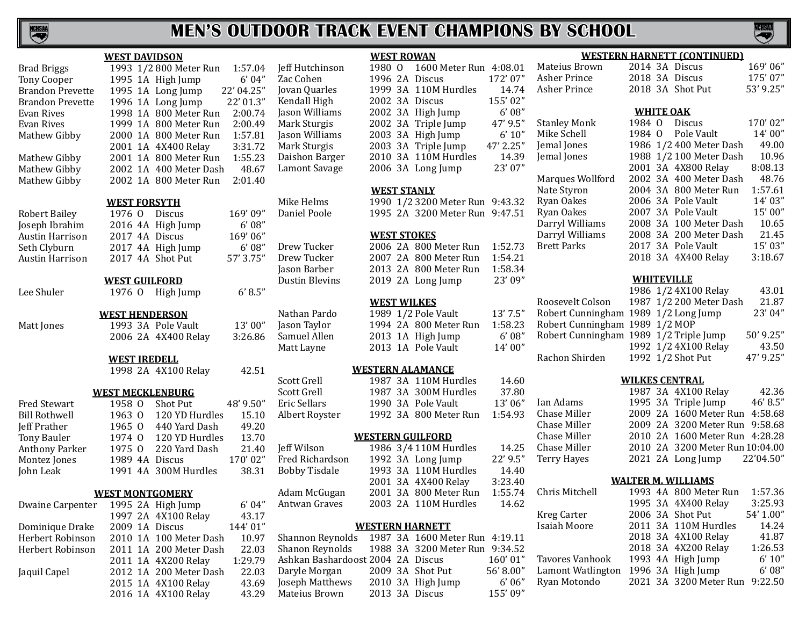

|                         |                     |               | <b>WEST DAVIDSON</b>                       |            |
|-------------------------|---------------------|---------------|--------------------------------------------|------------|
| <b>Brad Briggs</b>      | 1993                |               | 1/2 800 Meter Run                          | 1:57.04    |
| <b>Tony Cooper</b>      | 1995                | 1A            | High Jump                                  | 6' 04"     |
| <b>Brandon Prevette</b> | 1995                | 1A            | Long Jump                                  | 22' 04.25" |
| <b>Brandon Prevette</b> | 1996                | 1A            | Long Jump                                  | 22' 01.3"  |
| Evan Rives              | 1998                | 1A            | 800 Meter Run                              | 2:00.74    |
| Evan Rives              | 1999                | 1A            | 800 Meter Run                              | 2:00.49    |
| Mathew Gibby            | 2000                | 1A            | 800 Meter Run                              | 1:57.81    |
|                         | 2001                | 1A            | 4X400 Relay                                | 3:31.72    |
| Mathew Gibby            | 2001                | 1A            | 800 Meter Run                              | 1:55.23    |
| Mathew Gibby            | 2002                | 1A            | 400 Meter Dash                             | 48.67      |
| Mathew Gibby            | 2002 1A             |               | 800 Meter Run                              | 2:01.40    |
|                         |                     |               |                                            |            |
|                         | <b>WEST FORSYTH</b> |               |                                            |            |
| <b>Robert Bailey</b>    | 1976 0              |               | <b>Discus</b>                              | 169'09"    |
| Joseph Ibrahim          | 2016 4A             |               | High Jump                                  | 6'08''     |
| <b>Austin Harrison</b>  | 2017 4A             |               | <b>Discus</b>                              | 169'06"    |
| Seth Clyburn            | 2017 4A             |               | High Jump                                  | 6'08''     |
| <b>Austin Harrison</b>  | 2017 4A             |               | <b>Shot Put</b>                            | 57' 3.75"  |
|                         |                     |               |                                            |            |
|                         |                     |               | <b>WEST GUILFORD</b>                       |            |
| Lee Shuler              | 1976 0              |               | High Jump                                  | 6' 8.5''   |
|                         |                     |               | <b>WEST HENDERSON</b>                      |            |
| Matt Jones              |                     |               | 1993 3A Pole Vault                         | 13'00"     |
|                         | 2006 2A             |               | 4X400 Relay                                | 3:26.86    |
|                         |                     |               |                                            |            |
|                         | <b>WEST IREDELL</b> |               |                                            |            |
|                         |                     |               | 1998 2A 4X100 Relay                        | 42.51      |
|                         |                     |               |                                            |            |
| <b>Fred Stewart</b>     | 1958 0              |               | <b>WEST MECKLENBURG</b><br><b>Shot Put</b> | 48' 9.50"  |
| <b>Bill Rothwell</b>    | 1963                | $\Omega$      | 120 YD Hurdles                             | 15.10      |
| <b>Jeff Prather</b>     | 1965                |               | 440 Yard Dash                              | 49.20      |
|                         | 1974                | $\mathbf{0}$  | 120 YD Hurdles                             |            |
| <b>Tony Bauler</b>      | 1975                | $\mathbf{0}$  |                                            | 13.70      |
| <b>Anthony Parker</b>   |                     | $\Omega$      | 220 Yard Dash                              | 21.40      |
| Montez Jones            | 1989                | 4Α            | <b>Discus</b>                              | 170'02"    |
| John Leak               | 1991                | 4A            | 300M Hurdles                               | 38.31      |
|                         |                     |               | <b>WEST MONTGOMERY</b>                     |            |
| Dwaine Carpenter        | 1995                | $2\mathrm{A}$ | High Jump                                  | 6' 04"     |
|                         | 1997                | 2A            | 4X100 Relay                                | 43.17      |
| Dominique Drake         | 2009                | 1A            | <b>Discus</b>                              | 144'01"    |
| Herbert Robinson        | 2010                | 1A            | 100 Meter Dash                             | 10.97      |
| Herbert Robinson        | 2011                | 1A            | 200 Meter Dash                             | 22.03      |
|                         | 2011                | 1A            | 4X200 Relay                                | 1:29.79    |
| Jaquil Capel            | 2012                | 1A            | 200 Meter Dash                             | 22.03      |
|                         | 2015 1A             |               | 4X100 Relay                                | 43.69      |
|                         |                     |               | 2016 1A 4X100 Relay                        | 43.29      |

2016 1A 4X100 Relay

# 3:31.72<br>1:55.23 3:26.86

# Nathan Pardo 1989 1/2 Pole Vault 13' 7.5" R<br>
Iason Taylor 1994 2A 800 Meter Run 1:58.23 R

| WESTERN ALAMANCE                  |         |    |                         |          |  |  |  |
|-----------------------------------|---------|----|-------------------------|----------|--|--|--|
| Scott Grell                       |         |    | 1987 3A 110M Hurdles    | 14.60    |  |  |  |
| Scott Grell                       |         |    | 1987 3A 300M Hurdles    | 37.80    |  |  |  |
| Eric Sellars                      | 1990    | 3A | Pole Vault              | 13'06"   |  |  |  |
| Albert Royster                    |         |    | 1992 3A 800 Meter Run   | 1:54.93  |  |  |  |
|                                   |         |    |                         |          |  |  |  |
|                                   |         |    | <b>WESTERN GUILFORD</b> |          |  |  |  |
| Jeff Wilson                       |         |    | 1986 3/4 110M Hurdles   | 14.25    |  |  |  |
| Fred Richardson                   |         |    | 1992 3A Long Jump       | 22' 9.5" |  |  |  |
| <b>Bobby Tisdale</b>              |         |    | 1993 3A 110M Hurdles    | 14.40    |  |  |  |
|                                   |         |    | 2001 3A 4X400 Relay     | 3:23.40  |  |  |  |
| Adam McGugan                      |         |    | 2001 3A 800 Meter Run   | 1:55.74  |  |  |  |
| Antwan Graves                     | 2003 2A |    | 110M Hurdles            | 14.62    |  |  |  |
|                                   |         |    |                         |          |  |  |  |
|                                   |         |    | <b>WESTERN HARNETT</b>  |          |  |  |  |
| Shannon Reynolds                  |         |    | 1987 3A 1600 Meter Run  | 4:19.11  |  |  |  |
| Shanon Reynolds                   |         |    | 1988 3A 3200 Meter Run  | 9:34.52  |  |  |  |
| Ashkan Bashardoost 2004 2A Discus |         |    |                         | 160'01"  |  |  |  |
| Daryle Morgan                     | 2009 3A |    | Shot Put                | 56'8.00" |  |  |  |
| Joseph Matthews                   |         |    | 2010 3A High Jump       | 6'06''   |  |  |  |
| Mateius Brown                     |         |    | 2013 3A Discus          | 155'09"  |  |  |  |
|                                   |         |    |                         |          |  |  |  |
|                                   |         |    |                         |          |  |  |  |
|                                   |         |    |                         |          |  |  |  |

| <b>WEST ROWAN</b> |        |  |                        |           |  |  |
|-------------------|--------|--|------------------------|-----------|--|--|
| Jeff Hutchinson   | 1980 O |  | 1600 Meter Run 4:08.01 |           |  |  |
| Zac Cohen         |        |  | 1996 2A Discus         | 172'07"   |  |  |
| Jovan Quarles     |        |  | 1999 3A 110M Hurdles   | 14.74     |  |  |
| Kendall High      |        |  | 2002 3A Discus         | 155'02"   |  |  |
| Jason Williams    |        |  | 2002 3A High Jump      | 6'08''    |  |  |
| Mark Sturgis      |        |  | 2002 3A Triple Jump    | 47' 9.5"  |  |  |
| Jason Williams    |        |  | 2003 3A High Jump      | 6' 10''   |  |  |
| Mark Sturgis      |        |  | 2003 3A Triple Jump    | 47' 2.25" |  |  |
| Daishon Barger    |        |  | 2010 3A 110M Hurdles   | 14.39     |  |  |
| Lamont Savage     |        |  | 2006 3A Long Jump      | 23' 07"   |  |  |

#### **WEST STANLY**

Mike Helms 1990 1/2 3200 Meter Run 9:43.32<br>Daniel Poole 1995 2A 3200 Meter Run 9:47.51 1995 2A 3200 Meter Run 9:47.51

#### **WEST STOKES**

Drew Tucker 2006 2A 800 Meter Run 1:52.73<br>Drew Tucker 2007 2A 800 Meter Run 1:54.21 Drew Tucker 2007 2A 800 Meter Run 1:54.21<br>
Iason Barber 2013 2A 800 Meter Run 1:58.34 Jason Barber 2013 2A 800 Meter Run 1:58.34 2019 2A Long Jump

#### **WEST WILKES**

Jason Taylor 1994 2A 800 Meter Run 1:58.23<br>Samuel Allen 2013 1A High Jump 6'08" Samuel Allen 2013 1A High Jump 6' 08"<br>Matt Layne 2013 1A Pole Vault 14' 00" 2013 1A Pole Vault

#### **WESTERN ALAMANCE**

| Jeff Wilson     |  | 1986 3/4 110M Hurdles | 14.25      |
|-----------------|--|-----------------------|------------|
| Fred Richardson |  | 1992 3A Long Jump     | $22'$ 9.5" |
| Bobby Tisdale   |  | 1993 3A 110M Hurdles  | 14.40      |
|                 |  | 2001 3A 4X400 Relay   | 3:23.40    |
| Adam McGugan    |  | 2001 3A 800 Meter Run | 1:55.74    |
| Antwan Graves   |  | 2003 2A 110M Hurdles  | 14.62      |
|                 |  |                       |            |

| Shannon Reynolds                  |  | 1987 3A 1600 Meter Run 4:19.11 |          |
|-----------------------------------|--|--------------------------------|----------|
| Shanon Reynolds                   |  | 1988 3A 3200 Meter Run 9:34.52 |          |
| Ashkan Bashardoost 2004 2A Discus |  |                                | 160'01"  |
| Daryle Morgan                     |  | 2009 3A Shot Put               | 56'8.00" |
| Joseph Matthews                   |  | 2010 3A High Jump              | 6'06''   |
| Mateius Brown                     |  | 2013 3A Discus                 | 155'09"  |

# **WESTERN HARNETT (CONTINUED)**

Ian Adams Chase Miller Chase Miller Chase Miller Chase Miller Terry Hayes

| Matejus Brown       |                  |  | 2014 3A Discus          | 1691061   |  |  |
|---------------------|------------------|--|-------------------------|-----------|--|--|
| Asher Prince        |                  |  | 2018 3A Discus          | 175'07"   |  |  |
| Asher Prince        |                  |  | 2018 3A Shot Put        | 53' 9.25" |  |  |
|                     |                  |  |                         |           |  |  |
|                     | <b>WHITE OAK</b> |  |                         |           |  |  |
| <b>Stanley Monk</b> | 1984 0           |  | Discus                  | 170'02"   |  |  |
| Mike Schell         |                  |  | 1984 O Pole Vault       | 14'00''   |  |  |
| Jemal Jones         |                  |  | 1986 1/2 400 Meter Dash | 49.00     |  |  |
| Jemal Jones         |                  |  | 1988 1/2 100 Meter Dash | 10.96     |  |  |
|                     |                  |  | 2001 3A 4X800 Relay     | 8:08.13   |  |  |
| Marques Wollford    |                  |  | 2002 3A 400 Meter Dash  | 48.76     |  |  |
| Nate Styron         |                  |  | 2004 3A 800 Meter Run   | 1:57.61   |  |  |
| Ryan Oakes          |                  |  | 2006 3A Pole Vault      | 14'03''   |  |  |
| Ryan Oakes          |                  |  | 2007 3A Pole Vault      | 15'00"    |  |  |
| Darryl Williams     |                  |  | 2008 3A 100 Meter Dash  | 10.65     |  |  |
| Darryl Williams     |                  |  | 2008 3A 200 Meter Dash  | 21.45     |  |  |
| <b>Brett Parks</b>  |                  |  | 2017 3A Pole Vault      | 15' 03"   |  |  |
|                     |                  |  | 2018 3A 4X400 Relay     | 3:18.67   |  |  |
|                     |                  |  |                         |           |  |  |
| WHITEVILLE          |                  |  |                         |           |  |  |
|                     |                  |  | 1986 1/2 4X100 Relay    | 43.01     |  |  |
|                     |                  |  |                         |           |  |  |

|                                        | 1986 1/2 4X100 Relay    | 43.01       |
|----------------------------------------|-------------------------|-------------|
| Roosevelt Colson                       | 1987 1/2 200 Meter Dash | 21.87       |
| Robert Cunningham 1989 1/2 Long Jump   |                         | 23' 04"     |
| Robert Cunningham 1989 1/2 MOP         |                         |             |
| Robert Cunningham 1989 1/2 Triple Jump |                         | $50'$ 9.25" |
|                                        | 1992 1/2 4X100 Relay    | 43.50       |
| Rachon Shirden                         | 1992 1/2 Shot Put       | 47' 9.25"   |
|                                        |                         |             |

#### **WILKES CENTRAL**

|  | 1987 3A 4X100 Relay             | 42.36     |
|--|---------------------------------|-----------|
|  | 1995 3A Triple Jump             | 46' 8.5"  |
|  | 2009 2A 1600 Meter Run 4:58.68  |           |
|  | 2009 2A 3200 Meter Run 9:58.68  |           |
|  | 2010 2A 1600 Meter Run 4:28.28  |           |
|  | 2010 2A 3200 Meter Run 10:04.00 |           |
|  | 2021 2A Long Jump               | 22'04.50" |
|  |                                 |           |

#### **WALTER M. WILLIAMS**

| Chris Mitchell    |  | 1993 4A 800 Meter Run          | 1:57.36   |
|-------------------|--|--------------------------------|-----------|
|                   |  | 1995 3A 4X400 Relay            | 3:25.93   |
| Kreg Carter       |  | 2006 3A Shot Put               | 54' 1.00" |
| Isaiah Moore      |  | 2011 3A 110M Hurdles           | 14.24     |
|                   |  | 2018 3A 4X100 Relay            | 41.87     |
|                   |  | 2018 3A 4X200 Relay            | 1:26.53   |
| Tavores Vanhook   |  | 1993 4A High Jump              | 6' 10''   |
| Lamont Watlington |  | 1996 3A High Jump              | 6'08''    |
| Ryan Motondo      |  | 2021 3A 3200 Meter Run 9:22.50 |           |
|                   |  |                                |           |